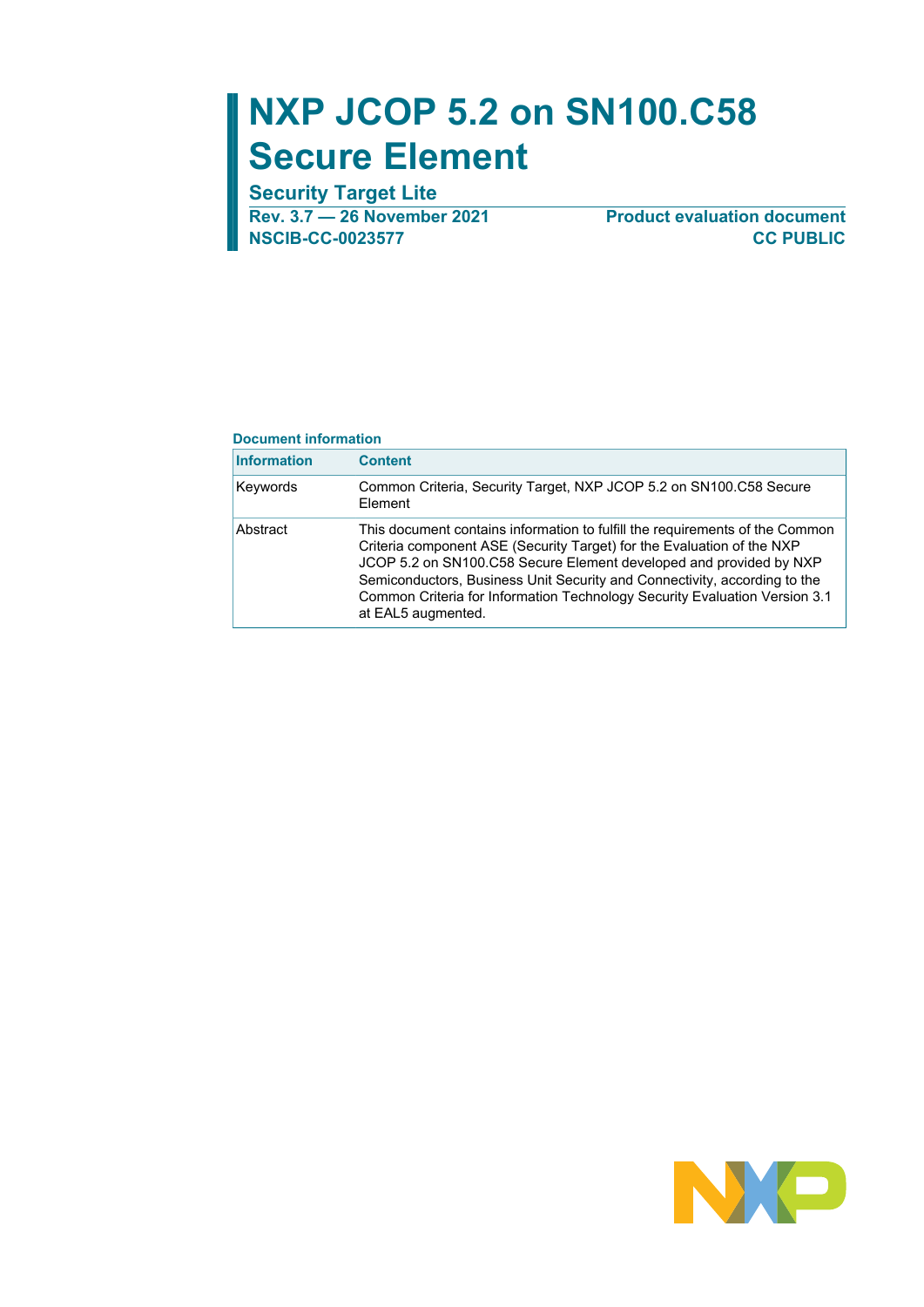# **NXP JCOP 5.2 on SN100.C58 Secure Element**

**Security Target Lite**

**Rev. 3.7 — 26 November 2021 Product evaluation document**

**NSCIB-CC-0023577 CC PUBLIC**

#### **Document information**

| <b>Information</b> | <b>Content</b>                                                                                                                                                                                                                                                                                                                                                                                                |
|--------------------|---------------------------------------------------------------------------------------------------------------------------------------------------------------------------------------------------------------------------------------------------------------------------------------------------------------------------------------------------------------------------------------------------------------|
| Keywords           | Common Criteria, Security Target, NXP JCOP 5.2 on SN100.C58 Secure<br>Element                                                                                                                                                                                                                                                                                                                                 |
| Abstract           | This document contains information to fulfill the requirements of the Common<br>Criteria component ASE (Security Target) for the Evaluation of the NXP<br>JCOP 5.2 on SN100.C58 Secure Element developed and provided by NXP<br>Semiconductors, Business Unit Security and Connectivity, according to the<br>Common Criteria for Information Technology Security Evaluation Version 3.1<br>at EAL5 augmented. |

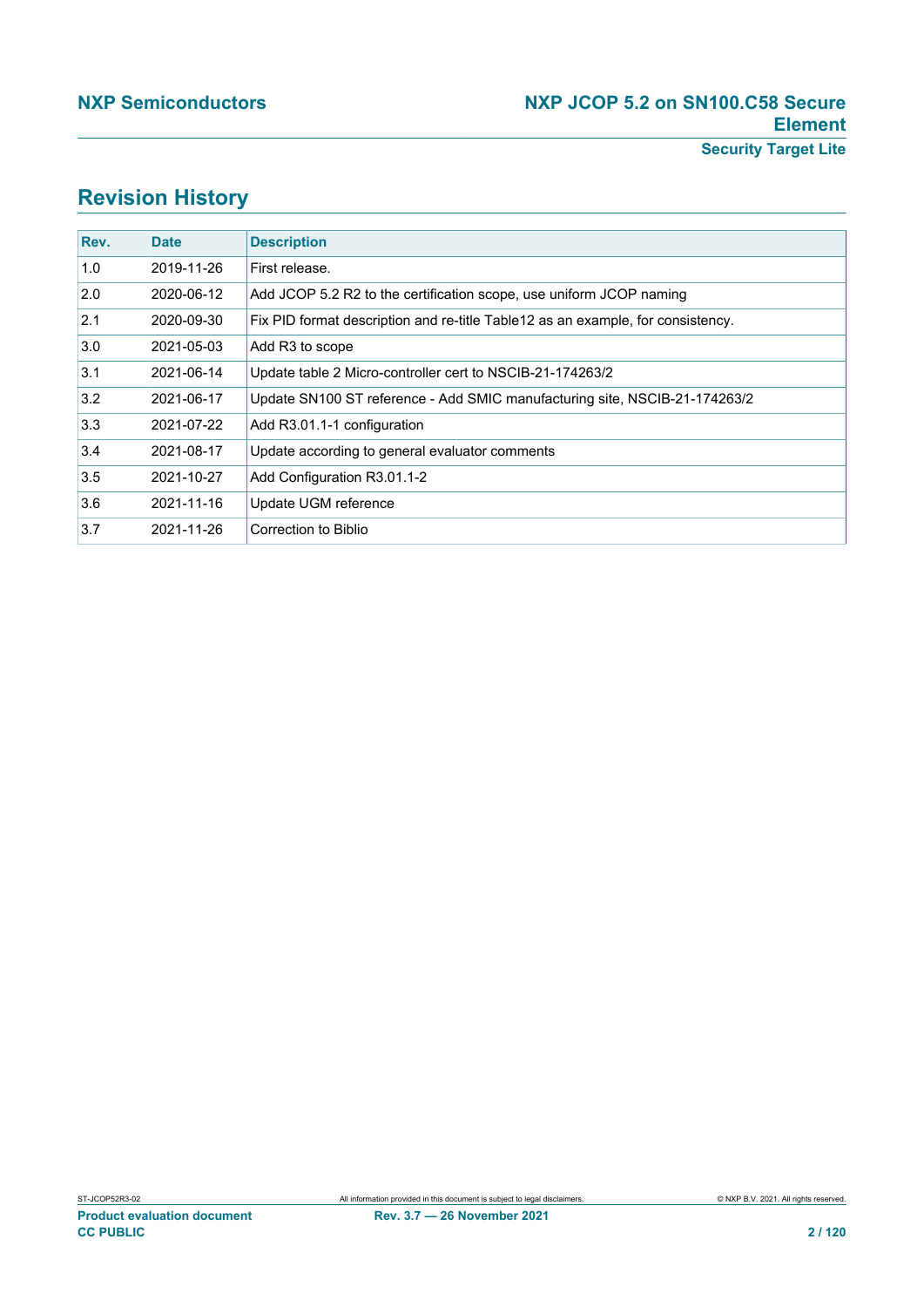## **Revision History**

| Rev. | <b>Date</b> | <b>Description</b>                                                               |
|------|-------------|----------------------------------------------------------------------------------|
| 1.0  | 2019-11-26  | First release.                                                                   |
| 2.0  | 2020-06-12  | Add JCOP 5.2 R2 to the certification scope, use uniform JCOP naming              |
| 2.1  | 2020-09-30  | Fix PID format description and re-title Table 12 as an example, for consistency. |
| 3.0  | 2021-05-03  | Add R3 to scope                                                                  |
| 3.1  | 2021-06-14  | Update table 2 Micro-controller cert to NSCIB-21-174263/2                        |
| 3.2  | 2021-06-17  | Update SN100 ST reference - Add SMIC manufacturing site, NSCIB-21-174263/2       |
| 3.3  | 2021-07-22  | Add R3.01.1-1 configuration                                                      |
| 3.4  | 2021-08-17  | Update according to general evaluator comments                                   |
| 3.5  | 2021-10-27  | Add Configuration R3.01.1-2                                                      |
| 3.6  | 2021-11-16  | Update UGM reference                                                             |
| 3.7  | 2021-11-26  | Correction to Biblio                                                             |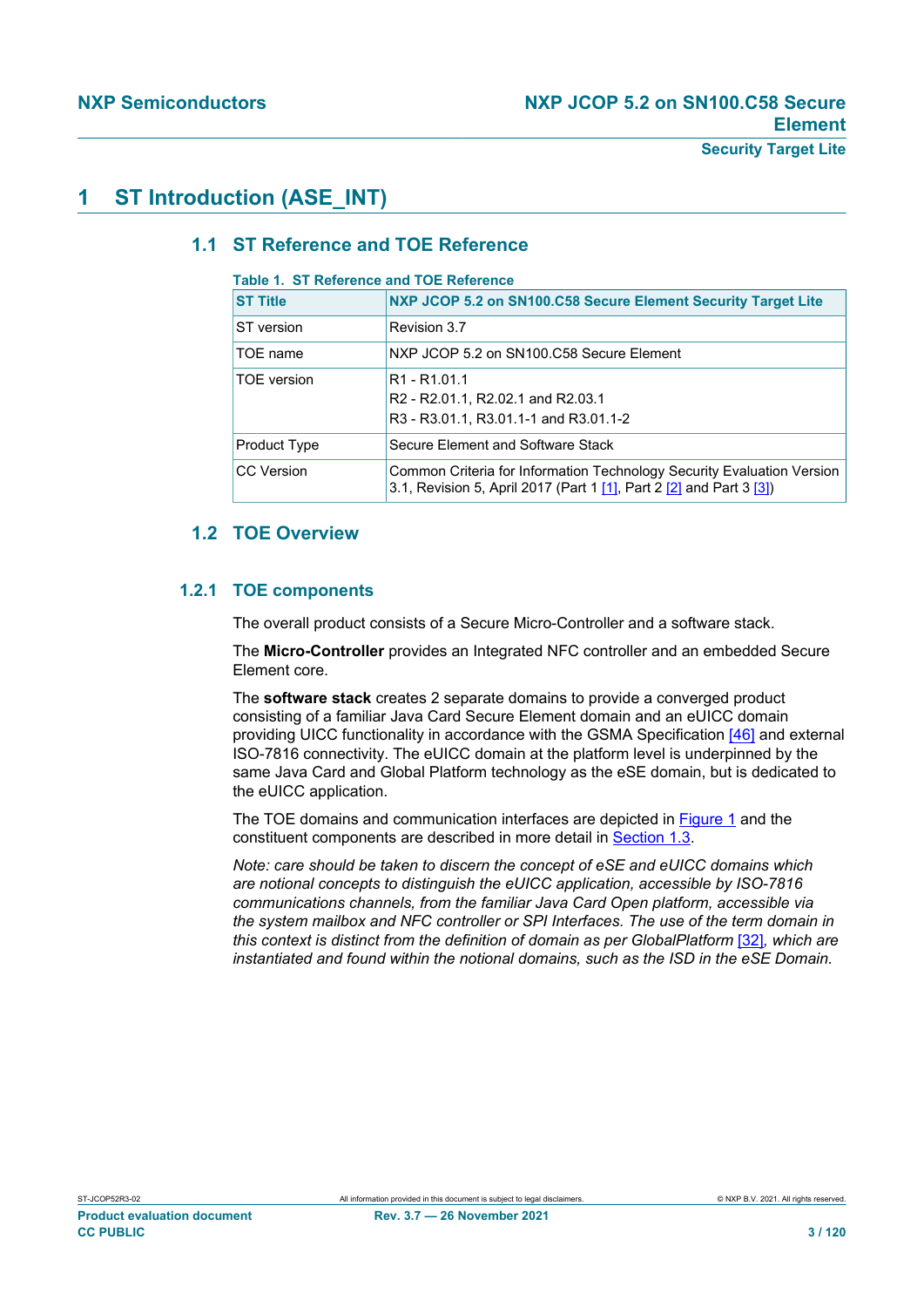### **1 ST Introduction (ASE\_INT)**

### **1.1 ST Reference and TOE Reference**

#### **Table 1. ST Reference and TOE Reference**

| <b>ST Title</b>    | NXP JCOP 5.2 on SN100.C58 Secure Element Security Target Lite                                                                                                          |
|--------------------|------------------------------------------------------------------------------------------------------------------------------------------------------------------------|
| ST version         | Revision 3.7                                                                                                                                                           |
| TOE name           | NXP JCOP 5.2 on SN100.C58 Secure Element                                                                                                                               |
| <b>TOE</b> version | R <sub>1</sub> - R <sub>1</sub> .01.1<br>R <sub>2</sub> - R <sub>2</sub> .01.1, R <sub>2</sub> .02.1 and R <sub>2</sub> .03.1<br>R3 - R3.01.1, R3.01.1-1 and R3.01.1-2 |
| Product Type       | Secure Element and Software Stack                                                                                                                                      |
| <b>CC</b> Version  | Common Criteria for Information Technology Security Evaluation Version<br>3.1, Revision 5, April 2017 (Part 1 [1], Part 2 [2] and Part 3 [3])                          |

### <span id="page-2-0"></span>**1.2 TOE Overview**

### **1.2.1 TOE components**

The overall product consists of a Secure Micro-Controller and a software stack.

The **Micro-Controller** provides an Integrated NFC controller and an embedded Secure Element core.

The **software stack** creates 2 separate domains to provide a converged product consisting of a familiar Java Card Secure Element domain and an eUICC domain providing UICC functionality in accordance with the GSMA Specification [\[46\]](#page-113-0) and external ISO-7816 connectivity. The eUICC domain at the platform level is underpinned by the same Java Card and Global Platform technology as the eSE domain, but is dedicated to the eUICC application.

The TOE domains and communication interfaces are depicted in [Figure 1](#page-3-0) and the constituent components are described in more detail in [Section 1.3.](#page-10-0)

*Note: care should be taken to discern the concept of eSE and eUICC domains which are notional concepts to distinguish the eUICC application, accessible by ISO-7816 communications channels, from the familiar Java Card Open platform, accessible via the system mailbox and NFC controller or SPI Interfaces. The use of the term domain in this context is distinct from the definition of domain as per GlobalPlatform [\[32\]](#page-113-1), which are instantiated and found within the notional domains, such as the ISD in the eSE Domain.*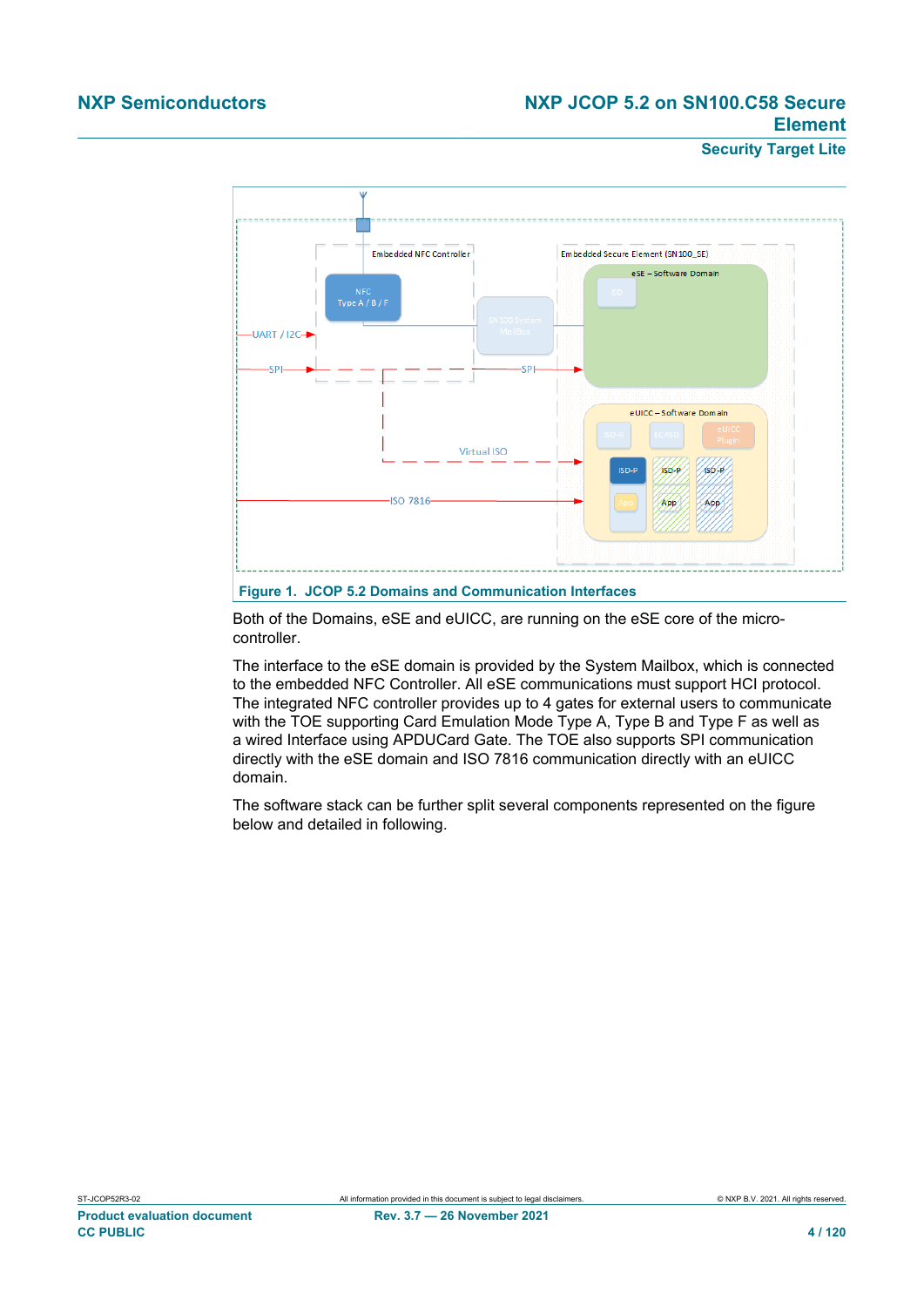### **NXP Semiconductors NXP JCOP 5.2 on SN100.C58 Secure Element**

**Security Target Lite**

<span id="page-3-0"></span>

Both of the Domains, eSE and eUICC, are running on the eSE core of the microcontroller.

The interface to the eSE domain is provided by the System Mailbox, which is connected to the embedded NFC Controller. All eSE communications must support HCI protocol. The integrated NFC controller provides up to 4 gates for external users to communicate with the TOE supporting Card Emulation Mode Type A, Type B and Type F as well as a wired Interface using APDUCard Gate. The TOE also supports SPI communication directly with the eSE domain and ISO 7816 communication directly with an eUICC domain.

The software stack can be further split several components represented on the figure below and detailed in following.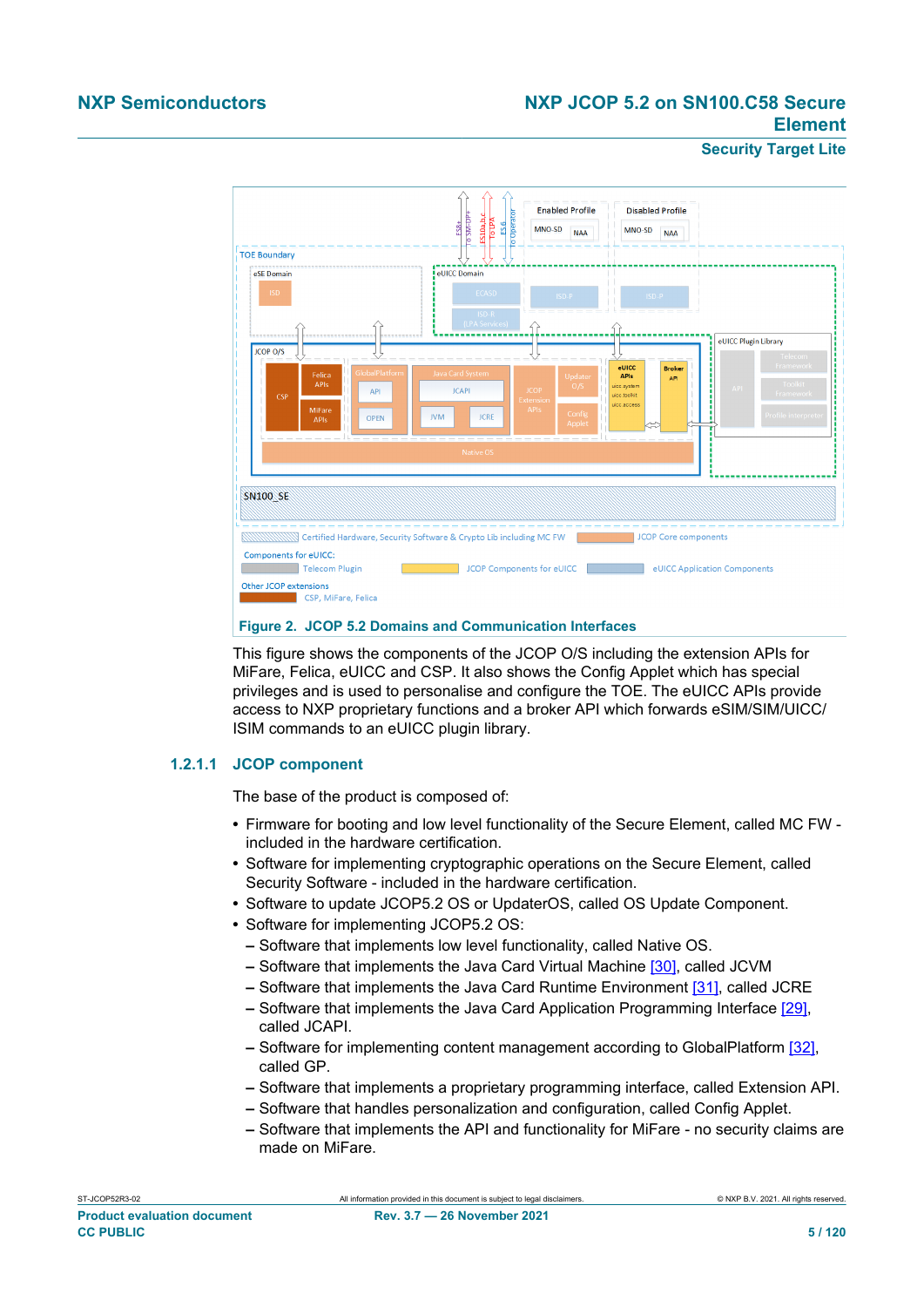### **NXP Semiconductors NXP JCOP 5.2 on SN100.C58 Secure Element**

#### **Security Target Lite**



This figure shows the components of the JCOP O/S including the extension APIs for MiFare, Felica, eUICC and CSP. It also shows the Config Applet which has special privileges and is used to personalise and configure the TOE. The eUICC APIs provide access to NXP proprietary functions and a broker API which forwards eSIM/SIM/UICC/ ISIM commands to an eUICC plugin library.

#### **1.2.1.1 JCOP component**

The base of the product is composed of:

- **•** Firmware for booting and low level functionality of the Secure Element, called MC FW included in the hardware certification.
- **•** Software for implementing cryptographic operations on the Secure Element, called Security Software - included in the hardware certification.
- **•** Software to update JCOP5.2 OS or UpdaterOS, called OS Update Component.
- **•** Software for implementing JCOP5.2 OS:
	- **–** Software that implements low level functionality, called Native OS.
	- **–** Software that implements the Java Card Virtual Machine [\[30\],](#page-113-2) called JCVM
	- **–** Software that implements the Java Card Runtime Environment [\[31\]](#page-113-3), called JCRE
	- **–** Software that implements the Java Card Application Programming Interface [\[29\]](#page-113-4), called JCAPI.
	- **–** Software for implementing content management according to GlobalPlatform [\[32\]](#page-113-1), called GP.
	- **–** Software that implements a proprietary programming interface, called Extension API.
	- **–** Software that handles personalization and configuration, called Config Applet.
	- **–** Software that implements the API and functionality for MiFare no security claims are made on MiFare.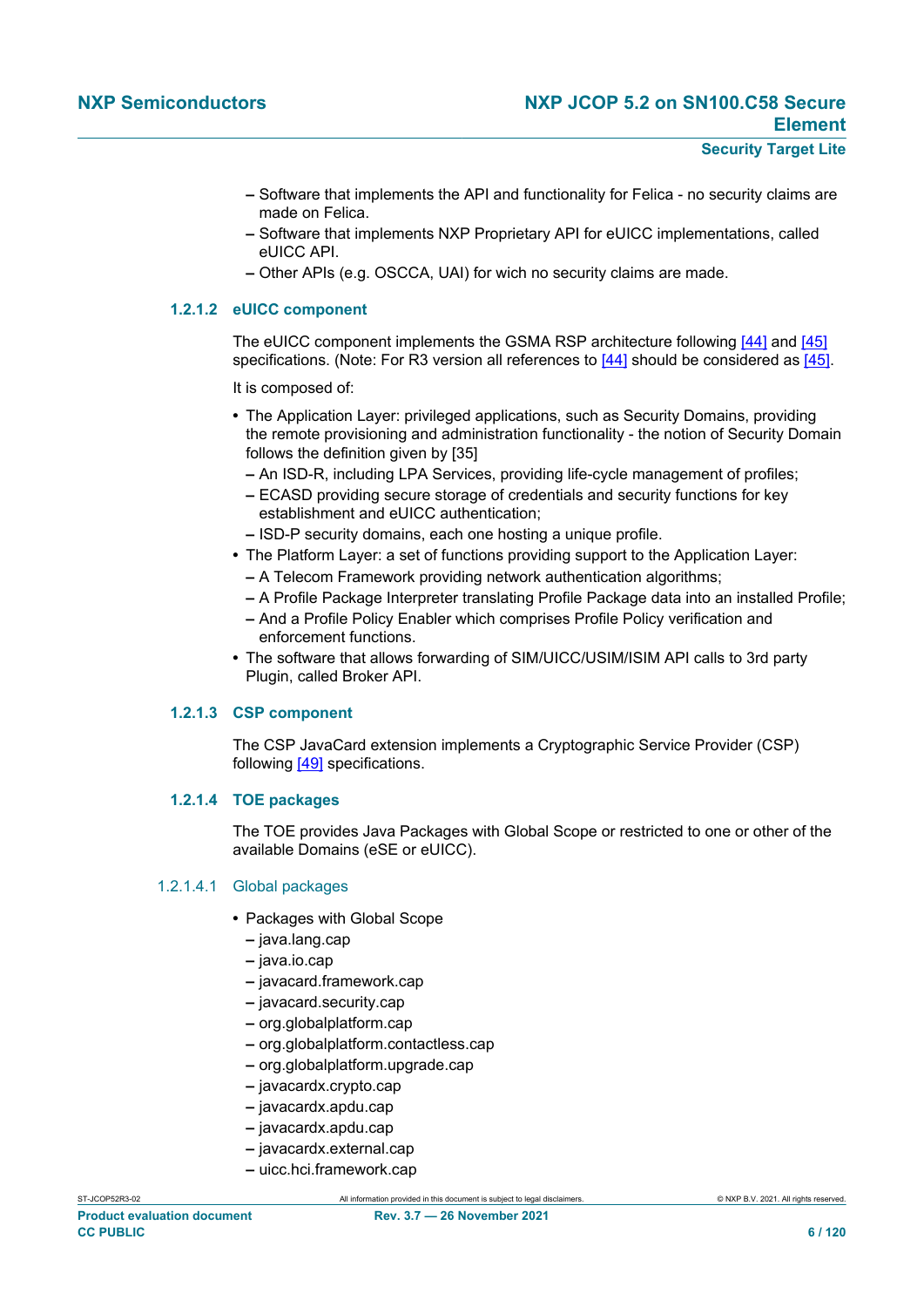- **–** Software that implements the API and functionality for Felica no security claims are made on Felica.
- **–** Software that implements NXP Proprietary API for eUICC implementations, called eUICC API.
- **–** Other APIs (e.g. OSCCA, UAI) for wich no security claims are made.

#### **1.2.1.2 eUICC component**

The eUICC component implements the GSMA RSP architecture following [\[44\]](#page-113-5) and [\[45\]](#page-113-6) specifications. (Note: For R3 version all references to [\[44\]](#page-113-5) should be considered as [\[45\].](#page-113-6)

It is composed of:

- **•** The Application Layer: privileged applications, such as Security Domains, providing the remote provisioning and administration functionality - the notion of Security Domain follows the definition given by [35]
	- **–** An ISD-R, including LPA Services, providing life-cycle management of profiles;
	- **–** ECASD providing secure storage of credentials and security functions for key establishment and eUICC authentication;
	- **–** ISD-P security domains, each one hosting a unique profile.
- **•** The Platform Layer: a set of functions providing support to the Application Layer:
	- **–** A Telecom Framework providing network authentication algorithms;
	- **–** A Profile Package Interpreter translating Profile Package data into an installed Profile;
	- **–** And a Profile Policy Enabler which comprises Profile Policy verification and enforcement functions.
- **•** The software that allows forwarding of SIM/UICC/USIM/ISIM API calls to 3rd party Plugin, called Broker API.

#### **1.2.1.3 CSP component**

The CSP JavaCard extension implements a Cryptographic Service Provider (CSP) following [\[49\]](#page-114-0) specifications.

#### **1.2.1.4 TOE packages**

The TOE provides Java Packages with Global Scope or restricted to one or other of the available Domains (eSE or eUICC).

#### 1.2.1.4.1 Global packages

- **•** Packages with Global Scope
	- **–** java.lang.cap
	- **–** java.io.cap
	- **–** javacard.framework.cap
	- **–** javacard.security.cap
	- **–** org.globalplatform.cap
	- **–** org.globalplatform.contactless.cap
	- **–** org.globalplatform.upgrade.cap
	- **–** javacardx.crypto.cap
	- **–** javacardx.apdu.cap
	- **–** javacardx.apdu.cap
	- **–** javacardx.external.cap
	- **–** uicc.hci.framework.cap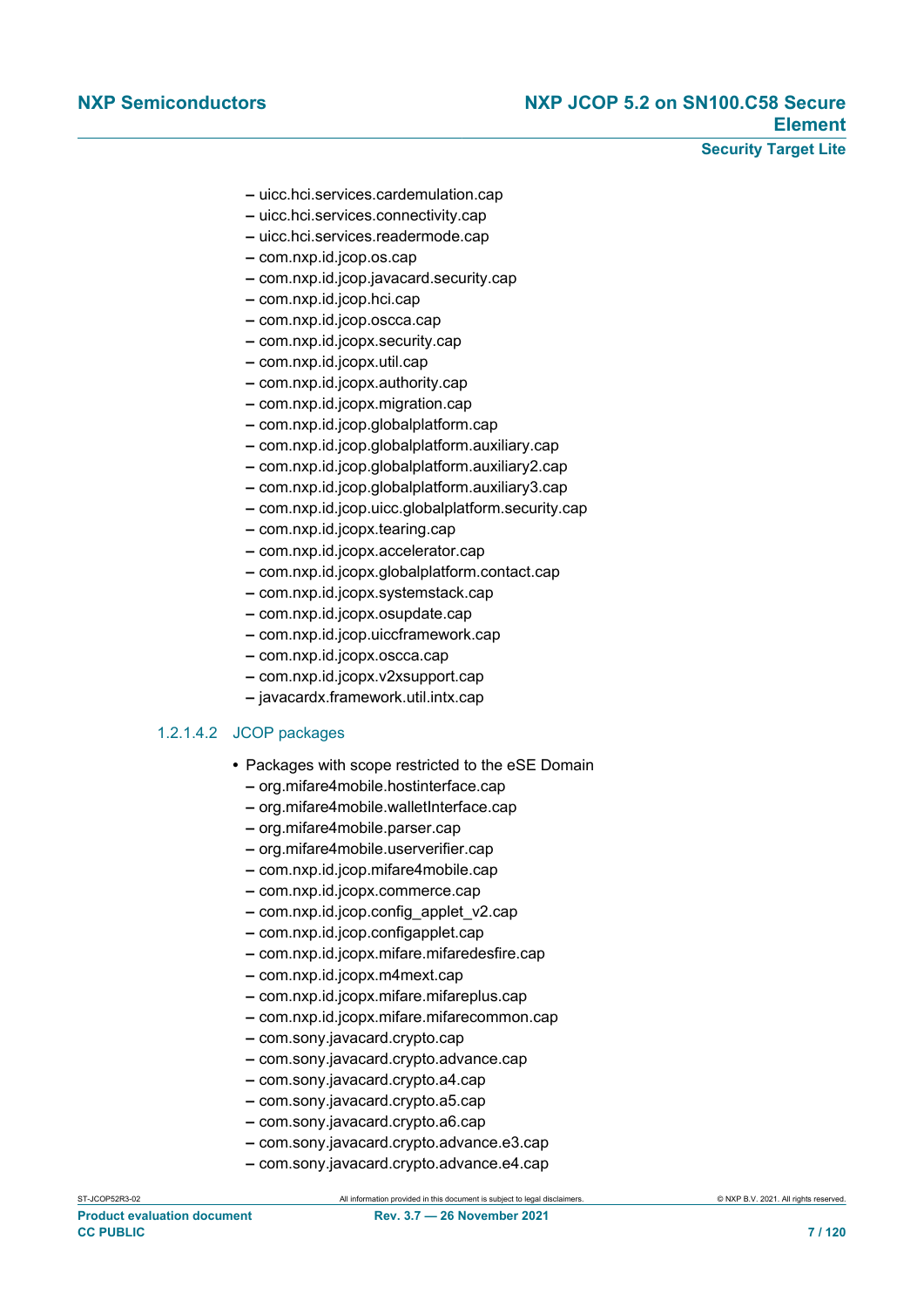**Security Target Lite**

- **–** uicc.hci.services.cardemulation.cap
- **–** uicc.hci.services.connectivity.cap
- **–** uicc.hci.services.readermode.cap
- **–** com.nxp.id.jcop.os.cap
- **–** com.nxp.id.jcop.javacard.security.cap
- **–** com.nxp.id.jcop.hci.cap
- **–** com.nxp.id.jcop.oscca.cap
- **–** com.nxp.id.jcopx.security.cap
- **–** com.nxp.id.jcopx.util.cap
- **–** com.nxp.id.jcopx.authority.cap
- **–** com.nxp.id.jcopx.migration.cap
- **–** com.nxp.id.jcop.globalplatform.cap
- **–** com.nxp.id.jcop.globalplatform.auxiliary.cap
- **–** com.nxp.id.jcop.globalplatform.auxiliary2.cap
- **–** com.nxp.id.jcop.globalplatform.auxiliary3.cap
- **–** com.nxp.id.jcop.uicc.globalplatform.security.cap
- **–** com.nxp.id.jcopx.tearing.cap
- **–** com.nxp.id.jcopx.accelerator.cap
- **–** com.nxp.id.jcopx.globalplatform.contact.cap
- **–** com.nxp.id.jcopx.systemstack.cap
- **–** com.nxp.id.jcopx.osupdate.cap
- **–** com.nxp.id.jcop.uiccframework.cap
- **–** com.nxp.id.jcopx.oscca.cap
- **–** com.nxp.id.jcopx.v2xsupport.cap
- **–** javacardx.framework.util.intx.cap

#### 1.2.1.4.2 JCOP packages

- **•** Packages with scope restricted to the eSE Domain
	- **–** org.mifare4mobile.hostinterface.cap
	- **–** org.mifare4mobile.walletInterface.cap
	- **–** org.mifare4mobile.parser.cap
	- **–** org.mifare4mobile.userverifier.cap
	- **–** com.nxp.id.jcop.mifare4mobile.cap
	- **–** com.nxp.id.jcopx.commerce.cap
	- **–** com.nxp.id.jcop.config\_applet\_v2.cap
	- **–** com.nxp.id.jcop.configapplet.cap
	- **–** com.nxp.id.jcopx.mifare.mifaredesfire.cap
	- **–** com.nxp.id.jcopx.m4mext.cap
	- **–** com.nxp.id.jcopx.mifare.mifareplus.cap
	- **–** com.nxp.id.jcopx.mifare.mifarecommon.cap
	- **–** com.sony.javacard.crypto.cap
	- **–** com.sony.javacard.crypto.advance.cap
	- **–** com.sony.javacard.crypto.a4.cap
	- **–** com.sony.javacard.crypto.a5.cap
	- **–** com.sony.javacard.crypto.a6.cap
	- **–** com.sony.javacard.crypto.advance.e3.cap
	- **–** com.sony.javacard.crypto.advance.e4.cap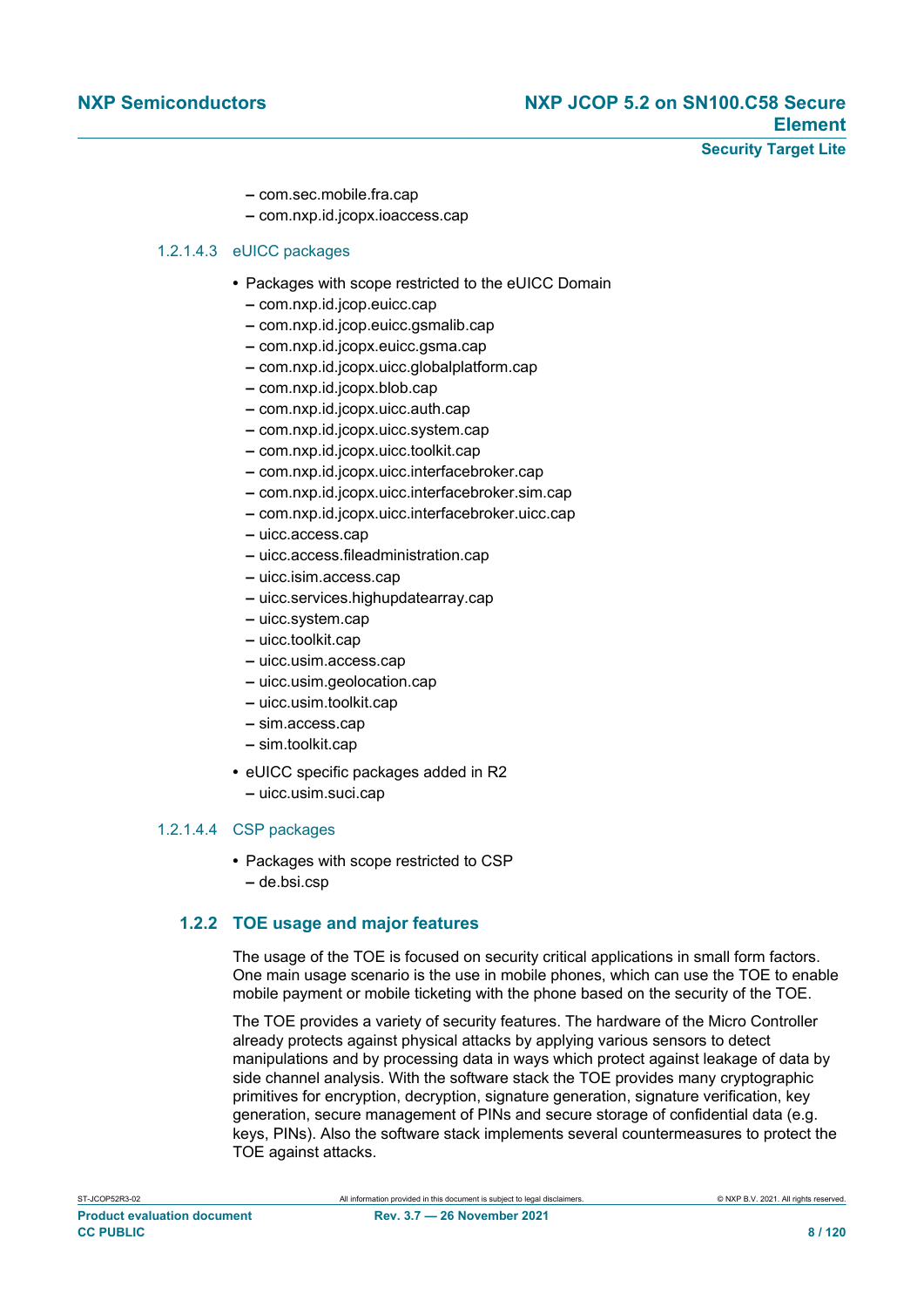- **–** com.sec.mobile.fra.cap
- **–** com.nxp.id.jcopx.ioaccess.cap

#### 1.2.1.4.3 eUICC packages

- **•** Packages with scope restricted to the eUICC Domain
	- **–** com.nxp.id.jcop.euicc.cap
	- **–** com.nxp.id.jcop.euicc.gsmalib.cap
	- **–** com.nxp.id.jcopx.euicc.gsma.cap
	- **–** com.nxp.id.jcopx.uicc.globalplatform.cap
	- **–** com.nxp.id.jcopx.blob.cap
	- **–** com.nxp.id.jcopx.uicc.auth.cap
	- **–** com.nxp.id.jcopx.uicc.system.cap
	- **–** com.nxp.id.jcopx.uicc.toolkit.cap
	- **–** com.nxp.id.jcopx.uicc.interfacebroker.cap
	- **–** com.nxp.id.jcopx.uicc.interfacebroker.sim.cap
	- **–** com.nxp.id.jcopx.uicc.interfacebroker.uicc.cap
	- **–** uicc.access.cap
	- **–** uicc.access.fileadministration.cap
	- **–** uicc.isim.access.cap
	- **–** uicc.services.highupdatearray.cap
	- **–** uicc.system.cap
	- **–** uicc.toolkit.cap
	- **–** uicc.usim.access.cap
	- **–** uicc.usim.geolocation.cap
	- **–** uicc.usim.toolkit.cap
	- **–** sim.access.cap
	- **–** sim.toolkit.cap
- **•** eUICC specific packages added in R2
	- **–** uicc.usim.suci.cap

#### 1.2.1.4.4 CSP packages

- **•** Packages with scope restricted to CSP
	- **–** de.bsi.csp

#### **1.2.2 TOE usage and major features**

The usage of the TOE is focused on security critical applications in small form factors. One main usage scenario is the use in mobile phones, which can use the TOE to enable mobile payment or mobile ticketing with the phone based on the security of the TOE.

The TOE provides a variety of security features. The hardware of the Micro Controller already protects against physical attacks by applying various sensors to detect manipulations and by processing data in ways which protect against leakage of data by side channel analysis. With the software stack the TOE provides many cryptographic primitives for encryption, decryption, signature generation, signature verification, key generation, secure management of PINs and secure storage of confidential data (e.g. keys, PINs). Also the software stack implements several countermeasures to protect the TOE against attacks.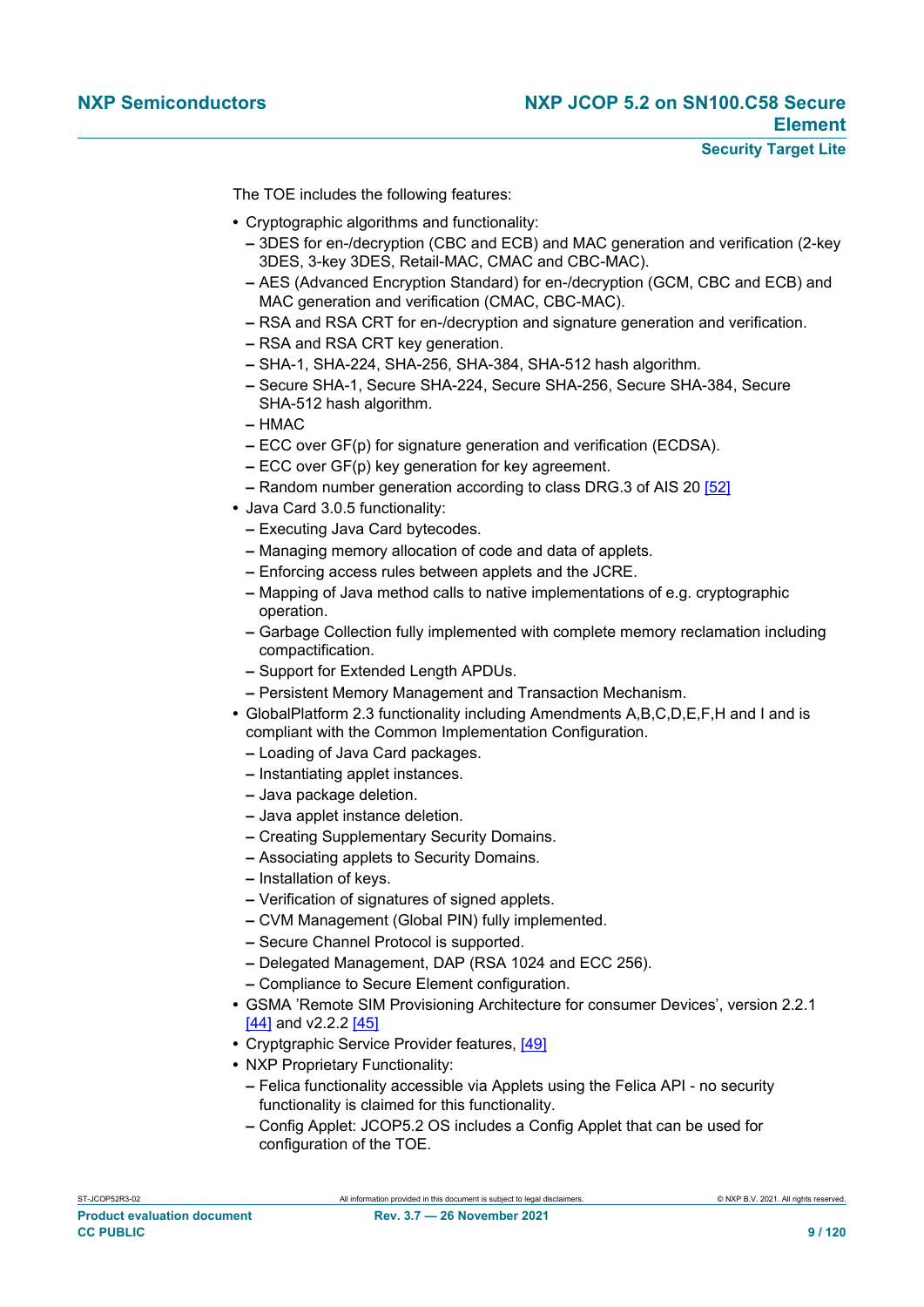The TOE includes the following features:

- **•** Cryptographic algorithms and functionality:
	- **–** 3DES for en-/decryption (CBC and ECB) and MAC generation and verification (2-key 3DES, 3-key 3DES, Retail-MAC, CMAC and CBC-MAC).
	- **–** AES (Advanced Encryption Standard) for en-/decryption (GCM, CBC and ECB) and MAC generation and verification (CMAC, CBC-MAC).
	- **–** RSA and RSA CRT for en-/decryption and signature generation and verification.
	- **–** RSA and RSA CRT key generation.
	- **–** SHA-1, SHA-224, SHA-256, SHA-384, SHA-512 hash algorithm.
	- **–** Secure SHA-1, Secure SHA-224, Secure SHA-256, Secure SHA-384, Secure SHA-512 hash algorithm.
	- **–** HMAC
	- **–** ECC over GF(p) for signature generation and verification (ECDSA).
	- **–** ECC over GF(p) key generation for key agreement.
	- **–** Random number generation according to class DRG.3 of AIS 20 [\[52\]](#page-114-1)
- **•** Java Card 3.0.5 functionality:
	- **–** Executing Java Card bytecodes.
	- **–** Managing memory allocation of code and data of applets.
	- **–** Enforcing access rules between applets and the JCRE.
	- **–** Mapping of Java method calls to native implementations of e.g. cryptographic operation.
	- **–** Garbage Collection fully implemented with complete memory reclamation including compactification.
	- **–** Support for Extended Length APDUs.
	- **–** Persistent Memory Management and Transaction Mechanism.
- **•** GlobalPlatform 2.3 functionality including Amendments A,B,C,D,E,F,H and I and is compliant with the Common Implementation Configuration.
	- **–** Loading of Java Card packages.
	- **–** Instantiating applet instances.
	- **–** Java package deletion.
	- **–** Java applet instance deletion.
	- **–** Creating Supplementary Security Domains.
	- **–** Associating applets to Security Domains.
	- **–** Installation of keys.
	- **–** Verification of signatures of signed applets.
	- **–** CVM Management (Global PIN) fully implemented.
	- **–** Secure Channel Protocol is supported.
	- **–** Delegated Management, DAP (RSA 1024 and ECC 256).
	- **–** Compliance to Secure Element configuration.
- **•** GSMA 'Remote SIM Provisioning Architecture for consumer Devices', version 2.2.1 [\[44\]](#page-113-5) and v2.2.2 [\[45\]](#page-113-6)
- **•** Cryptgraphic Service Provider features, [\[49\]](#page-114-0)
- **•** NXP Proprietary Functionality:
	- **–** Felica functionality accessible via Applets using the Felica API no security functionality is claimed for this functionality.
	- **–** Config Applet: JCOP5.2 OS includes a Config Applet that can be used for configuration of the TOE.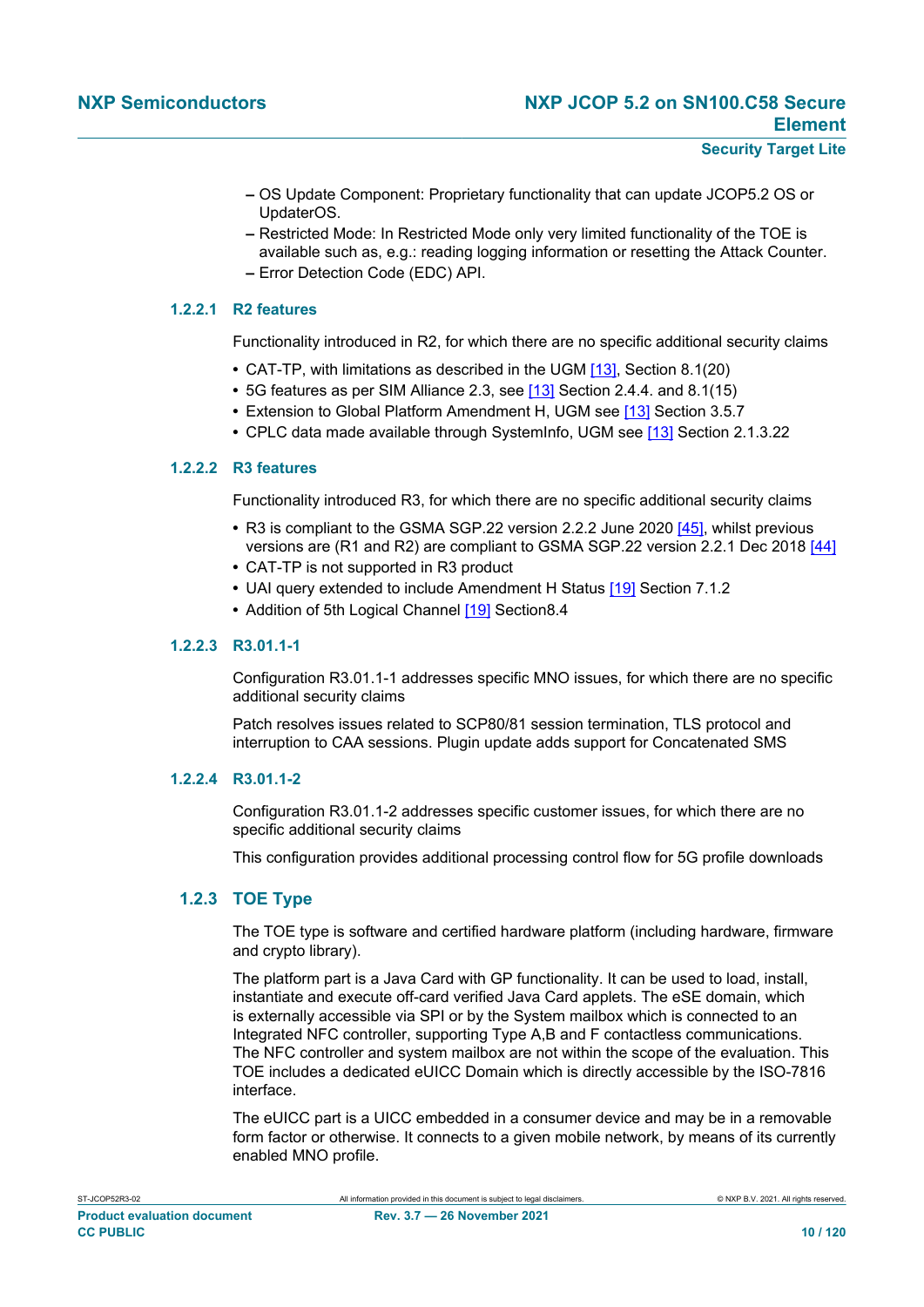- **–** OS Update Component: Proprietary functionality that can update JCOP5.2 OS or UpdaterOS.
- **–** Restricted Mode: In Restricted Mode only very limited functionality of the TOE is available such as, e.g.: reading logging information or resetting the Attack Counter. **–** Error Detection Code (EDC) API.

#### **1.2.2.1 R2 features**

Functionality introduced in R2, for which there are no specific additional security claims

- **•** CAT-TP, with limitations as described in the UGM [\[13\]](#page-112-3), Section 8.1(20)
- **•** 5G features as per SIM Alliance 2.3, see [\[13\]](#page-112-3) Section 2.4.4. and 8.1(15)
- **•** Extension to Global Platform Amendment H, UGM see [\[13\]](#page-112-3) Section 3.5.7
- **•** CPLC data made available through SystemInfo, UGM see [\[13\]](#page-112-3) Section 2.1.3.22

#### **1.2.2.2 R3 features**

Functionality introduced R3, for which there are no specific additional security claims

- **•** R3 is compliant to the GSMA SGP.22 version 2.2.2 June 2020 [\[45\]](#page-113-6), whilst previous versions are (R1 and R2) are compliant to GSMA SGP.22 version 2.2.1 Dec 2018 [\[44\]](#page-113-5)
- **•** CAT-TP is not supported in R3 product
- **•** UAI query extended to include Amendment H Status [\[19\]](#page-112-4) Section 7.1.2
- Addition of 5th Logical Channel [\[19\]](#page-112-4) Section8.4

#### **1.2.2.3 R3.01.1-1**

Configuration R3.01.1-1 addresses specific MNO issues, for which there are no specific additional security claims

Patch resolves issues related to SCP80/81 session termination, TLS protocol and interruption to CAA sessions. Plugin update adds support for Concatenated SMS

#### **1.2.2.4 R3.01.1-2**

Configuration R3.01.1-2 addresses specific customer issues, for which there are no specific additional security claims

This configuration provides additional processing control flow for 5G profile downloads

#### **1.2.3 TOE Type**

The TOE type is software and certified hardware platform (including hardware, firmware and crypto library).

The platform part is a Java Card with GP functionality. It can be used to load, install, instantiate and execute off-card verified Java Card applets. The eSE domain, which is externally accessible via SPI or by the System mailbox which is connected to an Integrated NFC controller, supporting Type A,B and F contactless communications. The NFC controller and system mailbox are not within the scope of the evaluation. This TOE includes a dedicated eUICC Domain which is directly accessible by the ISO-7816 interface.

The eUICC part is a UICC embedded in a consumer device and may be in a removable form factor or otherwise. It connects to a given mobile network, by means of its currently enabled MNO profile.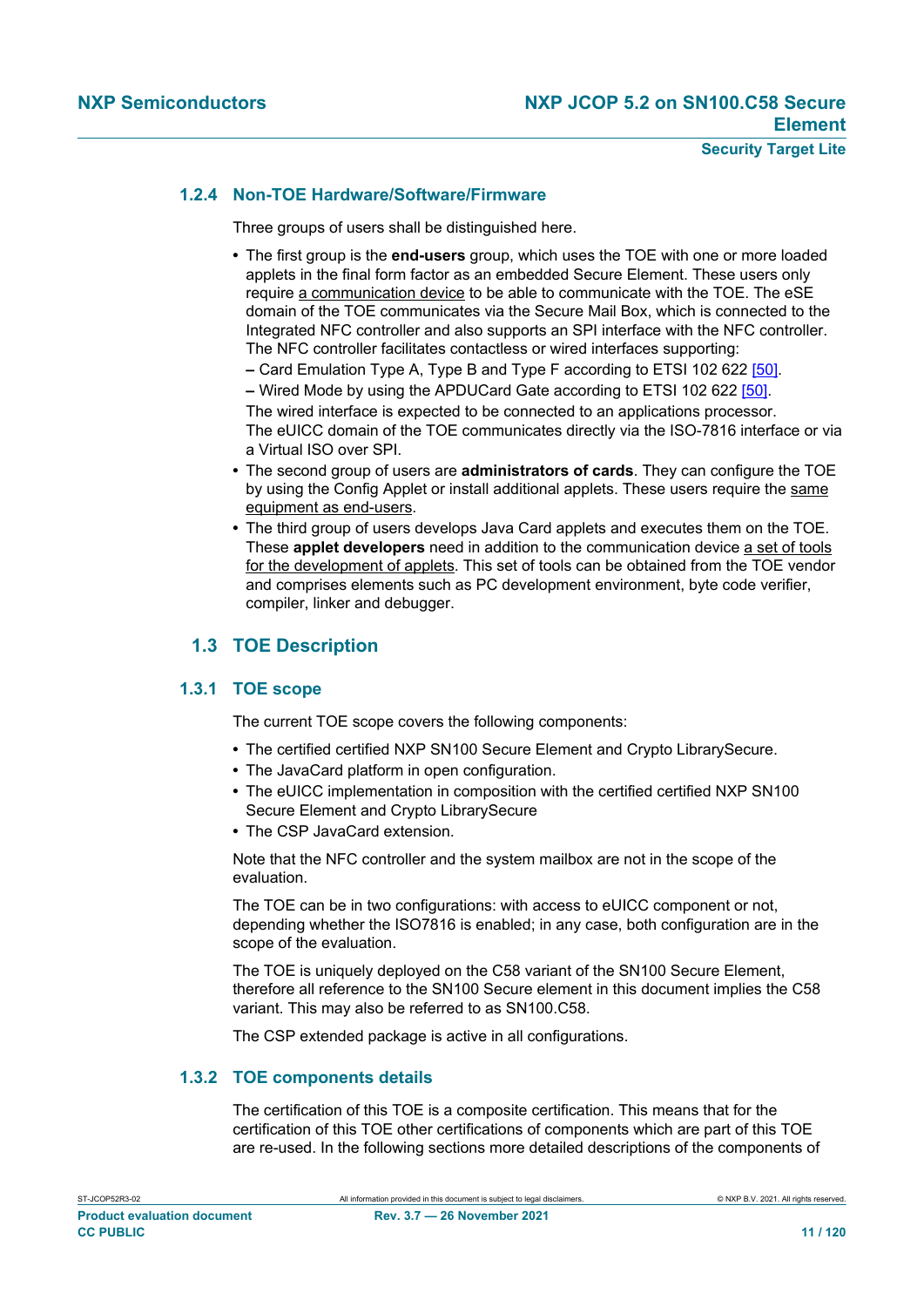#### **1.2.4 Non-TOE Hardware/Software/Firmware**

Three groups of users shall be distinguished here.

- **•** The first group is the **end-users** group, which uses the TOE with one or more loaded applets in the final form factor as an embedded Secure Element. These users only require a communication device to be able to communicate with the TOE. The eSE domain of the TOE communicates via the Secure Mail Box, which is connected to the Integrated NFC controller and also supports an SPI interface with the NFC controller. The NFC controller facilitates contactless or wired interfaces supporting:
	- **–** Card Emulation Type A, Type B and Type F according to ETSI 102 622 [\[50\]](#page-114-2).
- **–** Wired Mode by using the APDUCard Gate according to ETSI 102 622 [\[50\].](#page-114-2)

The wired interface is expected to be connected to an applications processor. The eUICC domain of the TOE communicates directly via the ISO-7816 interface or via a Virtual ISO over SPI.

- **•** The second group of users are **administrators of cards**. They can configure the TOE by using the Config Applet or install additional applets. These users require the same equipment as end-users.
- **•** The third group of users develops Java Card applets and executes them on the TOE. These **applet developers** need in addition to the communication device a set of tools for the development of applets. This set of tools can be obtained from the TOE vendor and comprises elements such as PC development environment, byte code verifier, compiler, linker and debugger.

### <span id="page-10-0"></span>**1.3 TOE Description**

#### **1.3.1 TOE scope**

The current TOE scope covers the following components:

- **•** The certified certified NXP SN100 Secure Element and Crypto LibrarySecure.
- **•** The JavaCard platform in open configuration.
- **•** The eUICC implementation in composition with the certified certified NXP SN100 Secure Element and Crypto LibrarySecure
- **•** The CSP JavaCard extension.

Note that the NFC controller and the system mailbox are not in the scope of the evaluation.

The TOE can be in two configurations: with access to eUICC component or not, depending whether the ISO7816 is enabled; in any case, both configuration are in the scope of the evaluation.

The TOE is uniquely deployed on the C58 variant of the SN100 Secure Element, therefore all reference to the SN100 Secure element in this document implies the C58 variant. This may also be referred to as SN100.C58.

The CSP extended package is active in all configurations.

#### **1.3.2 TOE components details**

The certification of this TOE is a composite certification. This means that for the certification of this TOE other certifications of components which are part of this TOE are re-used. In the following sections more detailed descriptions of the components of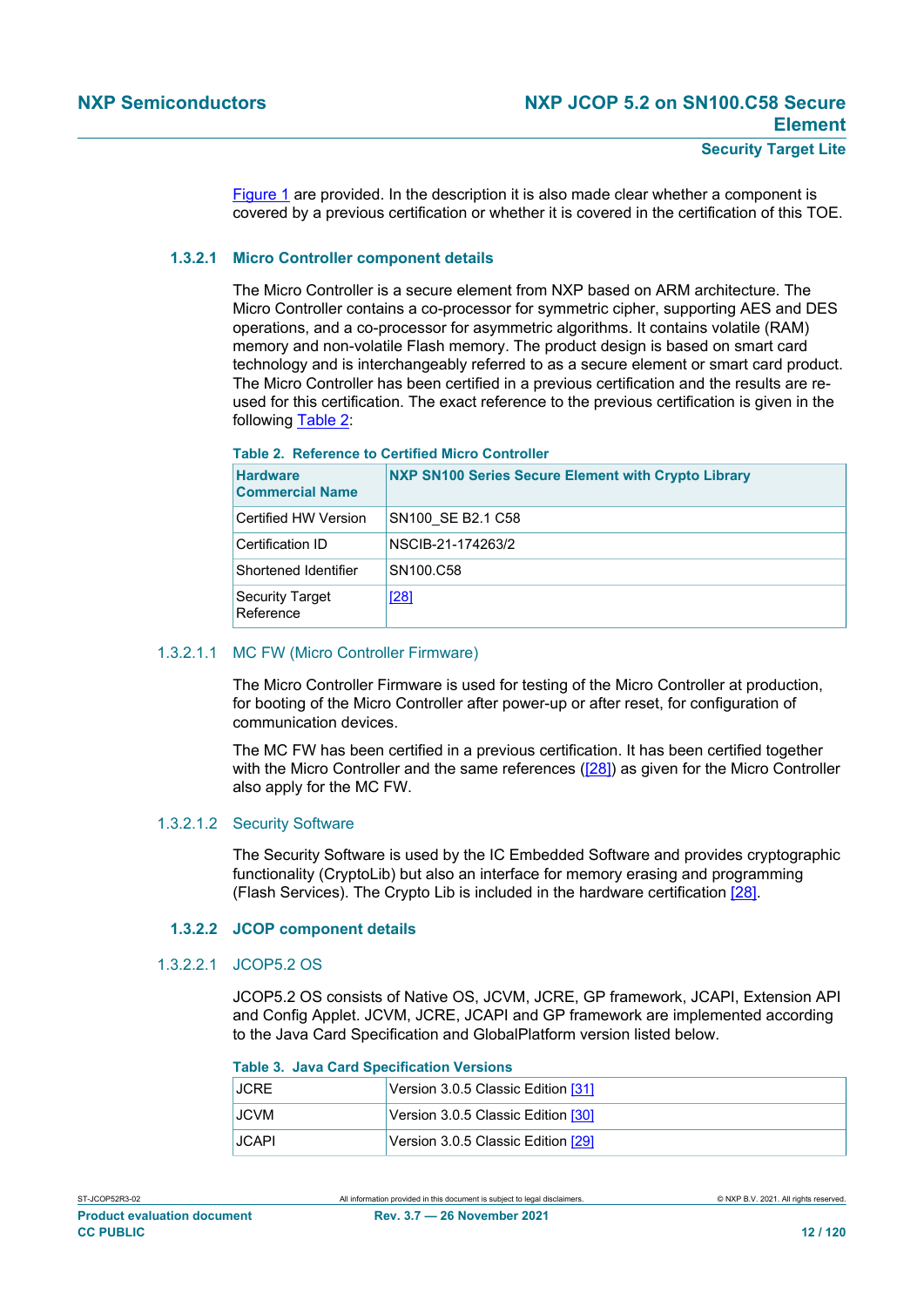[Figure 1](#page-3-0) are provided. In the description it is also made clear whether a component is covered by a previous certification or whether it is covered in the certification of this TOE.

#### **1.3.2.1 Micro Controller component details**

<span id="page-11-1"></span>The Micro Controller is a secure element from NXP based on ARM architecture. The Micro Controller contains a co-processor for symmetric cipher, supporting AES and DES operations, and a co-processor for asymmetric algorithms. It contains volatile (RAM) memory and non-volatile Flash memory. The product design is based on smart card technology and is interchangeably referred to as a secure element or smart card product. The Micro Controller has been certified in a previous certification and the results are reused for this certification. The exact reference to the previous certification is given in the following [Table 2:](#page-11-0)

#### <span id="page-11-0"></span>**Table 2. Reference to Certified Micro Controller**

| <b>Hardware</b><br><b>Commercial Name</b> | NXP SN100 Series Secure Element with Crypto Library   |
|-------------------------------------------|-------------------------------------------------------|
| Certified HW Version                      | SN <sub>100</sub> SE B <sub>2.1</sub> C <sub>58</sub> |
| Certification ID                          | NSCIB-21-174263/2                                     |
| Shortened Identifier                      | SN <sub>100.C58</sub>                                 |
| <b>Security Target</b><br>Reference       | [28]                                                  |

#### 1.3.2.1.1 MC FW (Micro Controller Firmware)

The Micro Controller Firmware is used for testing of the Micro Controller at production, for booting of the Micro Controller after power-up or after reset, for configuration of communication devices.

The MC FW has been certified in a previous certification. It has been certified together with the Micro Controller and the same references ( $[28]$ ) as given for the Micro Controller also apply for the MC FW.

#### 1.3.2.1.2 Security Software

The Security Software is used by the IC Embedded Software and provides cryptographic functionality (CryptoLib) but also an interface for memory erasing and programming (Flash Services). The Crypto Lib is included in the hardware certification [\[28\].](#page-113-7)

#### **1.3.2.2 JCOP component details**

#### 1.3.2.2.1 JCOP5.2 OS

JCOP5.2 OS consists of Native OS, JCVM, JCRE, GP framework, JCAPI, Extension API and Config Applet. JCVM, JCRE, JCAPI and GP framework are implemented according to the Java Card Specification and GlobalPlatform version listed below.

#### **Table 3. Java Card Specification Versions**

| <b>JCRE</b>  | Version 3.0.5 Classic Edition [31] |
|--------------|------------------------------------|
| JCVM.        | Version 3.0.5 Classic Edition [30] |
| <b>JCAPI</b> | Version 3.0.5 Classic Edition [29] |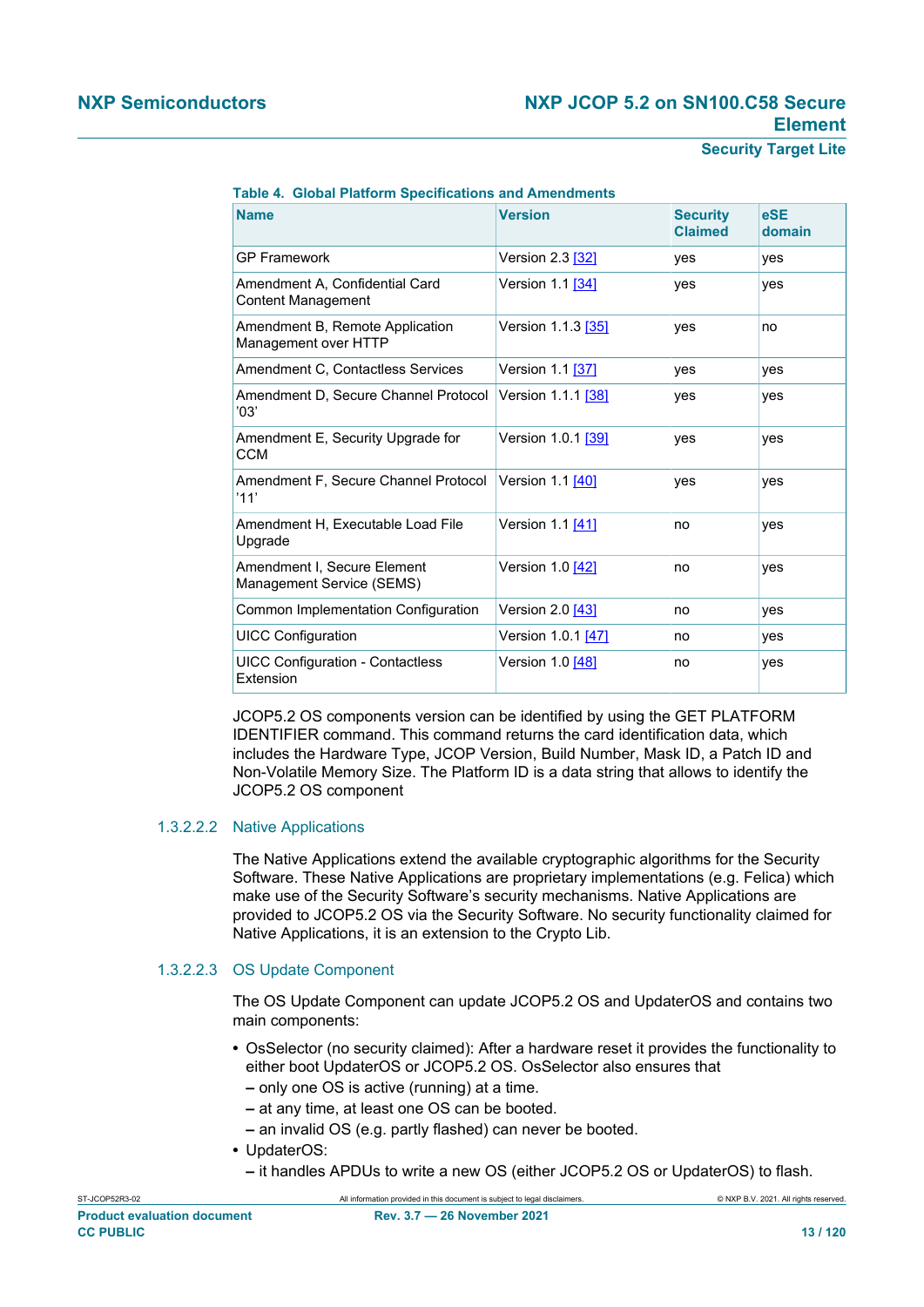**Security Target Lite**

| <b>Name</b>                                                 | <b>Version</b>     | <b>Security</b><br><b>Claimed</b> | eSE<br>domain |
|-------------------------------------------------------------|--------------------|-----------------------------------|---------------|
| <b>GP Framework</b>                                         | Version 2.3 [32]   | yes                               | yes           |
| Amendment A, Confidential Card<br><b>Content Management</b> | Version 1.1 [34]   | yes                               | yes           |
| Amendment B, Remote Application<br>Management over HTTP     | Version 1.1.3 [35] | yes                               | no            |
| Amendment C, Contactless Services                           | Version 1.1 [37]   | yes                               | yes           |
| Amendment D, Secure Channel Protocol<br>'03'                | Version 1.1.1 [38] | yes                               | yes           |
| Amendment E, Security Upgrade for<br><b>CCM</b>             | Version 1.0.1 [39] | yes                               | yes           |
| Amendment F, Secure Channel Protocol<br>'11'                | Version 1.1 [40]   | yes                               | yes           |
| Amendment H, Executable Load File<br>Upgrade                | Version 1.1 [41]   | no                                | yes           |
| Amendment I. Secure Element<br>Management Service (SEMS)    | Version 1.0 [42]   | no                                | yes           |
| Common Implementation Configuration                         | Version 2.0 [43]   | no                                | yes           |
| <b>UICC Configuration</b>                                   | Version 1.0.1 [47] | no                                | yes           |
| <b>UICC Configuration - Contactless</b><br>Extension        | Version 1.0 [48]   | no                                | yes           |

#### **Table 4. Global Platform Specifications and Amendments**

JCOP5.2 OS components version can be identified by using the GET PLATFORM IDENTIFIER command. This command returns the card identification data, which includes the Hardware Type, JCOP Version, Build Number, Mask ID, a Patch ID and Non-Volatile Memory Size. The Platform ID is a data string that allows to identify the JCOP5.2 OS component

#### 1.3.2.2.2 Native Applications

The Native Applications extend the available cryptographic algorithms for the Security Software. These Native Applications are proprietary implementations (e.g. Felica) which make use of the Security Software's security mechanisms. Native Applications are provided to JCOP5.2 OS via the Security Software. No security functionality claimed for Native Applications, it is an extension to the Crypto Lib.

#### 1.3.2.2.3 OS Update Component

The OS Update Component can update JCOP5.2 OS and UpdaterOS and contains two main components:

- **•** OsSelector (no security claimed): After a hardware reset it provides the functionality to either boot UpdaterOS or JCOP5.2 OS. OsSelector also ensures that
	- **–** only one OS is active (running) at a time.
	- **–** at any time, at least one OS can be booted.
	- **–** an invalid OS (e.g. partly flashed) can never be booted.
- **•** UpdaterOS:
	- **–** it handles APDUs to write a new OS (either JCOP5.2 OS or UpdaterOS) to flash.

ST-JCOP52R3-02 All information provided in this document is subject to legal disclaimers. © NXP B.V. 2021. All rights reserved.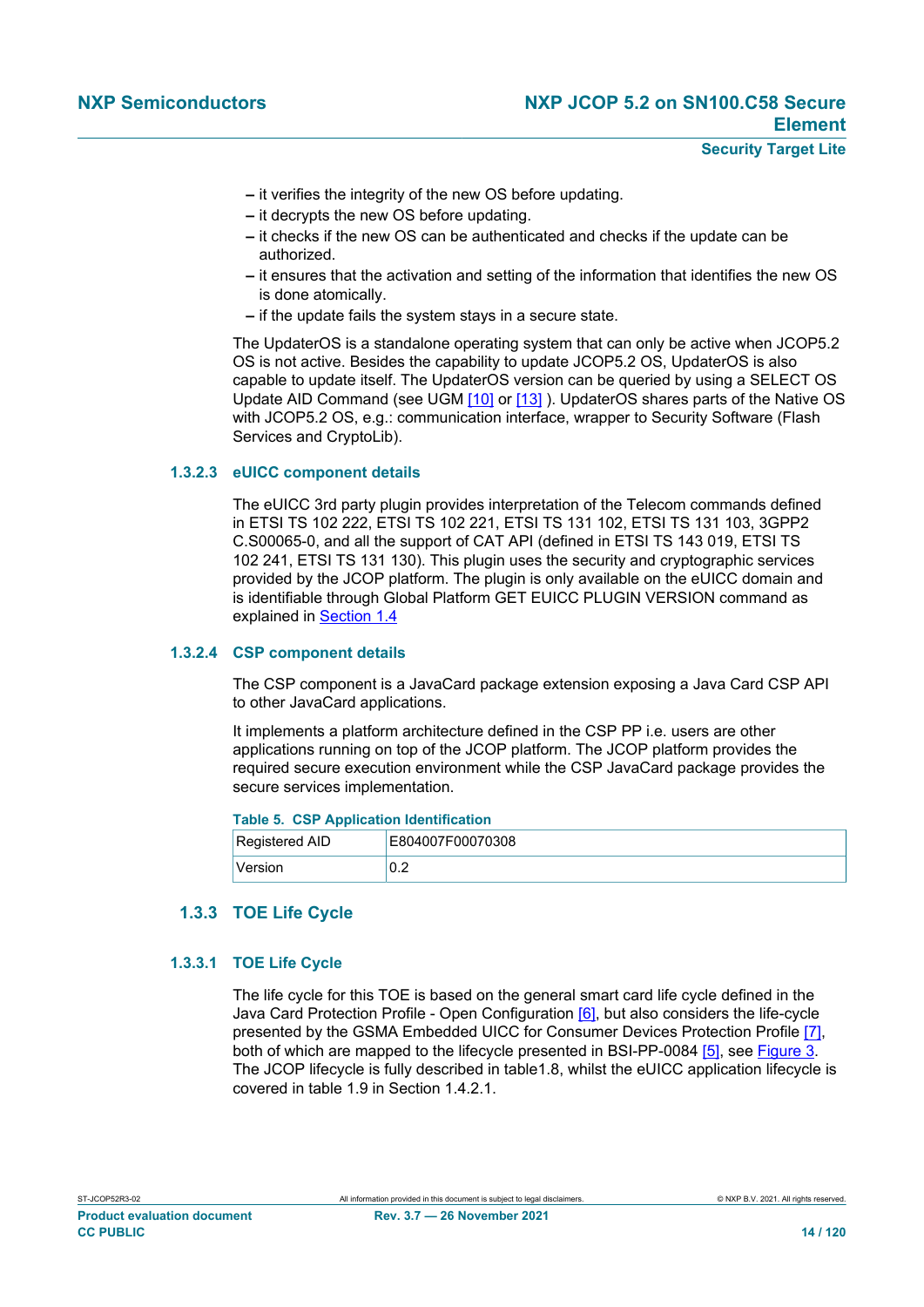- **–** it verifies the integrity of the new OS before updating.
- **–** it decrypts the new OS before updating.
- **–** it checks if the new OS can be authenticated and checks if the update can be authorized.
- **–** it ensures that the activation and setting of the information that identifies the new OS is done atomically.
- **–** if the update fails the system stays in a secure state.

The UpdaterOS is a standalone operating system that can only be active when JCOP5.2 OS is not active. Besides the capability to update JCOP5.2 OS, UpdaterOS is also capable to update itself. The UpdaterOS version can be queried by using a SELECT OS Update AID Command (see UGM [\[10\]](#page-112-5) or [\[13\]](#page-112-3) ). UpdaterOS shares parts of the Native OS with JCOP5.2 OS, e.g.: communication interface, wrapper to Security Software (Flash) Services and CryptoLib).

#### **1.3.2.3 eUICC component details**

<span id="page-13-0"></span>The eUICC 3rd party plugin provides interpretation of the Telecom commands defined in ETSI TS 102 222, ETSI TS 102 221, ETSI TS 131 102, ETSI TS 131 103, 3GPP2 C.S00065-0, and all the support of CAT API (defined in ETSI TS 143 019, ETSI TS 102 241, ETSI TS 131 130). This plugin uses the security and cryptographic services provided by the JCOP platform. The plugin is only available on the eUICC domain and is identifiable through Global Platform GET EUICC PLUGIN VERSION command as explained in [Section 1.4](#page-19-0)

#### **1.3.2.4 CSP component details**

The CSP component is a JavaCard package extension exposing a Java Card CSP API to other JavaCard applications.

It implements a platform architecture defined in the CSP PP i.e. users are other applications running on top of the JCOP platform. The JCOP platform provides the required secure execution environment while the CSP JavaCard package provides the secure services implementation.

#### **Table 5. CSP Application Identification**

| Registered AID | E804007F00070308 |
|----------------|------------------|
| Version        | 0.2              |

#### **1.3.3 TOE Life Cycle**

#### **1.3.3.1 TOE Life Cycle**

The life cycle for this TOE is based on the general smart card life cycle defined in the Java Card Protection Profile - Open Configuration [\[6\],](#page-112-6) but also considers the life-cycle presented by the GSMA Embedded UICC for Consumer Devices Protection Profile [\[7\]](#page-112-7), both of which are mapped to the lifecycle presented in BSI-PP-0084 [\[5\],](#page-112-8) see [Figure 3.](#page-14-0) The JCOP lifecycle is fully described in table1.8, whilst the eUICC application lifecycle is covered in table 1.9 in Section 1.4.2.1.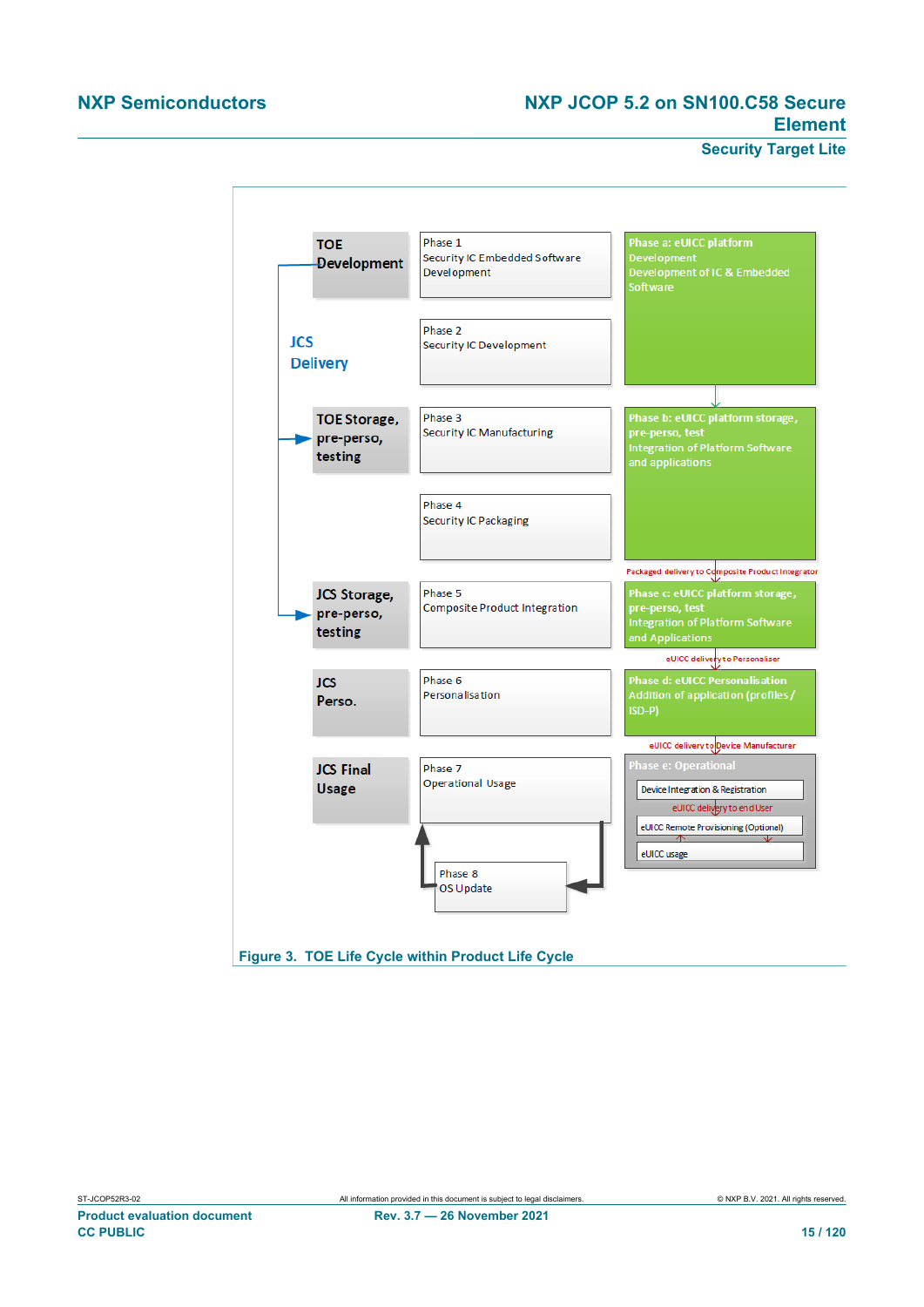### **NXP Semiconductors NXP JCOP 5.2 on SN100.C58 Secure Element**

**Security Target Lite**

<span id="page-14-0"></span>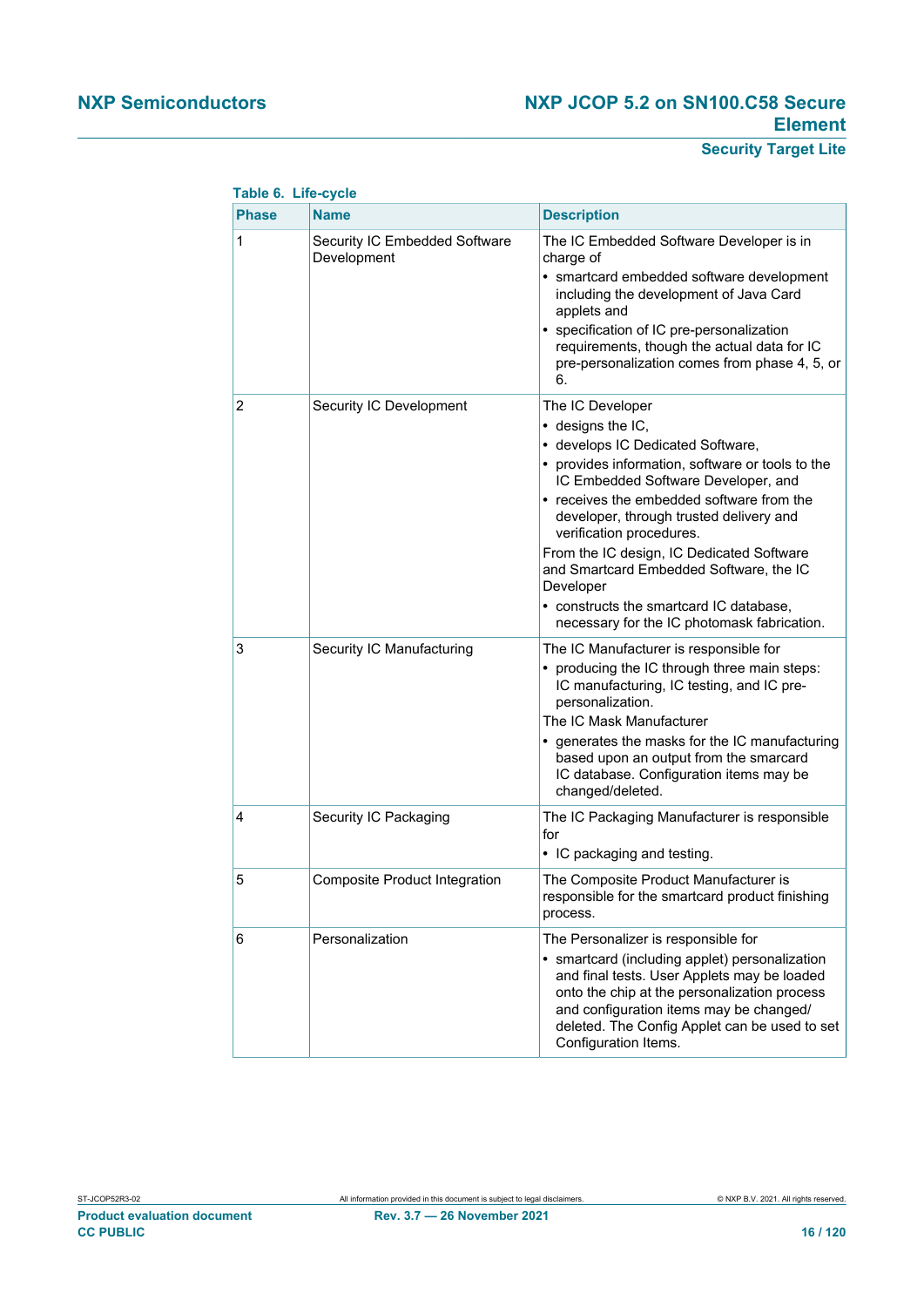### **NXP Semiconductors NXP JCOP 5.2 on SN100.C58 Secure Element**

### **Security Target Lite**

| <b>Table of Life-cycle</b> |                                              |                                                                                                                                                                                                                                                                                                                                                                                                                                                                                                  |
|----------------------------|----------------------------------------------|--------------------------------------------------------------------------------------------------------------------------------------------------------------------------------------------------------------------------------------------------------------------------------------------------------------------------------------------------------------------------------------------------------------------------------------------------------------------------------------------------|
| <b>Phase</b>               | <b>Name</b>                                  | <b>Description</b>                                                                                                                                                                                                                                                                                                                                                                                                                                                                               |
| 1                          | Security IC Embedded Software<br>Development | The IC Embedded Software Developer is in<br>charge of<br>• smartcard embedded software development<br>including the development of Java Card<br>applets and<br>• specification of IC pre-personalization<br>requirements, though the actual data for IC<br>pre-personalization comes from phase 4, 5, or<br>6.                                                                                                                                                                                   |
| 2                          | Security IC Development                      | The IC Developer<br>$\bullet$ designs the IC,<br>• develops IC Dedicated Software,<br>• provides information, software or tools to the<br>IC Embedded Software Developer, and<br>• receives the embedded software from the<br>developer, through trusted delivery and<br>verification procedures.<br>From the IC design, IC Dedicated Software<br>and Smartcard Embedded Software, the IC<br>Developer<br>• constructs the smartcard IC database,<br>necessary for the IC photomask fabrication. |
| 3                          | Security IC Manufacturing                    | The IC Manufacturer is responsible for<br>• producing the IC through three main steps:<br>IC manufacturing, IC testing, and IC pre-<br>personalization.<br>The IC Mask Manufacturer<br>• generates the masks for the IC manufacturing<br>based upon an output from the smarcard<br>IC database. Configuration items may be<br>changed/deleted.                                                                                                                                                   |
| 4                          | Security IC Packaging                        | The IC Packaging Manufacturer is responsible<br>for<br>• IC packaging and testing.                                                                                                                                                                                                                                                                                                                                                                                                               |
| 5                          | Composite Product Integration                | The Composite Product Manufacturer is<br>responsible for the smartcard product finishing<br>process.                                                                                                                                                                                                                                                                                                                                                                                             |
| 6                          | Personalization                              | The Personalizer is responsible for<br>· smartcard (including applet) personalization<br>and final tests. User Applets may be loaded<br>onto the chip at the personalization process<br>and configuration items may be changed/<br>deleted. The Config Applet can be used to set<br>Configuration Items.                                                                                                                                                                                         |

### **Table 6. Life-cycle**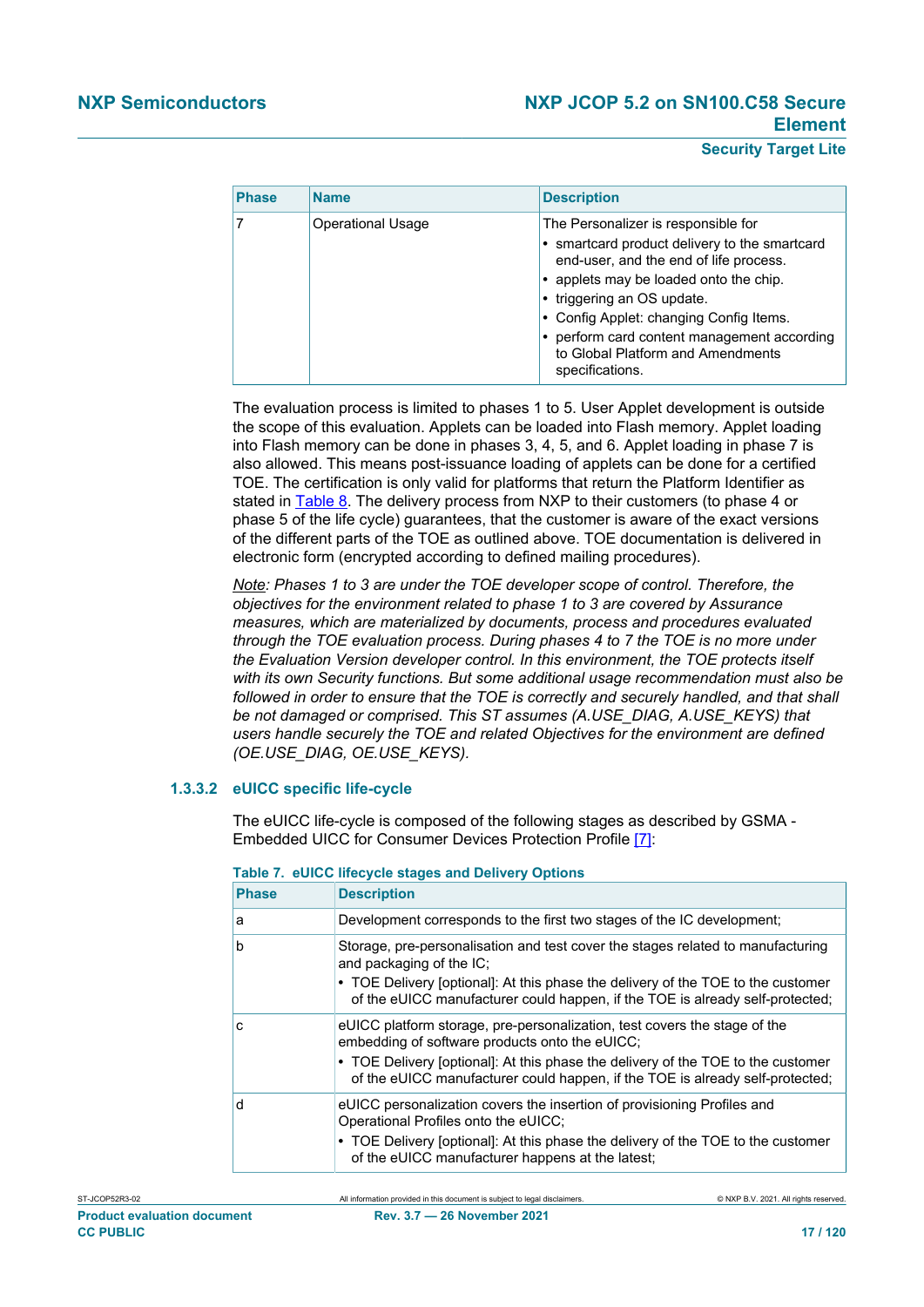#### **Security Target Lite**

| <b>Phase</b> | <b>Name</b>              | <b>Description</b>                                                                                                                                                                                                                                                                                                                                       |
|--------------|--------------------------|----------------------------------------------------------------------------------------------------------------------------------------------------------------------------------------------------------------------------------------------------------------------------------------------------------------------------------------------------------|
|              | <b>Operational Usage</b> | The Personalizer is responsible for<br>• smartcard product delivery to the smartcard<br>end-user, and the end of life process.<br>• applets may be loaded onto the chip.<br>• triggering an OS update.<br>• Config Applet: changing Config Items.<br>• perform card content management according<br>to Global Platform and Amendments<br>specifications. |

The evaluation process is limited to phases 1 to 5. User Applet development is outside the scope of this evaluation. Applets can be loaded into Flash memory. Applet loading into Flash memory can be done in phases 3, 4, 5, and 6. Applet loading in phase 7 is also allowed. This means post-issuance loading of applets can be done for a certified TOE. The certification is only valid for platforms that return the Platform Identifier as stated in [Table 8.](#page-17-0) The delivery process from NXP to their customers (to phase 4 or phase 5 of the life cycle) guarantees, that the customer is aware of the exact versions of the different parts of the TOE as outlined above. TOE documentation is delivered in electronic form (encrypted according to defined mailing procedures).

*Note: Phases 1 to 3 are under the TOE developer scope of control. Therefore, the objectives for the environment related to phase 1 to 3 are covered by Assurance measures, which are materialized by documents, process and procedures evaluated through the TOE evaluation process. During phases 4 to 7 the TOE is no more under the Evaluation Version developer control. In this environment, the TOE protects itself with its own Security functions. But some additional usage recommendation must also be followed in order to ensure that the TOE is correctly and securely handled, and that shall be not damaged or comprised. This ST assumes (A.USE\_DIAG, A.USE\_KEYS) that users handle securely the TOE and related Objectives for the environment are defined (OE.USE\_DIAG, OE.USE\_KEYS).*

#### **1.3.3.2 eUICC specific life-cycle**

The eUICC life-cycle is composed of the following stages as described by GSMA - Embedded UICC for Consumer Devices Protection Profile [\[7\]:](#page-112-7)

| <b>Phase</b> | <b>Description</b>                                                                                                                                                                                                                                                                               |
|--------------|--------------------------------------------------------------------------------------------------------------------------------------------------------------------------------------------------------------------------------------------------------------------------------------------------|
| a            | Development corresponds to the first two stages of the IC development;                                                                                                                                                                                                                           |
| b            | Storage, pre-personalisation and test cover the stages related to manufacturing<br>and packaging of the IC;<br>• TOE Delivery [optional]: At this phase the delivery of the TOE to the customer<br>of the eUICC manufacturer could happen, if the TOE is already self-protected;                 |
| c            | eUICC platform storage, pre-personalization, test covers the stage of the<br>embedding of software products onto the eUICC;<br>• TOE Delivery [optional]: At this phase the delivery of the TOE to the customer<br>of the eUICC manufacturer could happen, if the TOE is already self-protected; |
| d            | eUICC personalization covers the insertion of provisioning Profiles and<br>Operational Profiles onto the eUICC;<br>• TOE Delivery [optional]: At this phase the delivery of the TOE to the customer<br>of the eUICC manufacturer happens at the latest;                                          |

|  |  |  | Table 7. eUICC lifecycle stages and Delivery Options |  |  |
|--|--|--|------------------------------------------------------|--|--|
|--|--|--|------------------------------------------------------|--|--|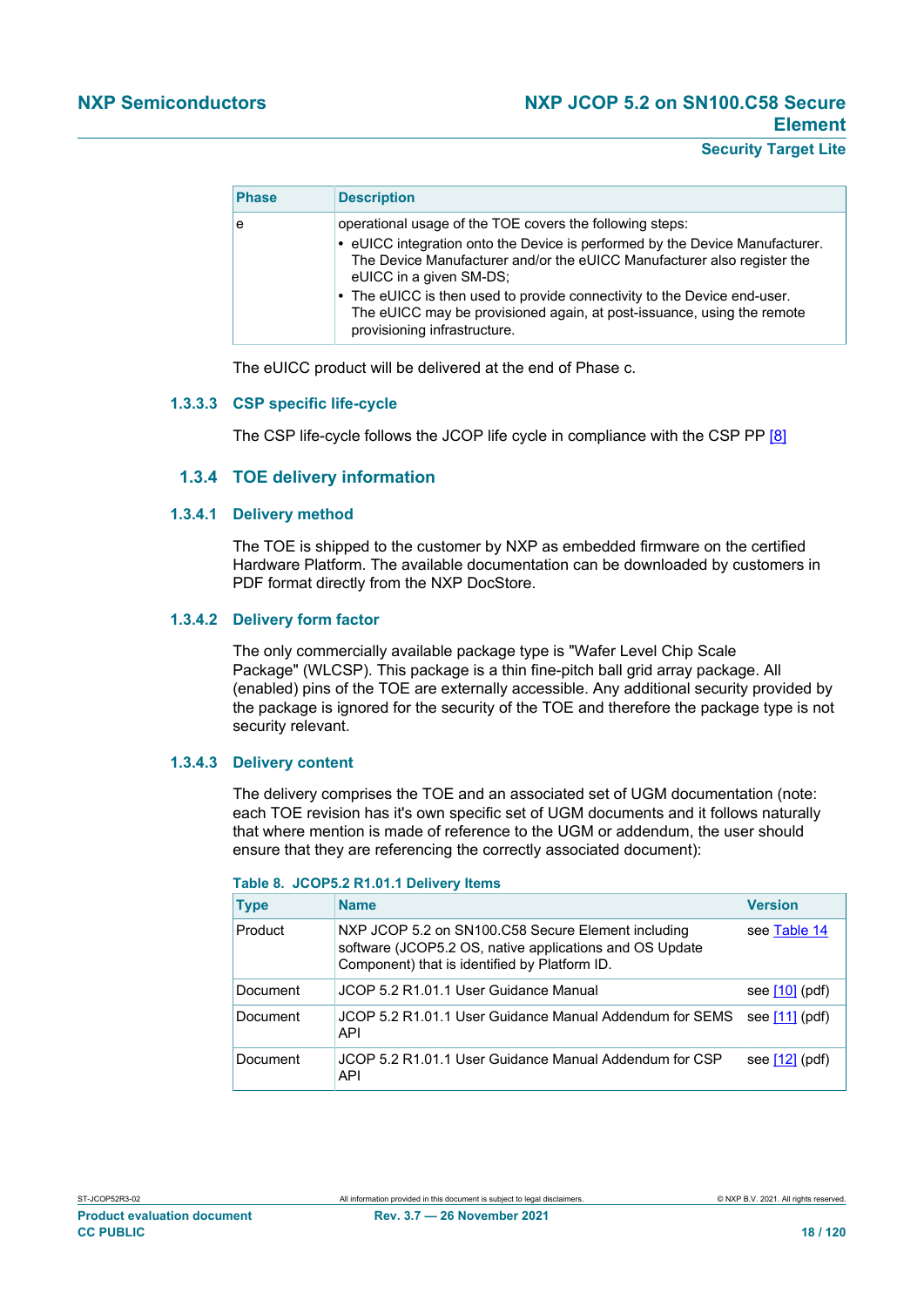#### **Security Target Lite**

| <b>Phase</b> | <b>Description</b>                                                                                                                                                                                                                                                                                                                                                                                                                   |
|--------------|--------------------------------------------------------------------------------------------------------------------------------------------------------------------------------------------------------------------------------------------------------------------------------------------------------------------------------------------------------------------------------------------------------------------------------------|
| e            | operational usage of the TOE covers the following steps:<br>• eUICC integration onto the Device is performed by the Device Manufacturer.<br>The Device Manufacturer and/or the eUICC Manufacturer also register the<br>eUICC in a given SM-DS;<br>• The eUICC is then used to provide connectivity to the Device end-user.<br>The eUICC may be provisioned again, at post-issuance, using the remote<br>provisioning infrastructure. |

The eUICC product will be delivered at the end of Phase c.

#### **1.3.3.3 CSP specific life-cycle**

The CSP life-cycle follows the JCOP life cycle in compliance with the CSP PP [\[8\]](#page-112-9)

#### **1.3.4 TOE delivery information**

#### **1.3.4.1 Delivery method**

The TOE is shipped to the customer by NXP as embedded firmware on the certified Hardware Platform. The available documentation can be downloaded by customers in PDF format directly from the NXP DocStore.

#### **1.3.4.2 Delivery form factor**

The only commercially available package type is "Wafer Level Chip Scale Package" (WLCSP). This package is a thin fine-pitch ball grid array package. All (enabled) pins of the TOE are externally accessible. Any additional security provided by the package is ignored for the security of the TOE and therefore the package type is not security relevant.

#### **1.3.4.3 Delivery content**

The delivery comprises the TOE and an associated set of UGM documentation (note: each TOE revision has it's own specific set of UGM documents and it follows naturally that where mention is made of reference to the UGM or addendum, the user should ensure that they are referencing the correctly associated document):

| <b>Type</b> | <b>Name</b>                                                                                                                                                    | <b>Version</b>   |
|-------------|----------------------------------------------------------------------------------------------------------------------------------------------------------------|------------------|
| Product     | NXP JCOP 5.2 on SN100.C58 Secure Element including<br>software (JCOP5.2 OS, native applications and OS Update<br>Component) that is identified by Platform ID. | see Table 14     |
| Document    | JCOP 5.2 R1.01.1 User Guidance Manual                                                                                                                          | see $[10]$ (pdf) |
| Document    | JCOP 5.2 R1.01.1 User Guidance Manual Addendum for SEMS<br>API                                                                                                 | see $[11]$ (pdf) |
| Document    | JCOP 5.2 R1.01.1 User Guidance Manual Addendum for CSP<br>API                                                                                                  | see $[12]$ (pdf) |

#### <span id="page-17-0"></span>**Table 8. JCOP5.2 R1.01.1 Delivery Items**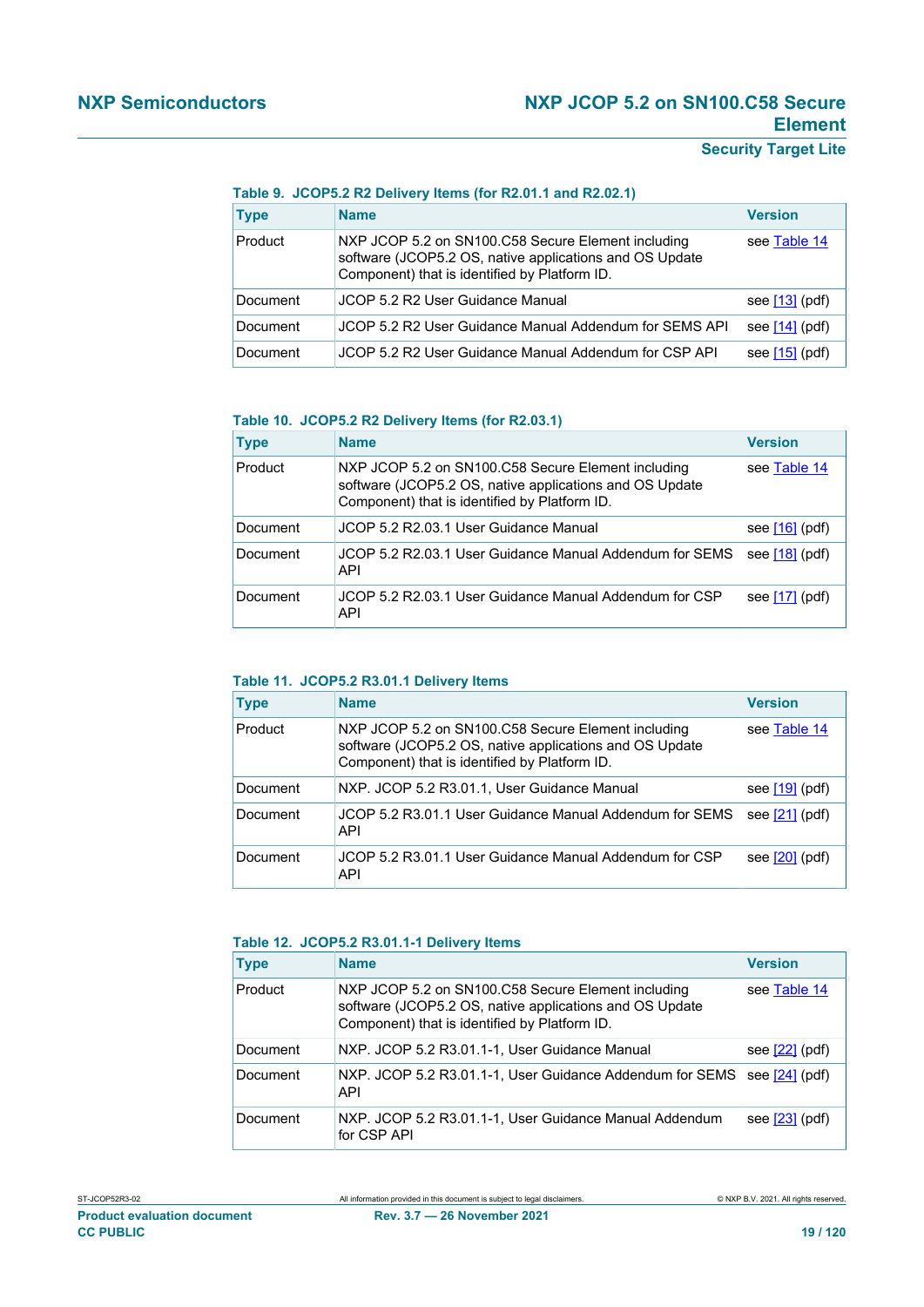### **NXP Semiconductors NXP JCOP 5.2 on SN100.C58 Secure Element**

### **Security Target Lite**

#### **Table 9. JCOP5.2 R2 Delivery Items (for R2.01.1 and R2.02.1)**

| <b>Type</b> | <b>Name</b>                                                                                                                                                    | <b>Version</b>   |
|-------------|----------------------------------------------------------------------------------------------------------------------------------------------------------------|------------------|
| Product     | NXP JCOP 5.2 on SN100.C58 Secure Element including<br>software (JCOP5.2 OS, native applications and OS Update<br>Component) that is identified by Platform ID. | see Table 14     |
| Document    | JCOP 5.2 R2 User Guidance Manual                                                                                                                               | see $[13]$ (pdf) |
| Document    | JCOP 5.2 R2 User Guidance Manual Addendum for SEMS API                                                                                                         | see $[14]$ (pdf) |
| Document    | JCOP 5.2 R2 User Guidance Manual Addendum for CSP API                                                                                                          | see $[15]$ (pdf) |

#### **Table 10. JCOP5.2 R2 Delivery Items (for R2.03.1)**

| <b>Type</b> | <b>Name</b>                                                                                                                                                    | <b>Version</b>   |
|-------------|----------------------------------------------------------------------------------------------------------------------------------------------------------------|------------------|
| Product     | NXP JCOP 5.2 on SN100.C58 Secure Element including<br>software (JCOP5.2 OS, native applications and OS Update<br>Component) that is identified by Platform ID. | see Table 14     |
| Document    | JCOP 5.2 R2.03.1 User Guidance Manual                                                                                                                          | see $[16]$ (pdf) |
| Document    | JCOP 5.2 R2.03.1 User Guidance Manual Addendum for SEMS<br>API                                                                                                 | see $[18]$ (pdf) |
| Document    | JCOP 5.2 R2.03.1 User Guidance Manual Addendum for CSP<br>API                                                                                                  | see $[17]$ (pdf) |

#### **Table 11. JCOP5.2 R3.01.1 Delivery Items**

| <b>Type</b> | <b>Name</b>                                                                                                                                                    | <b>Version</b>   |
|-------------|----------------------------------------------------------------------------------------------------------------------------------------------------------------|------------------|
| Product     | NXP JCOP 5.2 on SN100.C58 Secure Element including<br>software (JCOP5.2 OS, native applications and OS Update<br>Component) that is identified by Platform ID. | see Table 14     |
| Document    | NXP. JCOP 5.2 R3.01.1, User Guidance Manual                                                                                                                    | see $[19]$ (pdf) |
| Document    | JCOP 5.2 R3.01.1 User Guidance Manual Addendum for SEMS<br>API                                                                                                 | see $[21]$ (pdf) |
| Document    | JCOP 5.2 R3.01.1 User Guidance Manual Addendum for CSP<br>API                                                                                                  | see $[20]$ (pdf) |

#### **Table 12. JCOP5.2 R3.01.1-1 Delivery Items**

| <b>Type</b> | <b>Name</b>                                                                                                                                                    | <b>Version</b>   |
|-------------|----------------------------------------------------------------------------------------------------------------------------------------------------------------|------------------|
| Product     | NXP JCOP 5.2 on SN100.C58 Secure Element including<br>software (JCOP5.2 OS, native applications and OS Update<br>Component) that is identified by Platform ID. | see Table 14     |
| Document    | NXP. JCOP 5.2 R3.01.1-1, User Guidance Manual                                                                                                                  | see $[22]$ (pdf) |
| Document    | NXP. JCOP 5.2 R3.01.1-1, User Guidance Addendum for SEMS<br>API                                                                                                | see $[24]$ (pdf) |
| Document    | NXP. JCOP 5.2 R3.01.1-1, User Guidance Manual Addendum<br>for CSP API                                                                                          | see $[23]$ (pdf) |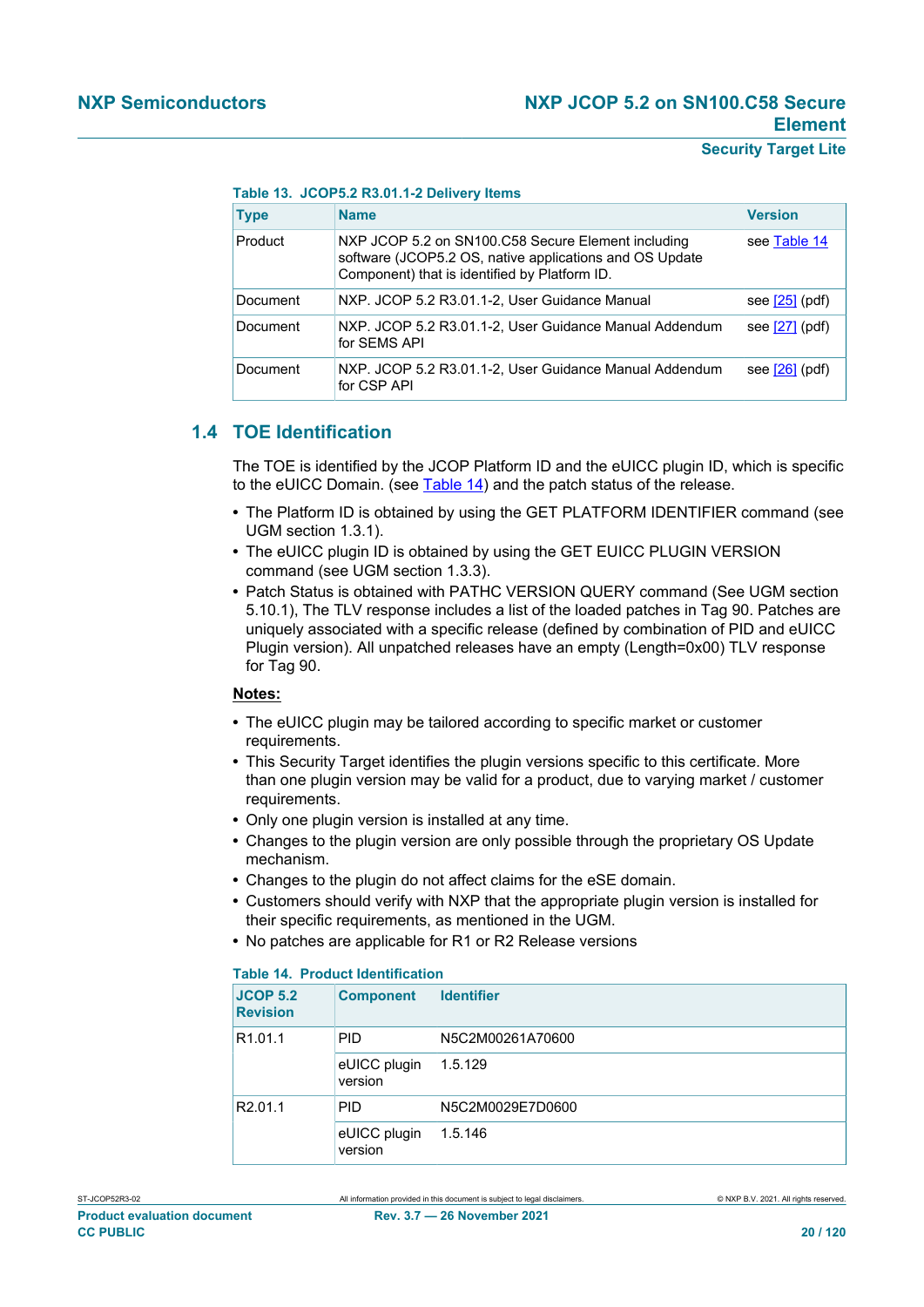**Table 13. JCOP5.2 R3.01.1-2 Delivery Items**

| <b>Type</b> | <b>Name</b>                                                                                                                                                    | <b>Version</b>   |
|-------------|----------------------------------------------------------------------------------------------------------------------------------------------------------------|------------------|
| Product     | NXP JCOP 5.2 on SN100.C58 Secure Element including<br>software (JCOP5.2 OS, native applications and OS Update<br>Component) that is identified by Platform ID. | see Table 14     |
| Document    | NXP. JCOP 5.2 R3.01.1-2, User Guidance Manual                                                                                                                  | see $[25]$ (pdf) |
| Document    | NXP. JCOP 5.2 R3.01.1-2, User Guidance Manual Addendum<br>for SEMS API                                                                                         | see $[27]$ (pdf) |
| Document    | NXP. JCOP 5.2 R3.01.1-2, User Guidance Manual Addendum<br>for CSP API                                                                                          | see $[26]$ (pdf) |

### **1.4 TOE Identification**

<span id="page-19-0"></span>The TOE is identified by the JCOP Platform ID and the eUICC plugin ID, which is specific to the eUICC Domain. (see [Table 14\)](#page-19-1) and the patch status of the release.

- **•** The Platform ID is obtained by using the GET PLATFORM IDENTIFIER command (see UGM section 1.3.1).
- **•** The eUICC plugin ID is obtained by using the GET EUICC PLUGIN VERSION command (see UGM section 1.3.3).
- **•** Patch Status is obtained with PATHC VERSION QUERY command (See UGM section 5.10.1), The TLV response includes a list of the loaded patches in Tag 90. Patches are uniquely associated with a specific release (defined by combination of PID and eUICC Plugin version). All unpatched releases have an empty (Length=0x00) TLV response for Tag 90.

#### **Notes:**

- **•** The eUICC plugin may be tailored according to specific market or customer requirements.
- **•** This Security Target identifies the plugin versions specific to this certificate. More than one plugin version may be valid for a product, due to varying market / customer requirements.
- **•** Only one plugin version is installed at any time.
- **•** Changes to the plugin version are only possible through the proprietary OS Update mechanism.
- **•** Changes to the plugin do not affect claims for the eSE domain.
- **•** Customers should verify with NXP that the appropriate plugin version is installed for their specific requirements, as mentioned in the UGM.
- **•** No patches are applicable for R1 or R2 Release versions

#### <span id="page-19-1"></span>**Table 14. Product Identification**

| <b>JCOP 5.2</b><br><b>Revision</b> | <b>Component</b>        | <b>Identifier</b> |
|------------------------------------|-------------------------|-------------------|
| R <sub>1.01.1</sub>                | <b>PID</b>              | N5C2M00261A70600  |
|                                    | eUICC plugin<br>version | 1.5.129           |
| R <sub>2.01.1</sub>                | <b>PID</b>              | N5C2M0029E7D0600  |
|                                    | eUICC plugin<br>version | 1.5.146           |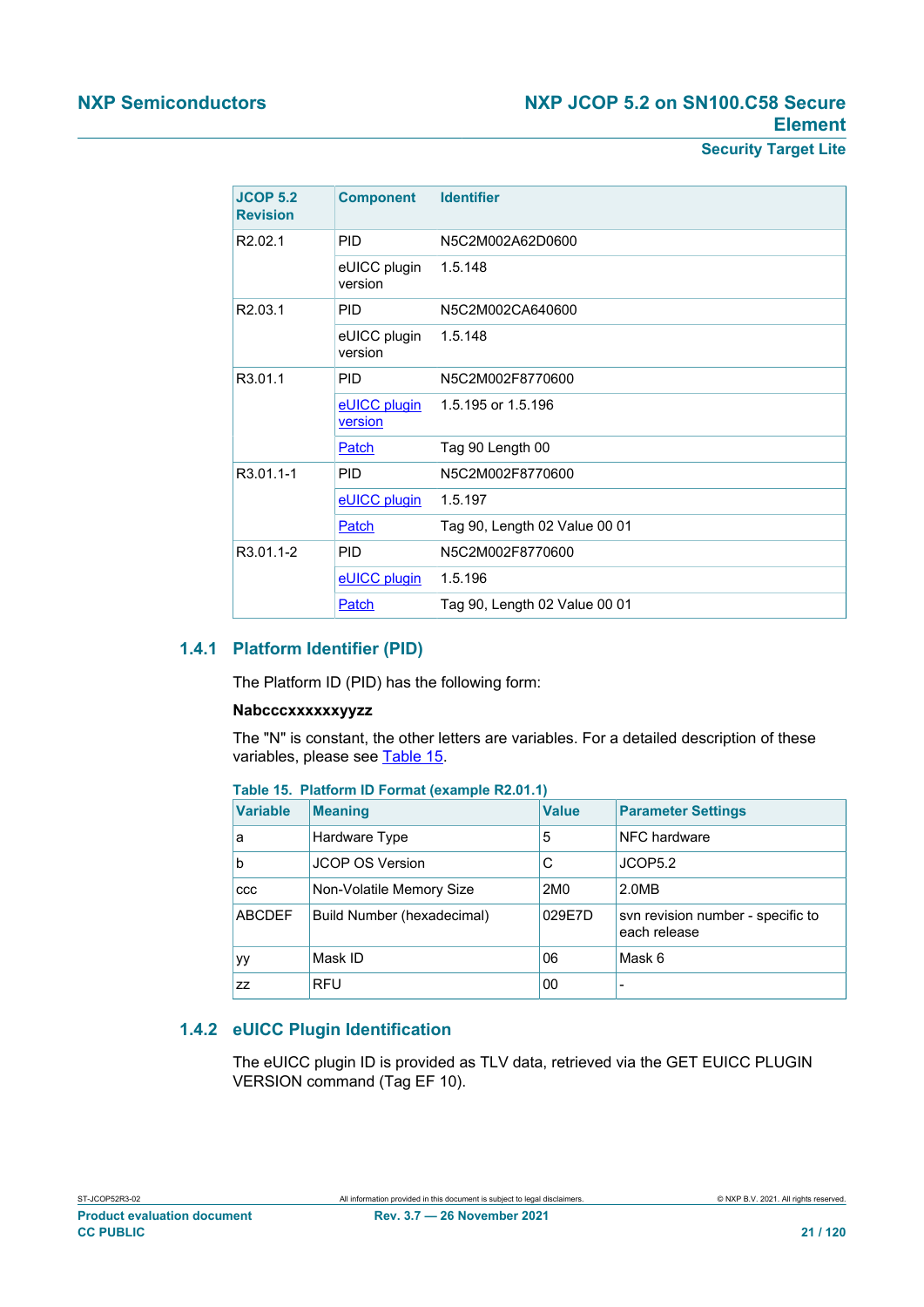### **NXP Semiconductors NXP JCOP 5.2 on SN100.C58 Secure Element**

**Security Target Lite**

| <b>JCOP 5.2</b><br><b>Revision</b> | <b>Component</b>        | <b>Identifier</b>             |  |  |  |
|------------------------------------|-------------------------|-------------------------------|--|--|--|
| R <sub>2.02.1</sub>                | <b>PID</b>              | N5C2M002A62D0600              |  |  |  |
|                                    | eUICC plugin<br>version | 1.5.148                       |  |  |  |
| R <sub>2.03.1</sub>                | <b>PID</b>              | N5C2M002CA640600              |  |  |  |
|                                    | eUICC plugin<br>version | 1.5.148                       |  |  |  |
| R3.01.1                            | <b>PID</b>              | N5C2M002F8770600              |  |  |  |
|                                    | eUICC plugin<br>version | 1.5.195 or 1.5.196            |  |  |  |
|                                    | Patch                   | Tag 90 Length 00              |  |  |  |
| R3.01.1-1                          | <b>PID</b>              | N5C2M002F8770600              |  |  |  |
|                                    | eUICC plugin            | 1.5.197                       |  |  |  |
|                                    | Patch                   | Tag 90, Length 02 Value 00 01 |  |  |  |
| R3.01.1-2                          | <b>PID</b>              | N5C2M002F8770600              |  |  |  |
|                                    | eUICC plugin            | 1.5.196                       |  |  |  |
|                                    | Patch                   | Tag 90, Length 02 Value 00 01 |  |  |  |

#### **1.4.1 Platform Identifier (PID)**

The Platform ID (PID) has the following form:

#### **Nabcccxxxxxxyyzz**

The "N" is constant, the other letters are variables. For a detailed description of these variables, please see [Table 15.](#page-20-1)

<span id="page-20-1"></span>

| <b>Variable</b> | <b>Meaning</b>             | <b>Value</b>    | <b>Parameter Settings</b>                         |
|-----------------|----------------------------|-----------------|---------------------------------------------------|
| a               | Hardware Type              | 5               | NFC hardware                                      |
| b               | JCOP OS Version            | C               | JCOP5.2                                           |
| <b>CCC</b>      | Non-Volatile Memory Size   | 2M <sub>0</sub> | 2.0MB                                             |
| <b>ABCDEF</b>   | Build Number (hexadecimal) | 029E7D          | svn revision number - specific to<br>each release |
| уy              | Mask ID                    | 06              | Mask 6                                            |
| ZZ              | <b>RFU</b>                 | 00              | $\overline{\phantom{a}}$                          |

### **1.4.2 eUICC Plugin Identification**

<span id="page-20-0"></span>The eUICC plugin ID is provided as TLV data, retrieved via the GET EUICC PLUGIN VERSION command (Tag EF 10).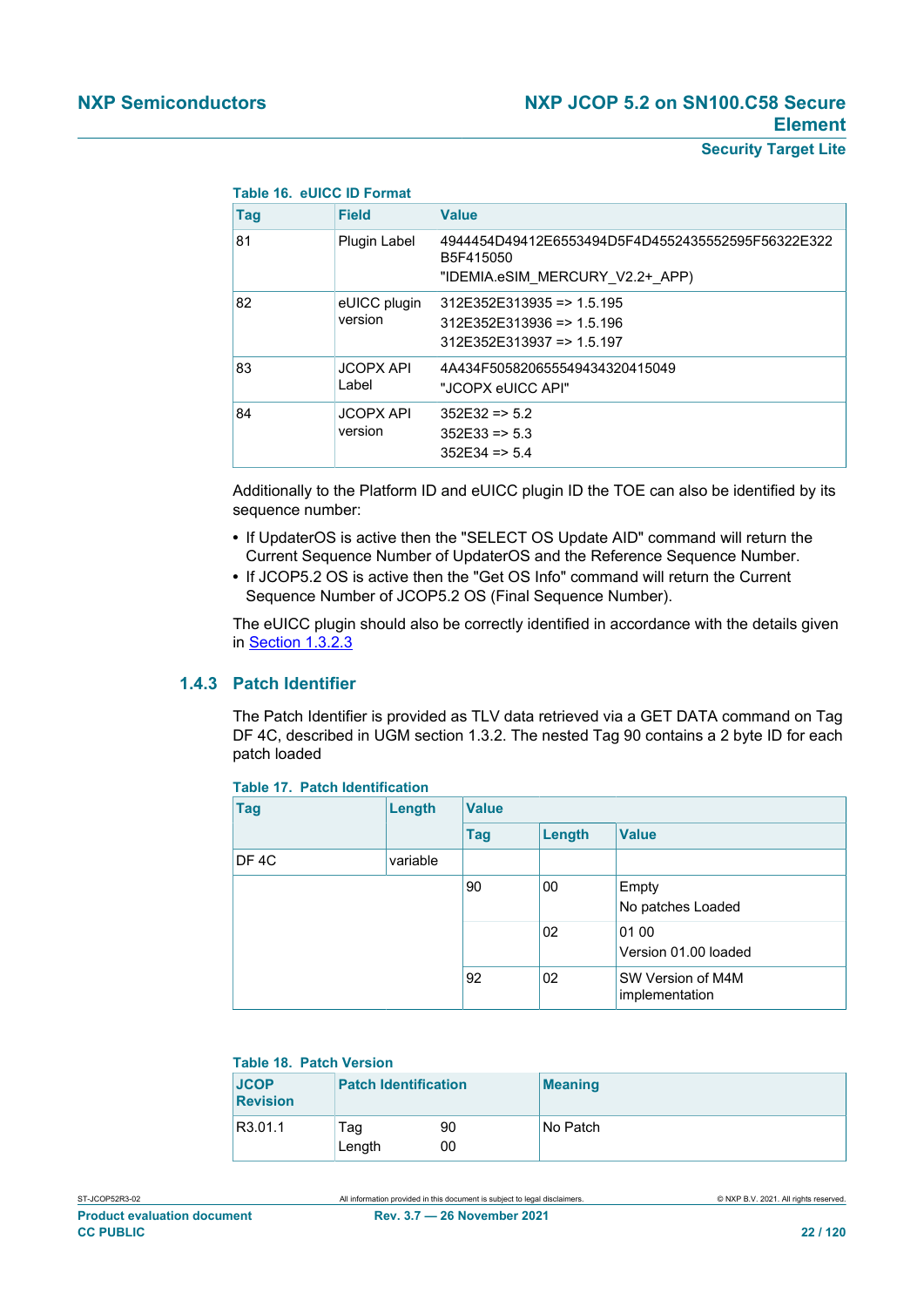| Table 16. eUICC ID Format |                             |                                                                                                   |  |
|---------------------------|-----------------------------|---------------------------------------------------------------------------------------------------|--|
| <b>Tag</b>                | <b>Field</b>                | <b>Value</b>                                                                                      |  |
| 81                        | Plugin Label                | 4944454D49412E6553494D5F4D4552435552595F56322E322<br>B5F415050<br>"IDEMIA.eSIM MERCURY V2.2+ APP) |  |
| 82                        | eUICC plugin<br>version     | $312E352E313935 \equiv 1.5.195$<br>312E352E313936 => 1.5.196<br>312E352E313937 => 1.5.197         |  |
| 83                        | <b>JCOPX API</b><br>Label   | 4A434F505820655549434320415049<br>"JCOPX eUICC API"                                               |  |
| 84                        | <b>JCOPX API</b><br>version | $352E32 \approx 5.2$<br>$352E33 \Rightarrow 5.3$<br>$352E34 \approx 5.4$                          |  |

Additionally to the Platform ID and eUICC plugin ID the TOE can also be identified by its sequence number:

- **•** If UpdaterOS is active then the "SELECT OS Update AID" command will return the Current Sequence Number of UpdaterOS and the Reference Sequence Number.
- **•** If JCOP5.2 OS is active then the "Get OS Info" command will return the Current Sequence Number of JCOP5.2 OS (Final Sequence Number).

<span id="page-21-0"></span>The eUICC plugin should also be correctly identified in accordance with the details given in [Section 1.3.2.3](#page-13-0)

#### **1.4.3 Patch Identifier**

The Patch Identifier is provided as TLV data retrieved via a GET DATA command on Tag DF 4C, described in UGM section 1.3.2. The nested Tag 90 contains a 2 byte ID for each patch loaded

| $1805$ $11.$ Fatch Inchineation |          |              |        |                                     |  |
|---------------------------------|----------|--------------|--------|-------------------------------------|--|
| <b>Tag</b>                      | Length   | <b>Value</b> |        |                                     |  |
|                                 |          | Tag          | Length | <b>Value</b>                        |  |
| DF <sub>4</sub> C               | variable |              |        |                                     |  |
|                                 |          | 90           | 00     | Empty<br>No patches Loaded          |  |
|                                 |          |              | 02     | 01 00<br>Version 01.00 loaded       |  |
|                                 |          | 92           | 02     | SW Version of M4M<br>implementation |  |

#### **Table 17. Patch Identification**

#### **Table 18. Patch Version**

| <b>JCOP</b><br><b>Revision</b> | <b>Patch Identification</b> |          | <b>Meaning</b> |
|--------------------------------|-----------------------------|----------|----------------|
| R3.01.1                        | Tag<br>Length               | 90<br>00 | No Patch       |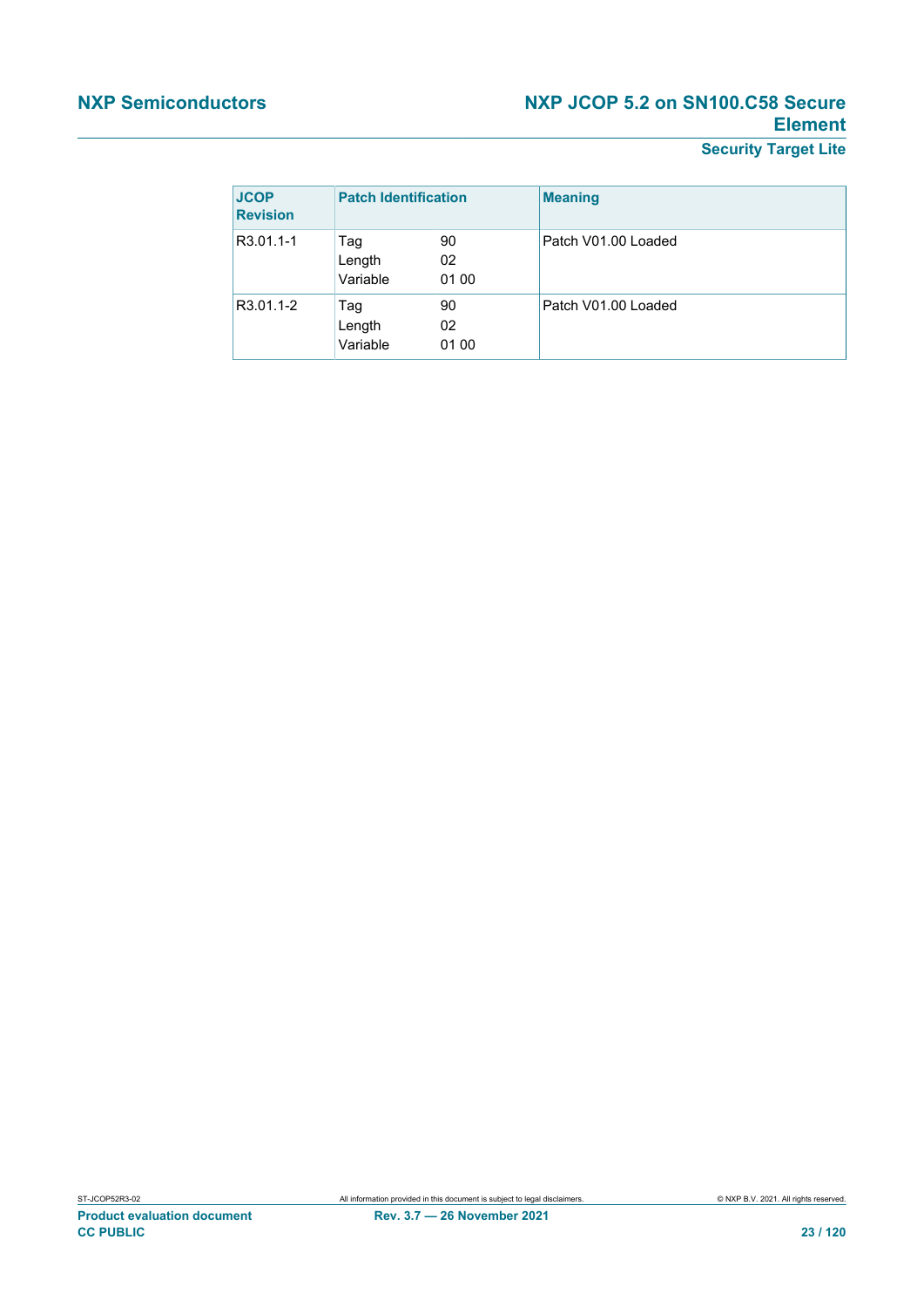### **NXP Semiconductors NXP JCOP 5.2 on SN100.C58 Secure Element**

**Security Target Lite**

| <b>JCOP</b><br><b>Revision</b> | <b>Patch Identification</b> |                   | <b>Meaning</b>      |
|--------------------------------|-----------------------------|-------------------|---------------------|
| R3.01.1-1                      | Tag<br>Length<br>Variable   | 90<br>02<br>01 00 | Patch V01.00 Loaded |
| R3.01.1-2                      | Tag<br>Length<br>Variable   | 90<br>02<br>01 00 | Patch V01.00 Loaded |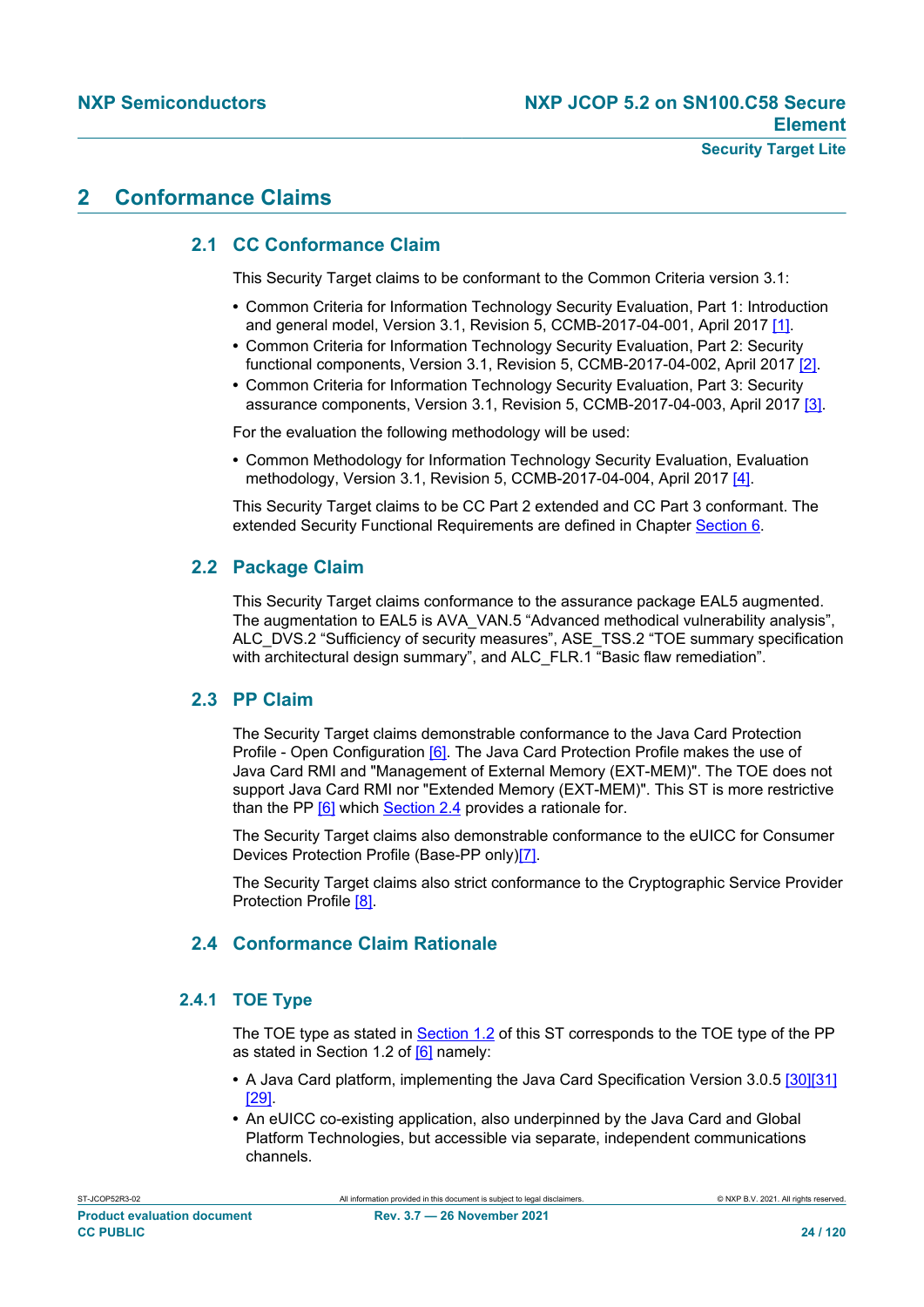#### **Security Target Lite**

### **2 Conformance Claims**

### **2.1 CC Conformance Claim**

This Security Target claims to be conformant to the Common Criteria version 3.1:

- **•** Common Criteria for Information Technology Security Evaluation, Part 1: Introduction and general model, Version 3.1, Revision 5, CCMB-2017-04-001, April 2017 [\[1\]](#page-112-0).
- **•** Common Criteria for Information Technology Security Evaluation, Part 2: Security functional components, Version 3.1, Revision 5, CCMB-2017-04-002, April 2017 [\[2\]](#page-112-1).
- **•** Common Criteria for Information Technology Security Evaluation, Part 3: Security assurance components, Version 3.1, Revision 5, CCMB-2017-04-003, April 2017 [\[3\].](#page-112-2)

For the evaluation the following methodology will be used:

**•** Common Methodology for Information Technology Security Evaluation, Evaluation methodology, Version 3.1, Revision 5, CCMB-2017-04-004, April 2017 [\[4\]](#page-112-20).

This Security Target claims to be CC Part 2 extended and CC Part 3 conformant. The extended Security Functional Requirements are defined in Chapter [Section 6.](#page-47-0)

#### **2.2 Package Claim**

This Security Target claims conformance to the assurance package EAL5 augmented. The augmentation to EAL5 is AVA\_VAN.5 "Advanced methodical vulnerability analysis", ALC\_DVS.2 "Sufficiency of security measures", ASE\_TSS.2 "TOE summary specification with architectural design summary", and ALC FLR.1 "Basic flaw remediation".

#### **2.3 PP Claim**

The Security Target claims demonstrable conformance to the Java Card Protection Profile - Open Configuration [\[6\].](#page-112-6) The Java Card Protection Profile makes the use of Java Card RMI and "Management of External Memory (EXT-MEM)". The TOE does not support Java Card RMI nor "Extended Memory (EXT-MEM)". This ST is more restrictive than the PP [\[6\]](#page-112-6) which [Section 2.4](#page-23-0) provides a rationale for.

The Security Target claims also demonstrable conformance to the eUICC for Consumer Devices Protection Profile (Base-PP only[\)\[7\]](#page-112-7).

The Security Target claims also strict conformance to the Cryptographic Service Provider Protection Profile [\[8\].](#page-112-9)

### <span id="page-23-0"></span>**2.4 Conformance Claim Rationale**

#### **2.4.1 TOE Type**

The TOE type as stated in [Section 1.2](#page-2-0) of this ST corresponds to the TOE type of the PP as stated in Section 1.2 of [\[6\]](#page-112-6) namely:

- **•** A Java Card platform, implementing the Java Card Specification Version 3.0.5 [\[30\]](#page-113-2)[\[31\]](#page-113-3) [\[29\]](#page-113-4).
- **•** An eUICC co-existing application, also underpinned by the Java Card and Global Platform Technologies, but accessible via separate, independent communications channels.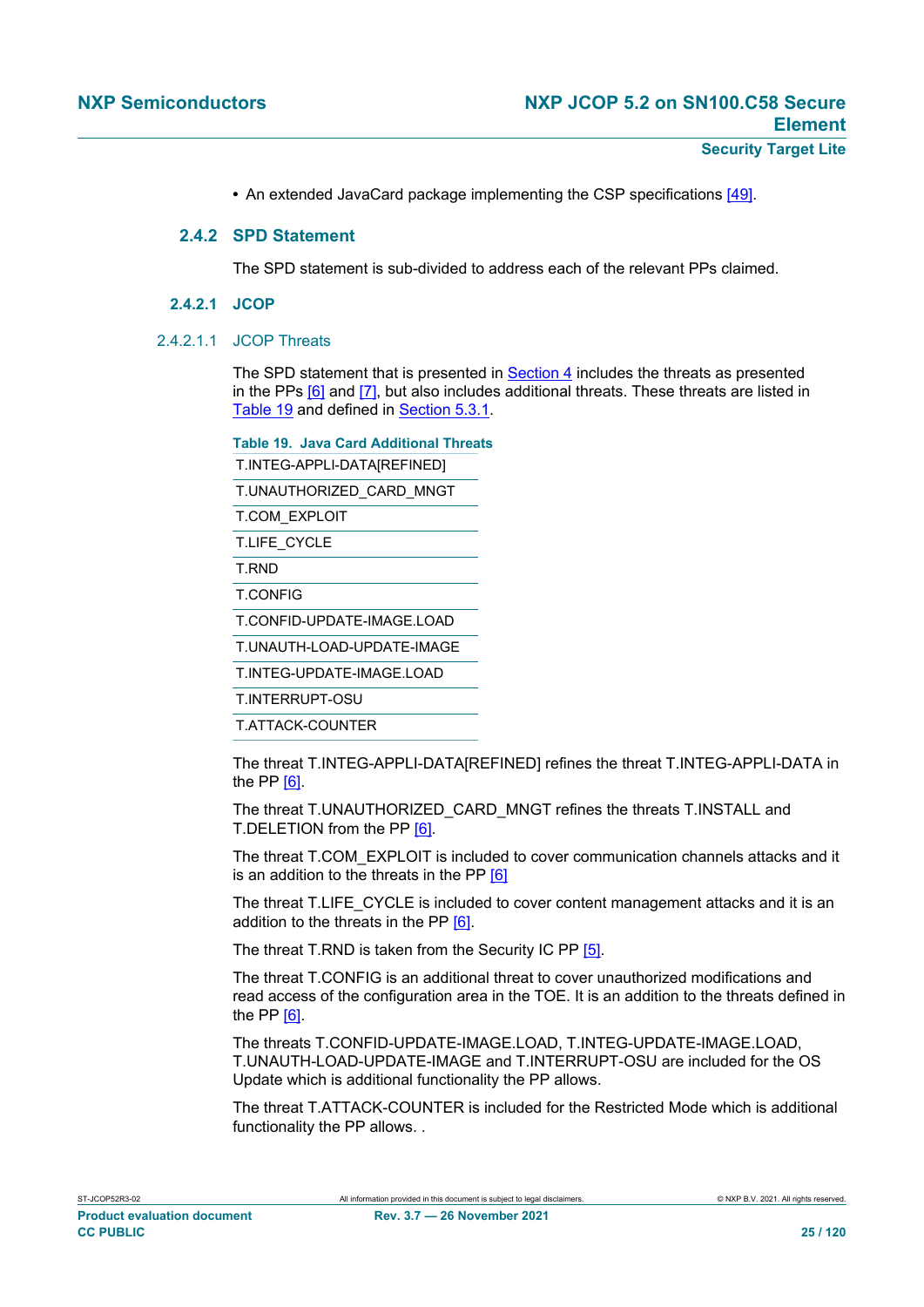• An extended JavaCard package implementing the CSP specifications [\[49\]](#page-114-0).

#### **2.4.2 SPD Statement**

The SPD statement is sub-divided to address each of the relevant PPs claimed.

#### **2.4.2.1 JCOP**

#### 2.4.2.1.1 JCOP Threats

The SPD statement that is presented in [Section 4](#page-33-0) includes the threats as presented in the PPs  $[6]$  and  $[7]$ , but also includes additional threats. These threats are listed in [Table 19](#page-24-0) and defined in [Section 5.3.1.](#page-41-0)

<span id="page-24-0"></span>**Table 19. Java Card Additional Threats**

T.INTEG-APPLI-DATA[REFINED]

T.UNAUTHORIZED\_CARD\_MNGT

T.COM\_EXPLOIT

T.LIFE\_CYCLE

T.RND

T.CONFIG

T.CONFID-UPDATE-IMAGE.LOAD

T.UNAUTH-LOAD-UPDATE-IMAGE

T.INTEG-UPDATE-IMAGE.LOAD

T.INTERRUPT-OSU

T.ATTACK-COUNTER

The threat T.INTEG-APPLI-DATA[REFINED] refines the threat T.INTEG-APPLI-DATA in the PP [\[6\].](#page-112-6)

The threat T.UNAUTHORIZED\_CARD\_MNGT refines the threats T.INSTALL and T.DELETION from the PP [\[6\]](#page-112-6).

The threat T.COM\_EXPLOIT is included to cover communication channels attacks and it is an addition to the threats in the PP [\[6\]](#page-112-6)

The threat T.LIFE\_CYCLE is included to cover content management attacks and it is an addition to the threats in the PP [\[6\]](#page-112-6).

The threat T.RND is taken from the Security IC PP [\[5\]](#page-112-8).

The threat T.CONFIG is an additional threat to cover unauthorized modifications and read access of the configuration area in the TOE. It is an addition to the threats defined in the PP [\[6\].](#page-112-6)

The threats T.CONFID-UPDATE-IMAGE.LOAD, T.INTEG-UPDATE-IMAGE.LOAD, T.UNAUTH-LOAD-UPDATE-IMAGE and T.INTERRUPT-OSU are included for the OS Update which is additional functionality the PP allows.

The threat T.ATTACK-COUNTER is included for the Restricted Mode which is additional functionality the PP allows. .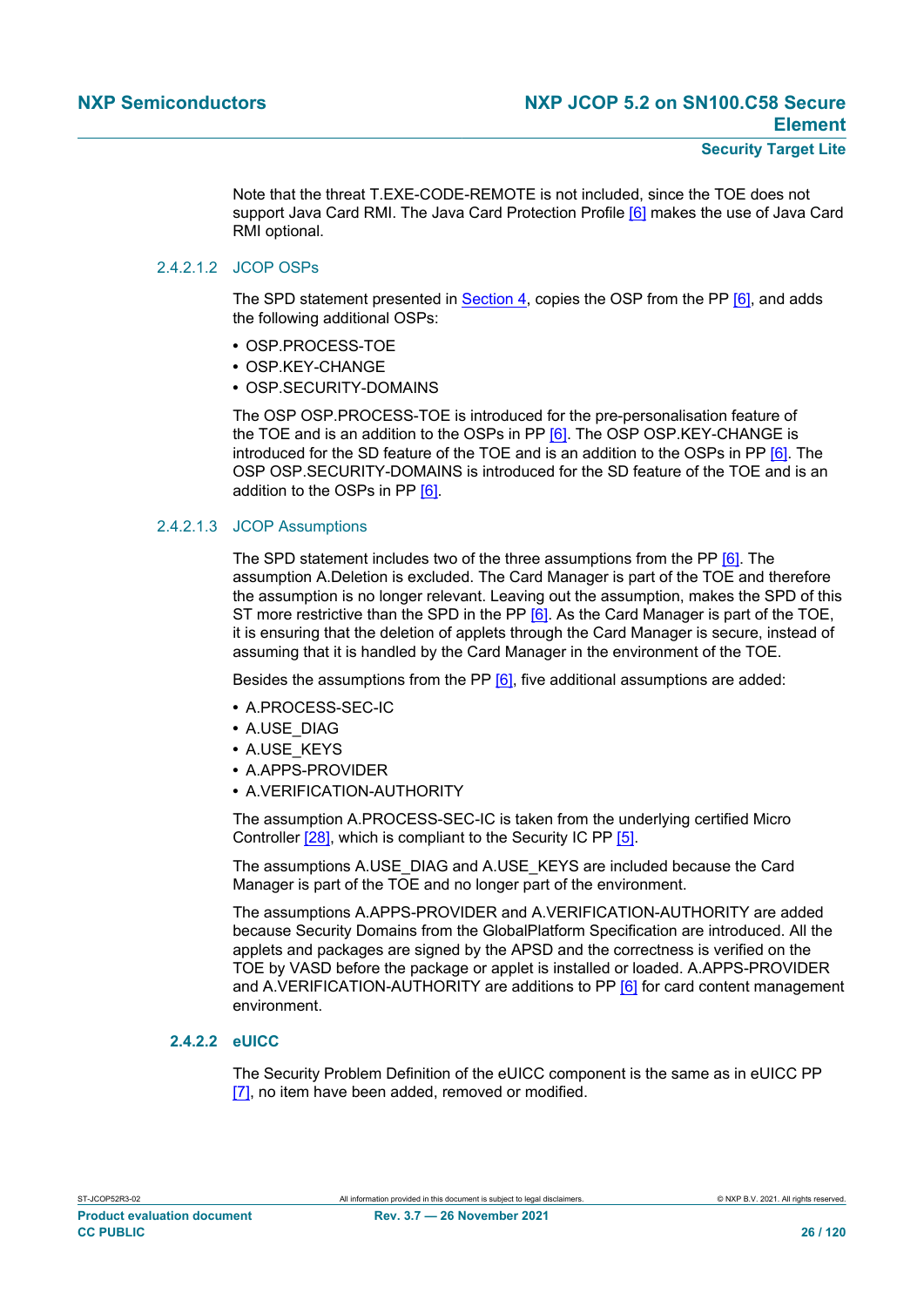Note that the threat T.EXE-CODE-REMOTE is not included, since the TOE does not support Java Card RMI. The Java Card Protection Profile [\[6\]](#page-112-6) makes the use of Java Card RMI optional.

#### 2.4.2.1.2 JCOP OSPs

The SPD statement presented in [Section 4](#page-33-0), copies the OSP from the PP [\[6\],](#page-112-6) and adds the following additional OSPs:

- **•** OSP.PROCESS-TOE
- **•** OSP.KEY-CHANGE
- **•** OSP.SECURITY-DOMAINS

The OSP OSP.PROCESS-TOE is introduced for the pre-personalisation feature of the TOE and is an addition to the OSPs in PP [\[6\]](#page-112-6). The OSP OSP.KEY-CHANGE is introduced for the SD feature of the TOE and is an addition to the OSPs in PP [\[6\].](#page-112-6) The OSP OSP.SECURITY-DOMAINS is introduced for the SD feature of the TOE and is an addition to the OSPs in PP [\[6\]](#page-112-6).

#### 2.4.2.1.3 JCOP Assumptions

The SPD statement includes two of the three assumptions from the PP [\[6\].](#page-112-6) The assumption A.Deletion is excluded. The Card Manager is part of the TOE and therefore the assumption is no longer relevant. Leaving out the assumption, makes the SPD of this ST more restrictive than the SPD in the PP [\[6\]](#page-112-6). As the Card Manager is part of the TOE, it is ensuring that the deletion of applets through the Card Manager is secure, instead of assuming that it is handled by the Card Manager in the environment of the TOE.

Besides the assumptions from the PP [\[6\]](#page-112-6), five additional assumptions are added:

- **•** A.PROCESS-SEC-IC
- **•** A.USE\_DIAG
- **•** A.USE\_KEYS
- **•** A.APPS-PROVIDER
- **•** A.VERIFICATION-AUTHORITY

The assumption A.PROCESS-SEC-IC is taken from the underlying certified Micro Controller [\[28\],](#page-113-7) which is compliant to the Security IC PP [\[5\].](#page-112-8)

The assumptions A.USE\_DIAG and A.USE\_KEYS are included because the Card Manager is part of the TOE and no longer part of the environment.

The assumptions A.APPS-PROVIDER and A.VERIFICATION-AUTHORITY are added because Security Domains from the GlobalPlatform Specification are introduced. All the applets and packages are signed by the APSD and the correctness is verified on the TOE by VASD before the package or applet is installed or loaded. A.APPS-PROVIDER and A.VERIFICATION-AUTHORITY are additions to PP [\[6\]](#page-112-6) for card content management environment.

#### **2.4.2.2 eUICC**

The Security Problem Definition of the eUICC component is the same as in eUICC PP [\[7\]](#page-112-7), no item have been added, removed or modified.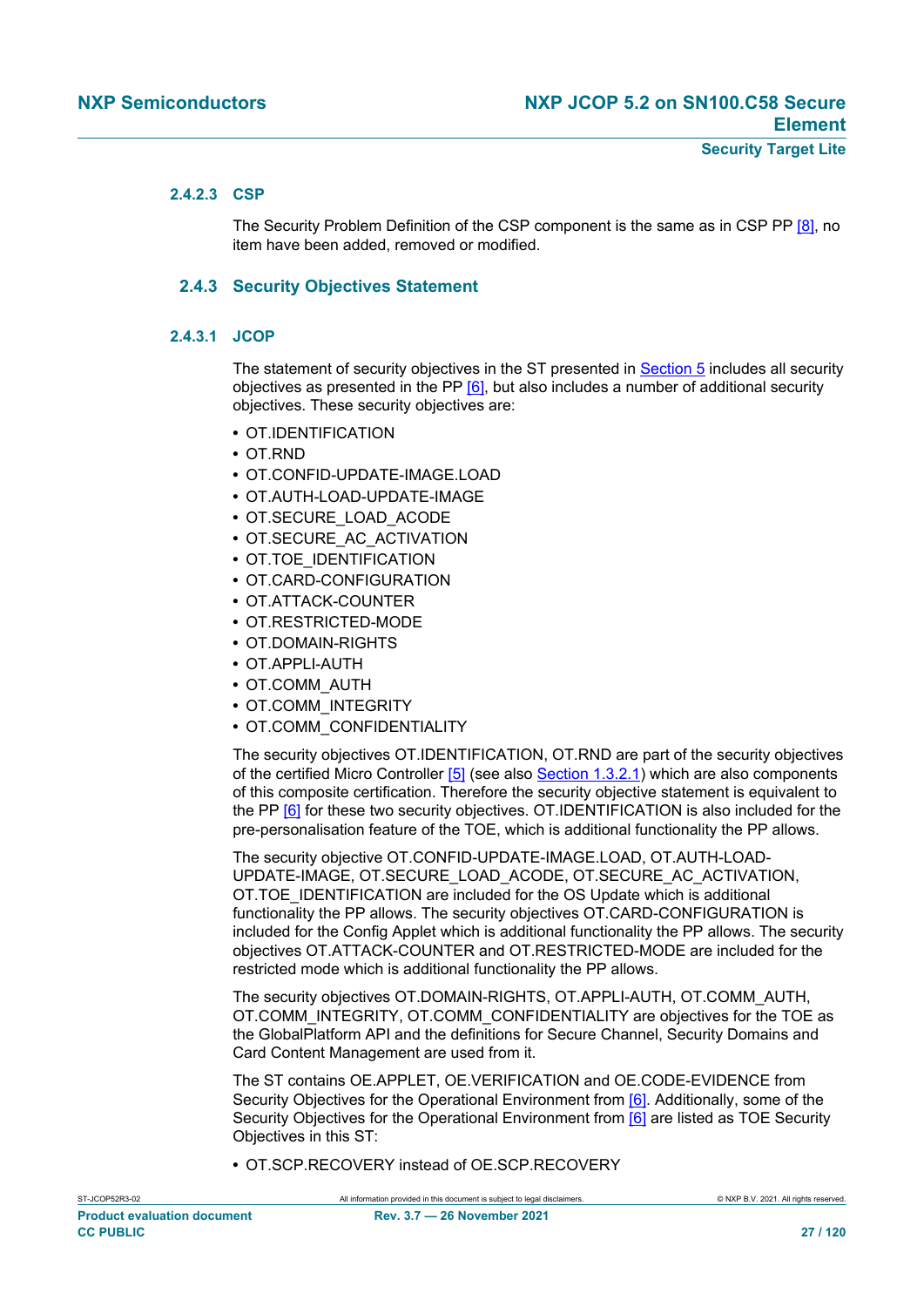#### **2.4.2.3 CSP**

The Security Problem Definition of the CSP component is the same as in CSP PP [\[8\],](#page-112-9) no item have been added, removed or modified.

#### **2.4.3 Security Objectives Statement**

#### **2.4.3.1 JCOP**

The statement of security objectives in the ST presented in [Section 5](#page-37-0) includes all security objectives as presented in the PP  $[6]$ , but also includes a number of additional security objectives. These security objectives are:

- **•** OT.IDENTIFICATION
- **•** OT.RND
- **•** OT.CONFID-UPDATE-IMAGE.LOAD
- **•** OT.AUTH-LOAD-UPDATE-IMAGE
- **•** OT.SECURE\_LOAD\_ACODE
- **•** OT.SECURE\_AC\_ACTIVATION
- **•** OT.TOE\_IDENTIFICATION
- **•** OT.CARD-CONFIGURATION
- **•** OT.ATTACK-COUNTER
- **•** OT.RESTRICTED-MODE
- **•** OT.DOMAIN-RIGHTS
- **•** OT.APPLI-AUTH
- **•** OT.COMM\_AUTH
- **•** OT.COMM\_INTEGRITY
- **•** OT.COMM\_CONFIDENTIALITY

The security objectives OT.IDENTIFICATION, OT.RND are part of the security objectives of the certified Micro Controller [\[5\]](#page-112-8) (see also [Section 1.3.2.1\)](#page-11-1) which are also components of this composite certification. Therefore the security objective statement is equivalent to the PP [\[6\]](#page-112-6) for these two security objectives. OT.IDENTIFICATION is also included for the pre-personalisation feature of the TOE, which is additional functionality the PP allows.

The security objective OT.CONFID-UPDATE-IMAGE.LOAD, OT.AUTH-LOAD-UPDATE-IMAGE, OT.SECURE\_LOAD\_ACODE, OT.SECURE\_AC\_ACTIVATION, OT.TOE\_IDENTIFICATION are included for the OS Update which is additional functionality the PP allows. The security objectives OT.CARD-CONFIGURATION is included for the Config Applet which is additional functionality the PP allows. The security objectives OT.ATTACK-COUNTER and OT.RESTRICTED-MODE are included for the restricted mode which is additional functionality the PP allows.

The security objectives OT.DOMAIN-RIGHTS, OT.APPLI-AUTH, OT.COMM\_AUTH, OT.COMM\_INTEGRITY, OT.COMM\_CONFIDENTIALITY are objectives for the TOE as the GlobalPlatform API and the definitions for Secure Channel, Security Domains and Card Content Management are used from it.

The ST contains OE.APPLET, OE.VERIFICATION and OE.CODE-EVIDENCE from Security Obiectives for the Operational Environment from [\[6\].](#page-112-6) Additionally, some of the Security Objectives for the Operational Environment from [\[6\]](#page-112-6) are listed as TOE Security Objectives in this ST:

**•** OT.SCP.RECOVERY instead of OE.SCP.RECOVERY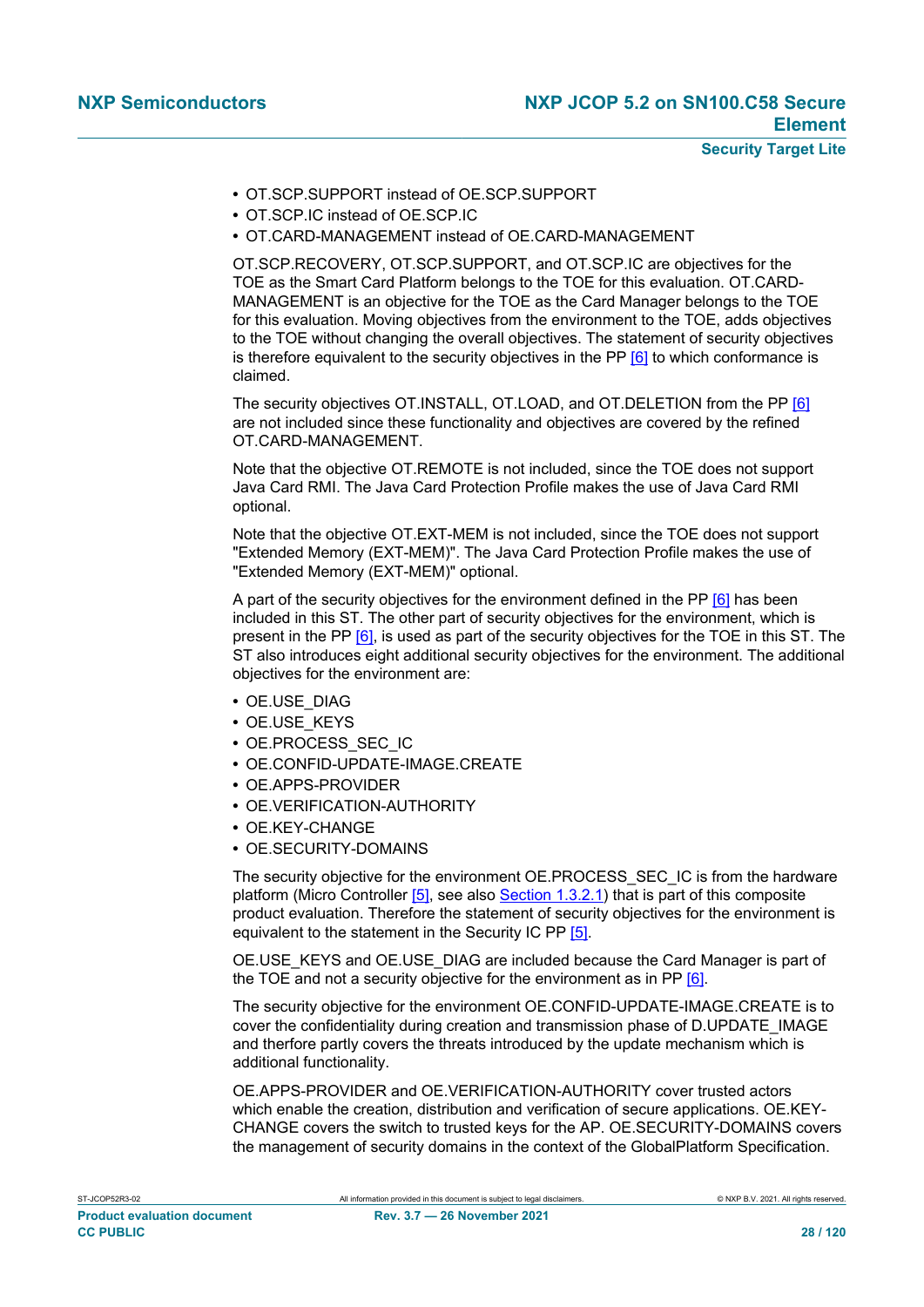- **•** OT.SCP.SUPPORT instead of OE.SCP.SUPPORT
- **•** OT.SCP.IC instead of OE.SCP.IC
- **•** OT.CARD-MANAGEMENT instead of OE.CARD-MANAGEMENT

OT.SCP.RECOVERY, OT.SCP.SUPPORT, and OT.SCP.IC are objectives for the TOE as the Smart Card Platform belongs to the TOE for this evaluation. OT.CARD-MANAGEMENT is an objective for the TOE as the Card Manager belongs to the TOE for this evaluation. Moving objectives from the environment to the TOE, adds objectives to the TOE without changing the overall objectives. The statement of security objectives is therefore equivalent to the security objectives in the PP  $[6]$  to which conformance is claimed.

The security objectives OT.INSTALL, OT.LOAD, and OT.DELETION from the PP [\[6\]](#page-112-6) are not included since these functionality and objectives are covered by the refined OT.CARD-MANAGEMENT.

Note that the objective OT.REMOTE is not included, since the TOE does not support Java Card RMI. The Java Card Protection Profile makes the use of Java Card RMI optional.

Note that the objective OT.EXT-MEM is not included, since the TOE does not support "Extended Memory (EXT-MEM)". The Java Card Protection Profile makes the use of "Extended Memory (EXT-MEM)" optional.

A part of the security objectives for the environment defined in the PP [\[6\]](#page-112-6) has been included in this ST. The other part of security objectives for the environment, which is present in the PP [\[6\],](#page-112-6) is used as part of the security objectives for the TOE in this ST. The ST also introduces eight additional security objectives for the environment. The additional objectives for the environment are:

- **•** OE.USE\_DIAG
- **•** OE.USE\_KEYS
- **•** OE.PROCESS\_SEC\_IC
- **•** OE.CONFID-UPDATE-IMAGE.CREATE
- **•** OE.APPS-PROVIDER
- **•** OE.VERIFICATION-AUTHORITY
- **•** OE.KEY-CHANGE
- **•** OE.SECURITY-DOMAINS

The security objective for the environment OE.PROCESS\_SEC\_IC is from the hardware platform (Micro Controller [\[5\],](#page-112-8) see also [Section 1.3.2.1\)](#page-11-1) that is part of this composite product evaluation. Therefore the statement of security objectives for the environment is equivalent to the statement in the Security IC PP [\[5\].](#page-112-8)

OE.USE\_KEYS and OE.USE\_DIAG are included because the Card Manager is part of the TOE and not a security objective for the environment as in PP [\[6\].](#page-112-6)

The security objective for the environment OE.CONFID-UPDATE-IMAGE.CREATE is to cover the confidentiality during creation and transmission phase of D.UPDATE\_IMAGE and therfore partly covers the threats introduced by the update mechanism which is additional functionality.

OE.APPS-PROVIDER and OE.VERIFICATION-AUTHORITY cover trusted actors which enable the creation, distribution and verification of secure applications. OE.KEY-CHANGE covers the switch to trusted keys for the AP. OE.SECURITY-DOMAINS covers the management of security domains in the context of the GlobalPlatform Specification.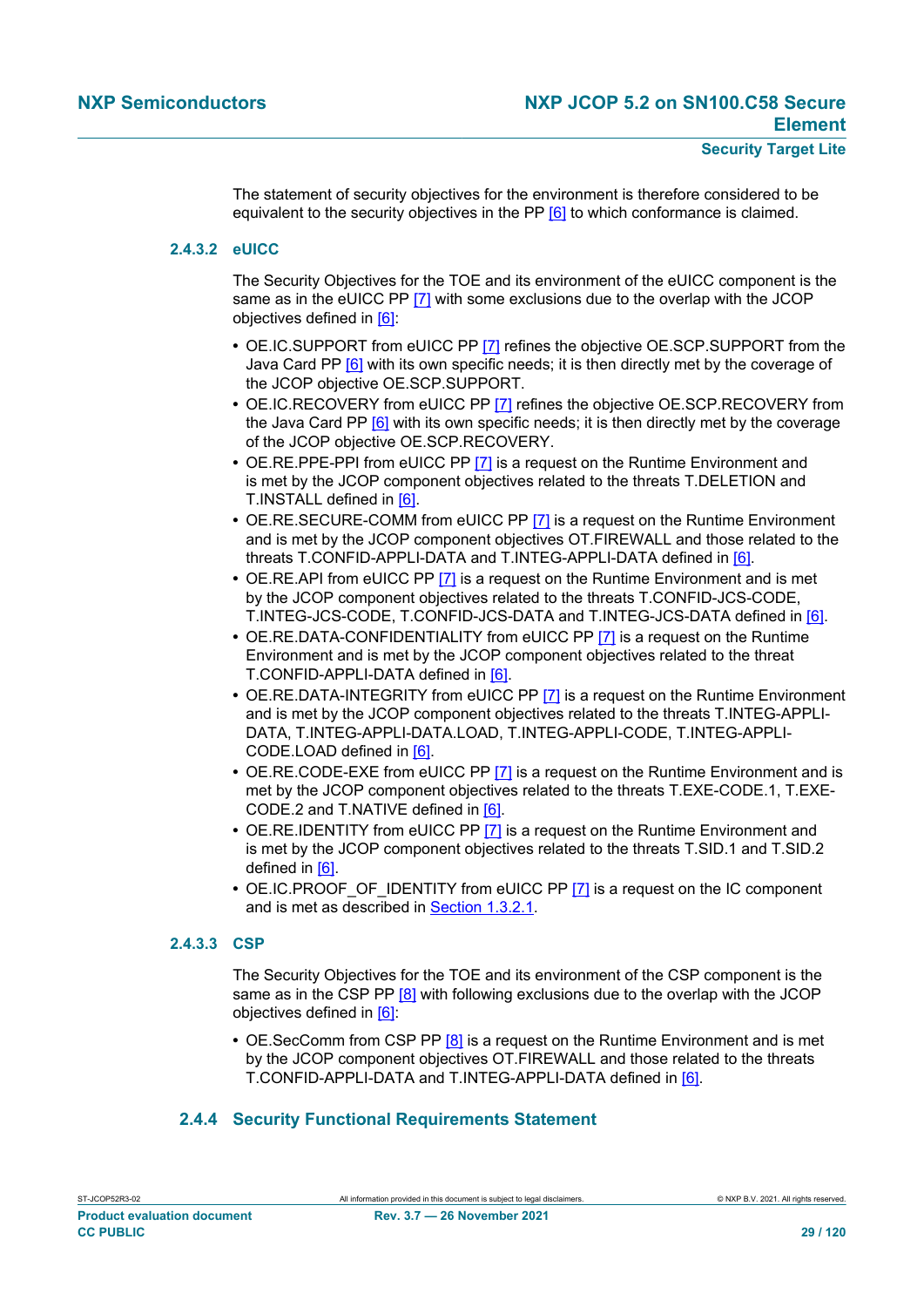The statement of security objectives for the environment is therefore considered to be equivalent to the security objectives in the PP [\[6\]](#page-112-6) to which conformance is claimed.

#### **2.4.3.2 eUICC**

The Security Objectives for the TOE and its environment of the eUICC component is the same as in the eUICC PP [\[7\]](#page-112-7) with some exclusions due to the overlap with the JCOP objectives defined in [\[6\]](#page-112-6):

- **•** OE.IC.SUPPORT from eUICC PP [\[7\]](#page-112-7) refines the objective OE.SCP.SUPPORT from the Java Card PP [\[6\]](#page-112-6) with its own specific needs; it is then directly met by the coverage of the JCOP objective OE.SCP.SUPPORT.
- **•** OE.IC.RECOVERY from eUICC PP [\[7\]](#page-112-7) refines the objective OE.SCP.RECOVERY from the Java Card PP [\[6\]](#page-112-6) with its own specific needs; it is then directly met by the coverage of the JCOP objective OE.SCP.RECOVERY.
- **•** OE.RE.PPE-PPI from eUICC PP [\[7\]](#page-112-7) is a request on the Runtime Environment and is met by the JCOP component objectives related to the threats T.DELETION and T.INSTALL defined in [\[6\].](#page-112-6)
- **•** OE.RE.SECURE-COMM from eUICC PP [\[7\]](#page-112-7) is a request on the Runtime Environment and is met by the JCOP component objectives OT.FIREWALL and those related to the threats T.CONFID-APPLI-DATA and T.INTEG-APPLI-DATA defined in [\[6\].](#page-112-6)
- **•** OE.RE.API from eUICC PP [\[7\]](#page-112-7) is a request on the Runtime Environment and is met by the JCOP component objectives related to the threats T.CONFID-JCS-CODE, T.INTEG-JCS-CODE, T.CONFID-JCS-DATA and T.INTEG-JCS-DATA defined in [\[6\].](#page-112-6)
- **•** OE.RE.DATA-CONFIDENTIALITY from eUICC PP [\[7\]](#page-112-7) is a request on the Runtime Environment and is met by the JCOP component objectives related to the threat T.CONFID-APPLI-DATA defined in [\[6\]](#page-112-6).
- **•** OE.RE.DATA-INTEGRITY from eUICC PP [\[7\]](#page-112-7) is a request on the Runtime Environment and is met by the JCOP component objectives related to the threats T.INTEG-APPLI-DATA, T.INTEG-APPLI-DATA.LOAD, T.INTEG-APPLI-CODE, T.INTEG-APPLI-CODE.LOAD defined in [\[6\]](#page-112-6).
- **•** OE.RE.CODE-EXE from eUICC PP [\[7\]](#page-112-7) is a request on the Runtime Environment and is met by the JCOP component objectives related to the threats T.EXE-CODE.1, T.EXE-CODE.2 and T.NATIVE defined in [\[6\].](#page-112-6)
- **•** OE.RE.IDENTITY from eUICC PP [\[7\]](#page-112-7) is a request on the Runtime Environment and is met by the JCOP component objectives related to the threats T.SID.1 and T.SID.2 defined in [\[6\].](#page-112-6)
- OE.IC.PROOF OF IDENTITY from eUICC PP [\[7\]](#page-112-7) is a request on the IC component and is met as described in [Section 1.3.2.1](#page-11-1).

#### **2.4.3.3 CSP**

The Security Objectives for the TOE and its environment of the CSP component is the same as in the CSP PP [\[8\]](#page-112-9) with following exclusions due to the overlap with the JCOP objectives defined in [\[6\]](#page-112-6):

**•** OE.SecComm from CSP PP [\[8\]](#page-112-9) is a request on the Runtime Environment and is met by the JCOP component objectives OT.FIREWALL and those related to the threats T.CONFID-APPLI-DATA and T.INTEG-APPLI-DATA defined in [\[6\]](#page-112-6).

### **2.4.4 Security Functional Requirements Statement**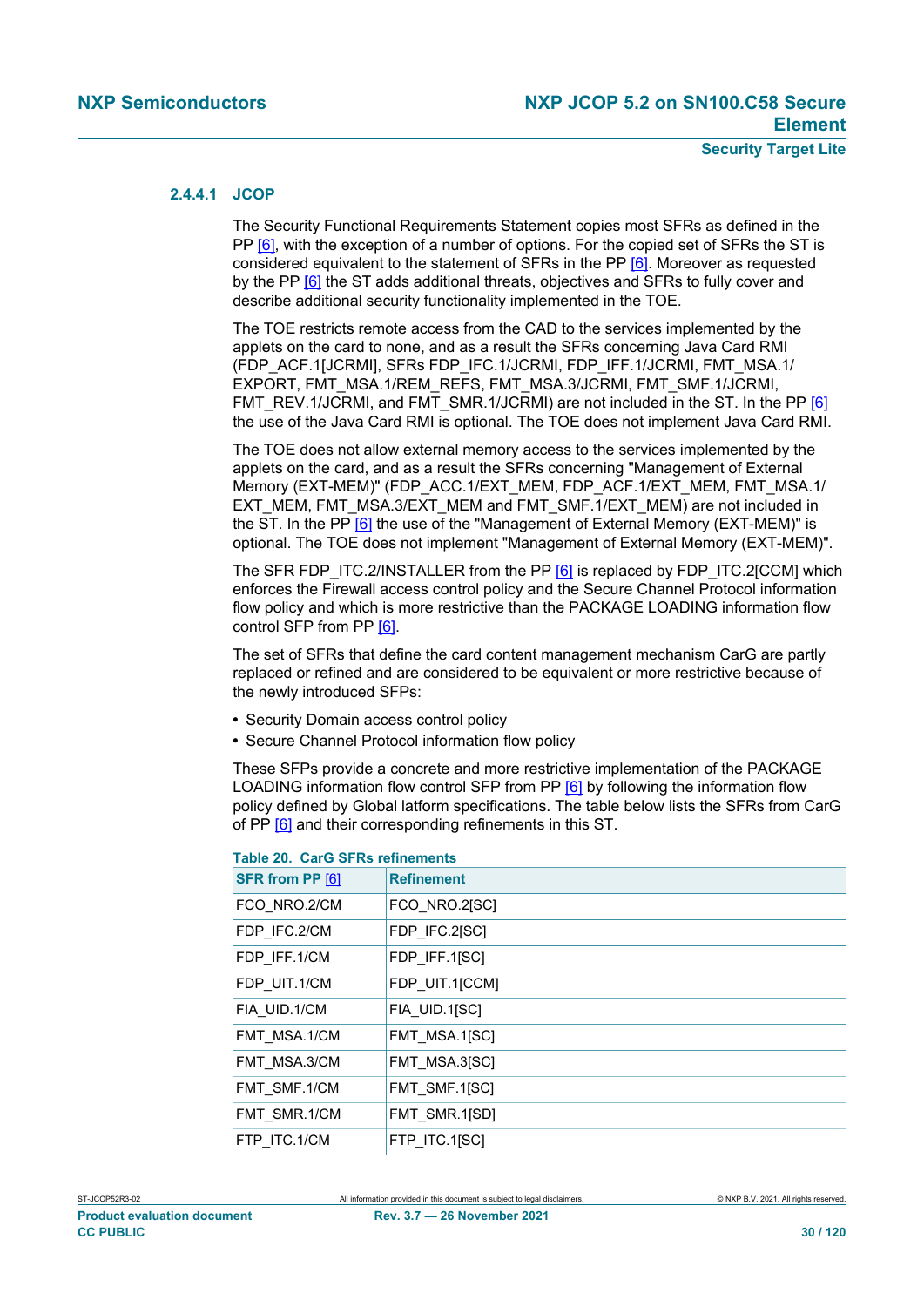#### **2.4.4.1 JCOP**

The Security Functional Requirements Statement copies most SFRs as defined in the PP [\[6\]](#page-112-6), with the exception of a number of options. For the copied set of SFRs the ST is considered equivalent to the statement of SFRs in the PP [\[6\].](#page-112-6) Moreover as requested by the PP [\[6\]](#page-112-6) the ST adds additional threats, objectives and SFRs to fully cover and describe additional security functionality implemented in the TOE.

The TOE restricts remote access from the CAD to the services implemented by the applets on the card to none, and as a result the SFRs concerning Java Card RMI (FDP\_ACF.1[JCRMI], SFRs FDP\_IFC.1/JCRMI, FDP\_IFF.1/JCRMI, FMT\_MSA.1/ EXPORT, FMT\_MSA.1/REM\_REFS, FMT\_MSA.3/JCRMI, FMT\_SMF.1/JCRMI, FMT\_REV.1/JCRMI, and FMT\_SMR.1/JCRMI) are not included in the ST. In the PP [\[6\]](#page-112-6) the use of the Java Card RMI is optional. The TOE does not implement Java Card RMI.

The TOE does not allow external memory access to the services implemented by the applets on the card, and as a result the SFRs concerning "Management of External Memory (EXT-MEM)" (FDP\_ACC.1/EXT\_MEM, FDP\_ACF.1/EXT\_MEM, FMT\_MSA.1/ EXT\_MEM, FMT\_MSA.3/EXT\_MEM and FMT\_SMF.1/EXT\_MEM) are not included in the ST. In the PP [\[6\]](#page-112-6) the use of the "Management of External Memory (EXT-MEM)" is optional. The TOE does not implement "Management of External Memory (EXT-MEM)".

The SFR FDP\_ITC.2/INSTALLER from the PP [\[6\]](#page-112-6) is replaced by FDP\_ITC.2[CCM] which enforces the Firewall access control policy and the Secure Channel Protocol information flow policy and which is more restrictive than the PACKAGE LOADING information flow control SFP from PP [\[6\].](#page-112-6)

The set of SFRs that define the card content management mechanism CarG are partly replaced or refined and are considered to be equivalent or more restrictive because of the newly introduced SFPs:

- **•** Security Domain access control policy
- **•** Secure Channel Protocol information flow policy

These SFPs provide a concrete and more restrictive implementation of the PACKAGE LOADING information flow control SFP from PP [\[6\]](#page-112-6) by following the information flow policy defined by Global latform specifications. The table below lists the SFRs from CarG of PP [\[6\]](#page-112-6) and their corresponding refinements in this ST.

| SFR from PP [6] | <b>Refinement</b> |
|-----------------|-------------------|
| FCO NRO.2/CM    | FCO NRO.2[SC]     |
| FDP IFC.2/CM    | FDP IFC.2[SC]     |
| FDP IFF.1/CM    | FDP IFF.1[SC]     |
| FDP UIT.1/CM    | FDP UIT.1[CCM]    |
| FIA UID.1/CM    | FIA UID.1[SC]     |
| FMT MSA.1/CM    | FMT MSA.1[SC]     |
| FMT MSA.3/CM    | FMT MSA.3[SC]     |
| FMT SMF.1/CM    | FMT SMF.1[SC]     |
| FMT SMR.1/CM    | FMT SMR.1[SD]     |
| FTP ITC.1/CM    | FTP ITC.1[SC]     |
|                 |                   |

#### <span id="page-29-0"></span>**Table 20. CarG SFRs refinements**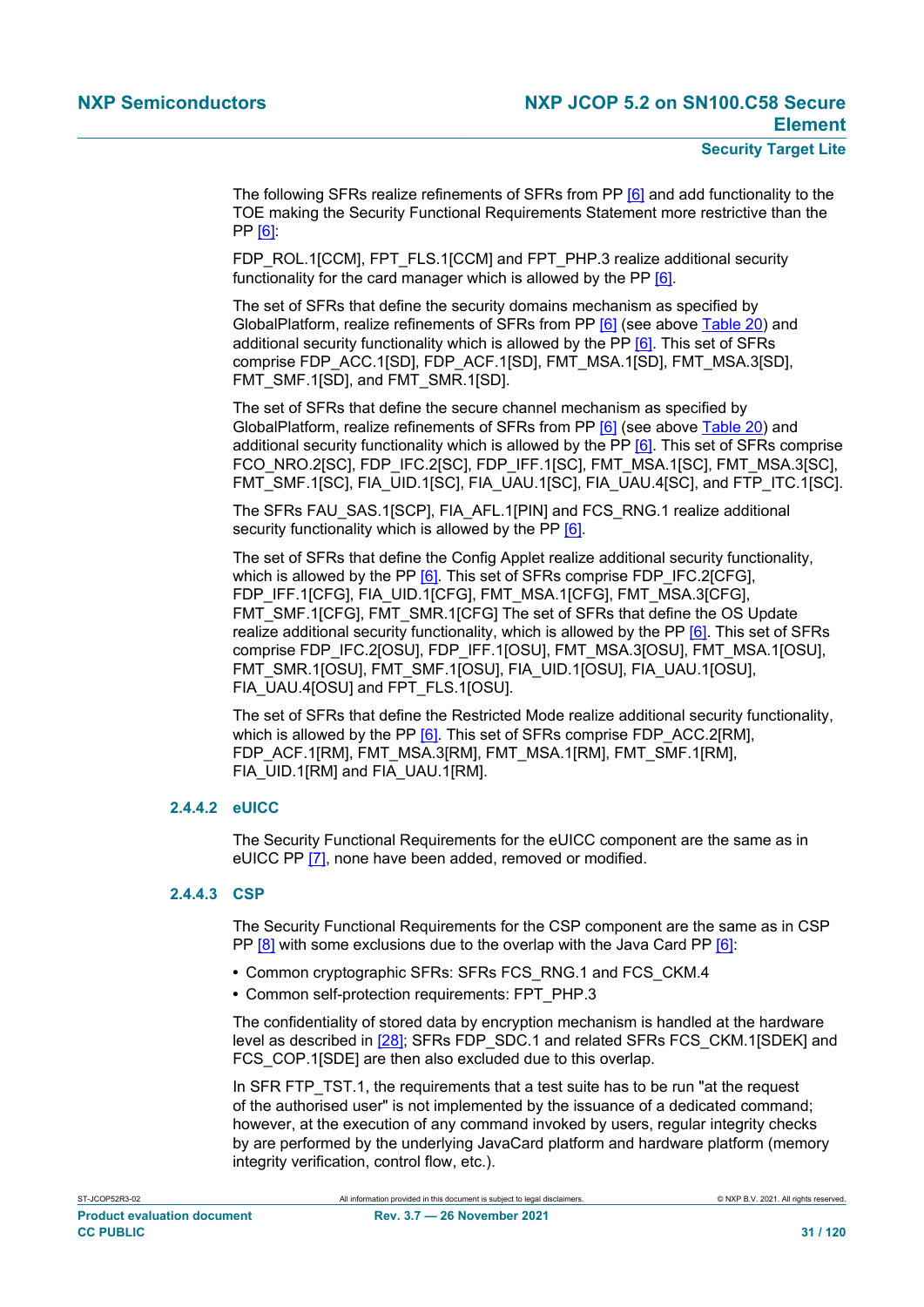The following SFRs realize refinements of SFRs from PP [\[6\]](#page-112-6) and add functionality to the TOE making the Security Functional Requirements Statement more restrictive than the PP [\[6\]](#page-112-6):

FDP\_ROL.1[CCM], FPT\_FLS.1[CCM] and FPT\_PHP.3 realize additional security functionality for the card manager which is allowed by the PP [\[6\]](#page-112-6).

The set of SFRs that define the security domains mechanism as specified by GlobalPlatform, realize refinements of SFRs from PP [\[6\]](#page-112-6) (see above [Table 20\)](#page-29-0) and additional security functionality which is allowed by the PP [\[6\]](#page-112-6). This set of SFRs comprise FDP\_ACC.1[SD], FDP\_ACF.1[SD], FMT\_MSA.1[SD], FMT\_MSA.3[SD], FMT\_SMF.1[SD], and FMT\_SMR.1[SD].

The set of SFRs that define the secure channel mechanism as specified by GlobalPlatform, realize refinements of SFRs from PP [\[6\]](#page-112-6) (see above [Table 20\)](#page-29-0) and additional security functionality which is allowed by the PP [\[6\]](#page-112-6). This set of SFRs comprise FCO\_NRO.2[SC], FDP\_IFC.2[SC], FDP\_IFF.1[SC], FMT\_MSA.1[SC], FMT\_MSA.3[SC], FMT\_SMF.1[SC], FIA\_UID.1[SC], FIA\_UAU.1[SC], FIA\_UAU.4[SC], and FTP\_ITC.1[SC].

The SFRs FAU\_SAS.1[SCP], FIA\_AFL.1[PIN] and FCS\_RNG.1 realize additional security functionality which is allowed by the PP [\[6\].](#page-112-6)

The set of SFRs that define the Config Applet realize additional security functionality, which is allowed by the PP [\[6\]](#page-112-6). This set of SFRs comprise FDP\_IFC.2[CFG], FDP\_IFF.1[CFG], FIA\_UID.1[CFG], FMT\_MSA.1[CFG], FMT\_MSA.3[CFG], FMT\_SMF.1[CFG], FMT\_SMR.1[CFG] The set of SFRs that define the OS Update realize additional security functionality, which is allowed by the PP [\[6\]](#page-112-6). This set of SFRs comprise FDP\_IFC.2[OSU], FDP\_IFF.1[OSU], FMT\_MSA.3[OSU], FMT\_MSA.1[OSU], FMT\_SMR.1[OSU], FMT\_SMF.1[OSU], FIA\_UID.1[OSU], FIA\_UAU.1[OSU], FIA\_UAU.4[OSU] and FPT\_FLS.1[OSU].

The set of SFRs that define the Restricted Mode realize additional security functionality, which is allowed by the PP [\[6\]](#page-112-6). This set of SFRs comprise FDP\_ACC.2[RM], FDP\_ACF.1[RM], FMT\_MSA.3[RM], FMT\_MSA.1[RM], FMT\_SMF.1[RM], FIA\_UID.1[RM] and FIA\_UAU.1[RM].

#### **2.4.4.2 eUICC**

The Security Functional Requirements for the eUICC component are the same as in eUICC PP [\[7\],](#page-112-7) none have been added, removed or modified.

#### **2.4.4.3 CSP**

The Security Functional Requirements for the CSP component are the same as in CSP PP [\[8\]](#page-112-9) with some exclusions due to the overlap with the Java Card PP [\[6\]:](#page-112-6)

- **•** Common cryptographic SFRs: SFRs FCS\_RNG.1 and FCS\_CKM.4
- **•** Common self-protection requirements: FPT\_PHP.3

The confidentiality of stored data by encryption mechanism is handled at the hardware level as described in [\[28\];](#page-113-7) SFRs FDP\_SDC.1 and related SFRs FCS\_CKM.1[SDEK] and FCS COP.1[SDE] are then also excluded due to this overlap.

In SFR FTP TST.1, the requirements that a test suite has to be run "at the request of the authorised user" is not implemented by the issuance of a dedicated command; however, at the execution of any command invoked by users, regular integrity checks by are performed by the underlying JavaCard platform and hardware platform (memory integrity verification, control flow, etc.).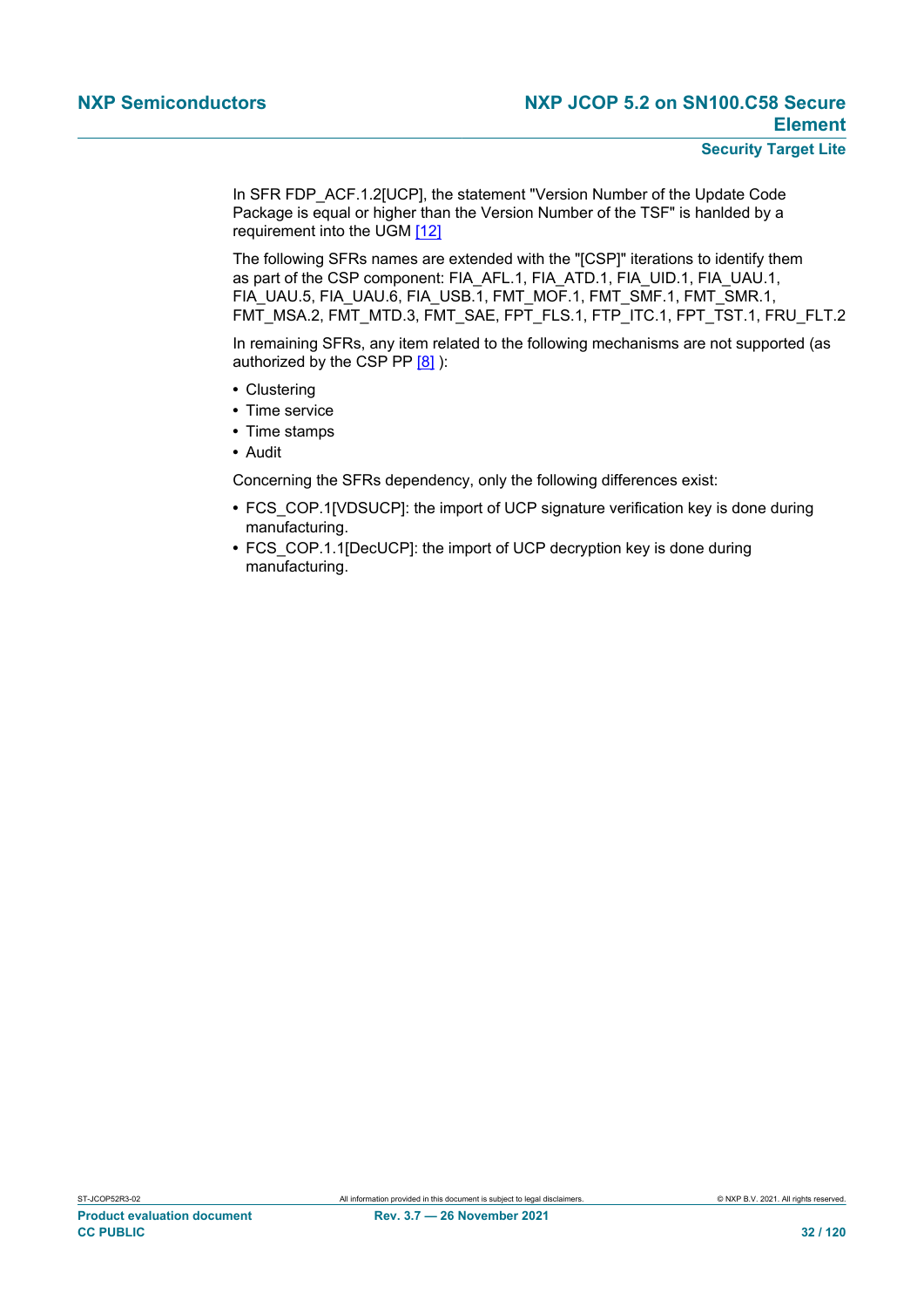#### **Security Target Lite**

In SFR FDP\_ACF.1.2[UCP], the statement "Version Number of the Update Code Package is equal or higher than the Version Number of the TSF" is hanlded by a requirement into the UGM [\[12\]](#page-112-11)

The following SFRs names are extended with the "[CSP]" iterations to identify them as part of the CSP component: FIA\_AFL.1, FIA\_ATD.1, FIA\_UID.1, FIA\_UAU.1, FIA\_UAU.5, FIA\_UAU.6, FIA\_USB.1, FMT\_MOF.1, FMT\_SMF.1, FMT\_SMR.1, FMT\_MSA.2, FMT\_MTD.3, FMT\_SAE, FPT\_FLS.1, FTP\_ITC.1, FPT\_TST.1, FRU\_FLT.2

In remaining SFRs, any item related to the following mechanisms are not supported (as authorized by the CSP PP  $[8]$ ):

- **•** Clustering
- **•** Time service
- **•** Time stamps
- **•** Audit

Concerning the SFRs dependency, only the following differences exist:

- **•** FCS\_COP.1[VDSUCP]: the import of UCP signature verification key is done during manufacturing.
- **•** FCS\_COP.1.1[DecUCP]: the import of UCP decryption key is done during manufacturing.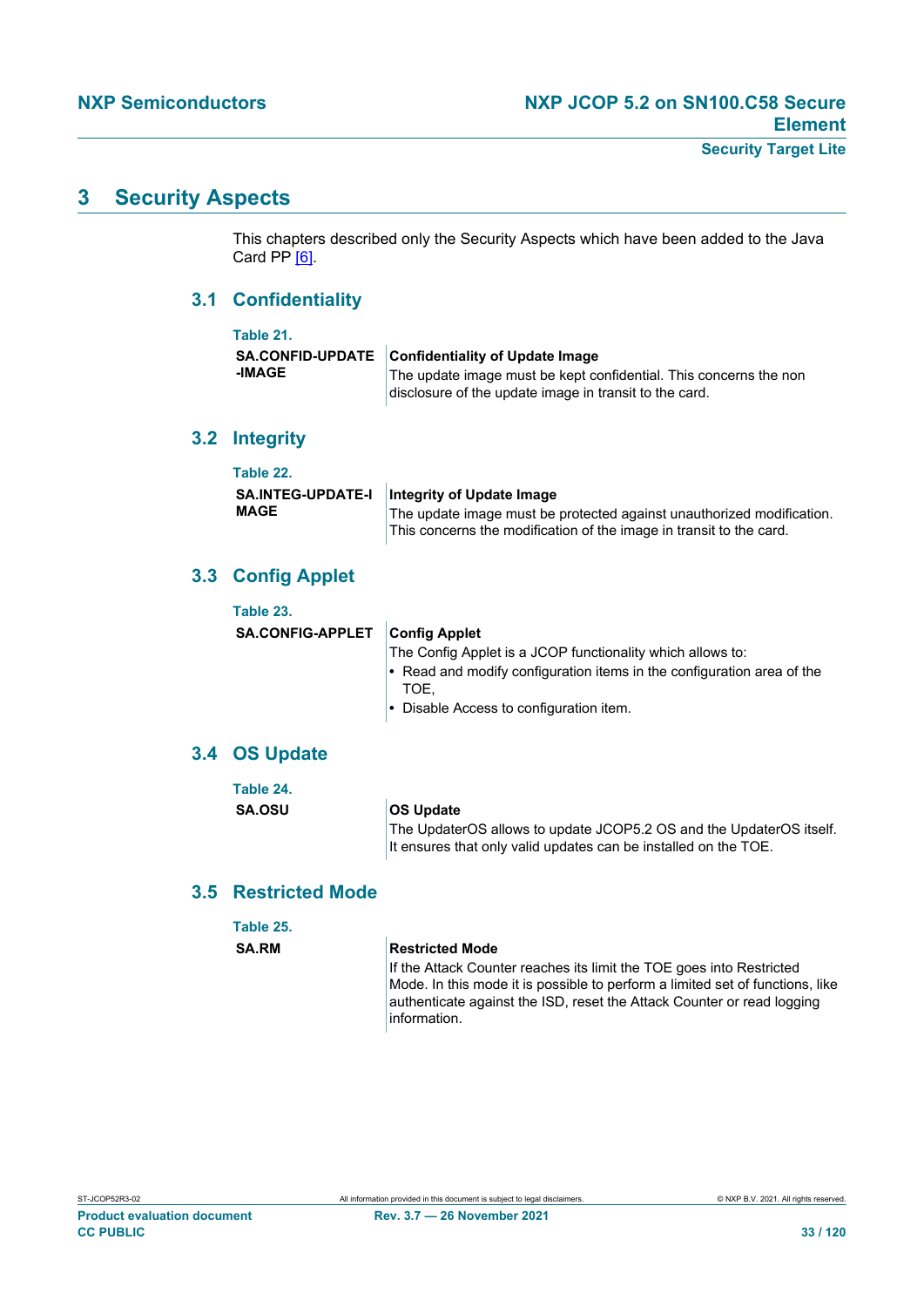### **3 Security Aspects**

This chapters described only the Security Aspects which have been added to the Java Card PP [\[6\].](#page-112-6)

### **3.1 Confidentiality**

| Table 21. |                                                                                                                                                                                 |
|-----------|---------------------------------------------------------------------------------------------------------------------------------------------------------------------------------|
| -IMAGE    | SA.CONFID-UPDATE Confidentiality of Update Image<br>The update image must be kept confidential. This concerns the non<br>disclosure of the update image in transit to the card. |

### **3.2 Integrity**

| Table 22.                |                                                                       |
|--------------------------|-----------------------------------------------------------------------|
| <b>SA.INTEG-UPDATE-I</b> | Integrity of Update Image                                             |
| <b>MAGE</b>              | The update image must be protected against unauthorized modification. |
|                          | This concerns the modification of the image in transit to the card.   |

### **3.3 Config Applet**

| Table 23.                      |                                                                                      |
|--------------------------------|--------------------------------------------------------------------------------------|
| SA.CONFIG-APPLET Config Applet |                                                                                      |
|                                | The Config Applet is a JCOP functionality which allows to:                           |
|                                | $\cdot$ Read and modify configuration items in the configuration area of the<br>TOE. |
|                                | • Disable Access to configuration item.                                              |
|                                |                                                                                      |

#### **3.4 OS Update**

| Table 24.                                                                            |
|--------------------------------------------------------------------------------------|
| <b>SA.OSU</b><br>The UpdaterOS allows to update JCOP5.2 OS and the UpdaterOS itself. |

### **3.5 Restricted Mode**

| Table 25.    |                                                                                                                                                                                                                                                 |
|--------------|-------------------------------------------------------------------------------------------------------------------------------------------------------------------------------------------------------------------------------------------------|
| <b>SA.RM</b> | <b>Restricted Mode</b>                                                                                                                                                                                                                          |
|              | If the Attack Counter reaches its limit the TOE goes into Restricted<br>Mode. In this mode it is possible to perform a limited set of functions, like<br>authenticate against the ISD, reset the Attack Counter or read logging<br>information. |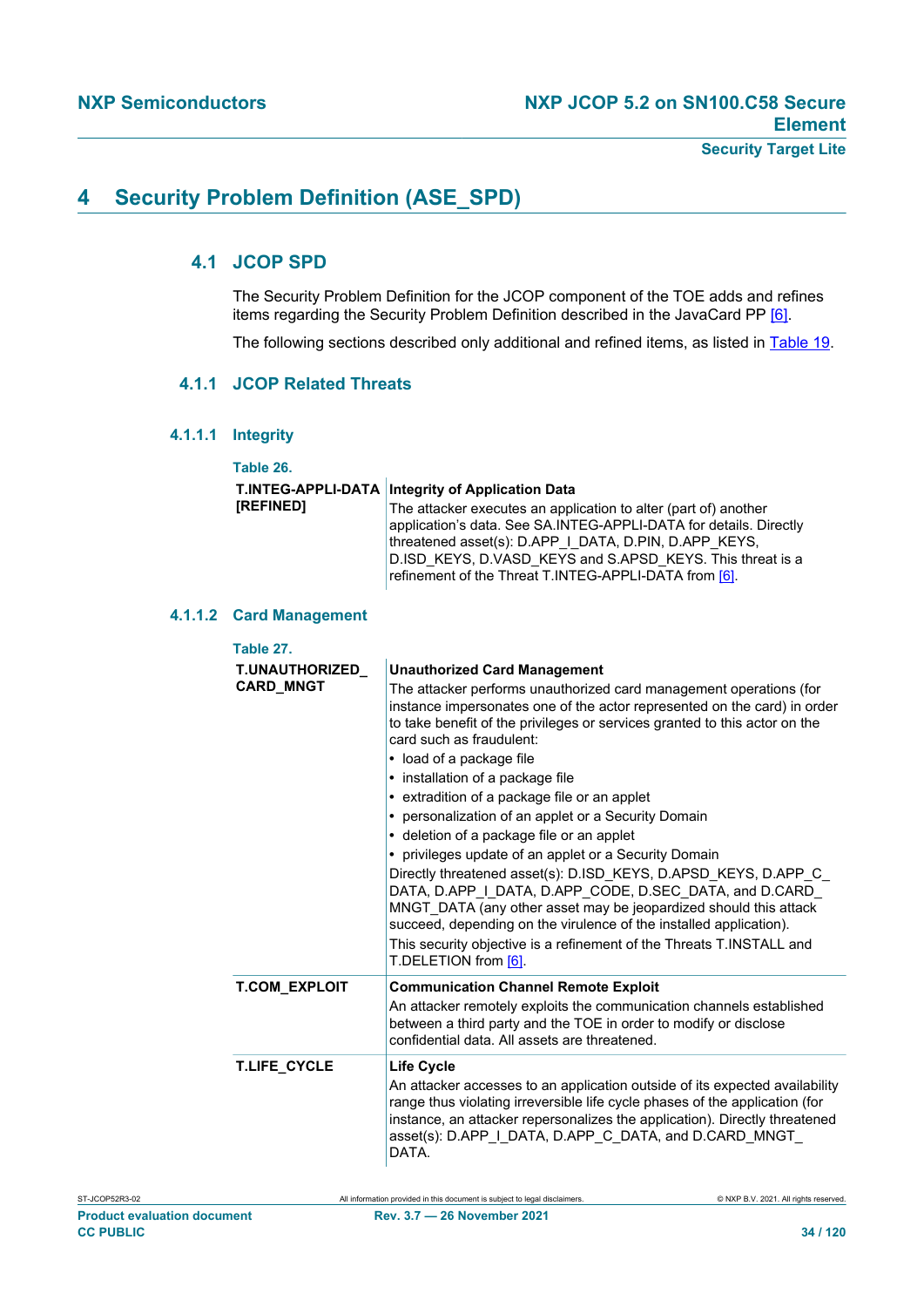### <span id="page-33-0"></span>**4 Security Problem Definition (ASE\_SPD)**

### **4.1 JCOP SPD**

The Security Problem Definition for the JCOP component of the TOE adds and refines items regarding the Security Problem Definition described in the JavaCard PP [\[6\].](#page-112-6)

The following sections described only additional and refined items, as listed in [Table 19.](#page-24-0)

#### **4.1.1 JCOP Related Threats**

**4.1.1.1 Integrity**

**Table 26.**

#### **T.INTEG-APPLI-DATA Integrity of Application Data [REFINED]**

The attacker executes an application to alter (part of) another application's data. See SA.INTEG-APPLI-DATA for details. Directly threatened asset(s): D.APP\_I\_DATA, D.PIN, D.APP\_KEYS, D.ISD\_KEYS, D.VASD\_KEYS and S.APSD\_KEYS. This threat is a refinement of the Threat T.INTEG-APPLI-DATA from [\[6\]](#page-112-6).

#### **4.1.1.2 Card Management**

| Table 27.                                 |                                                                                                                                                                                                                                                                                                                                                                                                                                                                                                                                                                                                                                                                                                                                                                                                                                                                                                                                                    |  |
|-------------------------------------------|----------------------------------------------------------------------------------------------------------------------------------------------------------------------------------------------------------------------------------------------------------------------------------------------------------------------------------------------------------------------------------------------------------------------------------------------------------------------------------------------------------------------------------------------------------------------------------------------------------------------------------------------------------------------------------------------------------------------------------------------------------------------------------------------------------------------------------------------------------------------------------------------------------------------------------------------------|--|
| <b>T.UNAUTHORIZED</b><br><b>CARD_MNGT</b> | <b>Unauthorized Card Management</b><br>The attacker performs unauthorized card management operations (for<br>instance impersonates one of the actor represented on the card) in order<br>to take benefit of the privileges or services granted to this actor on the<br>card such as fraudulent:<br>• load of a package file<br>• installation of a package file<br>• extradition of a package file or an applet<br>• personalization of an applet or a Security Domain<br>• deletion of a package file or an applet<br>• privileges update of an applet or a Security Domain<br>Directly threatened asset(s): D.ISD KEYS, D.APSD KEYS, D.APP C<br>DATA, D.APP I DATA, D.APP CODE, D.SEC DATA, and D.CARD<br>MNGT DATA (any other asset may be jeopardized should this attack<br>succeed, depending on the virulence of the installed application).<br>This security objective is a refinement of the Threats T.INSTALL and<br>T.DELETION from [6]. |  |
| <b>T.COM_EXPLOIT</b>                      | <b>Communication Channel Remote Exploit</b><br>An attacker remotely exploits the communication channels established<br>between a third party and the TOE in order to modify or disclose<br>confidential data. All assets are threatened.                                                                                                                                                                                                                                                                                                                                                                                                                                                                                                                                                                                                                                                                                                           |  |
| <b>T.LIFE_CYCLE</b>                       | <b>Life Cycle</b><br>An attacker accesses to an application outside of its expected availability<br>range thus violating irreversible life cycle phases of the application (for<br>instance, an attacker repersonalizes the application). Directly threatened<br>asset(s): D.APP I DATA, D.APP C DATA, and D.CARD MNGT<br>DATA.                                                                                                                                                                                                                                                                                                                                                                                                                                                                                                                                                                                                                    |  |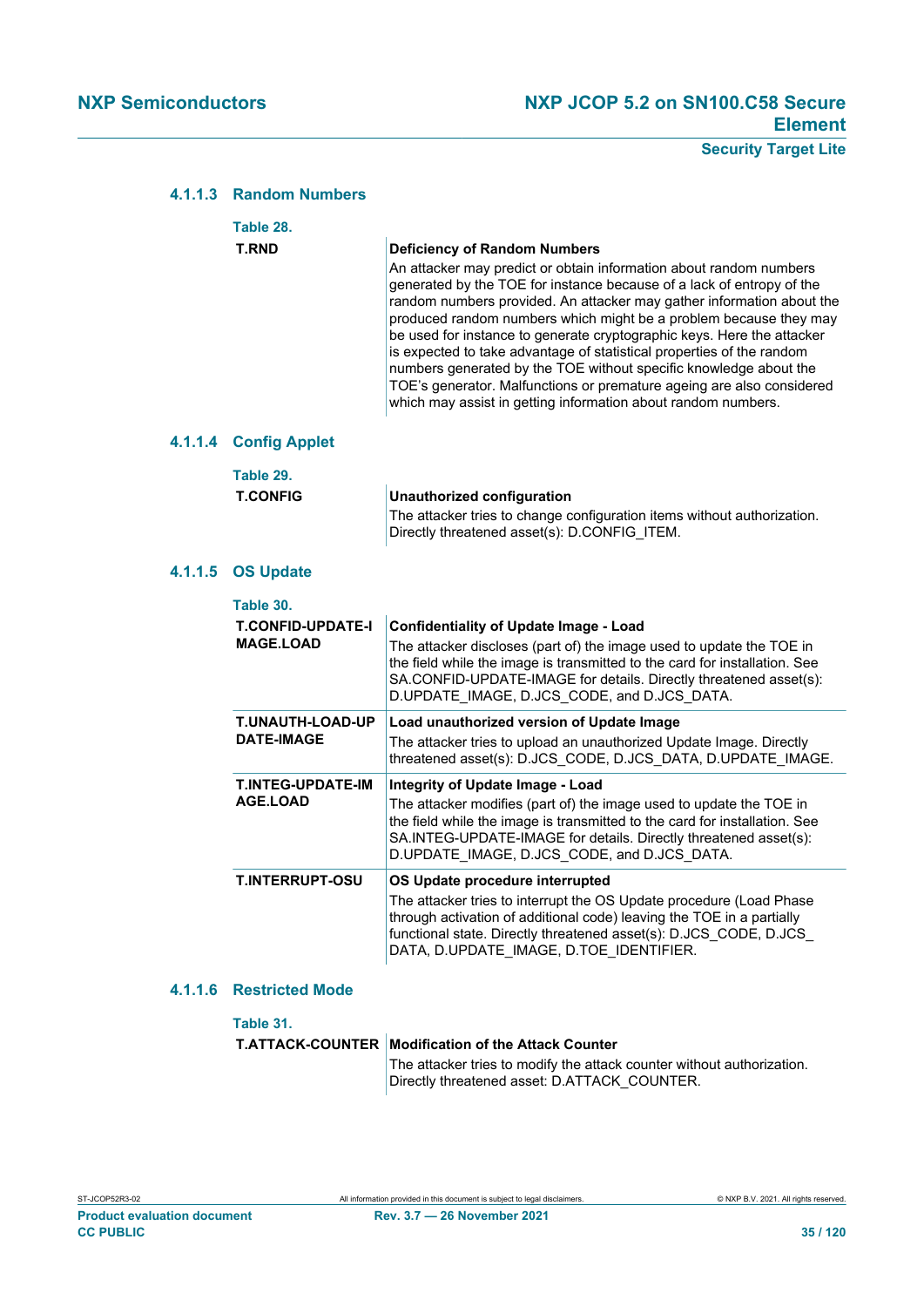#### **4.1.1.3 Random Numbers**

|  | Table 28.                                    |                                                                                                                                                                                                                                                                                                                                                                                                                                                                                                                                                                                                                                                                                                    |
|--|----------------------------------------------|----------------------------------------------------------------------------------------------------------------------------------------------------------------------------------------------------------------------------------------------------------------------------------------------------------------------------------------------------------------------------------------------------------------------------------------------------------------------------------------------------------------------------------------------------------------------------------------------------------------------------------------------------------------------------------------------------|
|  | <b>T.RND</b>                                 | <b>Deficiency of Random Numbers</b><br>An attacker may predict or obtain information about random numbers<br>generated by the TOE for instance because of a lack of entropy of the<br>random numbers provided. An attacker may gather information about the<br>produced random numbers which might be a problem because they may<br>be used for instance to generate cryptographic keys. Here the attacker<br>is expected to take advantage of statistical properties of the random<br>numbers generated by the TOE without specific knowledge about the<br>TOE's generator. Malfunctions or premature ageing are also considered<br>which may assist in getting information about random numbers. |
|  | 4.1.1.4 Config Applet                        |                                                                                                                                                                                                                                                                                                                                                                                                                                                                                                                                                                                                                                                                                                    |
|  | Table 29.<br><b>T.CONFIG</b>                 | <b>Unauthorized configuration</b><br>The attacker tries to change configuration items without authorization.<br>Directly threatened asset(s): D.CONFIG ITEM.                                                                                                                                                                                                                                                                                                                                                                                                                                                                                                                                       |
|  | 4.1.1.5 OS Update                            |                                                                                                                                                                                                                                                                                                                                                                                                                                                                                                                                                                                                                                                                                                    |
|  | Table 30.                                    |                                                                                                                                                                                                                                                                                                                                                                                                                                                                                                                                                                                                                                                                                                    |
|  | <b>T.CONFID-UPDATE-I</b><br><b>MAGE.LOAD</b> | <b>Confidentiality of Update Image - Load</b><br>The attacker discloses (part of) the image used to update the TOE in<br>the field while the image is transmitted to the card for installation. See<br>SA.CONFID-UPDATE-IMAGE for details. Directly threatened asset(s):<br>D.UPDATE IMAGE, D.JCS CODE, and D.JCS DATA.                                                                                                                                                                                                                                                                                                                                                                            |
|  | <b>T.UNAUTH-LOAD-UP</b><br><b>DATE-IMAGE</b> | Load unauthorized version of Update Image<br>The attacker tries to upload an unauthorized Update Image. Directly<br>threatened asset(s): D.JCS CODE, D.JCS DATA, D.UPDATE IMAGE.                                                                                                                                                                                                                                                                                                                                                                                                                                                                                                                   |
|  | <b>T.INTEG-UPDATE-IM</b><br><b>AGE.LOAD</b>  | Integrity of Update Image - Load<br>The attacker modifies (part of) the image used to update the TOE in<br>the field while the image is transmitted to the card for installation. See<br>SA.INTEG-UPDATE-IMAGE for details. Directly threatened asset(s):<br>D.UPDATE_IMAGE, D.JCS_CODE, and D.JCS_DATA.                                                                                                                                                                                                                                                                                                                                                                                           |
|  | <b>T.INTERRUPT-OSU</b>                       | OS Update procedure interrupted<br>The attacker tries to interrupt the OS Update procedure (Load Phase<br>through activation of additional code) leaving the TOE in a partially<br>functional state. Directly threatened asset(s): D.JCS CODE, D.JCS<br>DATA, D.UPDATE_IMAGE, D.TOE_IDENTIFIER.                                                                                                                                                                                                                                                                                                                                                                                                    |

#### **4.1.1.6 Restricted Mode**

**Table 31.**

| <b>T.ATTACK-COUNTER   Modification of the Attack Counter</b>                                                           |
|------------------------------------------------------------------------------------------------------------------------|
| The attacker tries to modify the attack counter without authorization.<br>Directly threatened asset: D.ATTACK COUNTER. |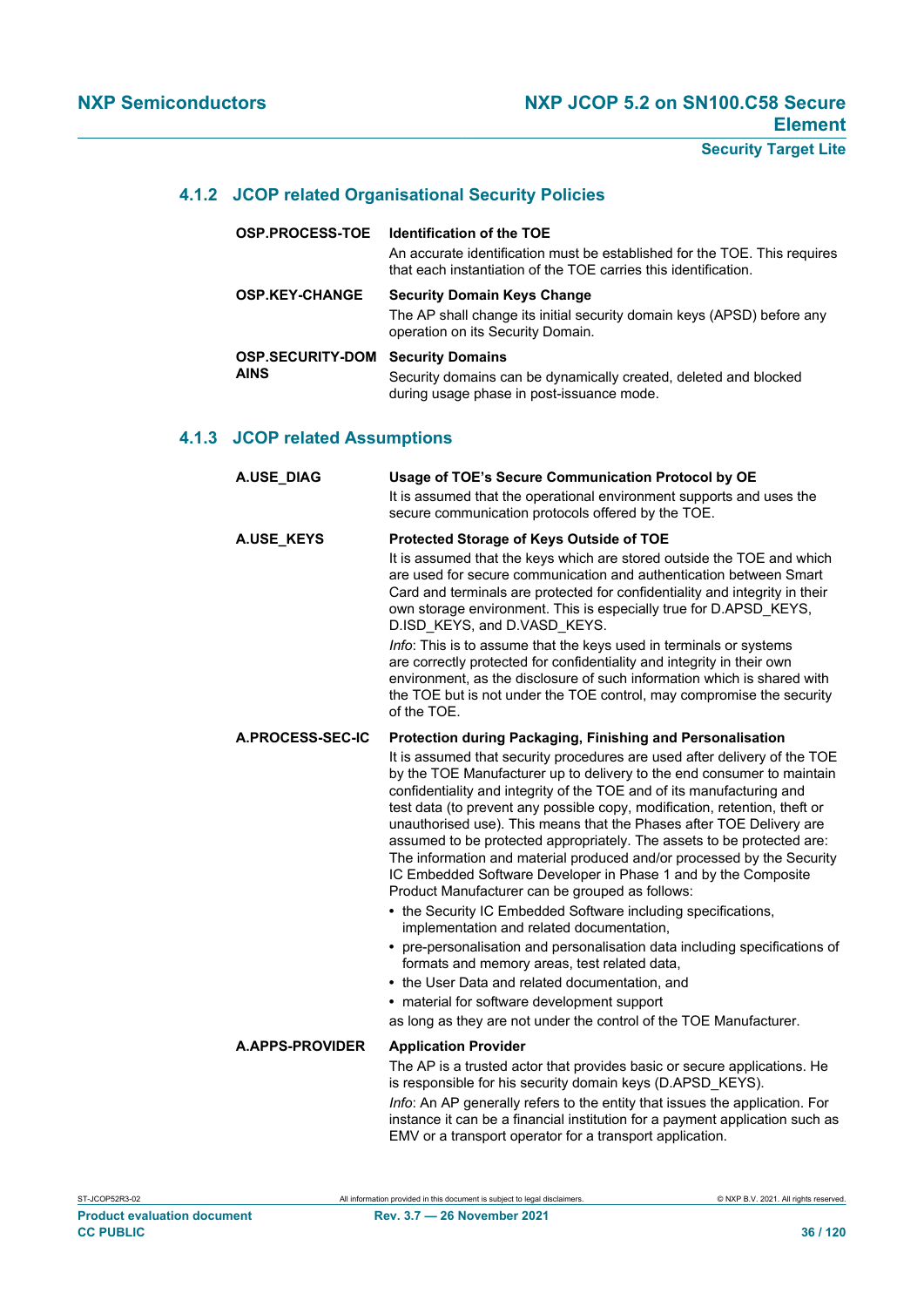#### **4.1.2 JCOP related Organisational Security Policies**

| <b>OSP.PROCESS-TOE</b>                 | <b>Identification of the TOE</b><br>An accurate identification must be established for the TOE. This requires<br>that each instantiation of the TOE carries this identification. |
|----------------------------------------|----------------------------------------------------------------------------------------------------------------------------------------------------------------------------------|
| <b>OSP.KEY-CHANGE</b>                  | <b>Security Domain Keys Change</b><br>The AP shall change its initial security domain keys (APSD) before any<br>operation on its Security Domain.                                |
| <b>OSP.SECURITY-DOM</b><br><b>AINS</b> | <b>Security Domains</b><br>Security domains can be dynamically created, deleted and blocked<br>during usage phase in post-issuance mode.                                         |

#### **4.1.3 JCOP related Assumptions**

| A.USE_DIAG             | Usage of TOE's Secure Communication Protocol by OE                                                                                                                                                                                                                                                                                                                                                                                                                                                                                                                                                                                                                                                                                                                                                                                                                                                                                                                                                                                                                                                                                           |
|------------------------|----------------------------------------------------------------------------------------------------------------------------------------------------------------------------------------------------------------------------------------------------------------------------------------------------------------------------------------------------------------------------------------------------------------------------------------------------------------------------------------------------------------------------------------------------------------------------------------------------------------------------------------------------------------------------------------------------------------------------------------------------------------------------------------------------------------------------------------------------------------------------------------------------------------------------------------------------------------------------------------------------------------------------------------------------------------------------------------------------------------------------------------------|
|                        | It is assumed that the operational environment supports and uses the<br>secure communication protocols offered by the TOE.                                                                                                                                                                                                                                                                                                                                                                                                                                                                                                                                                                                                                                                                                                                                                                                                                                                                                                                                                                                                                   |
| A.USE_KEYS             | Protected Storage of Keys Outside of TOE<br>It is assumed that the keys which are stored outside the TOE and which<br>are used for secure communication and authentication between Smart<br>Card and terminals are protected for confidentiality and integrity in their<br>own storage environment. This is especially true for D.APSD KEYS,<br>D.ISD KEYS, and D.VASD KEYS.<br>Info: This is to assume that the keys used in terminals or systems<br>are correctly protected for confidentiality and integrity in their own<br>environment, as the disclosure of such information which is shared with<br>the TOE but is not under the TOE control, may compromise the security<br>of the TOE.                                                                                                                                                                                                                                                                                                                                                                                                                                              |
| A.PROCESS-SEC-IC       | Protection during Packaging, Finishing and Personalisation<br>It is assumed that security procedures are used after delivery of the TOE<br>by the TOE Manufacturer up to delivery to the end consumer to maintain<br>confidentiality and integrity of the TOE and of its manufacturing and<br>test data (to prevent any possible copy, modification, retention, theft or<br>unauthorised use). This means that the Phases after TOE Delivery are<br>assumed to be protected appropriately. The assets to be protected are:<br>The information and material produced and/or processed by the Security<br>IC Embedded Software Developer in Phase 1 and by the Composite<br>Product Manufacturer can be grouped as follows:<br>• the Security IC Embedded Software including specifications,<br>implementation and related documentation,<br>• pre-personalisation and personalisation data including specifications of<br>formats and memory areas, test related data,<br>• the User Data and related documentation, and<br>• material for software development support<br>as long as they are not under the control of the TOE Manufacturer. |
| <b>A.APPS-PROVIDER</b> | <b>Application Provider</b><br>The AP is a trusted actor that provides basic or secure applications. He<br>is responsible for his security domain keys (D.APSD KEYS).<br>Info: An AP generally refers to the entity that issues the application. For<br>instance it can be a financial institution for a payment application such as                                                                                                                                                                                                                                                                                                                                                                                                                                                                                                                                                                                                                                                                                                                                                                                                         |

EMV or a transport operator for a transport application.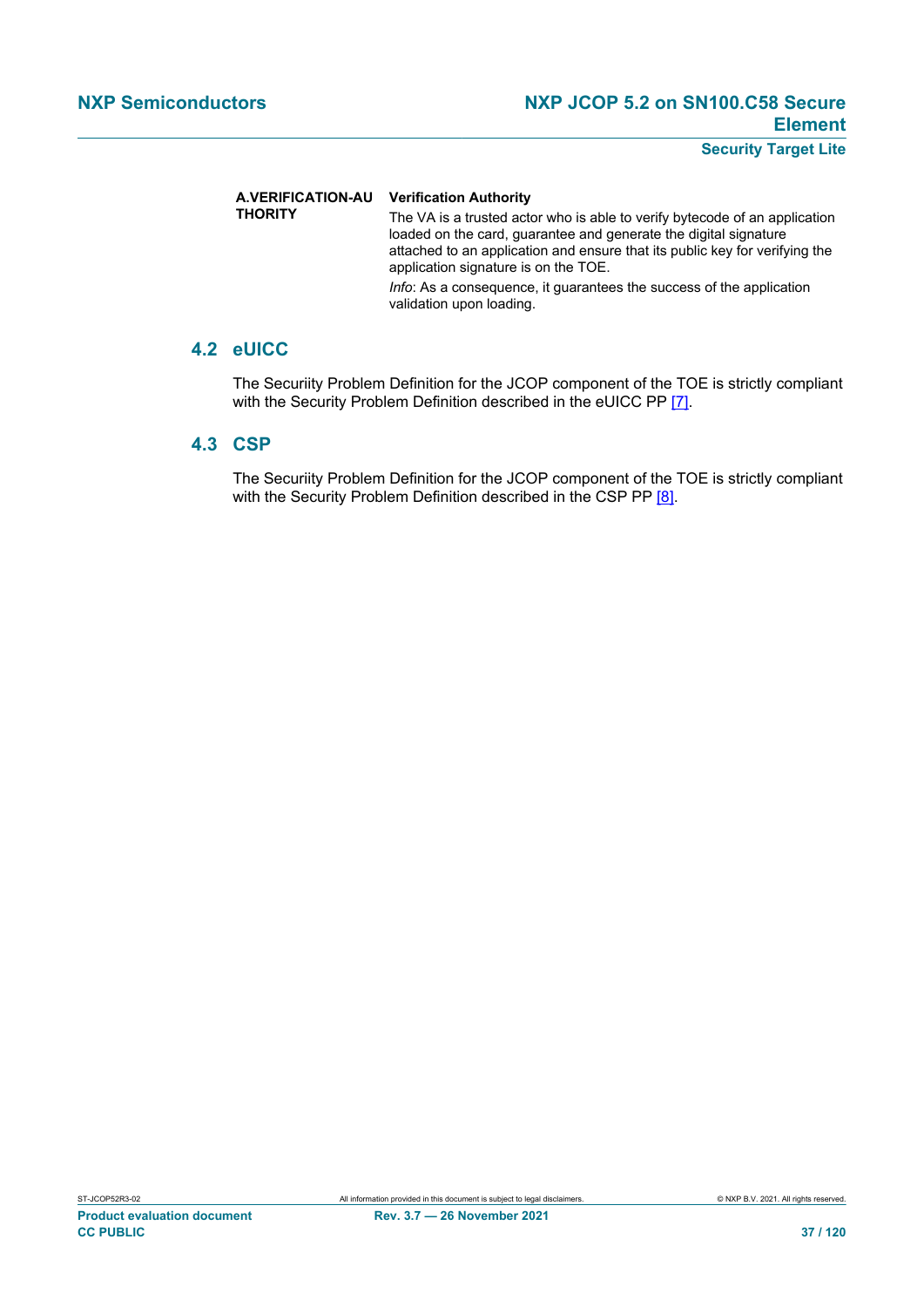#### **A.VERIFICATION-AU Verification Authority**

**THORITY** The VA is a trusted actor who is able to verify bytecode of an application loaded on the card, guarantee and generate the digital signature attached to an application and ensure that its public key for verifying the application signature is on the TOE. *Info*: As a consequence, it guarantees the success of the application validation upon loading.

# **4.2 eUICC**

The Securiity Problem Definition for the JCOP component of the TOE is strictly compliant with the Security Problem Definition described in the eUICC PP [\[7\].](#page-112-0)

# **4.3 CSP**

The Securiity Problem Definition for the JCOP component of the TOE is strictly compliant with the Security Problem Definition described in the CSP PP [\[8\]](#page-112-1).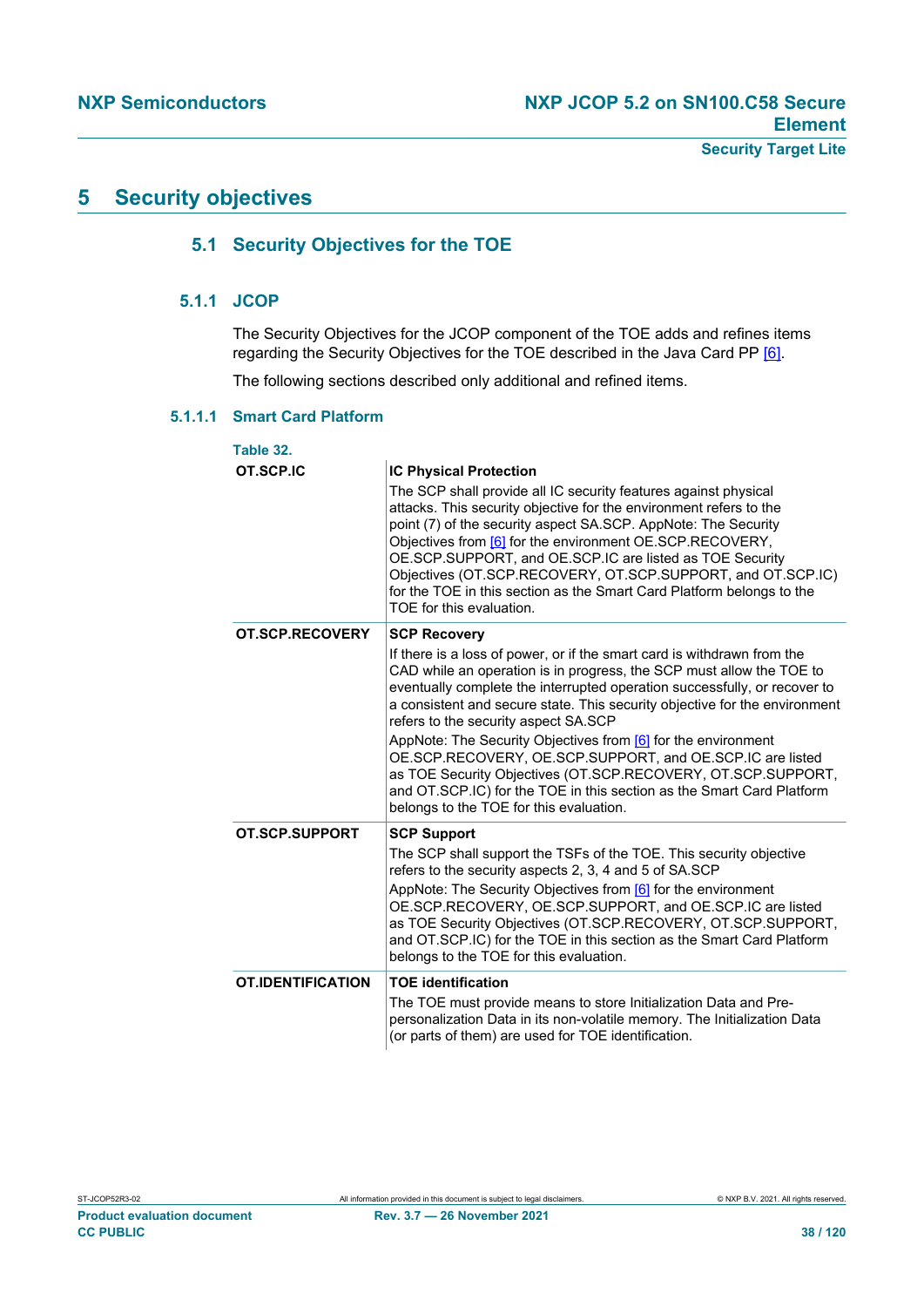# **5 Security objectives**

# **5.1 Security Objectives for the TOE**

# **5.1.1 JCOP**

The Security Objectives for the JCOP component of the TOE adds and refines items regarding the Security Objectives for the TOE described in the Java Card PP [\[6\]](#page-112-2).

The following sections described only additional and refined items.

## **5.1.1.1 Smart Card Platform**

| Table 32.                |                                                                                                                                                                                                                                                                                                                                                                                                                                                                                                                                                                                                                                                                                             |
|--------------------------|---------------------------------------------------------------------------------------------------------------------------------------------------------------------------------------------------------------------------------------------------------------------------------------------------------------------------------------------------------------------------------------------------------------------------------------------------------------------------------------------------------------------------------------------------------------------------------------------------------------------------------------------------------------------------------------------|
| OT.SCP.IC                | <b>IC Physical Protection</b><br>The SCP shall provide all IC security features against physical<br>attacks. This security objective for the environment refers to the<br>point (7) of the security aspect SA.SCP. AppNote: The Security<br>Objectives from [6] for the environment OE.SCP.RECOVERY,<br>OE.SCP.SUPPORT, and OE.SCP.IC are listed as TOE Security<br>Objectives (OT.SCP.RECOVERY, OT.SCP.SUPPORT, and OT.SCP.IC)<br>for the TOE in this section as the Smart Card Platform belongs to the<br>TOE for this evaluation.                                                                                                                                                        |
| OT.SCP.RECOVERY          | <b>SCP Recovery</b><br>If there is a loss of power, or if the smart card is withdrawn from the<br>CAD while an operation is in progress, the SCP must allow the TOE to<br>eventually complete the interrupted operation successfully, or recover to<br>a consistent and secure state. This security objective for the environment<br>refers to the security aspect SA.SCP<br>AppNote: The Security Objectives from [6] for the environment<br>OE.SCP.RECOVERY, OE.SCP.SUPPORT, and OE.SCP.IC are listed<br>as TOE Security Objectives (OT.SCP.RECOVERY, OT.SCP.SUPPORT,<br>and OT.SCP.IC) for the TOE in this section as the Smart Card Platform<br>belongs to the TOE for this evaluation. |
| OT.SCP.SUPPORT           | <b>SCP Support</b><br>The SCP shall support the TSFs of the TOE. This security objective<br>refers to the security aspects 2, 3, 4 and 5 of SA.SCP<br>AppNote: The Security Objectives from [6] for the environment<br>OE.SCP.RECOVERY, OE.SCP.SUPPORT, and OE.SCP.IC are listed<br>as TOE Security Objectives (OT.SCP.RECOVERY, OT.SCP.SUPPORT,<br>and OT.SCP.IC) for the TOE in this section as the Smart Card Platform<br>belongs to the TOE for this evaluation.                                                                                                                                                                                                                        |
| <b>OT.IDENTIFICATION</b> | <b>TOE identification</b><br>The TOE must provide means to store Initialization Data and Pre-<br>personalization Data in its non-volatile memory. The Initialization Data<br>(or parts of them) are used for TOE identification.                                                                                                                                                                                                                                                                                                                                                                                                                                                            |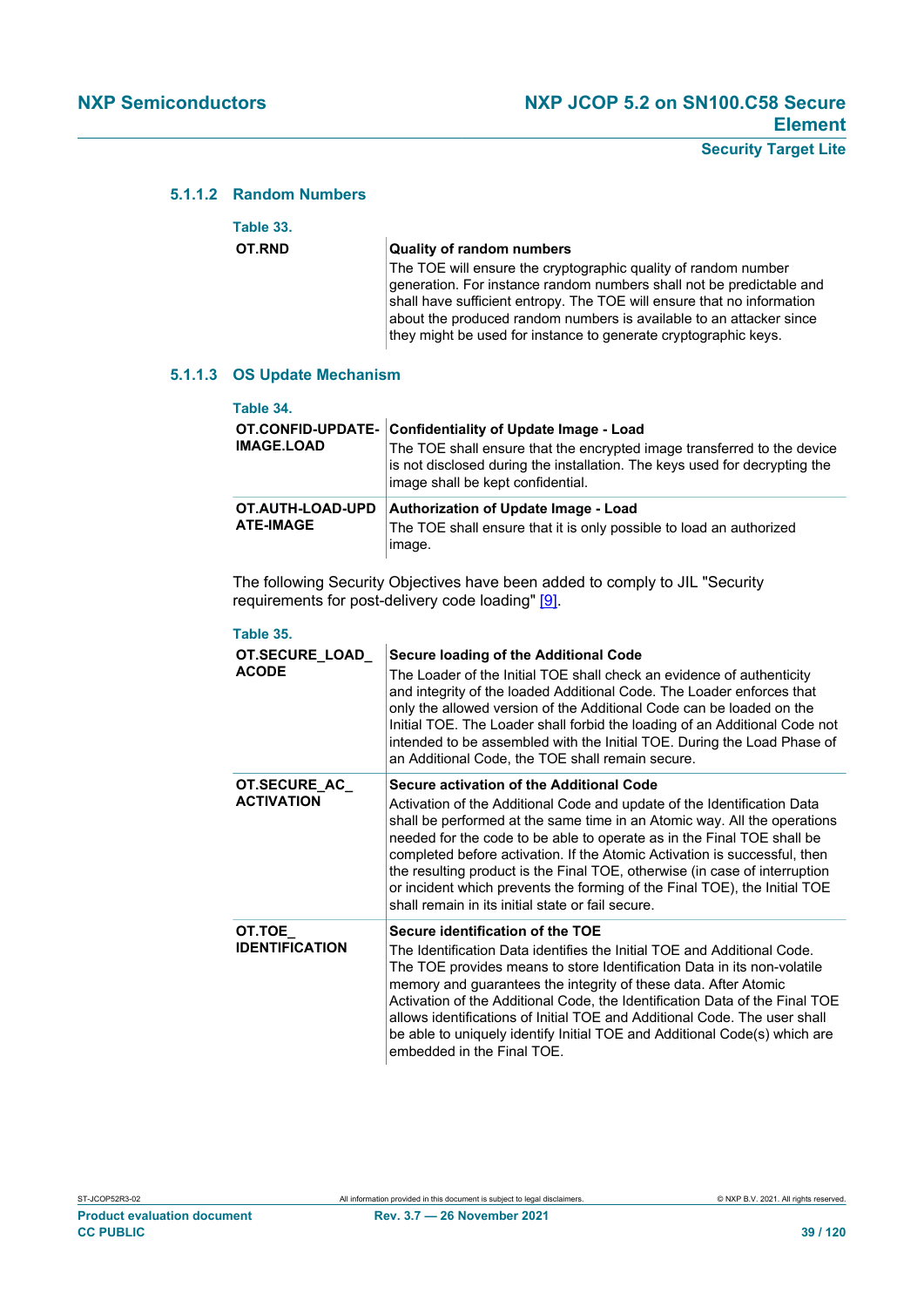# **5.1.1.2 Random Numbers**

| Table 33. |                                                                                                                                                                                                                                                                                                                                                            |
|-----------|------------------------------------------------------------------------------------------------------------------------------------------------------------------------------------------------------------------------------------------------------------------------------------------------------------------------------------------------------------|
| OT.RND    | <b>Quality of random numbers</b>                                                                                                                                                                                                                                                                                                                           |
|           | The TOE will ensure the cryptographic quality of random number<br>generation. For instance random numbers shall not be predictable and<br>shall have sufficient entropy. The TOE will ensure that no information<br>about the produced random numbers is available to an attacker since<br>they might be used for instance to generate cryptographic keys. |

#### **5.1.1.3 OS Update Mechanism**

| Table 34.                              |                                                                                                                                                                                                                                      |
|----------------------------------------|--------------------------------------------------------------------------------------------------------------------------------------------------------------------------------------------------------------------------------------|
| OT.CONFID-UPDATE-<br><b>IMAGE.LOAD</b> | Confidentiality of Update Image - Load<br>The TOE shall ensure that the encrypted image transferred to the device<br>is not disclosed during the installation. The keys used for decrypting the<br>image shall be kept confidential. |
| OT.AUTH-LOAD-UPD<br><b>ATE-IMAGE</b>   | <b>Authorization of Update Image - Load</b><br>The TOE shall ensure that it is only possible to load an authorized<br>image.                                                                                                         |

The following Security Objectives have been added to comply to JIL "Security requirements for post-delivery code loading" [\[9\]](#page-112-3).

| Table 35.                             |                                                                                                                                                                                                                                                                                                                                                                                                                                                                                                                                                                        |
|---------------------------------------|------------------------------------------------------------------------------------------------------------------------------------------------------------------------------------------------------------------------------------------------------------------------------------------------------------------------------------------------------------------------------------------------------------------------------------------------------------------------------------------------------------------------------------------------------------------------|
| <b>OT.SECURE LOAD</b><br><b>ACODE</b> | <b>Secure loading of the Additional Code</b><br>The Loader of the Initial TOE shall check an evidence of authenticity<br>and integrity of the loaded Additional Code. The Loader enforces that<br>only the allowed version of the Additional Code can be loaded on the<br>Initial TOE. The Loader shall forbid the loading of an Additional Code not<br>intended to be assembled with the Initial TOE. During the Load Phase of<br>an Additional Code, the TOE shall remain secure.                                                                                    |
| OT.SECURE_AC_<br><b>ACTIVATION</b>    | Secure activation of the Additional Code<br>Activation of the Additional Code and update of the Identification Data<br>shall be performed at the same time in an Atomic way. All the operations<br>needed for the code to be able to operate as in the Final TOE shall be<br>completed before activation. If the Atomic Activation is successful, then<br>the resulting product is the Final TOE, otherwise (in case of interruption<br>or incident which prevents the forming of the Final TOE), the Initial TOE<br>shall remain in its initial state or fail secure. |
| OT.TOE_<br><b>IDENTIFICATION</b>      | Secure identification of the TOE<br>The Identification Data identifies the Initial TOE and Additional Code.<br>The TOE provides means to store Identification Data in its non-volatile<br>memory and guarantees the integrity of these data. After Atomic<br>Activation of the Additional Code, the Identification Data of the Final TOE<br>allows identifications of Initial TOE and Additional Code. The user shall<br>be able to uniquely identify Initial TOE and Additional Code(s) which are<br>embedded in the Final TOE.                                       |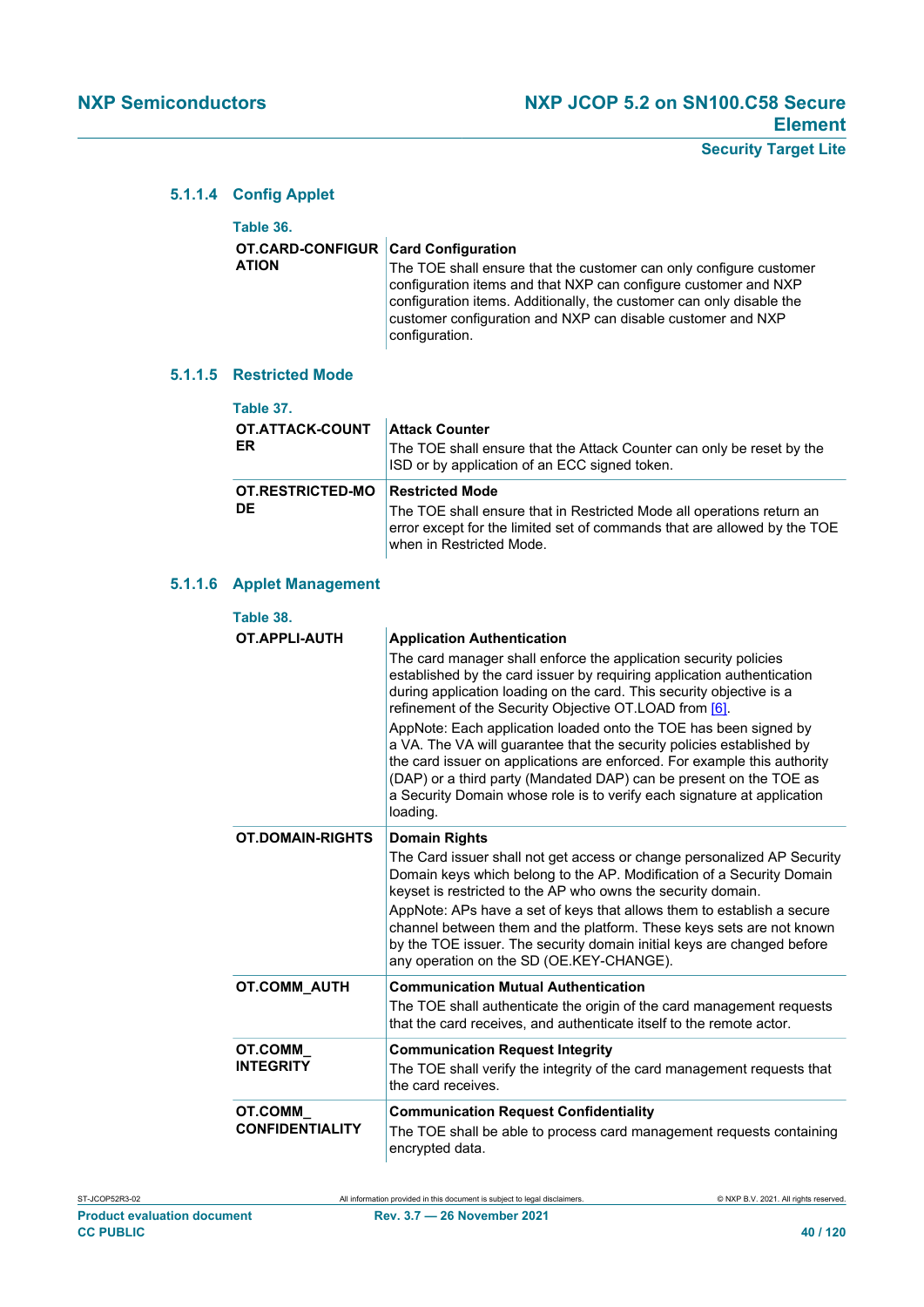# **5.1.1.4 Config Applet**

| Table 36.                           |                                                                                                                                                                                                                                                                                                |
|-------------------------------------|------------------------------------------------------------------------------------------------------------------------------------------------------------------------------------------------------------------------------------------------------------------------------------------------|
| OT.CARD-CONFIGUR Card Configuration |                                                                                                                                                                                                                                                                                                |
| <b>ATION</b>                        | The TOE shall ensure that the customer can only configure customer<br>configuration items and that NXP can configure customer and NXP<br>configuration items. Additionally, the customer can only disable the<br>customer configuration and NXP can disable customer and NXP<br>configuration. |

# **5.1.1.5 Restricted Mode**

| Table 37.                    |                                                                                                                                                                                                         |
|------------------------------|---------------------------------------------------------------------------------------------------------------------------------------------------------------------------------------------------------|
| <b>OT.ATTACK-COUNT</b><br>ER | <b>Attack Counter</b><br>The TOE shall ensure that the Attack Counter can only be reset by the<br>ISD or by application of an ECC signed token.                                                         |
| OT.RESTRICTED-MO<br>DE.      | <b>Restricted Mode</b><br>The TOE shall ensure that in Restricted Mode all operations return an<br>error except for the limited set of commands that are allowed by the TOE<br>when in Restricted Mode. |

## **5.1.1.6 Applet Management**

| Table 38.                                |                                                                                                                                                                                                                                                                                                                                                                                                                                                                                                                                                                                                                                                                                                         |
|------------------------------------------|---------------------------------------------------------------------------------------------------------------------------------------------------------------------------------------------------------------------------------------------------------------------------------------------------------------------------------------------------------------------------------------------------------------------------------------------------------------------------------------------------------------------------------------------------------------------------------------------------------------------------------------------------------------------------------------------------------|
| OT APPLI-AUTH                            | <b>Application Authentication</b><br>The card manager shall enforce the application security policies<br>established by the card issuer by requiring application authentication<br>during application loading on the card. This security objective is a<br>refinement of the Security Objective OT.LOAD from [6].<br>AppNote: Each application loaded onto the TOE has been signed by<br>a VA. The VA will guarantee that the security policies established by<br>the card issuer on applications are enforced. For example this authority<br>(DAP) or a third party (Mandated DAP) can be present on the TOE as<br>a Security Domain whose role is to verify each signature at application<br>loading. |
| <b>OT.DOMAIN-RIGHTS</b>                  | <b>Domain Rights</b><br>The Card issuer shall not get access or change personalized AP Security<br>Domain keys which belong to the AP. Modification of a Security Domain<br>keyset is restricted to the AP who owns the security domain.<br>AppNote: APs have a set of keys that allows them to establish a secure<br>channel between them and the platform. These keys sets are not known<br>by the TOE issuer. The security domain initial keys are changed before<br>any operation on the SD (OE.KEY-CHANGE).                                                                                                                                                                                        |
| <b>OT.COMM AUTH</b>                      | <b>Communication Mutual Authentication</b><br>The TOE shall authenticate the origin of the card management requests<br>that the card receives, and authenticate itself to the remote actor.                                                                                                                                                                                                                                                                                                                                                                                                                                                                                                             |
| <b>OT.COMM</b><br><b>INTEGRITY</b>       | <b>Communication Request Integrity</b><br>The TOE shall verify the integrity of the card management requests that<br>the card receives.                                                                                                                                                                                                                                                                                                                                                                                                                                                                                                                                                                 |
| <b>OT.COMM</b><br><b>CONFIDENTIALITY</b> | <b>Communication Request Confidentiality</b><br>The TOE shall be able to process card management requests containing<br>encrypted data.                                                                                                                                                                                                                                                                                                                                                                                                                                                                                                                                                                 |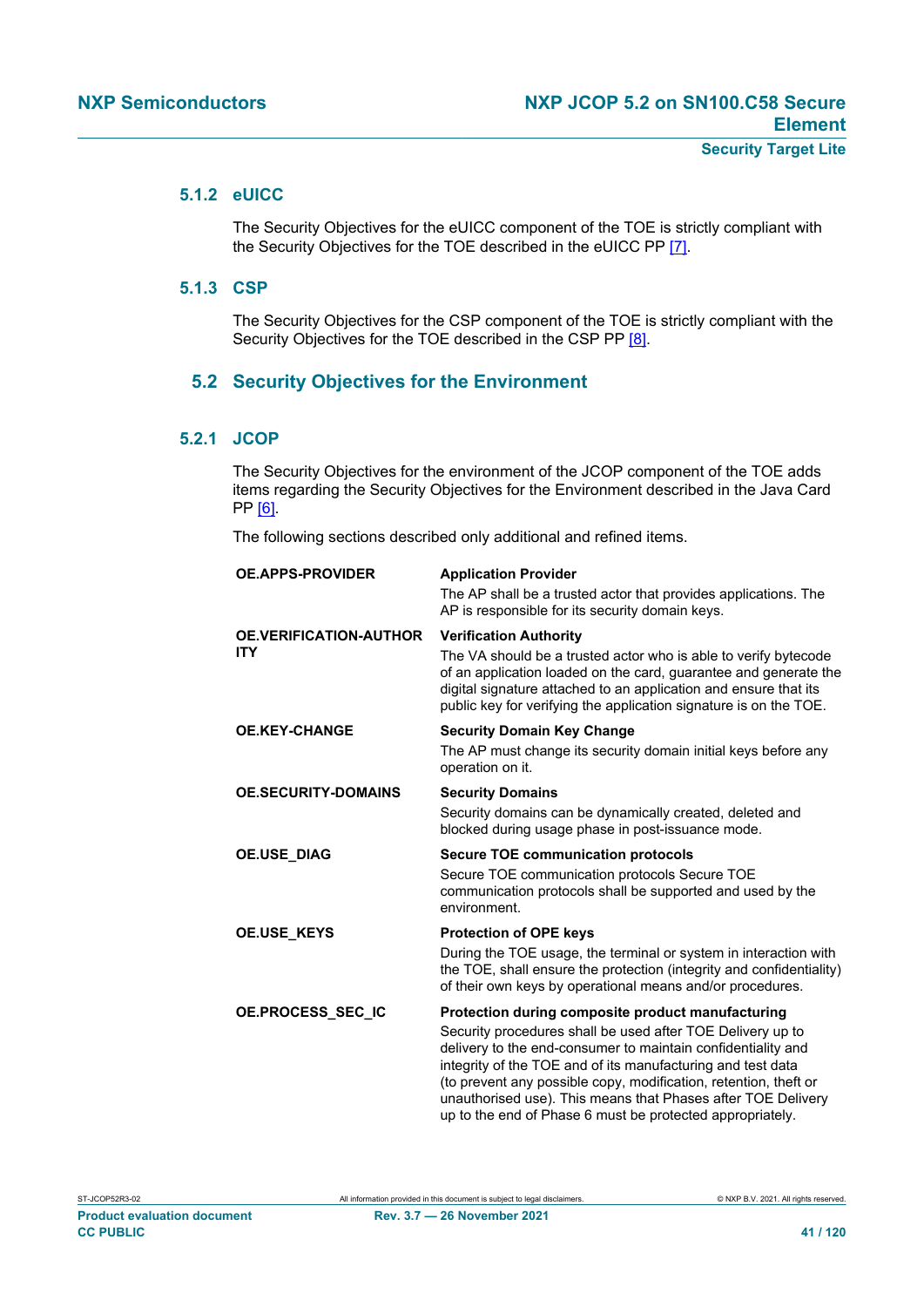# **5.1.2 eUICC**

The Security Objectives for the eUICC component of the TOE is strictly compliant with the Security Objectives for the TOE described in the eUICC PP [\[7\].](#page-112-0)

## **5.1.3 CSP**

The Security Objectives for the CSP component of the TOE is strictly compliant with the Security Objectives for the TOE described in the CSP PP [\[8\].](#page-112-1)

# **5.2 Security Objectives for the Environment**

## **5.2.1 JCOP**

The Security Objectives for the environment of the JCOP component of the TOE adds items regarding the Security Objectives for the Environment described in the Java Card PP [\[6\]](#page-112-2).

The following sections described only additional and refined items.

| <b>OE.APPS-PROVIDER</b>                     | <b>Application Provider</b><br>The AP shall be a trusted actor that provides applications. The<br>AP is responsible for its security domain keys.                                                                                                                                                                                                                                                                                               |
|---------------------------------------------|-------------------------------------------------------------------------------------------------------------------------------------------------------------------------------------------------------------------------------------------------------------------------------------------------------------------------------------------------------------------------------------------------------------------------------------------------|
| <b>OE.VERIFICATION-AUTHOR</b><br><b>ITY</b> | <b>Verification Authority</b><br>The VA should be a trusted actor who is able to verify bytecode<br>of an application loaded on the card, guarantee and generate the<br>digital signature attached to an application and ensure that its<br>public key for verifying the application signature is on the TOE.                                                                                                                                   |
| <b>OE.KEY-CHANGE</b>                        | <b>Security Domain Key Change</b><br>The AP must change its security domain initial keys before any<br>operation on it.                                                                                                                                                                                                                                                                                                                         |
| <b>OE.SECURITY-DOMAINS</b>                  | <b>Security Domains</b><br>Security domains can be dynamically created, deleted and<br>blocked during usage phase in post-issuance mode.                                                                                                                                                                                                                                                                                                        |
| <b>OE.USE DIAG</b>                          | <b>Secure TOE communication protocols</b><br>Secure TOE communication protocols Secure TOE<br>communication protocols shall be supported and used by the<br>environment.                                                                                                                                                                                                                                                                        |
| <b>OE.USE KEYS</b>                          | <b>Protection of OPE keys</b><br>During the TOE usage, the terminal or system in interaction with<br>the TOE, shall ensure the protection (integrity and confidentiality)<br>of their own keys by operational means and/or procedures.                                                                                                                                                                                                          |
| OE.PROCESS_SEC_IC                           | Protection during composite product manufacturing<br>Security procedures shall be used after TOE Delivery up to<br>delivery to the end-consumer to maintain confidentiality and<br>integrity of the TOE and of its manufacturing and test data<br>(to prevent any possible copy, modification, retention, theft or<br>unauthorised use). This means that Phases after TOE Delivery<br>up to the end of Phase 6 must be protected appropriately. |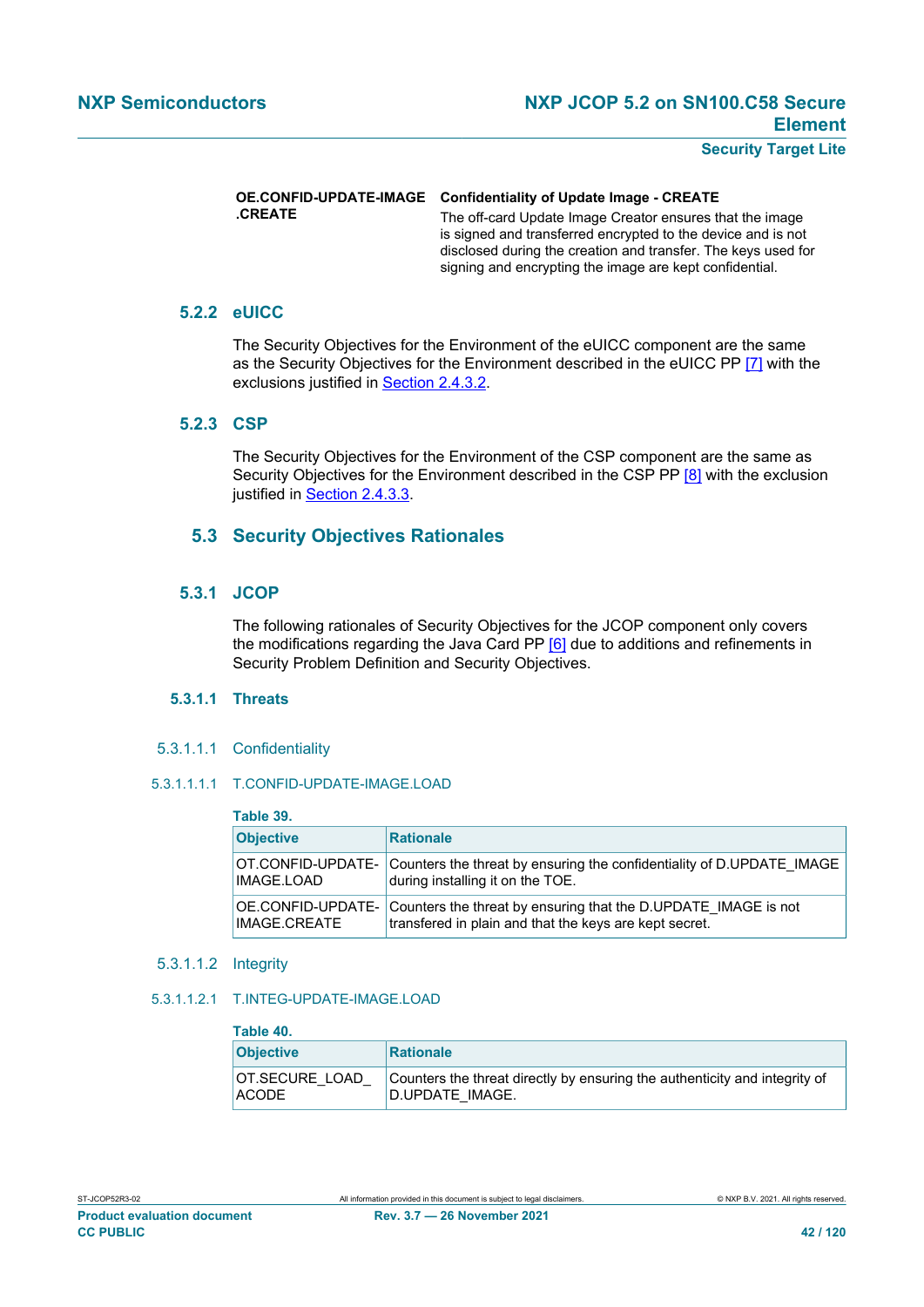# **.CREATE**

#### **OE.CONFID-UPDATE-IMAGE Confidentiality of Update Image - CREATE**

The off-card Update Image Creator ensures that the image is signed and transferred encrypted to the device and is not disclosed during the creation and transfer. The keys used for signing and encrypting the image are kept confidential.

# **5.2.2 eUICC**

The Security Objectives for the Environment of the eUICC component are the same as the Security Objectives for the Environment described in the eUICC PP [\[7\]](#page-112-0) with the exclusions justified in [Section 2.4.3.2](#page-28-0).

# **5.2.3 CSP**

The Security Objectives for the Environment of the CSP component are the same as Security Objectives for the Environment described in the CSP PP [\[8\]](#page-112-1) with the exclusion justified in [Section 2.4.3.3.](#page-28-1)

# **5.3 Security Objectives Rationales**

# **5.3.1 JCOP**

The following rationales of Security Objectives for the JCOP component only covers the modifications regarding the Java Card PP [\[6\]](#page-112-2) due to additions and refinements in Security Problem Definition and Security Objectives.

## **5.3.1.1 Threats**

5.3.1.1.1 Confidentiality

## 5.3.1.1.1.1 T.CONFID-UPDATE-IMAGE.LOAD

| Table 39.         |                                                                       |
|-------------------|-----------------------------------------------------------------------|
| <b>Objective</b>  | <b>Rationale</b>                                                      |
| OT.CONFID-UPDATE- | Counters the threat by ensuring the confidentiality of D.UPDATE IMAGE |
| <b>IMAGE.LOAD</b> | during installing it on the TOE.                                      |
| OE.CONFID-UPDATE- | Counters the threat by ensuring that the D.UPDATE IMAGE is not        |
| IMAGE.CREATE      | transfered in plain and that the keys are kept secret.                |

#### 5.3.1.1.2 Integrity

#### 5.3.1.1.2.1 T.INTEG-UPDATE-IMAGE.LOAD

| Table 40.                      |                                                                                                |
|--------------------------------|------------------------------------------------------------------------------------------------|
| <b>Objective</b>               | <b>Rationale</b>                                                                               |
| OT.SECURE LOAD<br><b>ACODE</b> | Counters the threat directly by ensuring the authenticity and integrity of<br>'D.UPDATE IMAGE. |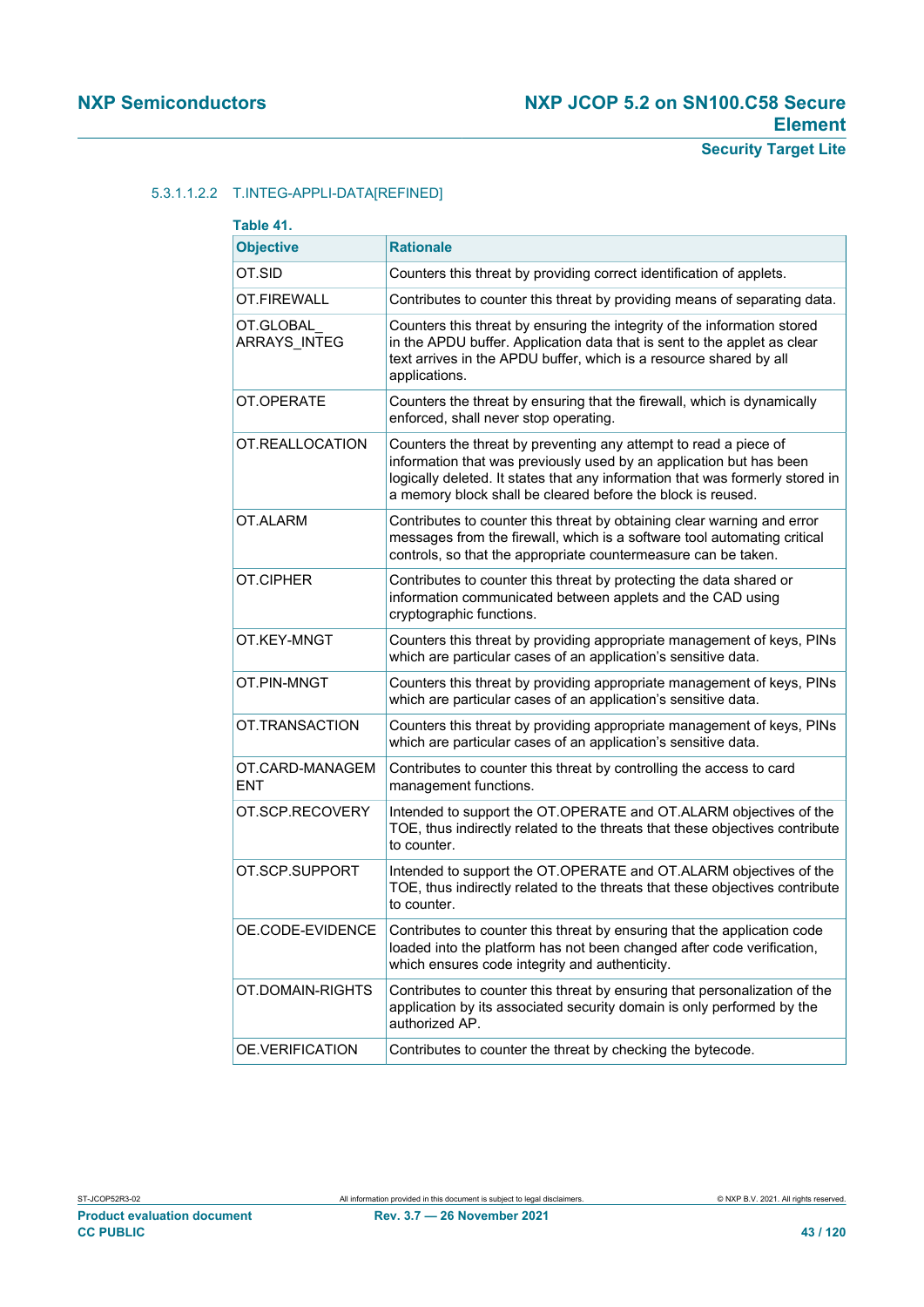# 5.3.1.1.2.2 T.INTEG-APPLI-DATA[REFINED]

| Table 41.                        |                                                                                                                                                                                                                                                                                         |  |
|----------------------------------|-----------------------------------------------------------------------------------------------------------------------------------------------------------------------------------------------------------------------------------------------------------------------------------------|--|
| <b>Objective</b>                 | <b>Rationale</b>                                                                                                                                                                                                                                                                        |  |
| OT.SID                           | Counters this threat by providing correct identification of applets.                                                                                                                                                                                                                    |  |
| OT.FIREWALL                      | Contributes to counter this threat by providing means of separating data.                                                                                                                                                                                                               |  |
| OT.GLOBAL<br><b>ARRAYS INTEG</b> | Counters this threat by ensuring the integrity of the information stored<br>in the APDU buffer. Application data that is sent to the applet as clear<br>text arrives in the APDU buffer, which is a resource shared by all<br>applications.                                             |  |
| OT.OPERATE                       | Counters the threat by ensuring that the firewall, which is dynamically<br>enforced, shall never stop operating.                                                                                                                                                                        |  |
| OT.REALLOCATION                  | Counters the threat by preventing any attempt to read a piece of<br>information that was previously used by an application but has been<br>logically deleted. It states that any information that was formerly stored in<br>a memory block shall be cleared before the block is reused. |  |
| OT.ALARM                         | Contributes to counter this threat by obtaining clear warning and error<br>messages from the firewall, which is a software tool automating critical<br>controls, so that the appropriate countermeasure can be taken.                                                                   |  |
| OT.CIPHER                        | Contributes to counter this threat by protecting the data shared or<br>information communicated between applets and the CAD using<br>cryptographic functions.                                                                                                                           |  |
| OT.KEY-MNGT                      | Counters this threat by providing appropriate management of keys, PINs<br>which are particular cases of an application's sensitive data.                                                                                                                                                |  |
| OT.PIN-MNGT                      | Counters this threat by providing appropriate management of keys, PINs<br>which are particular cases of an application's sensitive data.                                                                                                                                                |  |
| OT.TRANSACTION                   | Counters this threat by providing appropriate management of keys, PINs<br>which are particular cases of an application's sensitive data.                                                                                                                                                |  |
| OT.CARD-MANAGEM<br><b>ENT</b>    | Contributes to counter this threat by controlling the access to card<br>management functions.                                                                                                                                                                                           |  |
| OT.SCP.RECOVERY                  | Intended to support the OT.OPERATE and OT.ALARM objectives of the<br>TOE, thus indirectly related to the threats that these objectives contribute<br>to counter.                                                                                                                        |  |
| OT.SCP.SUPPORT                   | Intended to support the OT.OPERATE and OT.ALARM objectives of the<br>TOE, thus indirectly related to the threats that these objectives contribute<br>to counter.                                                                                                                        |  |
| OE.CODE-EVIDENCE                 | Contributes to counter this threat by ensuring that the application code<br>loaded into the platform has not been changed after code verification,<br>which ensures code integrity and authenticity.                                                                                    |  |
| OT.DOMAIN-RIGHTS                 | Contributes to counter this threat by ensuring that personalization of the<br>application by its associated security domain is only performed by the<br>authorized AP.                                                                                                                  |  |
| OE.VERIFICATION                  | Contributes to counter the threat by checking the bytecode.                                                                                                                                                                                                                             |  |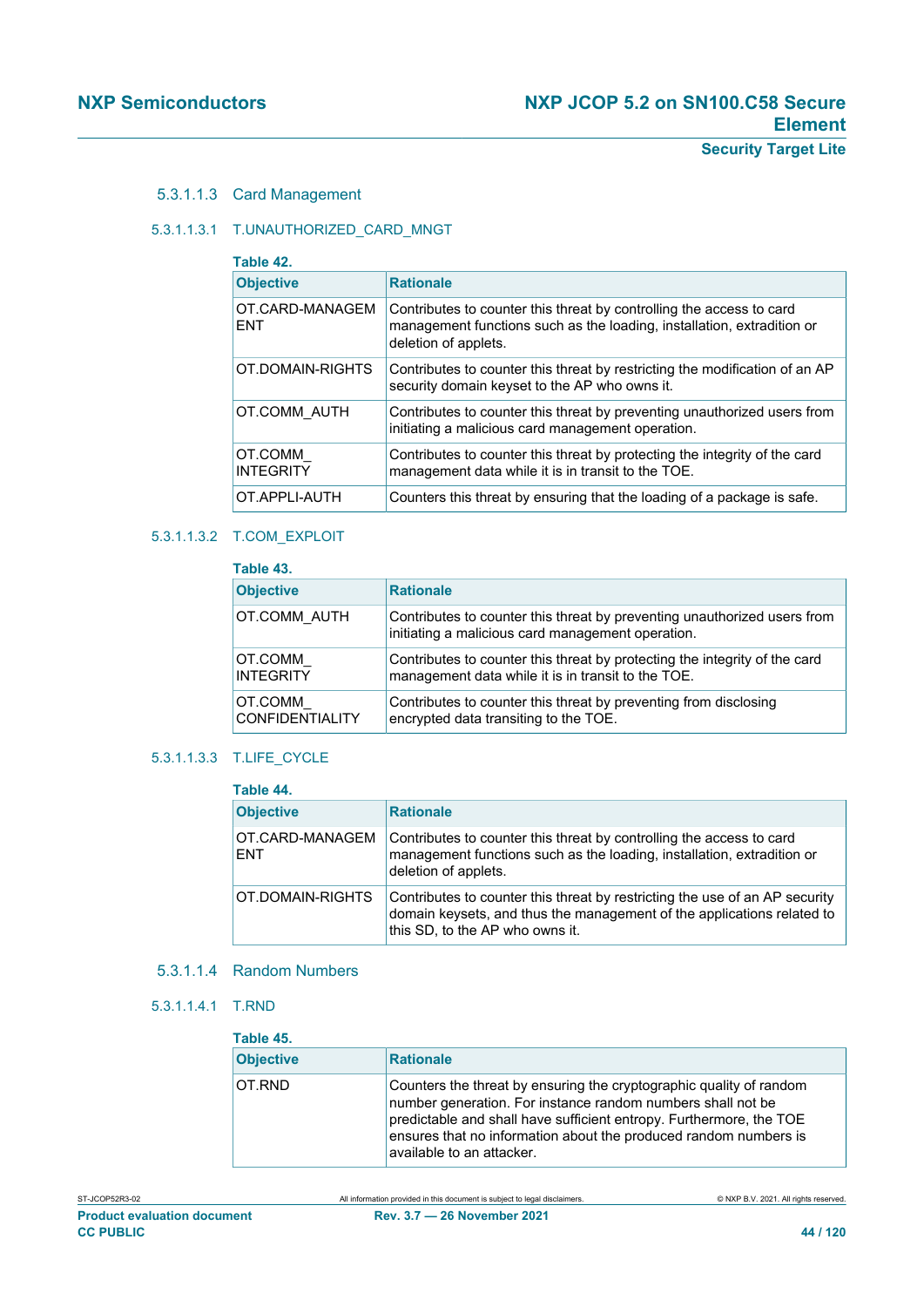#### 5.3.1.1.3 Card Management

## 5.3.1.1.3.1 T.UNAUTHORIZED\_CARD\_MNGT

| Table 42.                     |                                                                                                                                                                        |
|-------------------------------|------------------------------------------------------------------------------------------------------------------------------------------------------------------------|
| <b>Objective</b>              | <b>Rationale</b>                                                                                                                                                       |
| OT.CARD-MANAGEM<br><b>FNT</b> | Contributes to counter this threat by controlling the access to card<br>management functions such as the loading, installation, extradition or<br>deletion of applets. |
| OT.DOMAIN-RIGHTS              | Contributes to counter this threat by restricting the modification of an AP<br>security domain keyset to the AP who owns it.                                           |
| OT.COMM AUTH                  | Contributes to counter this threat by preventing unauthorized users from<br>initiating a malicious card management operation.                                          |
| OT.COMM<br><b>INTEGRITY</b>   | Contributes to counter this threat by protecting the integrity of the card<br>management data while it is in transit to the TOE.                                       |
| OT.APPLI-AUTH                 | Counters this threat by ensuring that the loading of a package is safe.                                                                                                |

#### 5.3.1.1.3.2 T.COM\_EXPLOIT

| Table 43.                         |                                                                                                                                  |
|-----------------------------------|----------------------------------------------------------------------------------------------------------------------------------|
| <b>Objective</b>                  | <b>Rationale</b>                                                                                                                 |
| OT.COMM AUTH                      | Contributes to counter this threat by preventing unauthorized users from<br>initiating a malicious card management operation.    |
| OT.COMM<br><b>INTEGRITY</b>       | Contributes to counter this threat by protecting the integrity of the card<br>management data while it is in transit to the TOE. |
| OT.COMM<br><b>CONFIDENTIALITY</b> | Contributes to counter this threat by preventing from disclosing<br>encrypted data transiting to the TOE.                        |

# 5.3.1.1.3.3 T.LIFE\_CYCLE

| Table 44.                     |                                                                                                                                                                                          |  |
|-------------------------------|------------------------------------------------------------------------------------------------------------------------------------------------------------------------------------------|--|
| <b>Objective</b>              | <b>Rationale</b>                                                                                                                                                                         |  |
| OT.CARD-MANAGEM<br><b>ENT</b> | Contributes to counter this threat by controlling the access to card<br>management functions such as the loading, installation, extradition or<br>deletion of applets.                   |  |
| OT.DOMAIN-RIGHTS              | Contributes to counter this threat by restricting the use of an AP security<br>domain keysets, and thus the management of the applications related to<br>this SD, to the AP who owns it. |  |

#### 5.3.1.1.4 Random Numbers

5.3.1.1.4.1 T.RND

| Table 45.        |                                                                                                                                                                                                                                                                                                            |
|------------------|------------------------------------------------------------------------------------------------------------------------------------------------------------------------------------------------------------------------------------------------------------------------------------------------------------|
| <b>Objective</b> | <b>Rationale</b>                                                                                                                                                                                                                                                                                           |
| OT.RND           | Counters the threat by ensuring the cryptographic quality of random<br>number generation. For instance random numbers shall not be<br>predictable and shall have sufficient entropy. Furthermore, the TOE<br>ensures that no information about the produced random numbers is<br>available to an attacker. |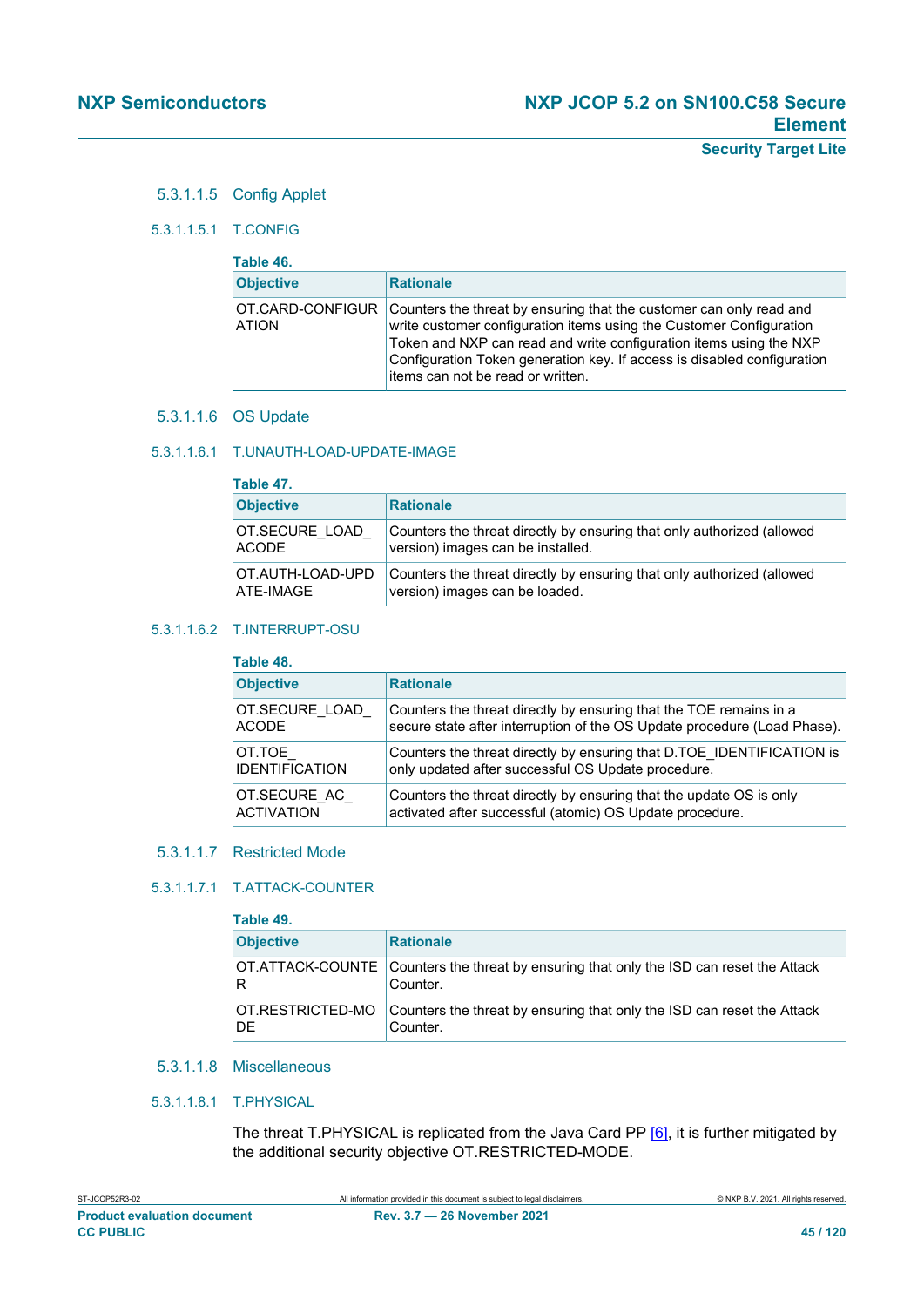## 5.3.1.1.5 Config Applet

#### 5.3.1.1.5.1 T.CONFIG

| Table 46.                        |                                                                                                                                                                                                                                                                                                                                  |  |
|----------------------------------|----------------------------------------------------------------------------------------------------------------------------------------------------------------------------------------------------------------------------------------------------------------------------------------------------------------------------------|--|
| <b>Objective</b>                 | <b>Rationale</b>                                                                                                                                                                                                                                                                                                                 |  |
| OT.CARD-CONFIGUR<br><b>ATION</b> | Counters the threat by ensuring that the customer can only read and<br>write customer configuration items using the Customer Configuration<br>Token and NXP can read and write configuration items using the NXP<br>Configuration Token generation key. If access is disabled configuration<br>items can not be read or written. |  |

#### 5.3.1.1.6 OS Update

#### 5.3.1.1.6.1 T.UNAUTH-LOAD-UPDATE-IMAGE

| Table 47.        |                                                                        |  |
|------------------|------------------------------------------------------------------------|--|
| <b>Objective</b> | <b>Rationale</b>                                                       |  |
| OT.SECURE LOAD   | Counters the threat directly by ensuring that only authorized (allowed |  |
| <b>ACODE</b>     | version) images can be installed.                                      |  |
| OT.AUTH-LOAD-UPD | Counters the threat directly by ensuring that only authorized (allowed |  |
| ATE-IMAGE        | version) images can be loaded.                                         |  |

#### 5.3.1.1.6.2 T.INTERRUPT-OSU

#### **Table 48.**

| 1 GUIG TU.            |                                                                          |  |
|-----------------------|--------------------------------------------------------------------------|--|
| <b>Objective</b>      | <b>Rationale</b>                                                         |  |
| OT.SECURE LOAD        | Counters the threat directly by ensuring that the TOE remains in a       |  |
| <b>ACODE</b>          | secure state after interruption of the OS Update procedure (Load Phase). |  |
| OT.TOE                | Counters the threat directly by ensuring that D.TOE_IDENTIFICATION is    |  |
| <b>IDENTIFICATION</b> | only updated after successful OS Update procedure.                       |  |
| OT.SECURE AC          | Counters the threat directly by ensuring that the update OS is only      |  |
| <b>ACTIVATION</b>     | activated after successful (atomic) OS Update procedure.                 |  |

#### 5.3.1.1.7 Restricted Mode

#### 5.3.1.1.7.1 T.ATTACK-COUNTER

#### **Table 49.  Objective Rationale** OT.ATTACK-COUNTE R Counters the threat by ensuring that only the ISD can reset the Attack Counter. OT.RESTRICTED-MO DE Counters the threat by ensuring that only the ISD can reset the Attack Counter.

# 5.3.1.1.8 Miscellaneous

#### 5.3.1.1.8.1 T.PHYSICAL

The threat T.PHYSICAL is replicated from the Java Card PP [\[6\]](#page-112-2), it is further mitigated by the additional security objective OT.RESTRICTED-MODE.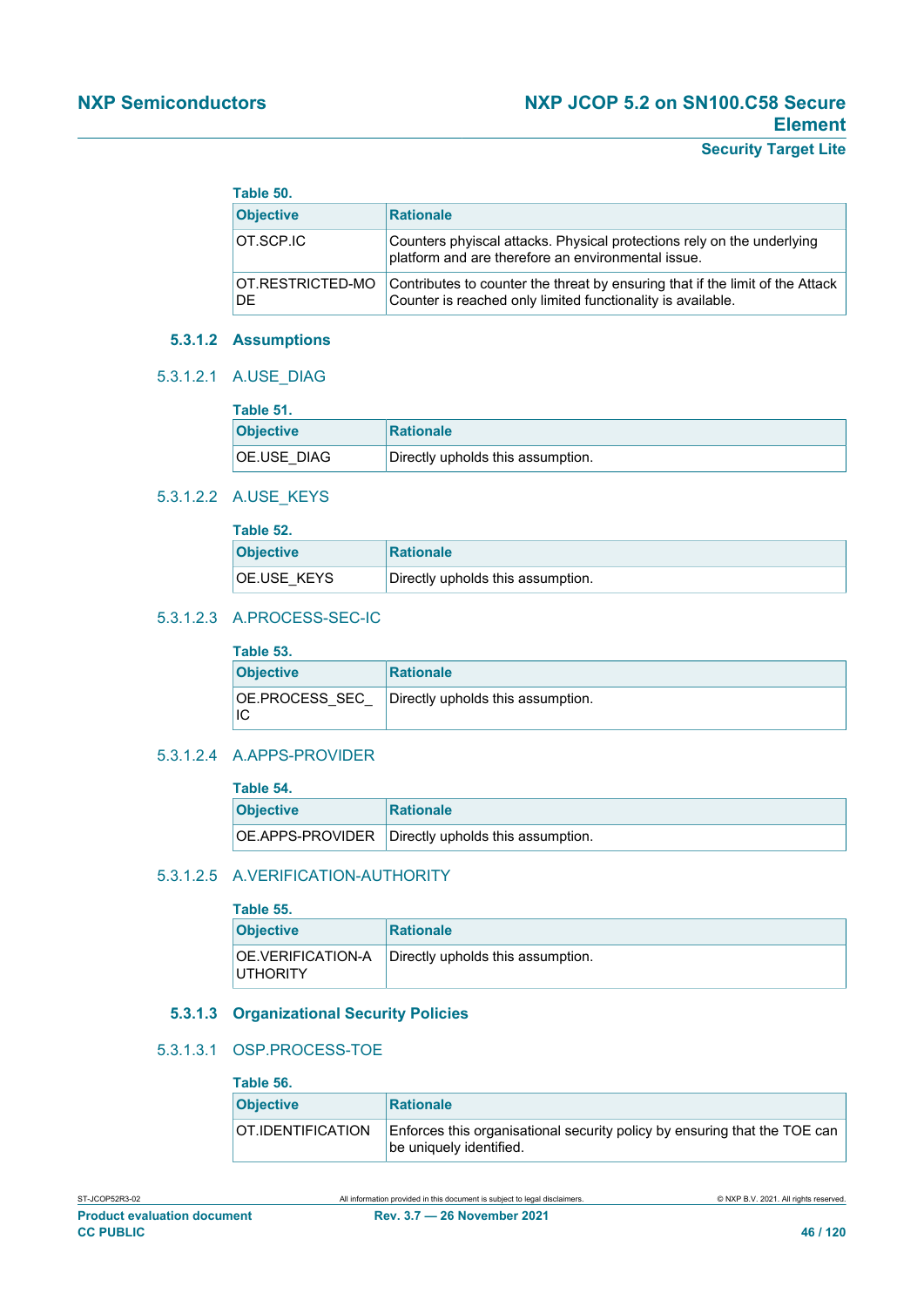| Table 50.               |                                                                                                                                              |
|-------------------------|----------------------------------------------------------------------------------------------------------------------------------------------|
| <b>Objective</b>        | <b>Rationale</b>                                                                                                                             |
| <b>OT.SCP.IC</b>        | Counters phyiscal attacks. Physical protections rely on the underlying<br>platform and are therefore an environmental issue.                 |
| OT.RESTRICTED-MO<br>DE. | Contributes to counter the threat by ensuring that if the limit of the Attack<br>Counter is reached only limited functionality is available. |

## **5.3.1.2 Assumptions**

#### 5.3.1.2.1 A.USE\_DIAG

| Table 51.        |                                   |
|------------------|-----------------------------------|
| <b>Objective</b> | Rationale                         |
| OE.USE DIAG      | Directly upholds this assumption. |

#### 5.3.1.2.2 A.USE\_KEYS

| Table 52.        |                                   |  |
|------------------|-----------------------------------|--|
| <b>Objective</b> | <b>Rationale</b>                  |  |
| OE.USE KEYS      | Directly upholds this assumption. |  |

## 5.3.1.2.3 A.PROCESS-SEC-IC

| .                    |                                   |  |
|----------------------|-----------------------------------|--|
| <b>Objective</b>     | Rationale                         |  |
| OE.PROCESS SEC<br>IC | Directly upholds this assumption. |  |

## 5.3.1.2.4 A.APPS-PROVIDER

## **Table 54.**

| .                |                                                    |  |
|------------------|----------------------------------------------------|--|
| <b>Objective</b> | Rationale                                          |  |
|                  | OE.APPS-PROVIDER Directly upholds this assumption. |  |

# 5.3.1.2.5 A.VERIFICATION-AUTHORITY

| Table 55.                            |                                   |  |
|--------------------------------------|-----------------------------------|--|
| <b>Objective</b>                     | <b>Rationale</b>                  |  |
| OE.VERIFICATION-A<br><b>UTHORITY</b> | Directly upholds this assumption. |  |

## **5.3.1.3 Organizational Security Policies**

# 5.3.1.3.1 OSP.PROCESS-TOE

| Table 56.         |                                                                                                      |
|-------------------|------------------------------------------------------------------------------------------------------|
| <b>Objective</b>  | <b>Rationale</b>                                                                                     |
| OT.IDENTIFICATION | Enforces this organisational security policy by ensuring that the TOE can<br>be uniquely identified. |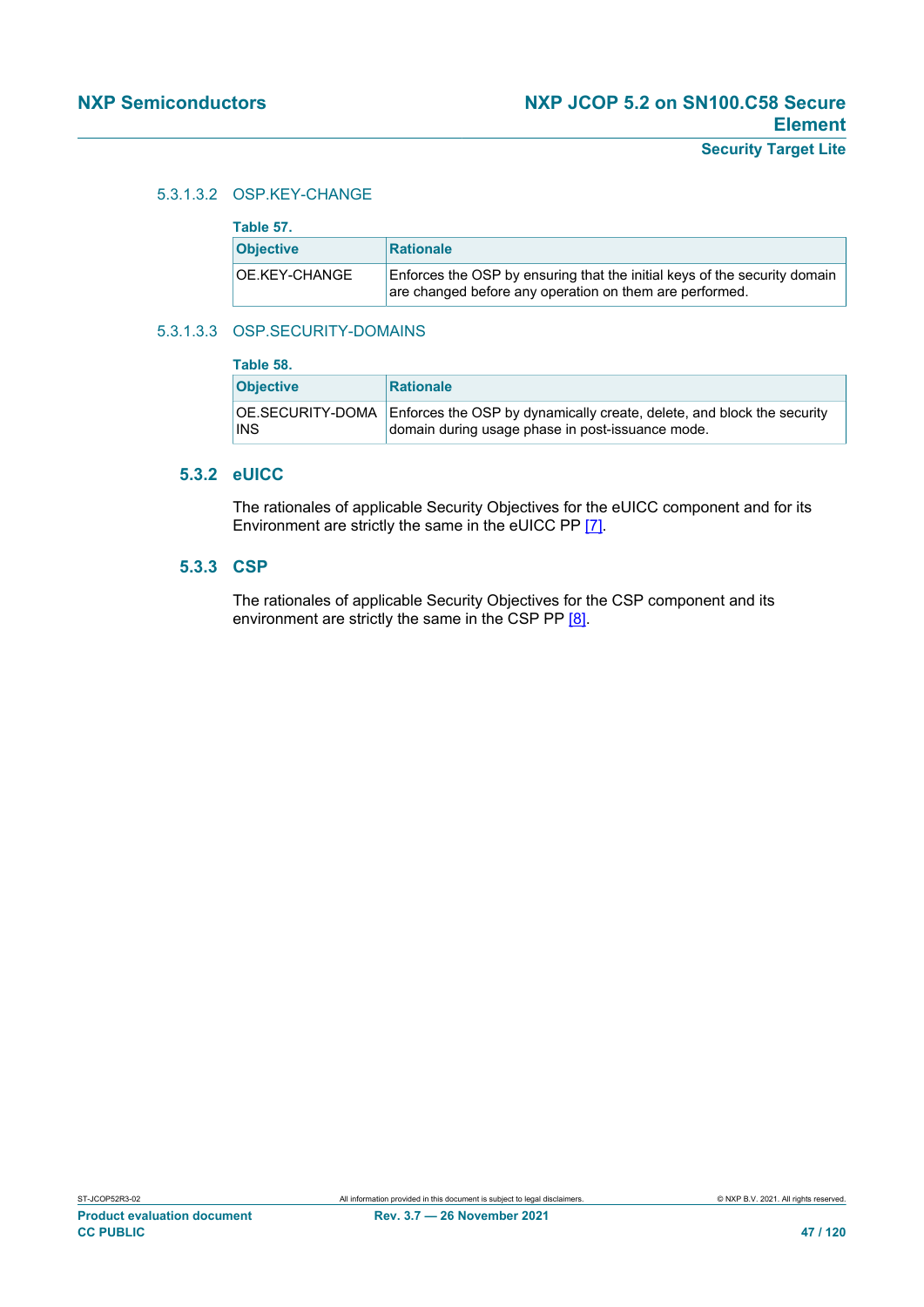## 5.3.1.3.2 OSP.KEY-CHANGE

| Table 57.        |                                                                                                                                      |  |
|------------------|--------------------------------------------------------------------------------------------------------------------------------------|--|
| <b>Objective</b> | <b>Rationale</b>                                                                                                                     |  |
| OE.KEY-CHANGE    | Enforces the OSP by ensuring that the initial keys of the security domain<br>are changed before any operation on them are performed. |  |

## 5.3.1.3.3 OSP.SECURITY-DOMAINS

| Table 58.                      |                                                                                                                            |  |
|--------------------------------|----------------------------------------------------------------------------------------------------------------------------|--|
| <b>Objective</b>               | <b>Rationale</b>                                                                                                           |  |
| OE.SECURITY-DOMA<br><b>INS</b> | Enforces the OSP by dynamically create, delete, and block the security<br>domain during usage phase in post-issuance mode. |  |

## **5.3.2 eUICC**

The rationales of applicable Security Objectives for the eUICC component and for its Environment are strictly the same in the eUICC PP [\[7\]](#page-112-0).

# **5.3.3 CSP**

The rationales of applicable Security Objectives for the CSP component and its environment are strictly the same in the CSP PP [\[8\].](#page-112-1)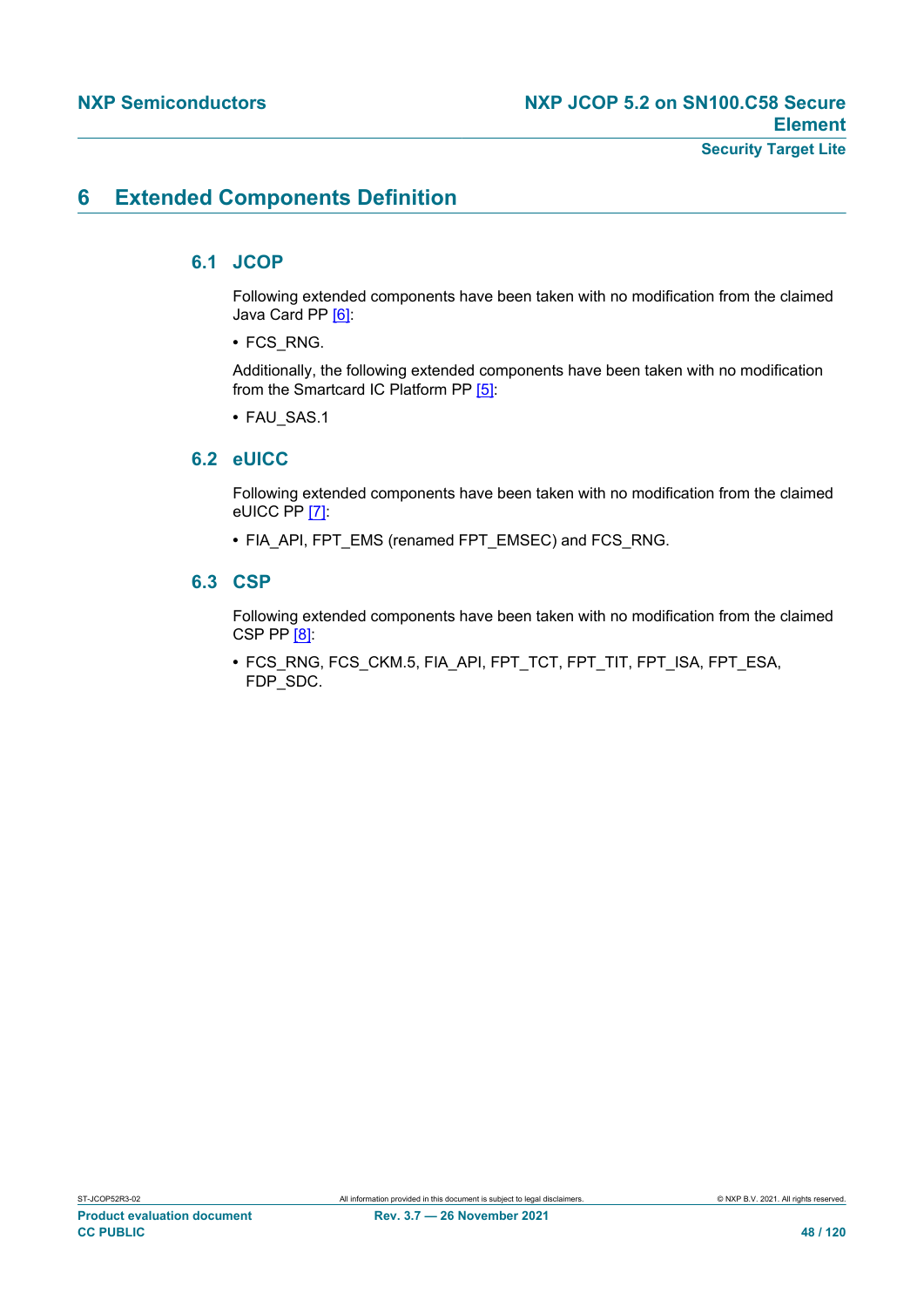# **6 Extended Components Definition**

# **6.1 JCOP**

Following extended components have been taken with no modification from the claimed Java Card PP [\[6\]:](#page-112-2)

**•** FCS\_RNG.

Additionally, the following extended components have been taken with no modification from the Smartcard IC Platform PP [\[5\]](#page-112-4):

**•** FAU\_SAS.1

# **6.2 eUICC**

Following extended components have been taken with no modification from the claimed eUICC PP [\[7\]:](#page-112-0)

**•** FIA\_API, FPT\_EMS (renamed FPT\_EMSEC) and FCS\_RNG.

# **6.3 CSP**

Following extended components have been taken with no modification from the claimed CSP PP [\[8\]](#page-112-1):

**•** FCS\_RNG, FCS\_CKM.5, FIA\_API, FPT\_TCT, FPT\_TIT, FPT\_ISA, FPT\_ESA, FDP\_SDC.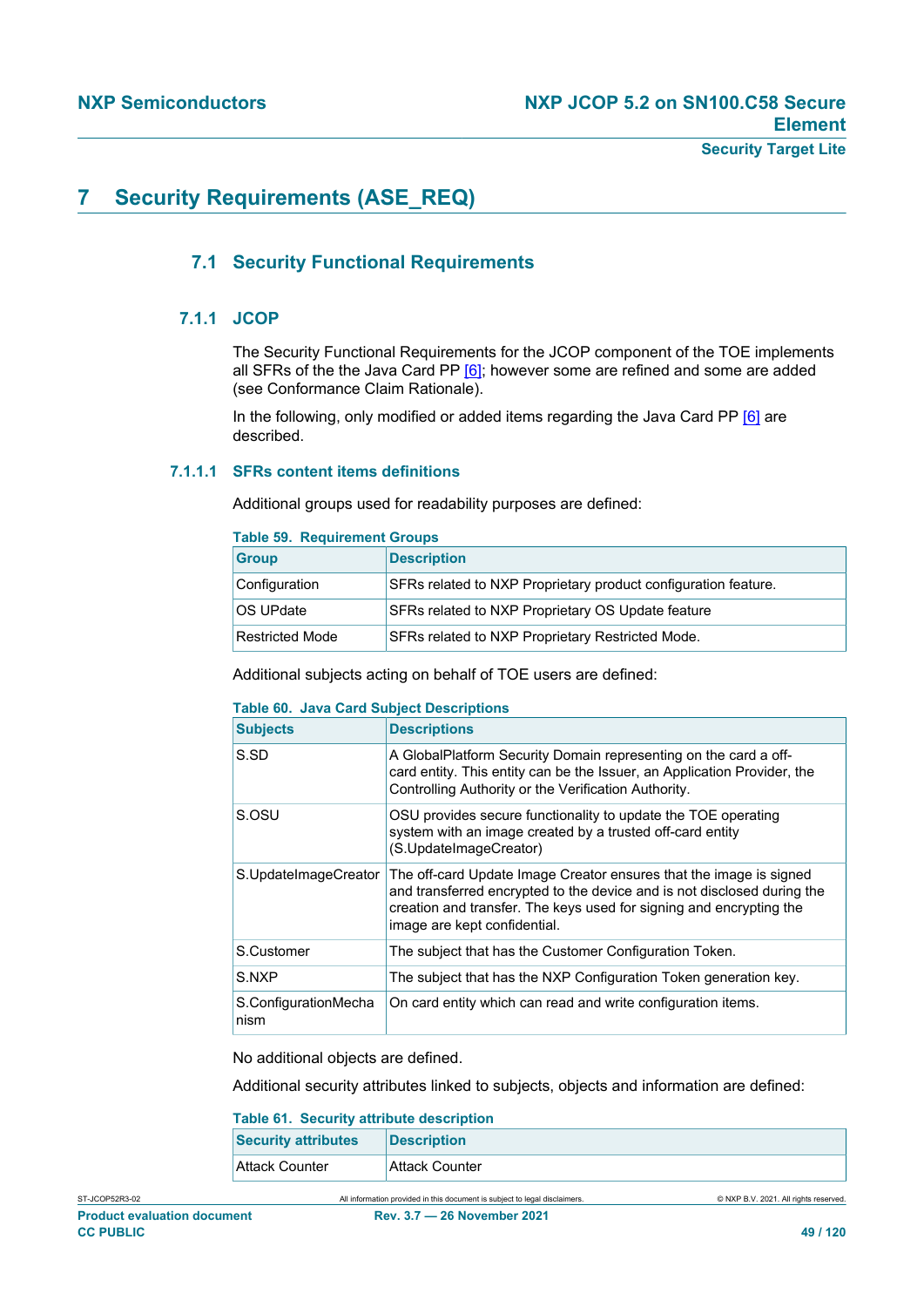# **7 Security Requirements (ASE\_REQ)**

# **7.1 Security Functional Requirements**

# **7.1.1 JCOP**

The Security Functional Requirements for the JCOP component of the TOE implements all SFRs of the the Java Card PP  $[6]$ ; however some are refined and some are added (see Conformance Claim Rationale).

In the following, only modified or added items regarding the Java Card PP [\[6\]](#page-112-2) are described.

## **7.1.1.1 SFRs content items definitions**

Additional groups used for readability purposes are defined:

|  | <b>Table 59. Requirement Groups</b> |  |
|--|-------------------------------------|--|
|  |                                     |  |

| rapic op. Twyanchicht Oroups |                                                                |  |
|------------------------------|----------------------------------------------------------------|--|
| <b>Group</b>                 | <b>Description</b>                                             |  |
| Configuration                | SFRs related to NXP Proprietary product configuration feature. |  |
| OS UPdate                    | SFRs related to NXP Proprietary OS Update feature              |  |
| <b>Restricted Mode</b>       | SFRs related to NXP Proprietary Restricted Mode.               |  |

Additional subjects acting on behalf of TOE users are defined:

# **Table 60. Java Card Subject Descriptions**

| <b>Subjects</b>              | <b>Descriptions</b>                                                                                                                                                                                                                                  |
|------------------------------|------------------------------------------------------------------------------------------------------------------------------------------------------------------------------------------------------------------------------------------------------|
| S.SD                         | A GlobalPlatform Security Domain representing on the card a off-<br>card entity. This entity can be the Issuer, an Application Provider, the<br>Controlling Authority or the Verification Authority.                                                 |
| S.OSU                        | OSU provides secure functionality to update the TOE operating<br>system with an image created by a trusted off-card entity<br>(S.UpdateImageCreator)                                                                                                 |
| S.UpdateImageCreator         | The off-card Update Image Creator ensures that the image is signed<br>and transferred encrypted to the device and is not disclosed during the<br>creation and transfer. The keys used for signing and encrypting the<br>image are kept confidential. |
| S.Customer                   | The subject that has the Customer Configuration Token.                                                                                                                                                                                               |
| S.NXP                        | The subject that has the NXP Configuration Token generation key.                                                                                                                                                                                     |
| S.ConfigurationMecha<br>nism | On card entity which can read and write configuration items.                                                                                                                                                                                         |

No additional objects are defined.

Additional security attributes linked to subjects, objects and information are defined:

| <b>Table 61. Security attribute description</b> |                    |  |
|-------------------------------------------------|--------------------|--|
| <b>Security attributes</b>                      | <b>Description</b> |  |
| Attack Counter                                  | Attack Counter     |  |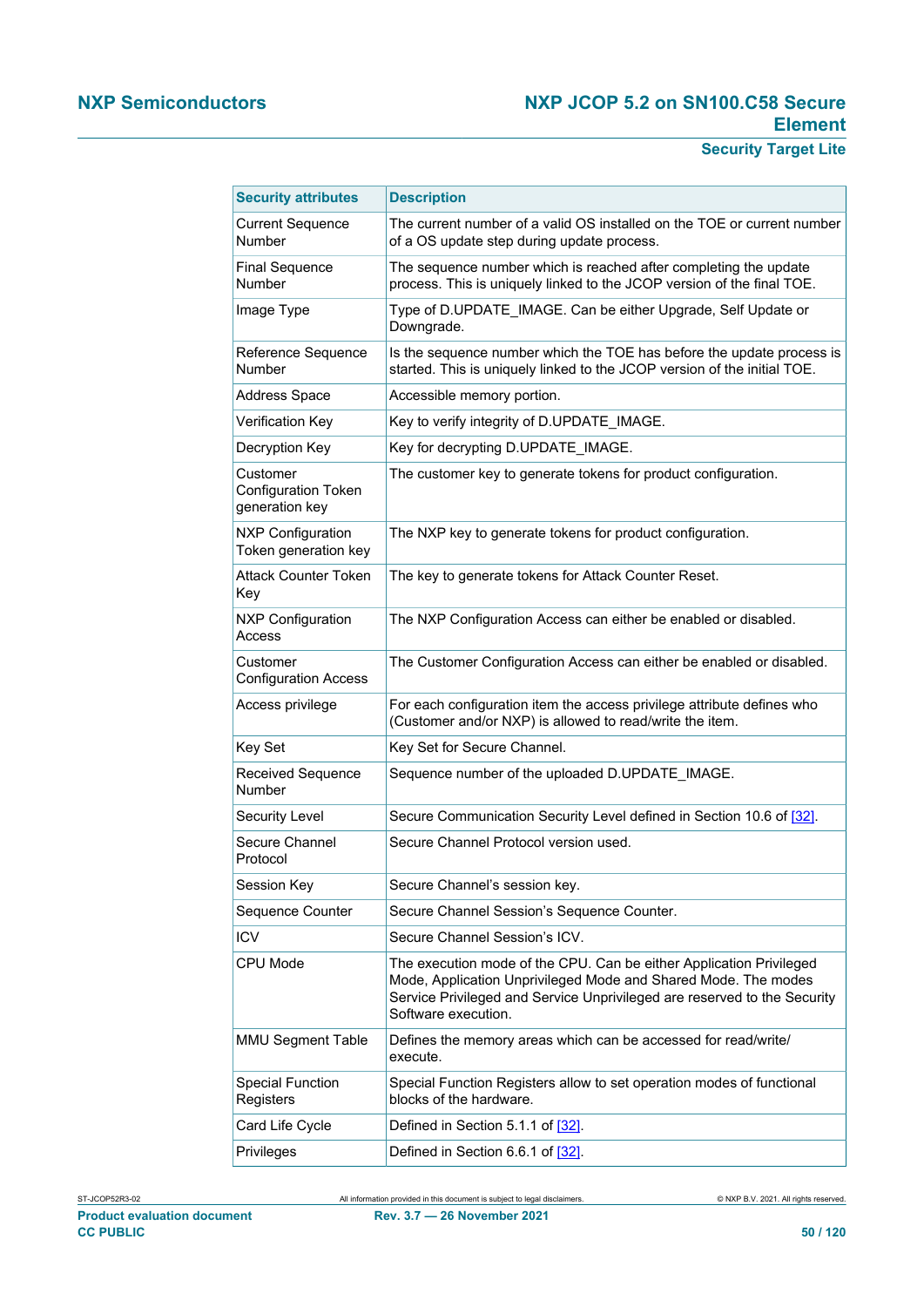| <b>Security attributes</b>                               | <b>Description</b>                                                                                                                                                                                                                       |  |
|----------------------------------------------------------|------------------------------------------------------------------------------------------------------------------------------------------------------------------------------------------------------------------------------------------|--|
| <b>Current Sequence</b><br>Number                        | The current number of a valid OS installed on the TOE or current number<br>of a OS update step during update process.                                                                                                                    |  |
| <b>Final Sequence</b><br>Number                          | The sequence number which is reached after completing the update<br>process. This is uniquely linked to the JCOP version of the final TOE.                                                                                               |  |
| Image Type                                               | Type of D.UPDATE_IMAGE. Can be either Upgrade, Self Update or<br>Downgrade.                                                                                                                                                              |  |
| Reference Sequence<br>Number                             | Is the sequence number which the TOE has before the update process is<br>started. This is uniquely linked to the JCOP version of the initial TOE.                                                                                        |  |
| <b>Address Space</b>                                     | Accessible memory portion.                                                                                                                                                                                                               |  |
| <b>Verification Key</b>                                  | Key to verify integrity of D.UPDATE_IMAGE.                                                                                                                                                                                               |  |
| Decryption Key                                           | Key for decrypting D.UPDATE_IMAGE.                                                                                                                                                                                                       |  |
| Customer<br><b>Configuration Token</b><br>generation key | The customer key to generate tokens for product configuration.                                                                                                                                                                           |  |
| <b>NXP Configuration</b><br>Token generation key         | The NXP key to generate tokens for product configuration.                                                                                                                                                                                |  |
| <b>Attack Counter Token</b><br>Key                       | The key to generate tokens for Attack Counter Reset.                                                                                                                                                                                     |  |
| <b>NXP Configuration</b><br>Access                       | The NXP Configuration Access can either be enabled or disabled.                                                                                                                                                                          |  |
| Customer<br><b>Configuration Access</b>                  | The Customer Configuration Access can either be enabled or disabled.                                                                                                                                                                     |  |
| Access privilege                                         | For each configuration item the access privilege attribute defines who<br>(Customer and/or NXP) is allowed to read/write the item.                                                                                                       |  |
| Key Set                                                  | Key Set for Secure Channel.                                                                                                                                                                                                              |  |
| <b>Received Sequence</b><br><b>Number</b>                | Sequence number of the uploaded D.UPDATE_IMAGE.                                                                                                                                                                                          |  |
| <b>Security Level</b>                                    | Secure Communication Security Level defined in Section 10.6 of [32].                                                                                                                                                                     |  |
| Secure Channel<br>Protocol                               | Secure Channel Protocol version used.                                                                                                                                                                                                    |  |
| Session Key                                              | Secure Channel's session key.                                                                                                                                                                                                            |  |
| Sequence Counter                                         | Secure Channel Session's Sequence Counter.                                                                                                                                                                                               |  |
| <b>ICV</b>                                               | Secure Channel Session's ICV.                                                                                                                                                                                                            |  |
| CPU Mode                                                 | The execution mode of the CPU. Can be either Application Privileged<br>Mode, Application Unprivileged Mode and Shared Mode. The modes<br>Service Privileged and Service Unprivileged are reserved to the Security<br>Software execution. |  |
| <b>MMU Segment Table</b>                                 | Defines the memory areas which can be accessed for read/write/<br>execute.                                                                                                                                                               |  |
| <b>Special Function</b><br>Registers                     | Special Function Registers allow to set operation modes of functional<br>blocks of the hardware.                                                                                                                                         |  |
| Card Life Cycle                                          | Defined in Section 5.1.1 of [32].                                                                                                                                                                                                        |  |
| Privileges                                               | Defined in Section 6.6.1 of [32].                                                                                                                                                                                                        |  |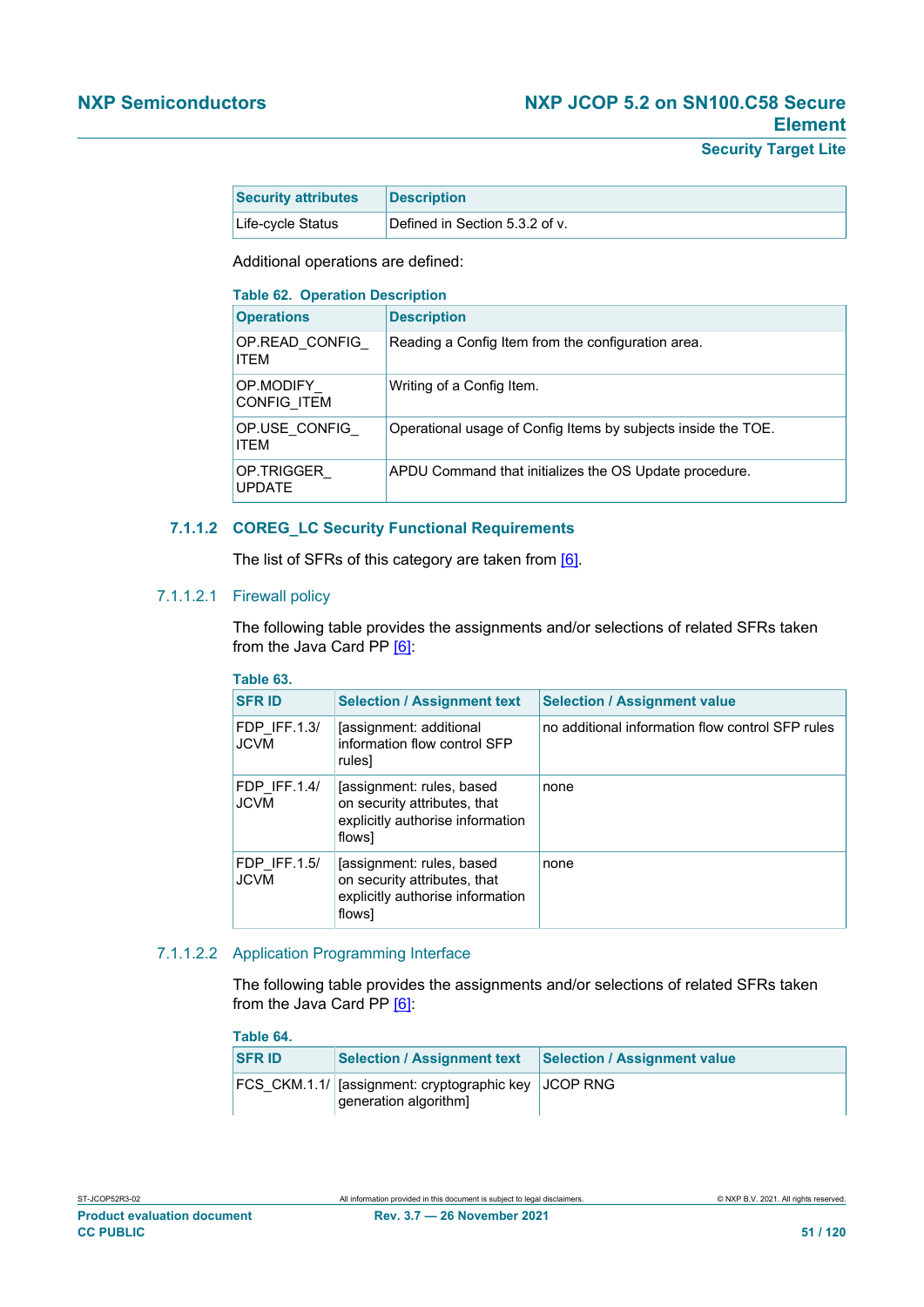| <b>Security attributes</b> | <b>Description</b>             |
|----------------------------|--------------------------------|
| Life-cycle Status          | Defined in Section 5.3.2 of v. |

Additional operations are defined:

| <b>Table 62. Operation Description</b>                                              |                                                               |  |
|-------------------------------------------------------------------------------------|---------------------------------------------------------------|--|
| <b>Operations</b>                                                                   | <b>Description</b>                                            |  |
| OP.READ CONFIG<br>Reading a Config Item from the configuration area.<br><b>ITFM</b> |                                                               |  |
| OP.MODIFY<br><b>CONFIG ITEM</b>                                                     | Writing of a Config Item.                                     |  |
| OP.USE CONFIG<br><b>ITFM</b>                                                        | Operational usage of Config Items by subjects inside the TOE. |  |
| OP.TRIGGER<br><b>UPDATE</b>                                                         | APDU Command that initializes the OS Update procedure.        |  |

#### **7.1.1.2 COREG\_LC Security Functional Requirements**

The list of SFRs of this category are taken from [\[6\].](#page-112-2)

# 7.1.1.2.1 Firewall policy

The following table provides the assignments and/or selections of related SFRs taken from the Java Card PP [\[6\]:](#page-112-2)

| Table 63.                          |                                                                                                         |                                                  |
|------------------------------------|---------------------------------------------------------------------------------------------------------|--------------------------------------------------|
| <b>SFR ID</b>                      | <b>Selection / Assignment text</b>                                                                      | <b>Selection / Assignment value</b>              |
| <b>FDP IFF.1.3/</b><br><b>JCVM</b> | (assignment: additional)<br>information flow control SFP<br>rules]                                      | no additional information flow control SFP rules |
| FDP IFF.1.4/<br><b>JCVM</b>        | [assignment: rules, based<br>on security attributes, that<br>explicitly authorise information<br>flows] | none                                             |
| <b>FDP IFF.1.5/</b><br><b>JCVM</b> | fassignment: rules, based<br>on security attributes, that<br>explicitly authorise information<br>flows] | none                                             |

#### 7.1.1.2.2 Application Programming Interface

The following table provides the assignments and/or selections of related SFRs taken from the Java Card PP [\[6\]:](#page-112-2)

| Table 64.     |                                                                              |                                     |
|---------------|------------------------------------------------------------------------------|-------------------------------------|
| <b>SFR ID</b> | <b>Selection / Assignment text</b>                                           | <b>Selection / Assignment value</b> |
|               | FCS CKM.1.1/ [assignment: cryptographic key JCOP RNG<br>generation algorithm |                                     |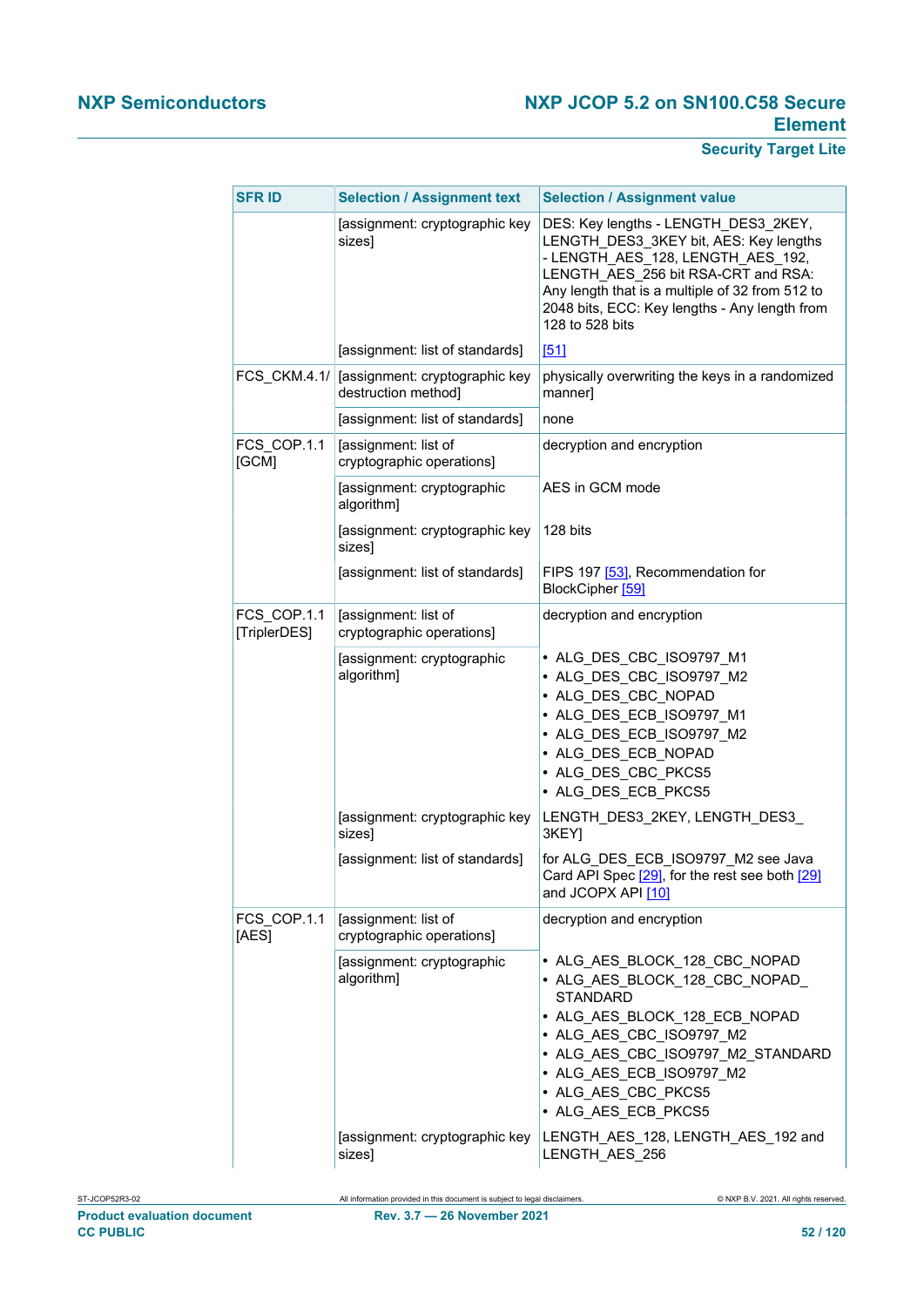| <b>SFR ID</b>               | <b>Selection / Assignment text</b>                    | <b>Selection / Assignment value</b>                                                                                                                                                                                                                                               |
|-----------------------------|-------------------------------------------------------|-----------------------------------------------------------------------------------------------------------------------------------------------------------------------------------------------------------------------------------------------------------------------------------|
|                             | [assignment: cryptographic key<br>sizes]              | DES: Key lengths - LENGTH DES3 2KEY,<br>LENGTH_DES3_3KEY bit, AES: Key lengths<br>- LENGTH_AES_128, LENGTH_AES_192,<br>LENGTH AES 256 bit RSA-CRT and RSA:<br>Any length that is a multiple of 32 from 512 to<br>2048 bits, ECC: Key lengths - Any length from<br>128 to 528 bits |
|                             | [assignment: list of standards]                       | [51]                                                                                                                                                                                                                                                                              |
| <b>FCS CKM.4.1/</b>         | [assignment: cryptographic key<br>destruction method] | physically overwriting the keys in a randomized<br>manner]                                                                                                                                                                                                                        |
|                             | [assignment: list of standards]                       | none                                                                                                                                                                                                                                                                              |
| FCS COP.1.1<br>[GCM]        | [assignment: list of<br>cryptographic operations]     | decryption and encryption                                                                                                                                                                                                                                                         |
|                             | [assignment: cryptographic<br>algorithm]              | AES in GCM mode                                                                                                                                                                                                                                                                   |
|                             | [assignment: cryptographic key<br>sizes]              | 128 bits                                                                                                                                                                                                                                                                          |
|                             | [assignment: list of standards]                       | FIPS 197 [53], Recommendation for<br>BlockCipher [59]                                                                                                                                                                                                                             |
| FCS COP.1.1<br>[TriplerDES] | [assignment: list of<br>cryptographic operations]     | decryption and encryption                                                                                                                                                                                                                                                         |
|                             | [assignment: cryptographic<br>algorithm]              | • ALG_DES_CBC_ISO9797_M1<br>• ALG_DES_CBC_ISO9797_M2<br>• ALG DES CBC NOPAD<br>• ALG_DES_ECB_ISO9797_M1<br>• ALG DES ECB ISO9797 M2<br>• ALG DES ECB NOPAD<br>• ALG DES CBC PKCS5<br>• ALG DES ECB PKCS5                                                                          |
|                             | [assignment: cryptographic key<br>sizes]              | LENGTH DES3 2KEY, LENGTH DES3<br>3KEY]                                                                                                                                                                                                                                            |
|                             | [assignment: list of standards]                       | for ALG_DES_ECB_ISO9797_M2 see Java<br>Card API Spec [29], for the rest see both [29]<br>and JCOPX API [10]                                                                                                                                                                       |
| FCS COP.1.1<br>[AES]        | [assignment: list of<br>cryptographic operations]     | decryption and encryption                                                                                                                                                                                                                                                         |
|                             | [assignment: cryptographic<br>algorithm]              | • ALG AES BLOCK 128 CBC NOPAD<br>• ALG_AES_BLOCK_128_CBC_NOPAD<br><b>STANDARD</b><br>• ALG AES BLOCK 128 ECB NOPAD<br>• ALG_AES_CBC_ISO9797_M2<br>• ALG AES_CBC_ISO9797_M2_STANDARD<br>• ALG AES_ECB_ISO9797_M2<br>• ALG AES_CBC_PKCS5<br>• ALG AES ECB PKCS5                     |
|                             | [assignment: cryptographic key<br>sizes]              | LENGTH_AES_128, LENGTH_AES_192 and<br>LENGTH AES 256                                                                                                                                                                                                                              |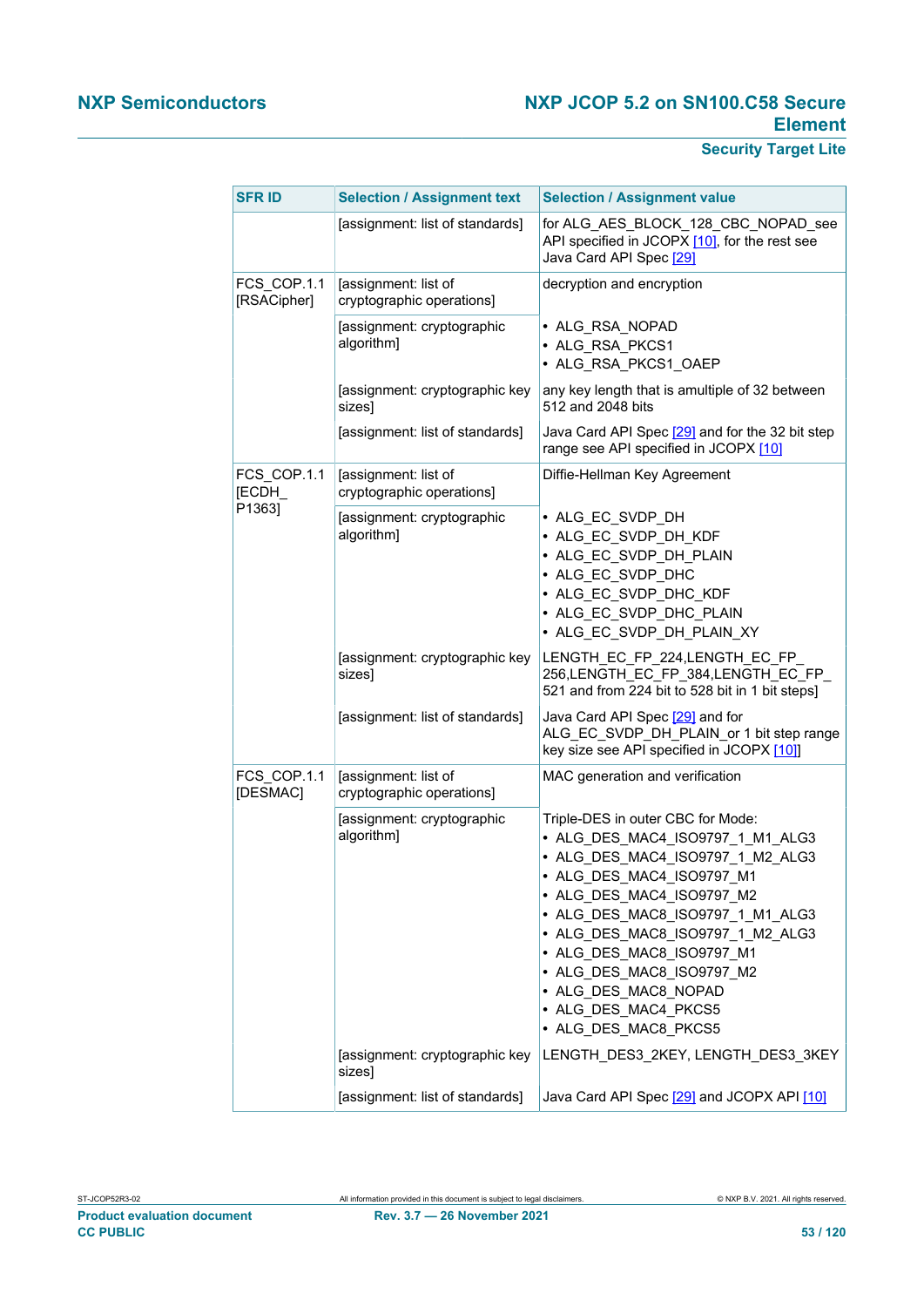| <b>SFR ID</b>              | <b>Selection / Assignment text</b>                | <b>Selection / Assignment value</b>                                                                                                                                                                                                                                                                                                                                           |
|----------------------------|---------------------------------------------------|-------------------------------------------------------------------------------------------------------------------------------------------------------------------------------------------------------------------------------------------------------------------------------------------------------------------------------------------------------------------------------|
|                            | [assignment: list of standards]                   | for ALG AES BLOCK 128 CBC NOPAD see<br>API specified in JCOPX [10], for the rest see<br>Java Card API Spec [29]                                                                                                                                                                                                                                                               |
| FCS COP.1.1<br>[RSACipher] | [assignment: list of<br>cryptographic operations] | decryption and encryption                                                                                                                                                                                                                                                                                                                                                     |
|                            | [assignment: cryptographic<br>algorithm]          | • ALG_RSA_NOPAD<br>· ALG RSA PKCS1<br>· ALG_RSA_PKCS1_OAEP                                                                                                                                                                                                                                                                                                                    |
|                            | [assignment: cryptographic key<br>sizes]          | any key length that is amultiple of 32 between<br>512 and 2048 bits                                                                                                                                                                                                                                                                                                           |
|                            | [assignment: list of standards]                   | Java Card API Spec [29] and for the 32 bit step<br>range see API specified in JCOPX [10]                                                                                                                                                                                                                                                                                      |
| FCS COP.1.1<br>[ECDH_      | [assignment: list of<br>cryptographic operations] | Diffie-Hellman Key Agreement                                                                                                                                                                                                                                                                                                                                                  |
| P1363]                     | [assignment: cryptographic<br>algorithm]          | • ALG_EC_SVDP_DH<br>• ALG_EC_SVDP_DH_KDF<br>• ALG_EC_SVDP_DH_PLAIN<br>• ALG EC SVDP DHC<br>• ALG EC SVDP DHC KDF<br>• ALG EC SVDP DHC PLAIN<br>• ALG EC SVDP DH PLAIN XY                                                                                                                                                                                                      |
|                            | [assignment: cryptographic key<br>sizes]          | LENGTH_EC_FP_224,LENGTH_EC_FP_<br>256, LENGTH_EC_FP_384, LENGTH_EC_FP_<br>521 and from 224 bit to 528 bit in 1 bit steps]                                                                                                                                                                                                                                                     |
|                            | [assignment: list of standards]                   | Java Card API Spec [29] and for<br>ALG_EC_SVDP_DH_PLAIN_or 1 bit step range<br>key size see API specified in JCOPX [10]                                                                                                                                                                                                                                                       |
| FCS COP.1.1<br>[DESMAC]    | [assignment: list of<br>cryptographic operations] | MAC generation and verification                                                                                                                                                                                                                                                                                                                                               |
|                            | [assignment: cryptographic<br>algorithm]          | Triple-DES in outer CBC for Mode:<br>• ALG DES MAC4 ISO9797 1 M1 ALG3<br>• ALG_DES_MAC4_ISO9797_1_M2_ALG3<br>• ALG_DES_MAC4_ISO9797_M1<br>• ALG_DES_MAC4_ISO9797_M2<br>• ALG_DES_MAC8_ISO9797_1_M1_ALG3<br>• ALG_DES_MAC8_ISO9797_1_M2_ALG3<br>• ALG_DES_MAC8_ISO9797_M1<br>• ALG_DES_MAC8_ISO9797_M2<br>• ALG_DES_MAC8_NOPAD<br>• ALG_DES_MAC4_PKCS5<br>• ALG_DES_MAC8_PKCS5 |
|                            | [assignment: cryptographic key<br>sizes]          | LENGTH_DES3_2KEY, LENGTH_DES3_3KEY                                                                                                                                                                                                                                                                                                                                            |
|                            | [assignment: list of standards]                   | Java Card API Spec [29] and JCOPX API [10]                                                                                                                                                                                                                                                                                                                                    |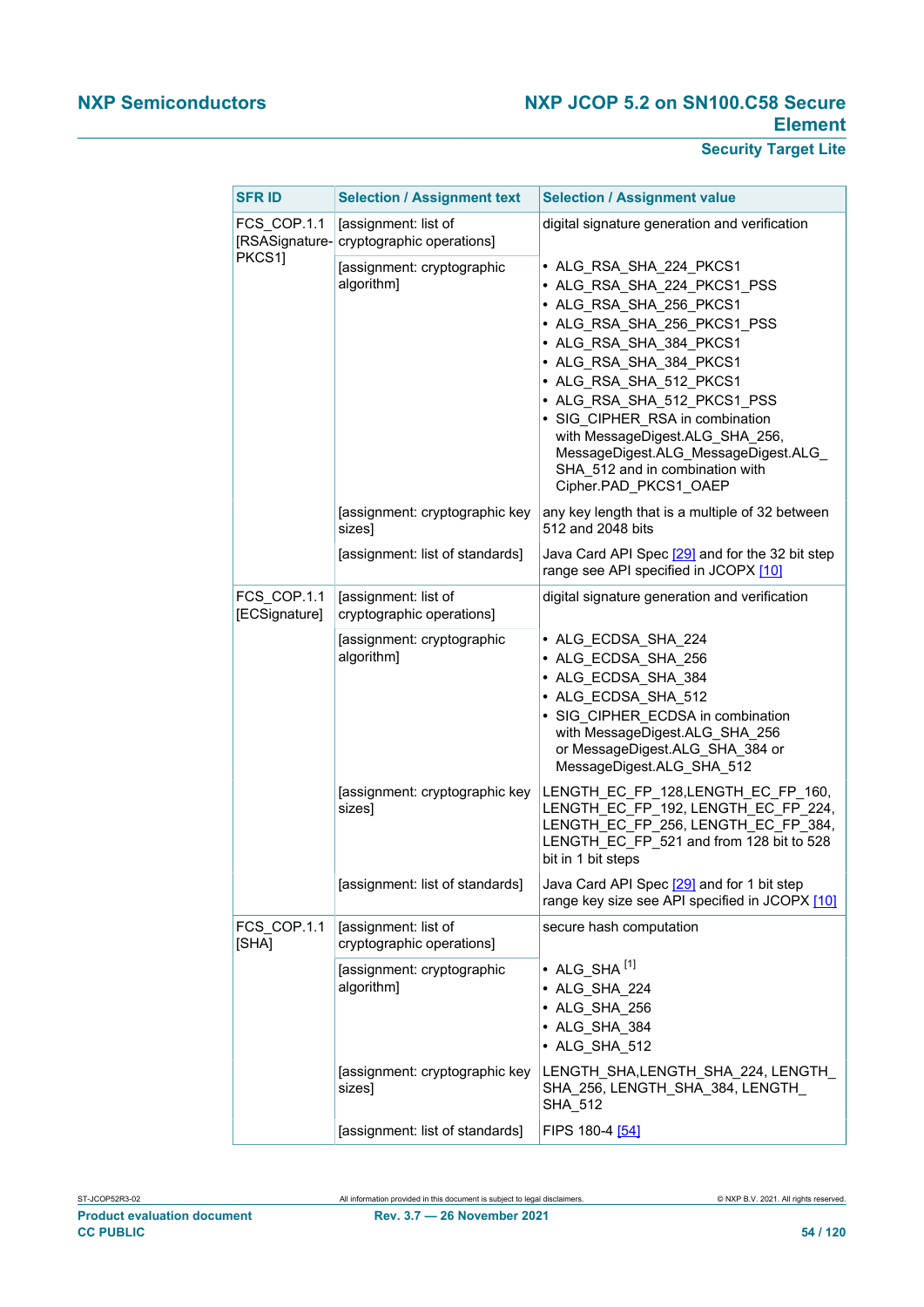| <b>SFR ID</b>                | <b>Selection / Assignment text</b>                               | <b>Selection / Assignment value</b>                                                                                                                                                                                                                                                                                                                                                                        |
|------------------------------|------------------------------------------------------------------|------------------------------------------------------------------------------------------------------------------------------------------------------------------------------------------------------------------------------------------------------------------------------------------------------------------------------------------------------------------------------------------------------------|
| FCS COP.1.1                  | [assignment: list of<br>[RSASignature- cryptographic operations] | digital signature generation and verification                                                                                                                                                                                                                                                                                                                                                              |
| PKCS1]                       | [assignment: cryptographic<br>algorithm]                         | • ALG_RSA_SHA_224_PKCS1<br>• ALG_RSA_SHA_224_PKCS1_PSS<br>· ALG_RSA_SHA_256_PKCS1<br>· ALG_RSA_SHA_256_PKCS1_PSS<br>• ALG RSA SHA 384 PKCS1<br>• ALG RSA SHA 384 PKCS1<br>• ALG RSA SHA 512 PKCS1<br>• ALG_RSA_SHA_512_PKCS1_PSS<br>• SIG CIPHER RSA in combination<br>with MessageDigest.ALG_SHA_256,<br>MessageDigest.ALG_MessageDigest.ALG_<br>SHA 512 and in combination with<br>Cipher.PAD_PKCS1_OAEP |
|                              | [assignment: cryptographic key<br>sizes]                         | any key length that is a multiple of 32 between<br>512 and 2048 bits                                                                                                                                                                                                                                                                                                                                       |
|                              | [assignment: list of standards]                                  | Java Card API Spec [29] and for the 32 bit step<br>range see API specified in JCOPX [10]                                                                                                                                                                                                                                                                                                                   |
| FCS COP.1.1<br>[ECSignature] | [assignment: list of<br>cryptographic operations]                | digital signature generation and verification                                                                                                                                                                                                                                                                                                                                                              |
|                              | [assignment: cryptographic<br>algorithm]                         | • ALG_ECDSA_SHA_224<br>• ALG_ECDSA_SHA_256<br>• ALG_ECDSA_SHA_384<br>• ALG_ECDSA_SHA_512<br>• SIG CIPHER ECDSA in combination<br>with MessageDigest.ALG_SHA_256<br>or MessageDigest.ALG_SHA_384 or<br>MessageDigest.ALG_SHA_512                                                                                                                                                                            |
|                              | [assignment: cryptographic key<br>sizes]                         | LENGTH EC FP 128, LENGTH EC FP 160,<br>LENGTH_EC_FP_192, LENGTH_EC_FP_224,<br>LENGTH_EC_FP_256, LENGTH_EC_FP_384,<br>LENGTH_EC_FP_521 and from 128 bit to 528<br>bit in 1 bit steps                                                                                                                                                                                                                        |
|                              | [assignment: list of standards]                                  | Java Card API Spec [29] and for 1 bit step<br>range key size see API specified in JCOPX [10]                                                                                                                                                                                                                                                                                                               |
| FCS COP.1.1<br>[SHA]         | [assignment: list of<br>cryptographic operations]                | secure hash computation                                                                                                                                                                                                                                                                                                                                                                                    |
|                              | [assignment: cryptographic<br>algorithm]                         | • ALG SHA <sup>[1]</sup><br>• ALG_SHA_224<br>• ALG SHA 256<br>• ALG SHA 384<br>• ALG SHA 512                                                                                                                                                                                                                                                                                                               |
|                              | [assignment: cryptographic key<br>sizes]                         | LENGTH SHA,LENGTH SHA 224, LENGTH<br>SHA_256, LENGTH_SHA_384, LENGTH_<br>SHA_512                                                                                                                                                                                                                                                                                                                           |
|                              | [assignment: list of standards]                                  | FIPS 180-4 [54]                                                                                                                                                                                                                                                                                                                                                                                            |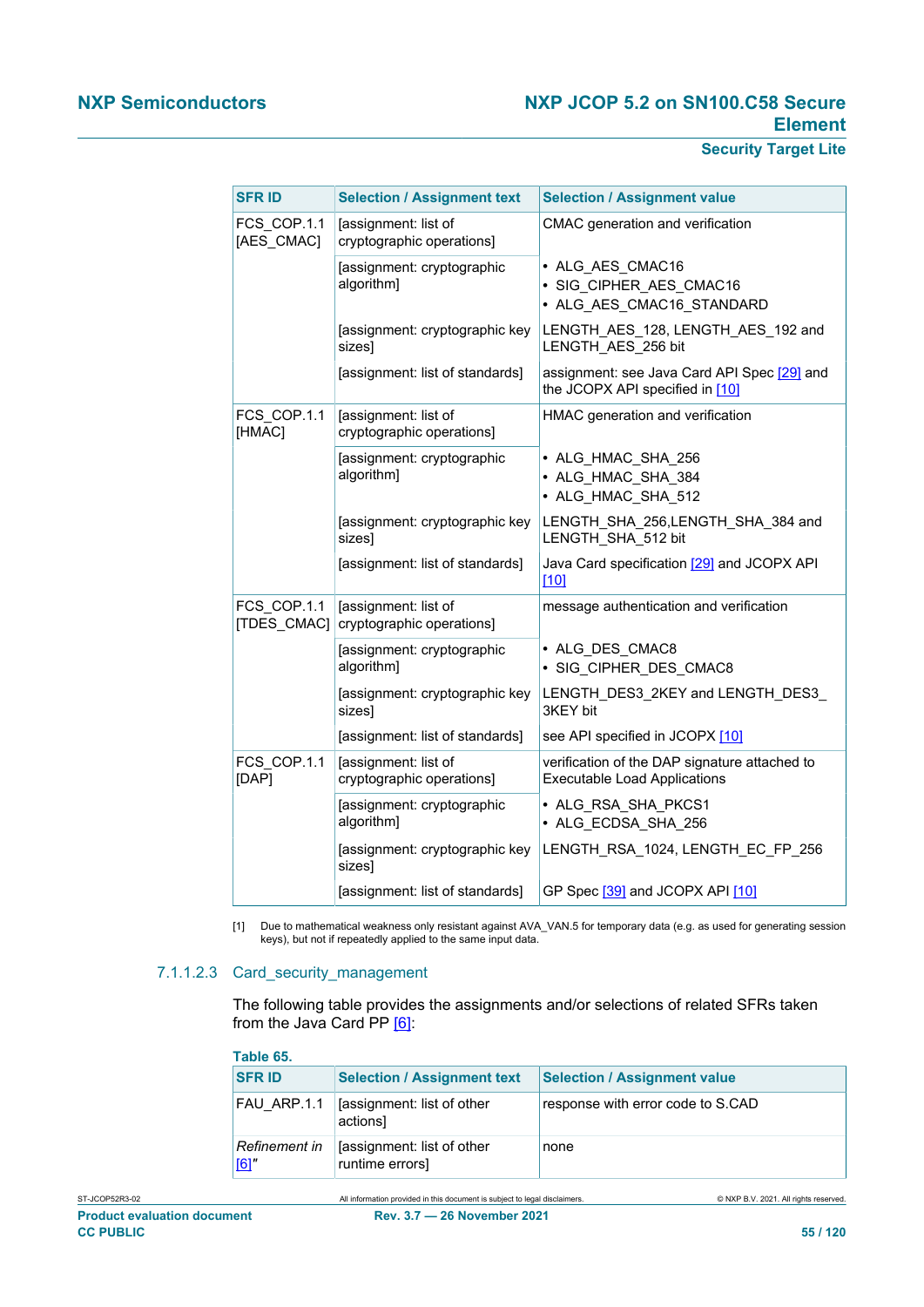# **Security Target Lite**

<span id="page-54-0"></span>

| <b>SFR ID</b>              | <b>Selection / Assignment text</b>                | <b>Selection / Assignment value</b>                                                  |
|----------------------------|---------------------------------------------------|--------------------------------------------------------------------------------------|
| FCS COP.1.1<br>[AES CMAC]  | [assignment: list of<br>cryptographic operations] | CMAC generation and verification                                                     |
|                            | [assignment: cryptographic<br>algorithm]          | • ALG AES CMAC16<br>· SIG CIPHER_AES_CMAC16<br>• ALG AES CMAC16 STANDARD             |
|                            | [assignment: cryptographic key<br>sizes]          | LENGTH_AES_128, LENGTH_AES_192 and<br>LENGTH AES 256 bit                             |
|                            | [assignment: list of standards]                   | assignment: see Java Card API Spec [29] and<br>the JCOPX API specified in [10]       |
| FCS COP.1.1<br>[HMAC]      | [assignment: list of<br>cryptographic operations] | HMAC generation and verification                                                     |
|                            | [assignment: cryptographic<br>algorithm]          | • ALG HMAC SHA 256<br>• ALG HMAC SHA 384<br>• ALG HMAC SHA 512                       |
|                            | [assignment: cryptographic key<br>sizes]          | LENGTH_SHA_256,LENGTH_SHA_384 and<br>LENGTH SHA 512 bit                              |
|                            | [assignment: list of standards]                   | Java Card specification [29] and JCOPX API<br>1101                                   |
| FCS COP.1.1<br>[TDES CMAC] | [assignment: list of<br>cryptographic operations] | message authentication and verification                                              |
|                            | [assignment: cryptographic<br>algorithm]          | • ALG DES CMAC8<br>· SIG CIPHER DES CMAC8                                            |
|                            | [assignment: cryptographic key<br>sizes]          | LENGTH_DES3_2KEY and LENGTH_DES3_<br>3KEY bit                                        |
|                            | [assignment: list of standards]                   | see API specified in JCOPX [10]                                                      |
| FCS COP.1.1<br>[DAP]       | [assignment: list of<br>cryptographic operations] | verification of the DAP signature attached to<br><b>Executable Load Applications</b> |
|                            | [assignment: cryptographic<br>algorithm]          | • ALG RSA SHA PKCS1<br>• ALG_ECDSA_SHA_256                                           |
|                            | [assignment: cryptographic key<br>sizes]          | LENGTH RSA 1024, LENGTH EC FP 256                                                    |
|                            | [assignment: list of standards]                   | GP Spec [39] and JCOPX API [10]                                                      |

[1] Due to mathematical weakness only resistant against AVA\_VAN.5 for temporary data (e.g. as used for generating session keys), but not if repeatedly applied to the same input data.

#### 7.1.1.2.3 Card\_security\_management

The following table provides the assignments and/or selections of related SFRs taken from the Java Card PP [\[6\]:](#page-112-2)

| Table 65.            |                                               |                                     |
|----------------------|-----------------------------------------------|-------------------------------------|
| <b>SFR ID</b>        | <b>Selection / Assignment text</b>            | <b>Selection / Assignment value</b> |
| FAU ARP.1.1          | [assignment: list of other<br>actions]        | response with error code to S.CAD   |
| Refinement in<br>[6] | [assignment: list of other<br>runtime errors] | none                                |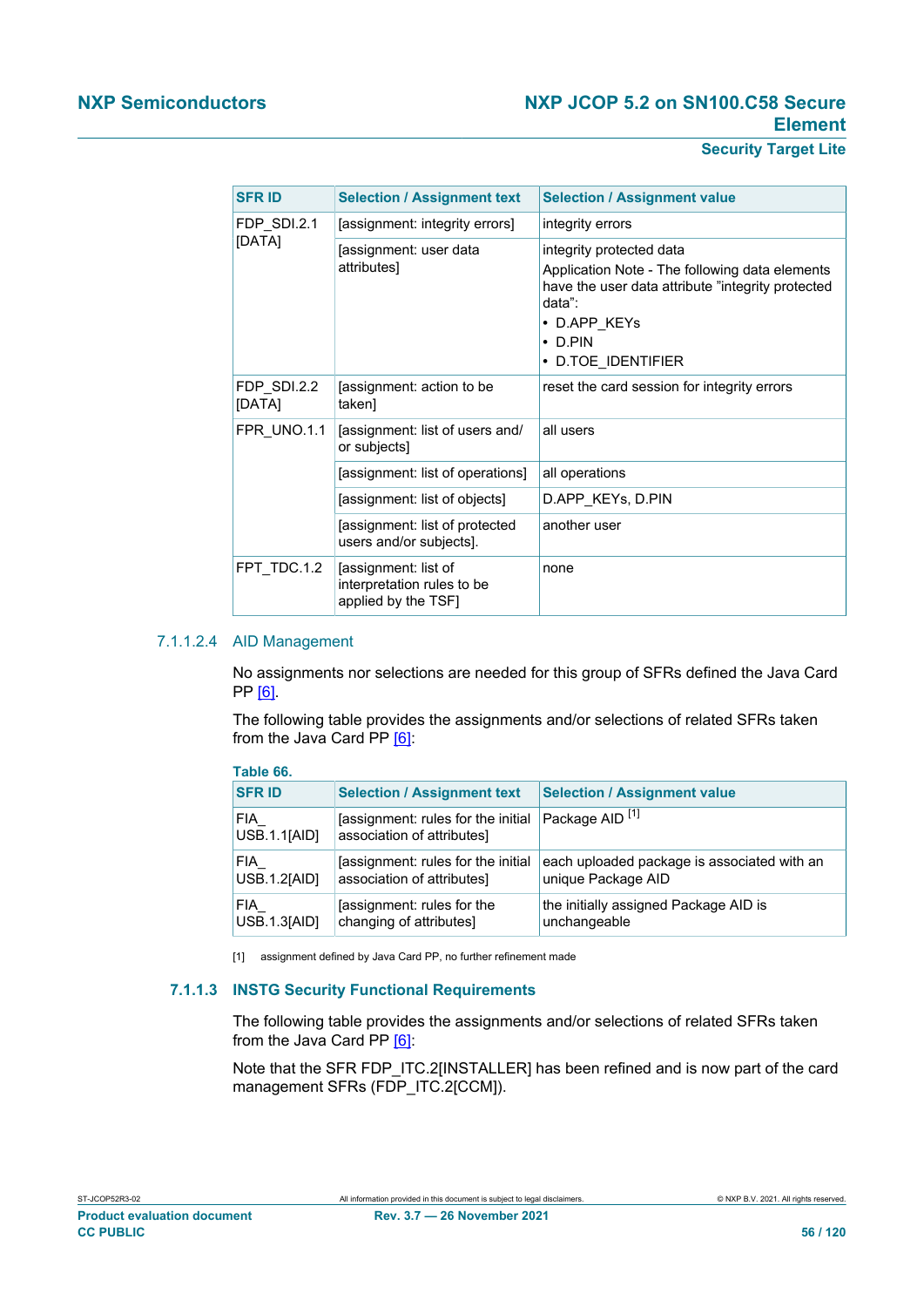## **Security Target Lite**

<span id="page-55-0"></span>

| <b>SFR ID</b>         | <b>Selection / Assignment text</b>                                        | <b>Selection / Assignment value</b>                                                                                                                                                              |
|-----------------------|---------------------------------------------------------------------------|--------------------------------------------------------------------------------------------------------------------------------------------------------------------------------------------------|
| FDP SDI.2.1           | [assignment: integrity errors]                                            | integrity errors                                                                                                                                                                                 |
| [DATA]                | [assignment: user data<br>attributes]                                     | integrity protected data<br>Application Note - The following data elements<br>have the user data attribute "integrity protected<br>data":<br>• D.APP_KEYs<br>$\cdot$ D.PIN<br>• D.TOE IDENTIFIER |
| FDP SDI.2.2<br>[DATA] | [assignment: action to be<br>taken]                                       | reset the card session for integrity errors                                                                                                                                                      |
| FPR UNO.1.1           | [assignment: list of users and/<br>or subjects]                           | all users                                                                                                                                                                                        |
|                       | [assignment: list of operations]                                          | all operations                                                                                                                                                                                   |
|                       | [assignment: list of objects]                                             | D.APP KEYS, D.PIN                                                                                                                                                                                |
|                       | [assignment: list of protected<br>users and/or subjects].                 | another user                                                                                                                                                                                     |
| FPT TDC.1.2           | [assignment: list of<br>interpretation rules to be<br>applied by the TSF] | none                                                                                                                                                                                             |

#### 7.1.1.2.4 AID Management

No assignments nor selections are needed for this group of SFRs defined the Java Card PP [\[6\]](#page-112-2).

The following table provides the assignments and/or selections of related SFRs taken from the Java Card PP [\[6\]:](#page-112-2)

| Table 66.                  |                                                                   |                                                                   |
|----------------------------|-------------------------------------------------------------------|-------------------------------------------------------------------|
| <b>SFRID</b>               | <b>Selection / Assignment text</b>                                | <b>Selection / Assignment value</b>                               |
| FIA<br>USB.1.1[AID]        | assignment: rules for the initial<br>association of attributes]   | Package AID <sup>[1]</sup>                                        |
| <b>FIA</b><br>USB.1.2[AID] | [assignment: rules for the initial]<br>association of attributes] | each uploaded package is associated with an<br>unique Package AID |
| FIA<br>USB.1.3[AID]        | [assignment: rules for the<br>changing of attributes]             | the initially assigned Package AID is<br>unchangeable             |

[1] assignment defined by Java Card PP, no further refinement made

## **7.1.1.3 INSTG Security Functional Requirements**

The following table provides the assignments and/or selections of related SFRs taken from the Java Card PP [\[6\]:](#page-112-2)

Note that the SFR FDP\_ITC.2[INSTALLER] has been refined and is now part of the card management SFRs (FDP\_ITC.2[CCM]).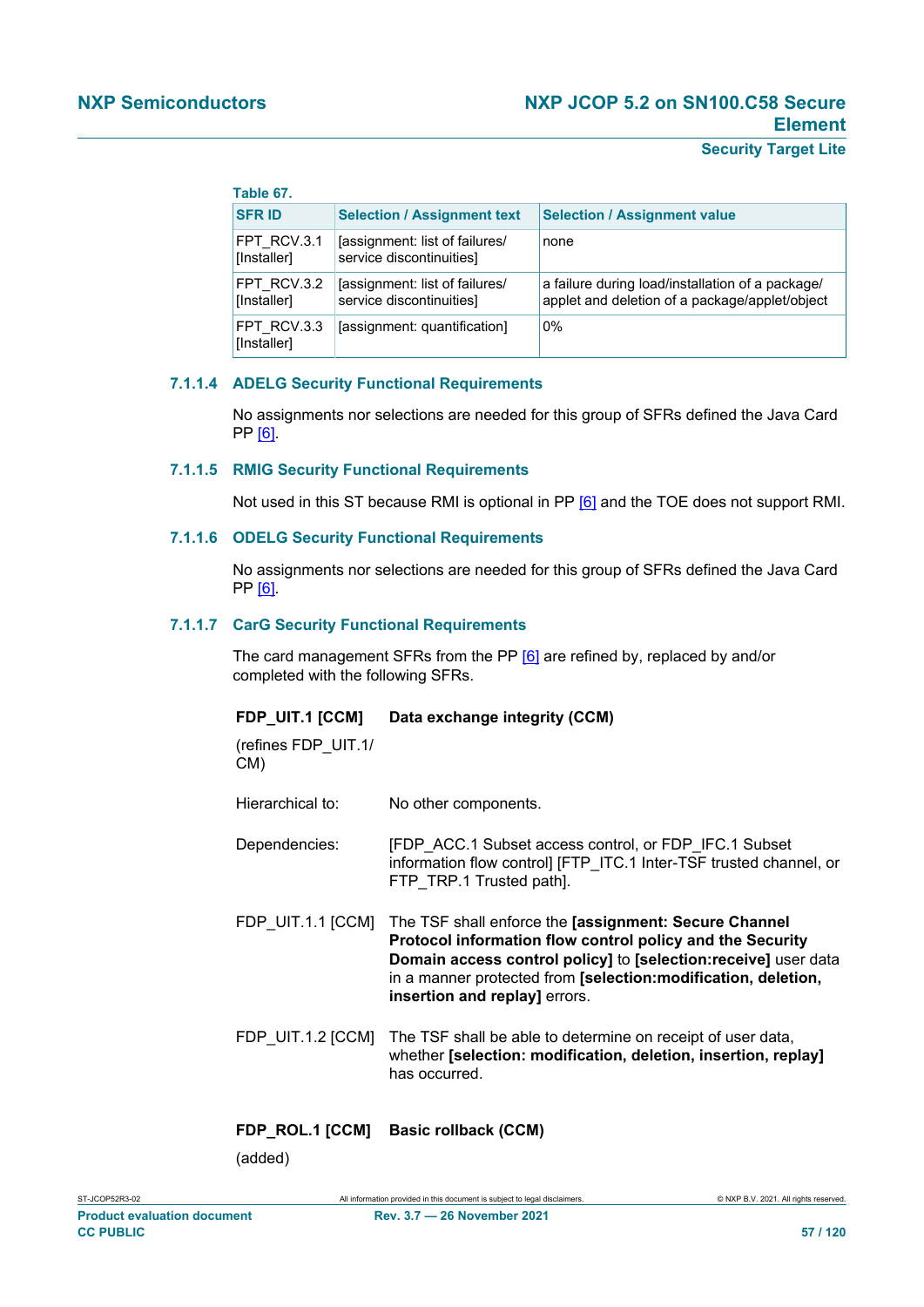## **Table 67.**

| <b>SFR ID</b>              | <b>Selection / Assignment text</b>                         | <b>Selection / Assignment value</b>                                                                |
|----------------------------|------------------------------------------------------------|----------------------------------------------------------------------------------------------------|
| FPT RCV.3.1<br>[Installer] | [assignment: list of failures/<br>service discontinuities] | none                                                                                               |
| FPT RCV.3.2<br>[Installer] | [assignment: list of failures/<br>service discontinuities] | a failure during load/installation of a package/<br>applet and deletion of a package/applet/object |
| FPT RCV.3.3<br>[Installer] | [assignment: quantification]                               | $0\%$                                                                                              |

#### **7.1.1.4 ADELG Security Functional Requirements**

No assignments nor selections are needed for this group of SFRs defined the Java Card PP [\[6\]](#page-112-2).

#### **7.1.1.5 RMIG Security Functional Requirements**

Not used in this ST because RMI is optional in PP [\[6\]](#page-112-2) and the TOE does not support RMI.

#### **7.1.1.6 ODELG Security Functional Requirements**

No assignments nor selections are needed for this group of SFRs defined the Java Card PP [\[6\]](#page-112-2).

#### **7.1.1.7 CarG Security Functional Requirements**

The card management SFRs from the PP [\[6\]](#page-112-2) are refined by, replaced by and/or completed with the following SFRs.

#### **FDP\_UIT.1 [CCM] Data exchange integrity (CCM)**

(refines FDP\_UIT.1/ CM)

Hierarchical to: No other components.

- Dependencies: [FDP\_ACC.1 Subset access control, or FDP\_IFC.1 Subset information flow control] [FTP\_ITC.1 Inter-TSF trusted channel, or FTP\_TRP.1 Trusted path].
- FDP\_UIT.1.1 [CCM] The TSF shall enforce the **[assignment: Secure Channel Protocol information flow control policy and the Security Domain access control policy]** to **[selection:receive]** user data in a manner protected from **[selection:modification, deletion, insertion and replay]** errors.
- FDP UIT.1.2 [CCM] The TSF shall be able to determine on receipt of user data, whether **[selection: modification, deletion, insertion, replay]** has occurred.

## **FDP\_ROL.1 [CCM] Basic rollback (CCM)**

(added)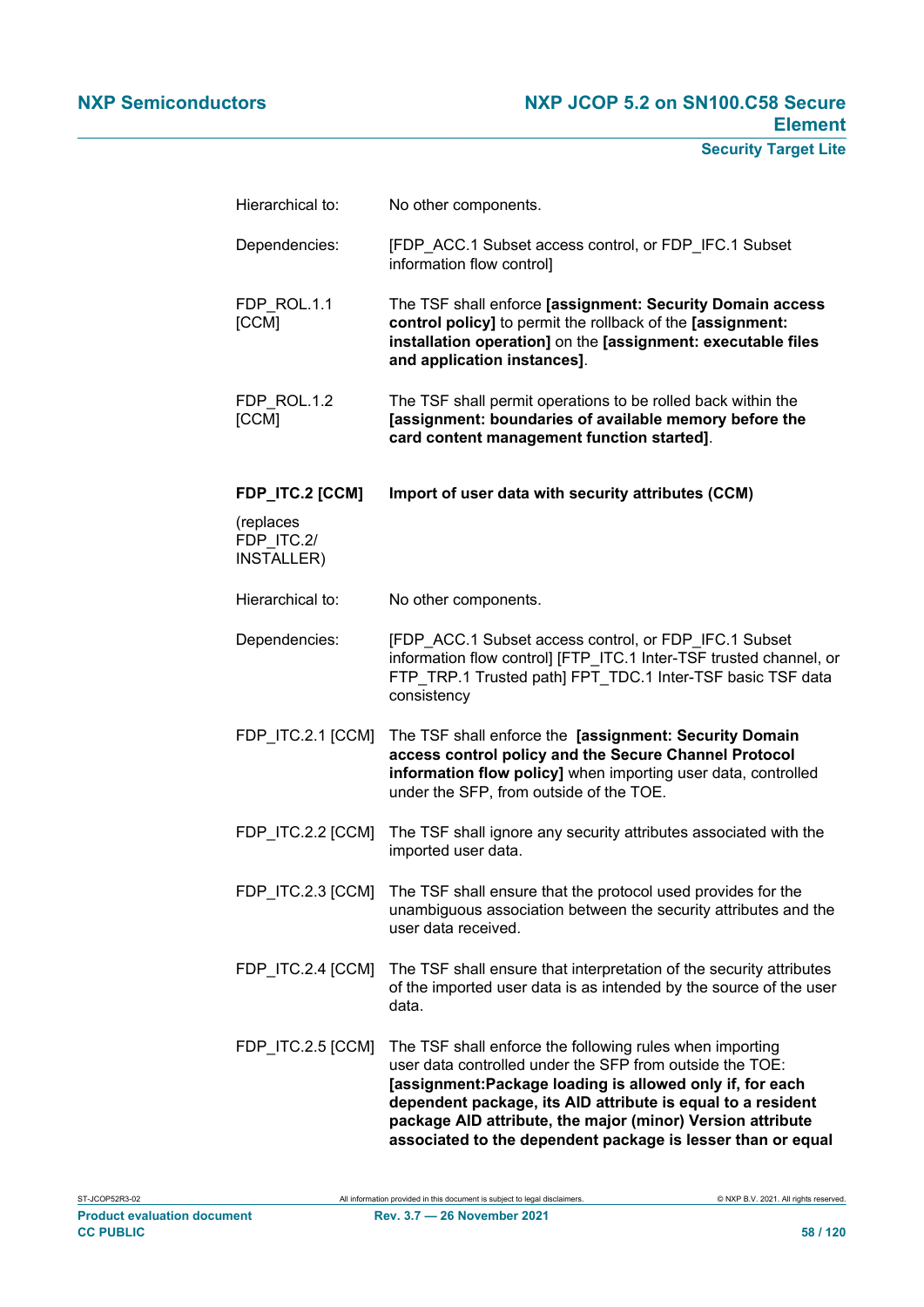| Hierarchical to:                      | No other components.                                                                                                                                                                                                                                                                                                                                                         |
|---------------------------------------|------------------------------------------------------------------------------------------------------------------------------------------------------------------------------------------------------------------------------------------------------------------------------------------------------------------------------------------------------------------------------|
| Dependencies:                         | [FDP_ACC.1 Subset access control, or FDP_IFC.1 Subset<br>information flow control]                                                                                                                                                                                                                                                                                           |
| FDP ROL.1.1<br>[CCM]                  | The TSF shall enforce [assignment: Security Domain access<br>control policy] to permit the rollback of the [assignment:<br>installation operation] on the [assignment: executable files<br>and application instances].                                                                                                                                                       |
| FDP ROL.1.2<br>[CCM]                  | The TSF shall permit operations to be rolled back within the<br>[assignment: boundaries of available memory before the<br>card content management function started].                                                                                                                                                                                                         |
| <b>FDP_ITC.2 [CCM]</b>                | Import of user data with security attributes (CCM)                                                                                                                                                                                                                                                                                                                           |
| (replaces<br>FDP ITC.2/<br>INSTALLER) |                                                                                                                                                                                                                                                                                                                                                                              |
| Hierarchical to:                      | No other components.                                                                                                                                                                                                                                                                                                                                                         |
| Dependencies:                         | [FDP_ACC.1 Subset access control, or FDP_IFC.1 Subset<br>information flow control] [FTP_ITC.1 Inter-TSF trusted channel, or<br>FTP_TRP.1 Trusted path] FPT_TDC.1 Inter-TSF basic TSF data<br>consistency                                                                                                                                                                     |
| FDP_ITC.2.1 [CCM]                     | The TSF shall enforce the [assignment: Security Domain<br>access control policy and the Secure Channel Protocol<br>information flow policy] when importing user data, controlled<br>under the SFP, from outside of the TOE.                                                                                                                                                  |
| FDP ITC.2.2 [CCM]                     | The TSF shall ignore any security attributes associated with the<br>imported user data.                                                                                                                                                                                                                                                                                      |
| FDP_ITC.2.3 [CCM]                     | The TSF shall ensure that the protocol used provides for the<br>unambiguous association between the security attributes and the<br>user data received.                                                                                                                                                                                                                       |
| FDP_ITC.2.4 [CCM]                     | The TSF shall ensure that interpretation of the security attributes<br>of the imported user data is as intended by the source of the user<br>data.                                                                                                                                                                                                                           |
| FDP_ITC.2.5 [CCM]                     | The TSF shall enforce the following rules when importing<br>user data controlled under the SFP from outside the TOE:<br>[assignment:Package loading is allowed only if, for each<br>dependent package, its AID attribute is equal to a resident<br>package AID attribute, the major (minor) Version attribute<br>associated to the dependent package is lesser than or equal |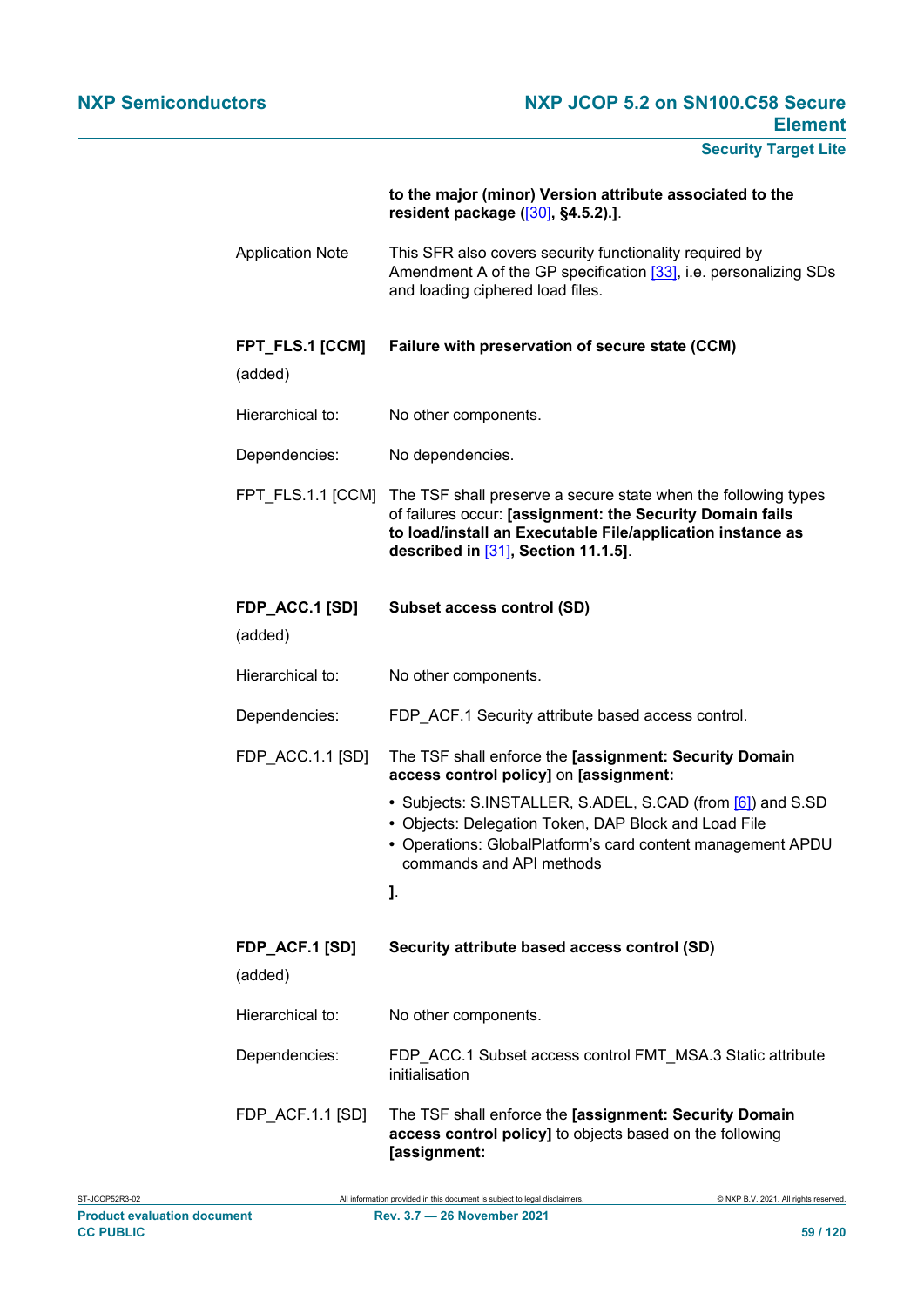# **to the major (minor) Version attribute associated to the resident package (**[\[30\]](#page-113-3)**, §4.5.2).]**.

- Application Note This SFR also covers security functionality required by Amendment A of the GP specification [\[33\]](#page-113-4), i.e. personalizing SDs and loading ciphered load files.
- **FPT\_FLS.1 [CCM] Failure with preservation of secure state (CCM)**

(added)

- Hierarchical to: No other components.
- Dependencies: No dependencies.
- FPT\_FLS.1.1 [CCM] The TSF shall preserve a secure state when the following types of failures occur: **[assignment: the Security Domain fails to load/install an Executable File/application instance as described in** [\[31\]](#page-113-5)**, Section 11.1.5]**.
- **FDP\_ACC.1 [SD] Subset access control (SD)**

(added)

- Hierarchical to: No other components.
- Dependencies: FDP\_ACF.1 Security attribute based access control.
- FDP\_ACC.1.1 [SD] The TSF shall enforce the **[assignment: Security Domain access control policy]** on **[assignment:**
	- **•** Subjects: S.INSTALLER, S.ADEL, S.CAD (from [\[6\]](#page-112-2)) and S.SD
	- **•** Objects: Delegation Token, DAP Block and Load File
	- **•** Operations: GlobalPlatform's card content management APDU commands and API methods
	- **]**.
- **FDP\_ACF.1 [SD]** (added) **Security attribute based access control (SD)** Hierarchical to: No other components. Dependencies: FDP\_ACC.1 Subset access control FMT\_MSA.3 Static attribute initialisation FDP\_ACF.1.1 [SD] The TSF shall enforce the **[assignment: Security Domain**
	- **access control policy]** to objects based on the following **[assignment:**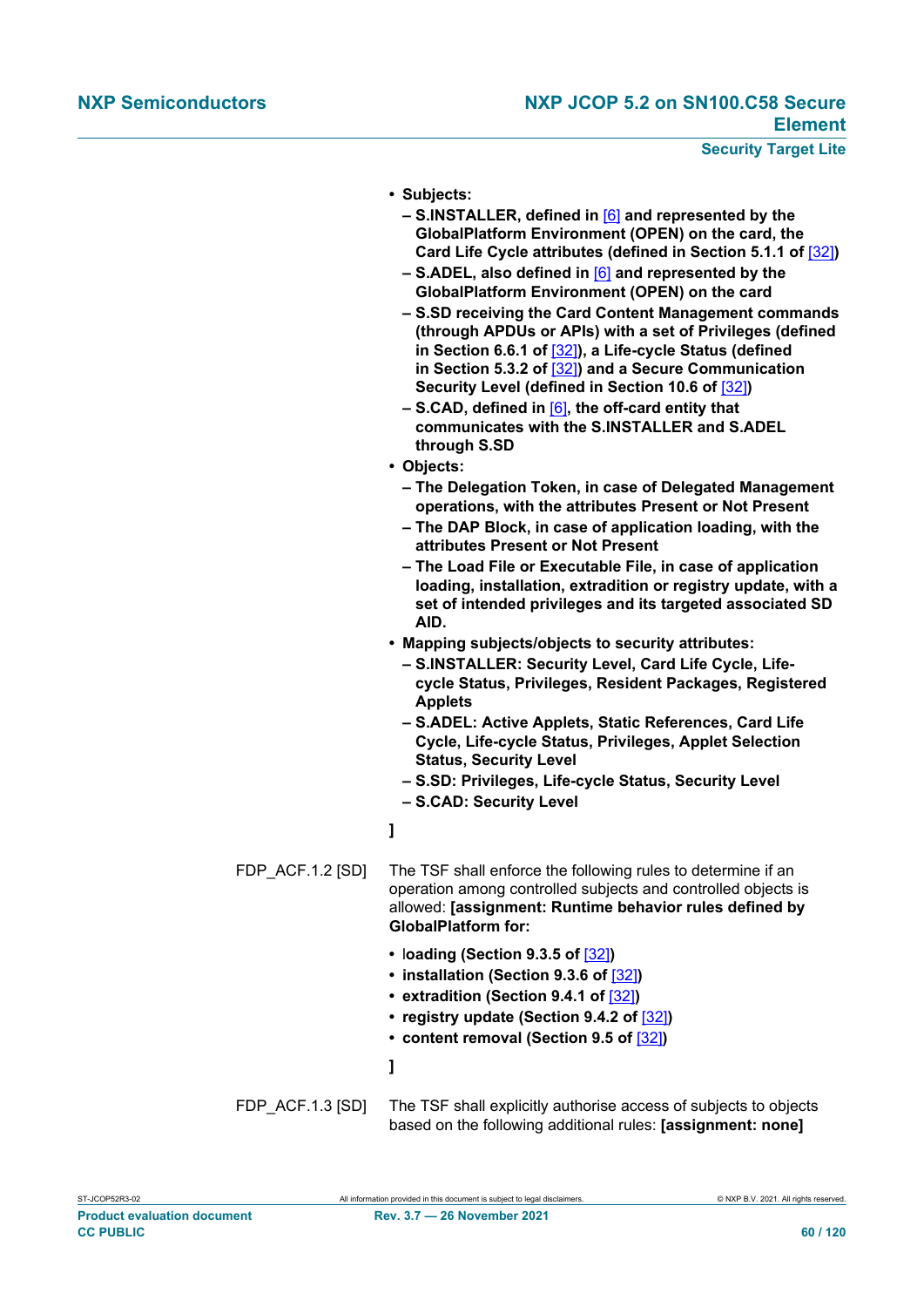- **• Subjects:**
	- **– S.INSTALLER, defined in** [\[6\]](#page-112-2) **and represented by the GlobalPlatform Environment (OPEN) on the card, the Card Life Cycle attributes (defined in Section 5.1.1 of** [\[32\]](#page-113-0)**)**
	- **– S.ADEL, also defined in** [\[6\]](#page-112-2) **and represented by the GlobalPlatform Environment (OPEN) on the card**
	- **– S.SD receiving the Card Content Management commands (through APDUs or APIs) with a set of Privileges (defined in Section 6.6.1 of** [\[32\]](#page-113-0)**), a Life-cycle Status (defined in Section 5.3.2 of** [\[32\]](#page-113-0)**) and a Secure Communication Security Level (defined in Section 10.6 of** [\[32\]](#page-113-0)**)**
	- **– S.CAD, defined in** [\[6\]](#page-112-2)**, the off-card entity that communicates with the S.INSTALLER and S.ADEL through S.SD**
- **• Objects:**
- **– The Delegation Token, in case of Delegated Management operations, with the attributes Present or Not Present**
- **– The DAP Block, in case of application loading, with the attributes Present or Not Present**
- **– The Load File or Executable File, in case of application loading, installation, extradition or registry update, with a set of intended privileges and its targeted associated SD AID.**
- **• Mapping subjects/objects to security attributes:**
	- **– S.INSTALLER: Security Level, Card Life Cycle, Lifecycle Status, Privileges, Resident Packages, Registered Applets**
	- **– S.ADEL: Active Applets, Static References, Card Life Cycle, Life-cycle Status, Privileges, Applet Selection Status, Security Level**
	- **– S.SD: Privileges, Life-cycle Status, Security Level**
	- **– S.CAD: Security Level**

# **]**

- FDP ACF.1.2 [SD] The TSF shall enforce the following rules to determine if an operation among controlled subjects and controlled objects is allowed: **[assignment: Runtime behavior rules defined by GlobalPlatform for:**
	- **•** l**oading (Section 9.3.5 of** [\[32\]](#page-113-0)**)**
	- **• installation (Section 9.3.6 of** [\[32\]](#page-113-0)**)**
	- **• extradition (Section 9.4.1 of** [\[32\]](#page-113-0)**)**
	- **• registry update (Section 9.4.2 of** [\[32\]](#page-113-0)**)**
	- **• content removal (Section 9.5 of** [\[32\]](#page-113-0)**)**
	- **]**
- FDP ACF.1.3 [SD] The TSF shall explicitly authorise access of subjects to objects based on the following additional rules: **[assignment: none]**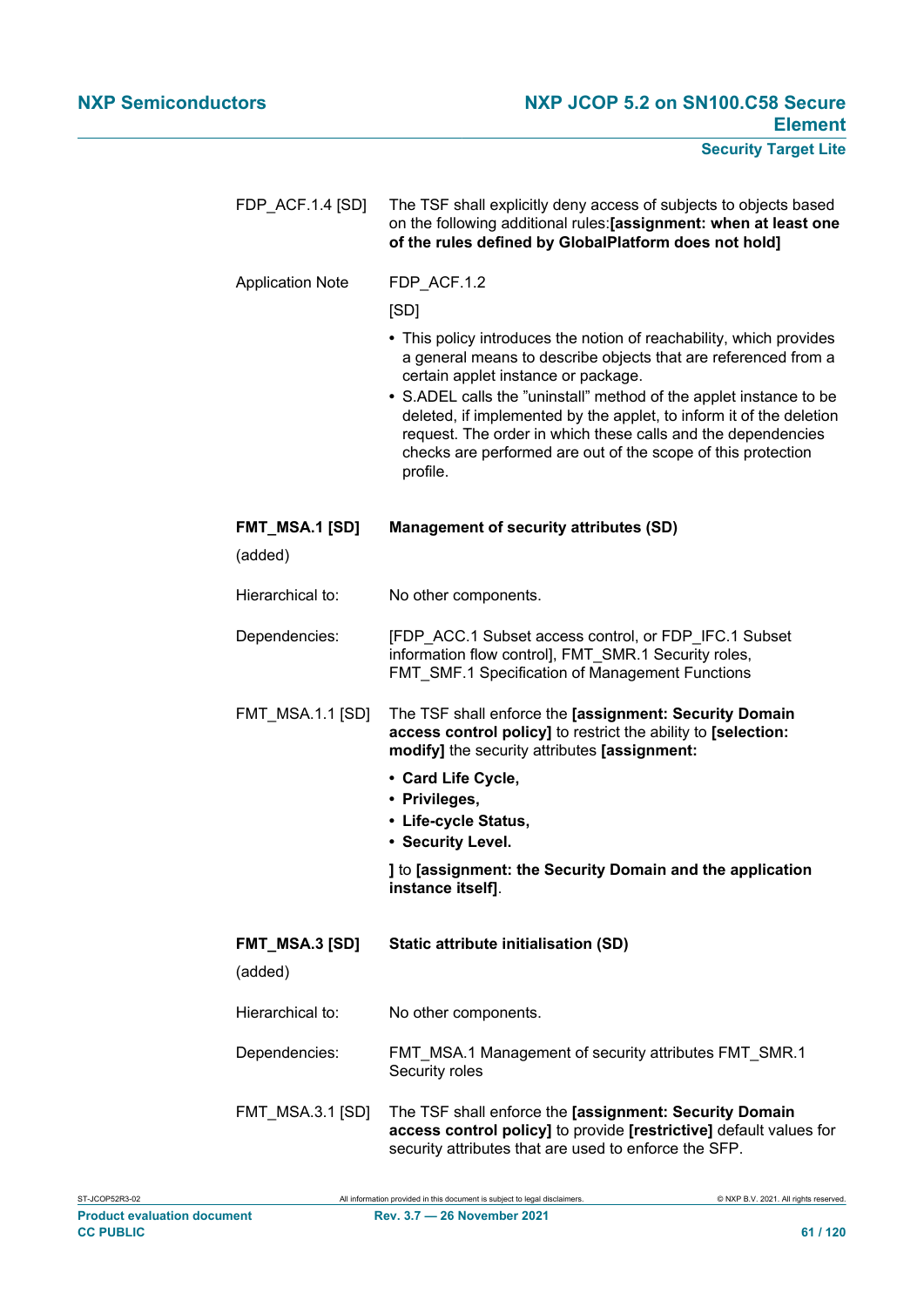| FDP_ACF.1.4 [SD]                 | The TSF shall explicitly deny access of subjects to objects based<br>on the following additional rules:[assignment: when at least one<br>of the rules defined by GlobalPlatform does not hold]                                                                                                                                                                                                                                                                        |
|----------------------------------|-----------------------------------------------------------------------------------------------------------------------------------------------------------------------------------------------------------------------------------------------------------------------------------------------------------------------------------------------------------------------------------------------------------------------------------------------------------------------|
| <b>Application Note</b>          | FDP_ACF.1.2                                                                                                                                                                                                                                                                                                                                                                                                                                                           |
|                                  | [SD]                                                                                                                                                                                                                                                                                                                                                                                                                                                                  |
|                                  | • This policy introduces the notion of reachability, which provides<br>a general means to describe objects that are referenced from a<br>certain applet instance or package.<br>• S.ADEL calls the "uninstall" method of the applet instance to be<br>deleted, if implemented by the applet, to inform it of the deletion<br>request. The order in which these calls and the dependencies<br>checks are performed are out of the scope of this protection<br>profile. |
| <b>FMT_MSA.1 [SD]</b><br>(added) | <b>Management of security attributes (SD)</b>                                                                                                                                                                                                                                                                                                                                                                                                                         |
| Hierarchical to:                 | No other components.                                                                                                                                                                                                                                                                                                                                                                                                                                                  |
| Dependencies:                    | [FDP ACC.1 Subset access control, or FDP IFC.1 Subset<br>information flow control], FMT_SMR.1 Security roles,<br>FMT_SMF.1 Specification of Management Functions                                                                                                                                                                                                                                                                                                      |
| <b>FMT_MSA.1.1 [SD]</b>          | The TSF shall enforce the [assignment: Security Domain<br>access control policy] to restrict the ability to [selection:<br>modify] the security attributes [assignment:                                                                                                                                                                                                                                                                                               |
|                                  | • Card Life Cycle,<br>• Privileges,<br>• Life-cycle Status,<br>• Security Level.                                                                                                                                                                                                                                                                                                                                                                                      |
|                                  | I to [assignment: the Security Domain and the application<br>instance itself].                                                                                                                                                                                                                                                                                                                                                                                        |
| <b>FMT_MSA.3 [SD]</b><br>(added) | Static attribute initialisation (SD)                                                                                                                                                                                                                                                                                                                                                                                                                                  |
| Hierarchical to:                 | No other components.                                                                                                                                                                                                                                                                                                                                                                                                                                                  |
| Dependencies:                    | FMT_MSA.1 Management of security attributes FMT_SMR.1<br>Security roles                                                                                                                                                                                                                                                                                                                                                                                               |
| <b>FMT_MSA.3.1 [SD]</b>          | The TSF shall enforce the [assignment: Security Domain<br>access control policy] to provide [restrictive] default values for<br>security attributes that are used to enforce the SFP.                                                                                                                                                                                                                                                                                 |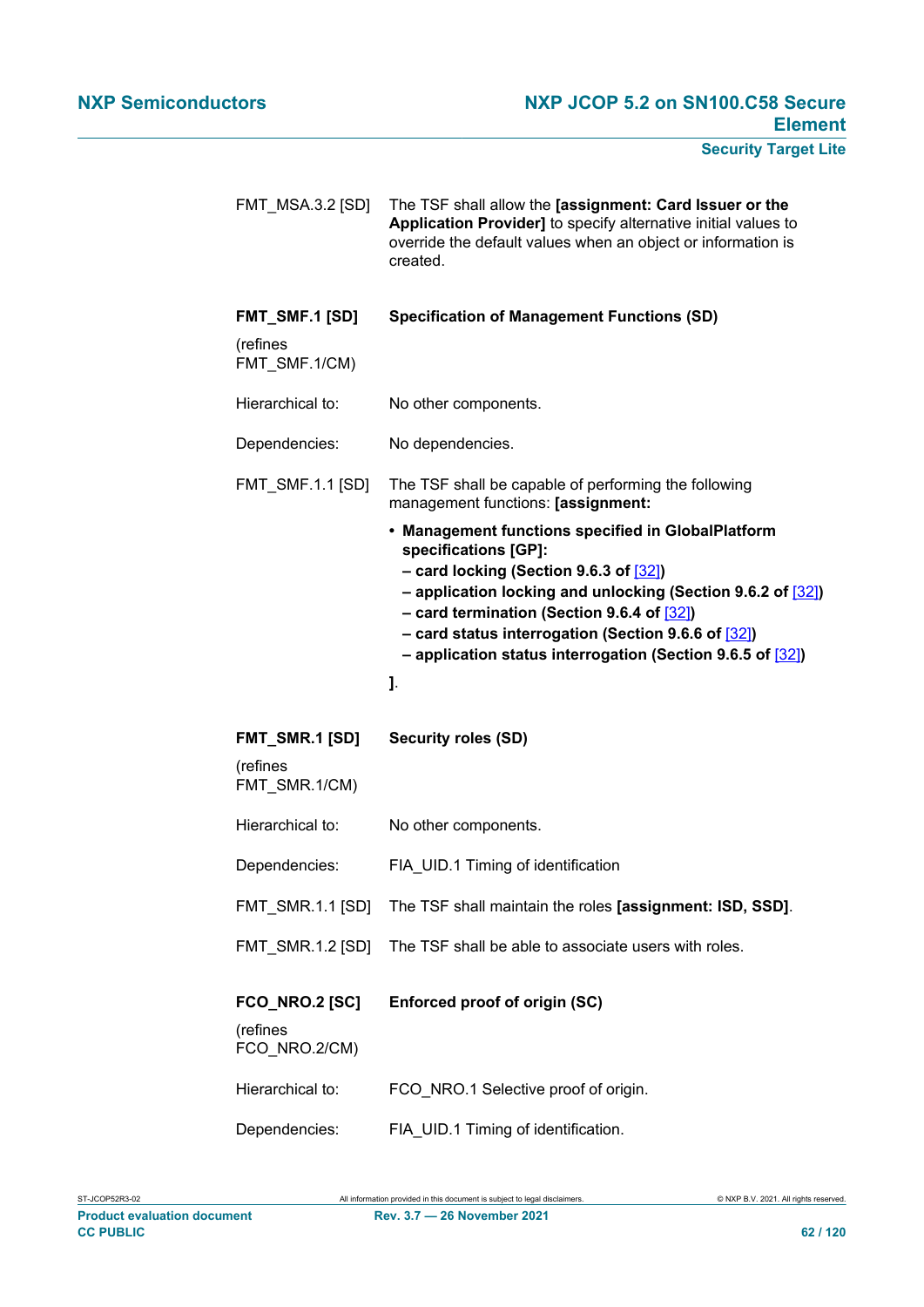FMT\_MSA.3.2 [SD] The TSF shall allow the **[assignment: Card Issuer or the Application Provider]** to specify alternative initial values to override the default values when an object or information is created. **FMT\_SMF.1 [SD]** (refines FMT\_SMF.1/CM) **Specification of Management Functions (SD)** Hierarchical to: No other components. Dependencies: No dependencies. FMT\_SMF.1.1 [SD] The TSF shall be capable of performing the following management functions: **[assignment: • Management functions specified in GlobalPlatform specifications [GP]: – card locking (Section 9.6.3 of** [\[32\]](#page-113-0)**) – application locking and unlocking (Section 9.6.2 of** [\[32\]](#page-113-0)**) – card termination (Section 9.6.4 of** [\[32\]](#page-113-0)**) – card status interrogation (Section 9.6.6 of** [\[32\]](#page-113-0)**) – application status interrogation (Section 9.6.5 of** [\[32\]](#page-113-0)**) ]**. **FMT\_SMR.1 [SD]** (refines FMT\_SMR.1/CM) **Security roles (SD)** Hierarchical to: No other components. Dependencies: FIA\_UID.1 Timing of identification FMT\_SMR.1.1 [SD] The TSF shall maintain the roles **[assignment: ISD, SSD]**. FMT SMR.1.2 [SD] The TSF shall be able to associate users with roles. **FCO\_NRO.2 [SC]** (refines FCO\_NRO.2/CM) **Enforced proof of origin (SC)** Hierarchical to: FCO\_NRO.1 Selective proof of origin. Dependencies: FIA\_UID.1 Timing of identification.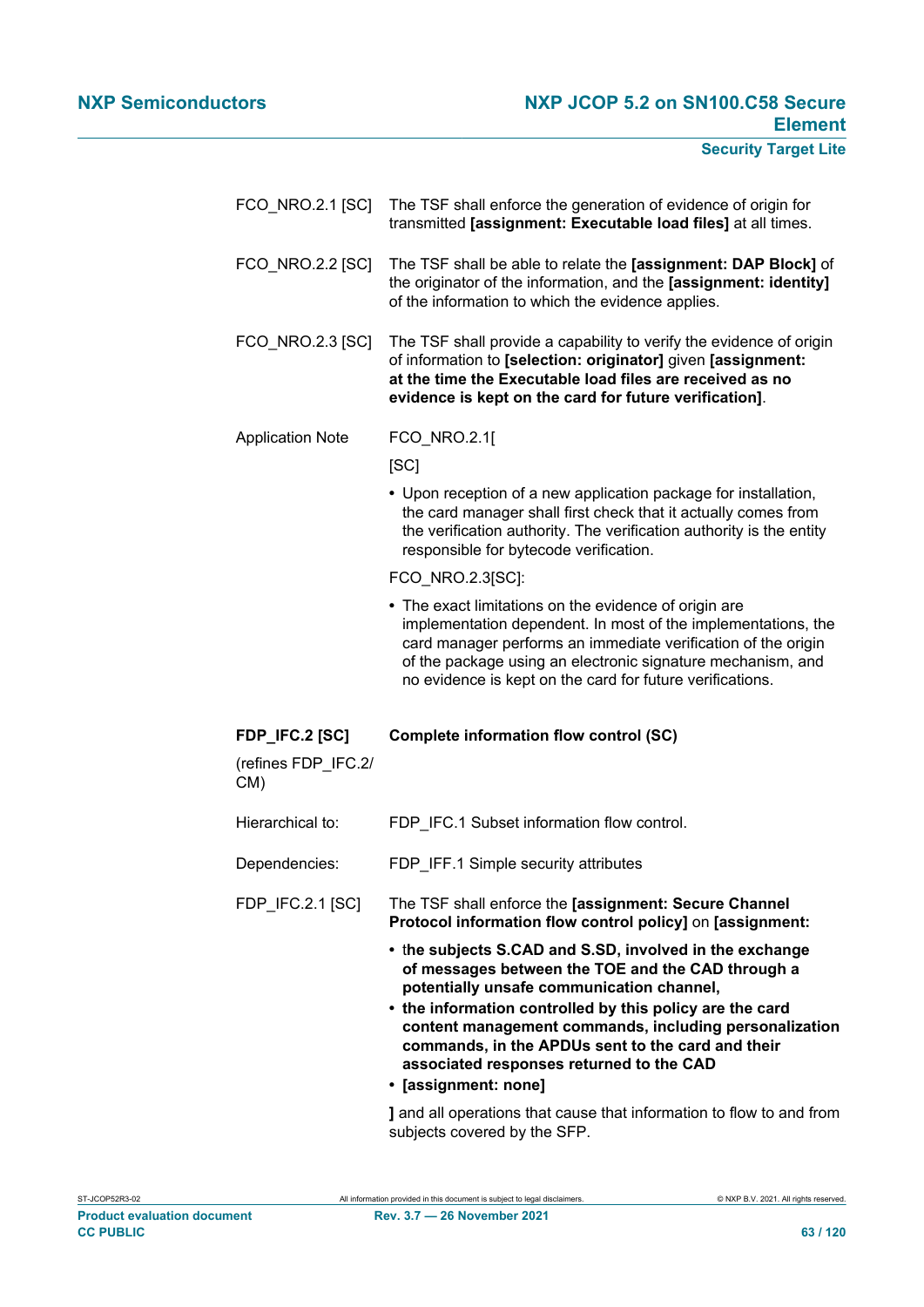| FCO_NRO.2.1 [SC]                                | The TSF shall enforce the generation of evidence of origin for<br>transmitted [assignment: Executable load files] at all times.                                                                                                                                                                                                                                                                                                                                                  |
|-------------------------------------------------|----------------------------------------------------------------------------------------------------------------------------------------------------------------------------------------------------------------------------------------------------------------------------------------------------------------------------------------------------------------------------------------------------------------------------------------------------------------------------------|
| FCO_NRO.2.2 [SC]                                | The TSF shall be able to relate the [assignment: DAP Block] of<br>the originator of the information, and the [assignment: identity]<br>of the information to which the evidence applies.                                                                                                                                                                                                                                                                                         |
| FCO_NRO.2.3 [SC]                                | The TSF shall provide a capability to verify the evidence of origin<br>of information to [selection: originator] given [assignment:<br>at the time the Executable load files are received as no<br>evidence is kept on the card for future verification].                                                                                                                                                                                                                        |
| <b>Application Note</b>                         | FCO_NRO.2.1[                                                                                                                                                                                                                                                                                                                                                                                                                                                                     |
|                                                 | [SC]                                                                                                                                                                                                                                                                                                                                                                                                                                                                             |
|                                                 | • Upon reception of a new application package for installation,<br>the card manager shall first check that it actually comes from<br>the verification authority. The verification authority is the entity<br>responsible for bytecode verification.                                                                                                                                                                                                                              |
|                                                 | FCO_NRO.2.3[SC]:                                                                                                                                                                                                                                                                                                                                                                                                                                                                 |
|                                                 | • The exact limitations on the evidence of origin are<br>implementation dependent. In most of the implementations, the<br>card manager performs an immediate verification of the origin<br>of the package using an electronic signature mechanism, and                                                                                                                                                                                                                           |
|                                                 | no evidence is kept on the card for future verifications.                                                                                                                                                                                                                                                                                                                                                                                                                        |
| FDP_IFC.2 [SC]<br>(refines FDP_IFC.2/<br>$CM$ ) | Complete information flow control (SC)                                                                                                                                                                                                                                                                                                                                                                                                                                           |
| Hierarchical to:                                | FDP IFC.1 Subset information flow control.                                                                                                                                                                                                                                                                                                                                                                                                                                       |
| Dependencies:                                   | FDP_IFF.1 Simple security attributes                                                                                                                                                                                                                                                                                                                                                                                                                                             |
| <b>FDP IFC.2.1 [SC]</b>                         | The TSF shall enforce the [assignment: Secure Channel<br>Protocol information flow control policy] on [assignment:                                                                                                                                                                                                                                                                                                                                                               |
|                                                 | • the subjects S.CAD and S.SD, involved in the exchange<br>of messages between the TOE and the CAD through a<br>potentially unsafe communication channel,<br>• the information controlled by this policy are the card<br>content management commands, including personalization<br>commands, in the APDUs sent to the card and their<br>associated responses returned to the CAD<br>· [assignment: none]<br>I and all energtians that cause that information to flow to and from |

**]** and all operations that cause that information to flow to and from subjects covered by the SFP.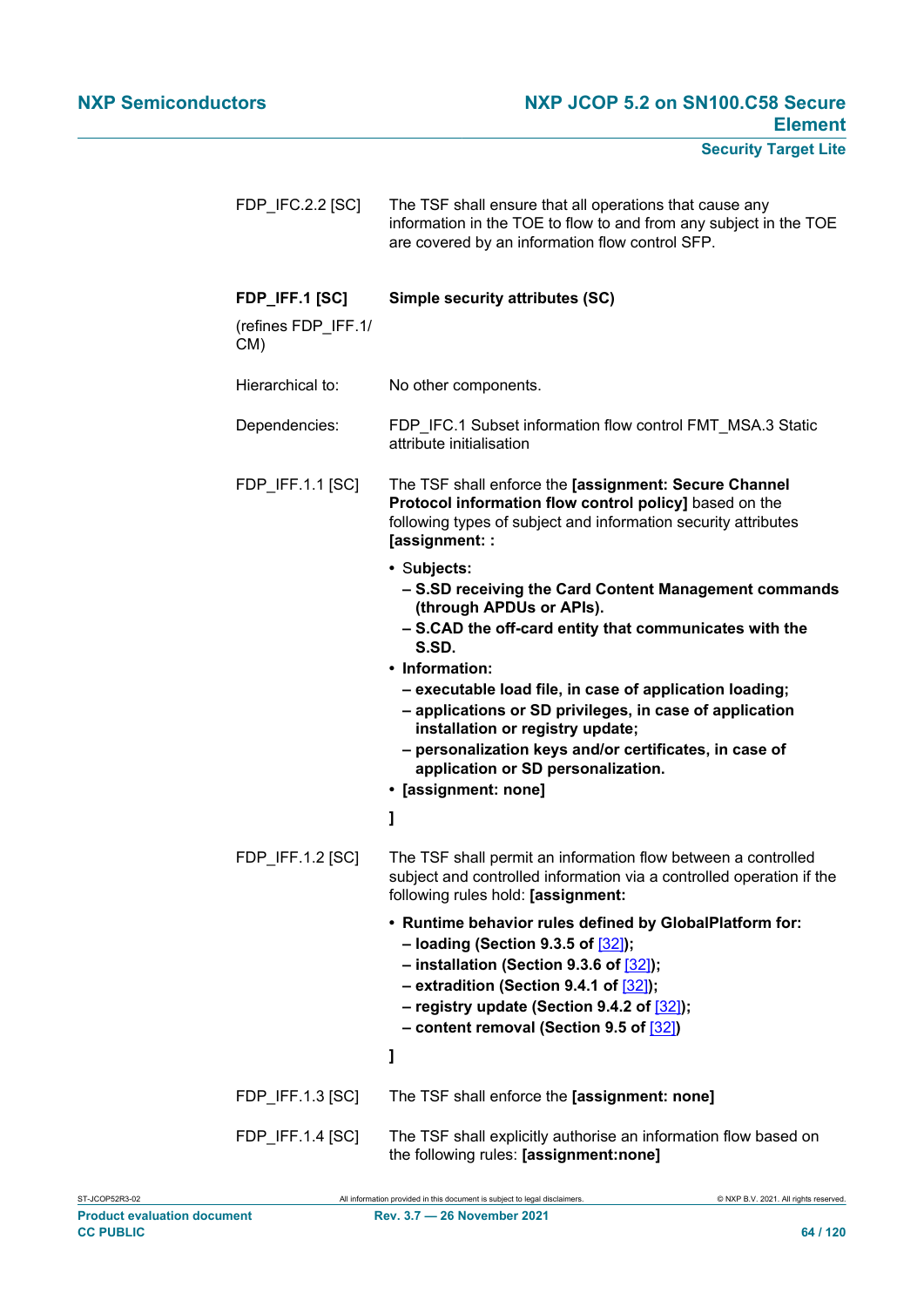| FDP_IFC.2.2 [SC]                             | The TSF shall ensure that all operations that cause any<br>information in the TOE to flow to and from any subject in the TOE<br>are covered by an information flow control SFP.                                                                                                                                                                                                                                                                                              |
|----------------------------------------------|------------------------------------------------------------------------------------------------------------------------------------------------------------------------------------------------------------------------------------------------------------------------------------------------------------------------------------------------------------------------------------------------------------------------------------------------------------------------------|
| FDP_IFF.1 [SC]<br>(refines FDP IFF.1/<br>CM) | Simple security attributes (SC)                                                                                                                                                                                                                                                                                                                                                                                                                                              |
| Hierarchical to:                             | No other components.                                                                                                                                                                                                                                                                                                                                                                                                                                                         |
| Dependencies:                                | FDP IFC.1 Subset information flow control FMT MSA.3 Static<br>attribute initialisation                                                                                                                                                                                                                                                                                                                                                                                       |
| FDP_IFF.1.1 [SC]                             | The TSF shall enforce the [assignment: Secure Channel<br>Protocol information flow control policy] based on the<br>following types of subject and information security attributes<br>[assignment: :                                                                                                                                                                                                                                                                          |
|                                              | • Subjects:<br>- S.SD receiving the Card Content Management commands<br>(through APDUs or APIs).<br>- S.CAD the off-card entity that communicates with the<br>S.SD.<br>• Information:<br>- executable load file, in case of application loading;<br>- applications or SD privileges, in case of application<br>installation or registry update;<br>- personalization keys and/or certificates, in case of<br>application or SD personalization.<br>· [assignment: none]<br>1 |
| FDP_IFF.1.2 [SC]                             | The TSF shall permit an information flow between a controlled<br>subject and controlled information via a controlled operation if the<br>following rules hold: [assignment:                                                                                                                                                                                                                                                                                                  |
|                                              | • Runtime behavior rules defined by GlobalPlatform for:<br>- loading (Section 9.3.5 of [32]);<br>- installation (Section 9.3.6 of $[32]$ );<br>$-$ extradition (Section 9.4.1 of $[32]$ );<br>- registry update (Section 9.4.2 of $[32]$ );<br>- content removal (Section 9.5 of [32])<br>1                                                                                                                                                                                  |
| FDP_IFF.1.3 [SC]                             | The TSF shall enforce the [assignment: none]                                                                                                                                                                                                                                                                                                                                                                                                                                 |
| FDP_IFF.1.4 [SC]                             | The TSF shall explicitly authorise an information flow based on<br>the following rules: [assignment:none]                                                                                                                                                                                                                                                                                                                                                                    |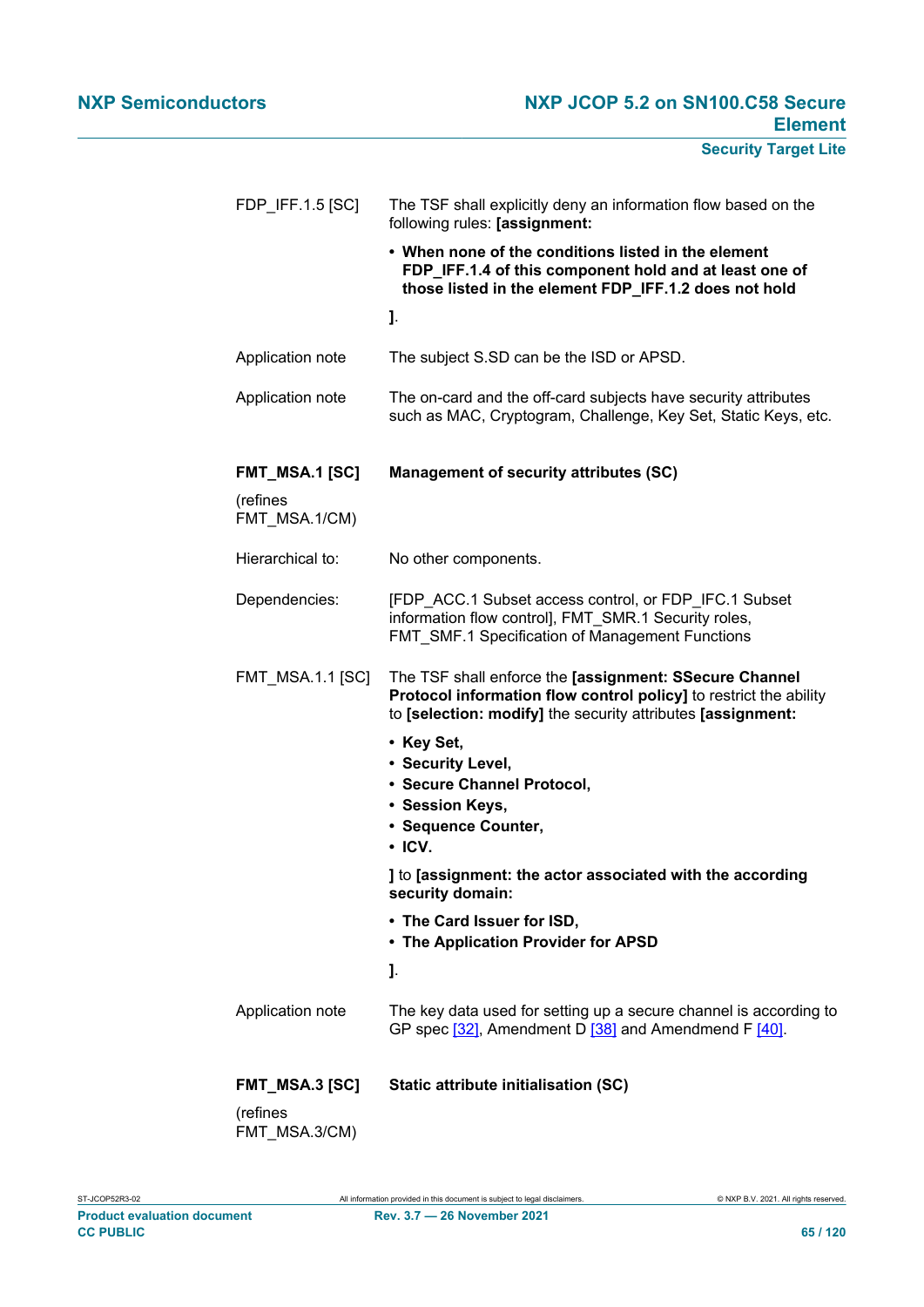| FDP IFF.1.5 $[SC]$        | The TSF shall explicitly deny an information flow based on the<br>following rules: [assignment:                                                                                            |
|---------------------------|--------------------------------------------------------------------------------------------------------------------------------------------------------------------------------------------|
|                           | • When none of the conditions listed in the element<br>FDP_IFF.1.4 of this component hold and at least one of<br>those listed in the element FDP_IFF.1.2 does not hold                     |
|                           | J.                                                                                                                                                                                         |
| Application note          | The subject S.SD can be the ISD or APSD.                                                                                                                                                   |
| Application note          | The on-card and the off-card subjects have security attributes<br>such as MAC, Cryptogram, Challenge, Key Set, Static Keys, etc.                                                           |
| <b>FMT_MSA.1 [SC]</b>     | <b>Management of security attributes (SC)</b>                                                                                                                                              |
| (refines<br>FMT MSA.1/CM) |                                                                                                                                                                                            |
| Hierarchical to:          | No other components.                                                                                                                                                                       |
| Dependencies:             | [FDP ACC.1 Subset access control, or FDP IFC.1 Subset<br>information flow control], FMT_SMR.1 Security roles,<br><b>FMT_SMF.1 Specification of Management Functions</b>                    |
| <b>FMT_MSA.1.1 [SC]</b>   | The TSF shall enforce the [assignment: SSecure Channel<br>Protocol information flow control policy] to restrict the ability<br>to [selection: modify] the security attributes [assignment: |
|                           | • Key Set,<br>• Security Level,                                                                                                                                                            |
|                           | • Secure Channel Protocol,<br>• Session Keys,                                                                                                                                              |
|                           | · Sequence Counter,<br>$\cdot$ ICV.                                                                                                                                                        |
|                           | ] to [assignment: the actor associated with the according<br>security domain:                                                                                                              |
|                           | • The Card Issuer for ISD,<br>• The Application Provider for APSD                                                                                                                          |
|                           | J.                                                                                                                                                                                         |
| Application note          | The key data used for setting up a secure channel is according to<br>GP spec [32], Amendment D [38] and Amendmend F [40].                                                                  |
| FMT_MSA.3 [SC]            | Static attribute initialisation (SC)                                                                                                                                                       |
| (refines<br>FMT_MSA.3/CM) |                                                                                                                                                                                            |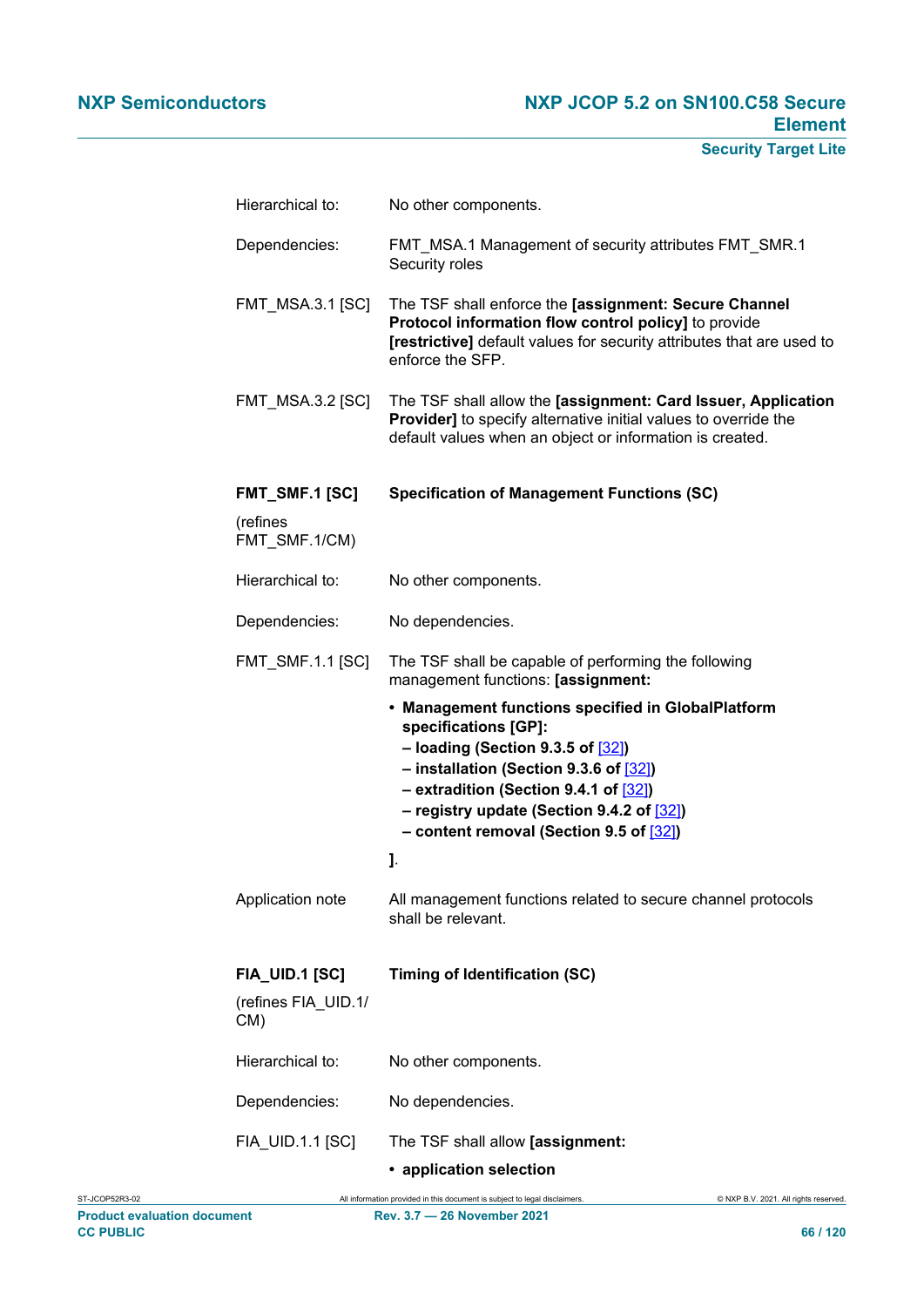| Hierarchical to:                                    | No other components.                                                                                                                                                                                                                                                                            |
|-----------------------------------------------------|-------------------------------------------------------------------------------------------------------------------------------------------------------------------------------------------------------------------------------------------------------------------------------------------------|
| Dependencies:                                       | FMT_MSA.1 Management of security attributes FMT_SMR.1<br>Security roles                                                                                                                                                                                                                         |
| <b>FMT_MSA.3.1 [SC]</b>                             | The TSF shall enforce the [assignment: Secure Channel<br>Protocol information flow control policy] to provide<br>[restrictive] default values for security attributes that are used to<br>enforce the SFP.                                                                                      |
| <b>FMT MSA.3.2 [SC]</b>                             | The TSF shall allow the [assignment: Card Issuer, Application<br><b>Provider]</b> to specify alternative initial values to override the<br>default values when an object or information is created.                                                                                             |
| FMT_SMF.1 [SC]                                      | <b>Specification of Management Functions (SC)</b>                                                                                                                                                                                                                                               |
| (refines<br>FMT SMF.1/CM)                           |                                                                                                                                                                                                                                                                                                 |
| Hierarchical to:                                    | No other components.                                                                                                                                                                                                                                                                            |
| Dependencies:                                       | No dependencies.                                                                                                                                                                                                                                                                                |
| <b>FMT_SMF.1.1 [SC]</b>                             | The TSF shall be capable of performing the following<br>management functions: [assignment:                                                                                                                                                                                                      |
|                                                     | • Management functions specified in GlobalPlatform<br>specifications [GP]:<br>$-$ loading (Section 9.3.5 of $[32]$ )<br>- installation (Section 9.3.6 of [32])<br>- extradition (Section 9.4.1 of [32])<br>- registry update (Section 9.4.2 of [32])<br>- content removal (Section 9.5 of [32]) |
|                                                     | J.                                                                                                                                                                                                                                                                                              |
| Application note                                    | All management functions related to secure channel protocols<br>shall be relevant.                                                                                                                                                                                                              |
| <b>FIA_UID.1 [SC]</b><br>(refines FIA_UID.1/<br>CM) | <b>Timing of Identification (SC)</b>                                                                                                                                                                                                                                                            |
| Hierarchical to:                                    | No other components.                                                                                                                                                                                                                                                                            |
| Dependencies:                                       | No dependencies.                                                                                                                                                                                                                                                                                |
| FIA_UID.1.1 [SC]                                    | The TSF shall allow [assignment:<br>• application selection                                                                                                                                                                                                                                     |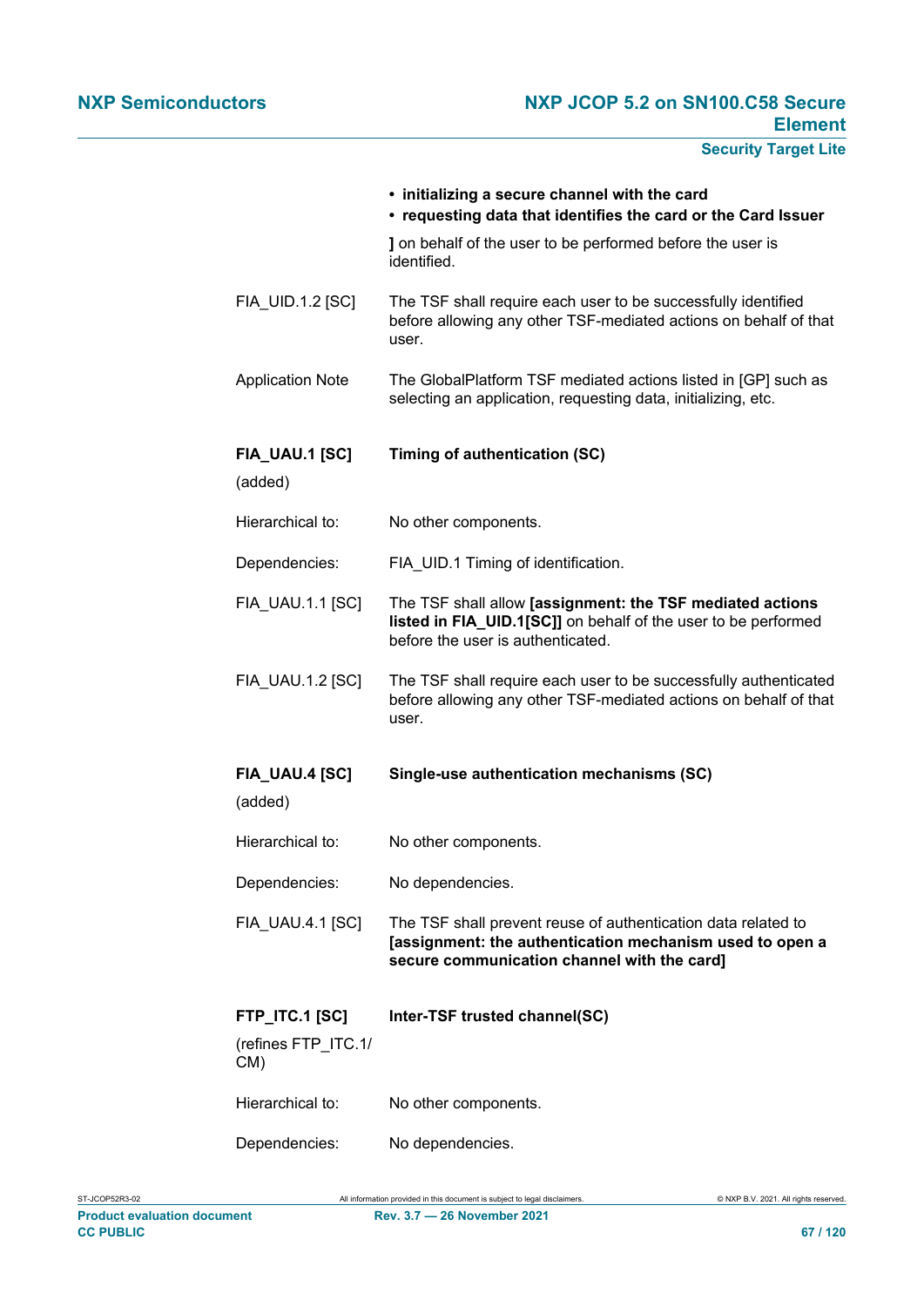|                                                     | • initializing a secure channel with the card<br>• requesting data that identifies the card or the Card Issuer                                                           |
|-----------------------------------------------------|--------------------------------------------------------------------------------------------------------------------------------------------------------------------------|
|                                                     | I on behalf of the user to be performed before the user is<br>identified.                                                                                                |
| FIA_UID.1.2 [SC]                                    | The TSF shall require each user to be successfully identified<br>before allowing any other TSF-mediated actions on behalf of that<br>user.                               |
| <b>Application Note</b>                             | The GlobalPlatform TSF mediated actions listed in [GP] such as<br>selecting an application, requesting data, initializing, etc.                                          |
| FIA_UAU.1 [SC]<br>(added)                           | Timing of authentication (SC)                                                                                                                                            |
| Hierarchical to:                                    | No other components.                                                                                                                                                     |
| Dependencies:                                       | FIA UID.1 Timing of identification.                                                                                                                                      |
| <b>FIA UAU.1.1 [SC]</b>                             | The TSF shall allow [assignment: the TSF mediated actions<br>listed in FIA_UID.1[SC]] on behalf of the user to be performed<br>before the user is authenticated.         |
| FIA_UAU.1.2 [SC]                                    | The TSF shall require each user to be successfully authenticated<br>before allowing any other TSF-mediated actions on behalf of that<br>user.                            |
| <b>FIA_UAU.4 [SC]</b><br>(added)                    | Single-use authentication mechanisms (SC)                                                                                                                                |
| Hierarchical to:                                    | No other components.                                                                                                                                                     |
| Dependencies:                                       | No dependencies.                                                                                                                                                         |
| FIA_UAU.4.1 [SC]                                    | The TSF shall prevent reuse of authentication data related to<br>[assignment: the authentication mechanism used to open a<br>secure communication channel with the card] |
| <b>FTP_ITC.1 [SC]</b><br>(refines FTP_ITC.1/<br>CM) | Inter-TSF trusted channel(SC)                                                                                                                                            |
| Hierarchical to:                                    | No other components.                                                                                                                                                     |
| Dependencies:                                       | No dependencies.                                                                                                                                                         |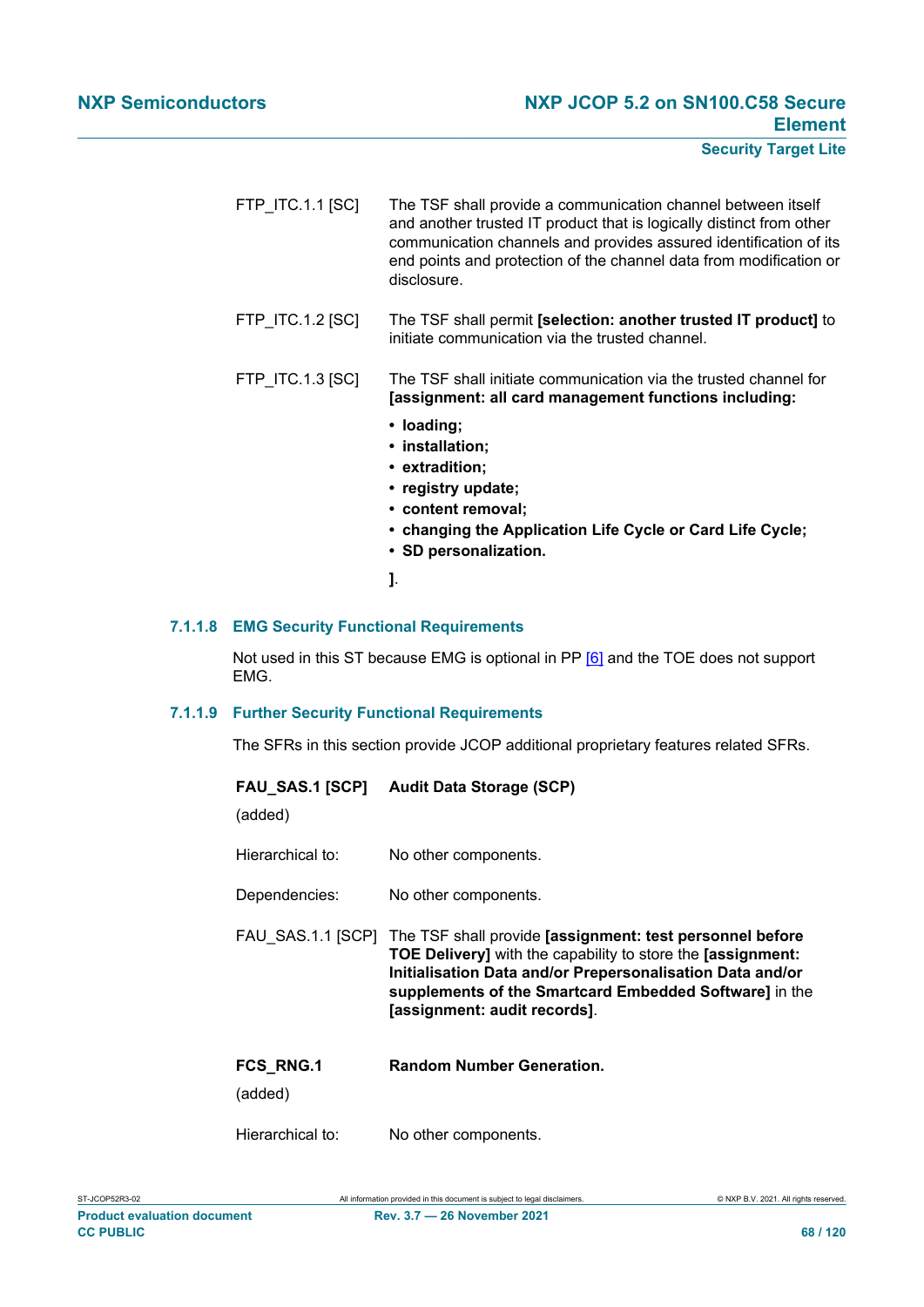- FTP\_ITC.1.1 [SC] The TSF shall provide a communication channel between itself and another trusted IT product that is logically distinct from other communication channels and provides assured identification of its end points and protection of the channel data from modification or disclosure.
- FTP\_ITC.1.2 [SC] The TSF shall permit **[selection: another trusted IT product]** to initiate communication via the trusted channel.
- FTP\_ITC.1.3 [SC] The TSF shall initiate communication via the trusted channel for **[assignment: all card management functions including:**
	- **• loading;**
	- **• installation;**
	- **• extradition;**
	- **• registry update;**
	- **• content removal;**
	- **• changing the Application Life Cycle or Card Life Cycle;**
	- **• SD personalization.**
	- **]**.

#### **7.1.1.8 EMG Security Functional Requirements**

Not used in this ST because EMG is optional in PP [\[6\]](#page-112-2) and the TOE does not support EMG.

#### **7.1.1.9 Further Security Functional Requirements**

The SFRs in this section provide JCOP additional proprietary features related SFRs.

| (added)                     | FAU SAS.1 [SCP] Audit Data Storage (SCP)                                                                                                                                                                                                                                              |
|-----------------------------|---------------------------------------------------------------------------------------------------------------------------------------------------------------------------------------------------------------------------------------------------------------------------------------|
| Hierarchical to:            | No other components.                                                                                                                                                                                                                                                                  |
| Dependencies:               | No other components.                                                                                                                                                                                                                                                                  |
| FAU SAS.1.1 [SCP]           | The TSF shall provide [assignment: test personnel before<br><b>TOE Delivery]</b> with the capability to store the [assignment:<br>Initialisation Data and/or Prepersonalisation Data and/or<br>supplements of the Smartcard Embedded Software] in the<br>[assignment: audit records]. |
| <b>FCS RNG.1</b><br>(added) | <b>Random Number Generation.</b>                                                                                                                                                                                                                                                      |
| Hierarchical to:            | No other components.                                                                                                                                                                                                                                                                  |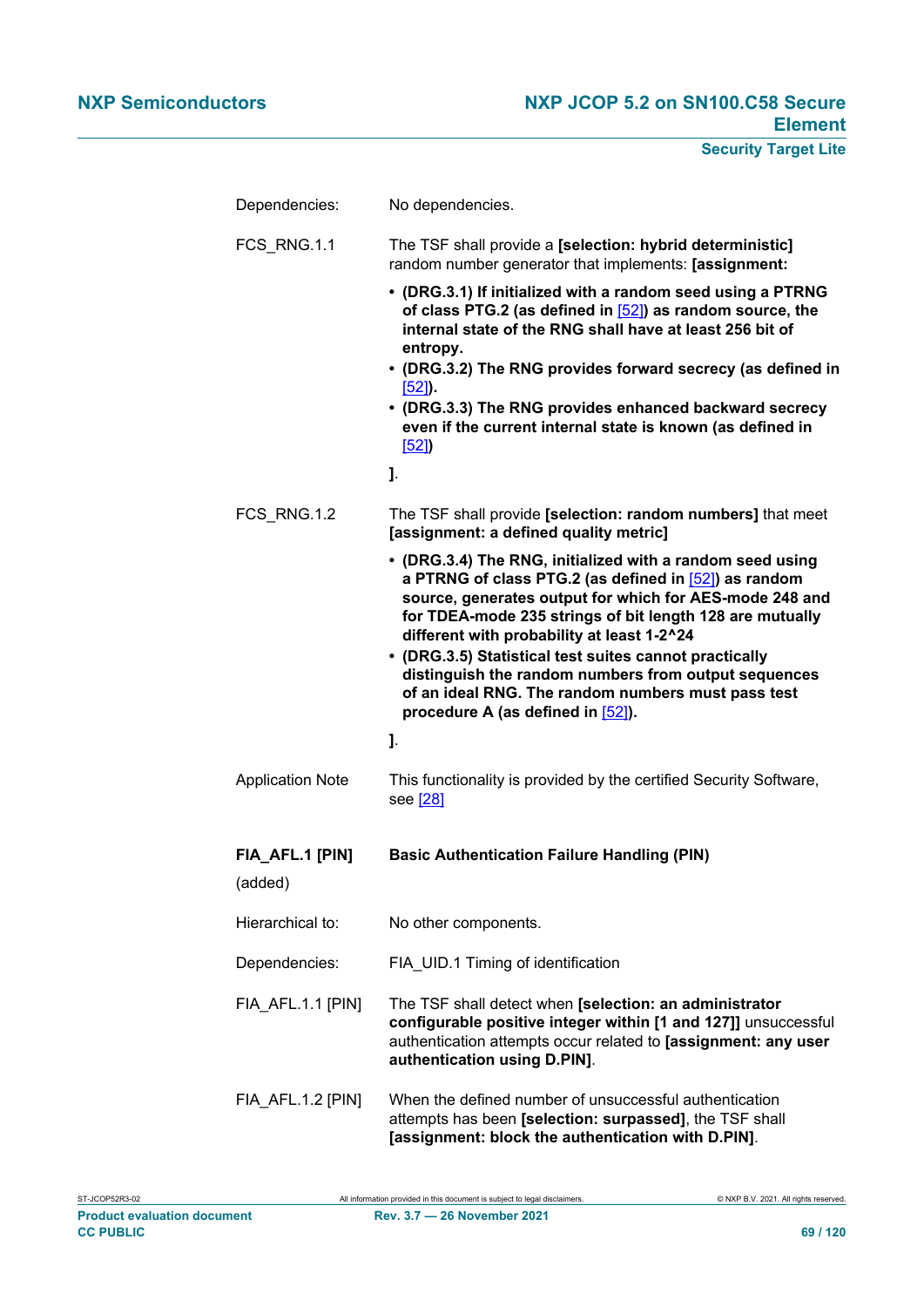| Dependencies:              | No dependencies.                                                                                                                                                                                                                                                                                                                                                                                                                                                                                     |
|----------------------------|------------------------------------------------------------------------------------------------------------------------------------------------------------------------------------------------------------------------------------------------------------------------------------------------------------------------------------------------------------------------------------------------------------------------------------------------------------------------------------------------------|
| FCS RNG.1.1                | The TSF shall provide a [selection: hybrid deterministic]<br>random number generator that implements: [assignment:                                                                                                                                                                                                                                                                                                                                                                                   |
|                            | • (DRG.3.1) If initialized with a random seed using a PTRNG<br>of class PTG.2 (as defined in [52]) as random source, the<br>internal state of the RNG shall have at least 256 bit of<br>entropy.                                                                                                                                                                                                                                                                                                     |
|                            | • (DRG.3.2) The RNG provides forward secrecy (as defined in                                                                                                                                                                                                                                                                                                                                                                                                                                          |
|                            | $[52]$ .<br>• (DRG.3.3) The RNG provides enhanced backward secrecy<br>even if the current internal state is known (as defined in<br>[52]                                                                                                                                                                                                                                                                                                                                                             |
|                            | 1.                                                                                                                                                                                                                                                                                                                                                                                                                                                                                                   |
| FCS_RNG.1.2                | The TSF shall provide [selection: random numbers] that meet<br>[assignment: a defined quality metric]                                                                                                                                                                                                                                                                                                                                                                                                |
|                            | • (DRG.3.4) The RNG, initialized with a random seed using<br>a PTRNG of class PTG.2 (as defined in [52]) as random<br>source, generates output for which for AES-mode 248 and<br>for TDEA-mode 235 strings of bit length 128 are mutually<br>different with probability at least 1-2^24<br>• (DRG.3.5) Statistical test suites cannot practically<br>distinguish the random numbers from output sequences<br>of an ideal RNG. The random numbers must pass test<br>procedure A (as defined in [52]). |
|                            | J.                                                                                                                                                                                                                                                                                                                                                                                                                                                                                                   |
| <b>Application Note</b>    | This functionality is provided by the certified Security Software,<br>see [28]                                                                                                                                                                                                                                                                                                                                                                                                                       |
| FIA_AFL.1 [PIN]<br>(added) | <b>Basic Authentication Failure Handling (PIN)</b>                                                                                                                                                                                                                                                                                                                                                                                                                                                   |
| Hierarchical to:           | No other components.                                                                                                                                                                                                                                                                                                                                                                                                                                                                                 |
| Dependencies:              | FIA UID.1 Timing of identification                                                                                                                                                                                                                                                                                                                                                                                                                                                                   |
| FIA AFL.1.1 [PIN]          | The TSF shall detect when [selection: an administrator<br>configurable positive integer within [1 and 127]] unsuccessful<br>authentication attempts occur related to [assignment: any user<br>authentication using D.PIN].                                                                                                                                                                                                                                                                           |
| FIA_AFL.1.2 [PIN]          | When the defined number of unsuccessful authentication<br>attempts has been [selection: surpassed], the TSF shall<br>[assignment: block the authentication with D.PIN].                                                                                                                                                                                                                                                                                                                              |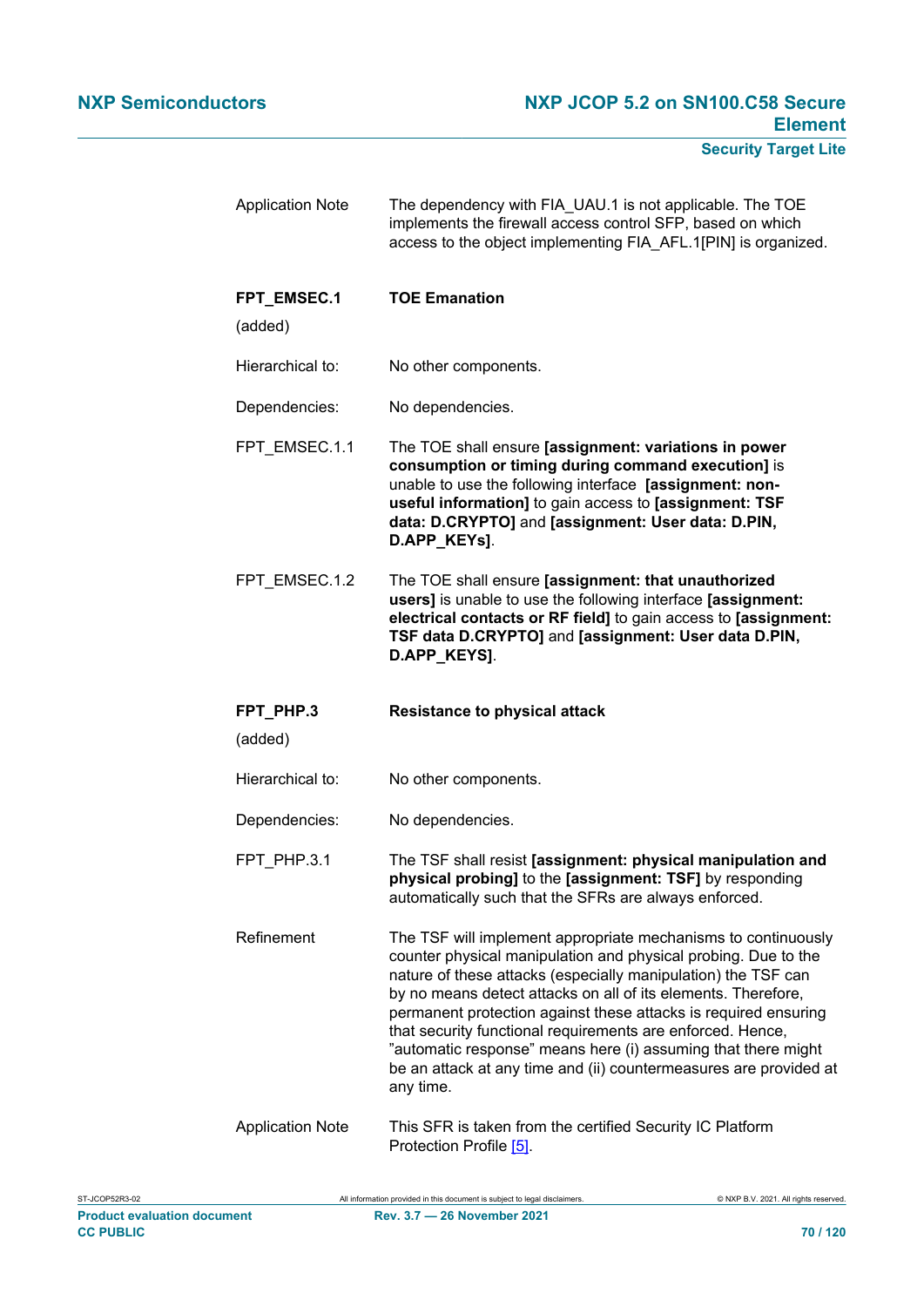| <b>Application Note</b> | The dependency with FIA_UAU.1 is not applicable. The TOE<br>implements the firewall access control SFP, based on which<br>access to the object implementing FIA AFL.1[PIN] is organized.                                                                                                                                                                                                                                                                                                                                                              |
|-------------------------|-------------------------------------------------------------------------------------------------------------------------------------------------------------------------------------------------------------------------------------------------------------------------------------------------------------------------------------------------------------------------------------------------------------------------------------------------------------------------------------------------------------------------------------------------------|
| FPT EMSEC.1             | <b>TOE Emanation</b>                                                                                                                                                                                                                                                                                                                                                                                                                                                                                                                                  |
| (added)                 |                                                                                                                                                                                                                                                                                                                                                                                                                                                                                                                                                       |
| Hierarchical to:        | No other components.                                                                                                                                                                                                                                                                                                                                                                                                                                                                                                                                  |
| Dependencies:           | No dependencies.                                                                                                                                                                                                                                                                                                                                                                                                                                                                                                                                      |
| FPT_EMSEC.1.1           | The TOE shall ensure [assignment: variations in power<br>consumption or timing during command execution] is<br>unable to use the following interface [assignment: non-<br>useful information] to gain access to [assignment: TSF<br>data: D.CRYPTO] and [assignment: User data: D.PIN,<br>D.APP_KEYs].                                                                                                                                                                                                                                                |
| FPT EMSEC.1.2           | The TOE shall ensure [assignment: that unauthorized<br>users] is unable to use the following interface [assignment:<br>electrical contacts or RF field] to gain access to [assignment:<br>TSF data D.CRYPTO] and [assignment: User data D.PIN,<br>D.APP_KEYS].                                                                                                                                                                                                                                                                                        |
|                         |                                                                                                                                                                                                                                                                                                                                                                                                                                                                                                                                                       |
| FPT_PHP.3<br>(added)    | <b>Resistance to physical attack</b>                                                                                                                                                                                                                                                                                                                                                                                                                                                                                                                  |
| Hierarchical to:        | No other components.                                                                                                                                                                                                                                                                                                                                                                                                                                                                                                                                  |
| Dependencies:           | No dependencies.                                                                                                                                                                                                                                                                                                                                                                                                                                                                                                                                      |
| FPT PHP.3.1             | The TSF shall resist [assignment: physical manipulation and<br>physical probing] to the [assignment: TSF] by responding<br>automatically such that the SFRs are always enforced.                                                                                                                                                                                                                                                                                                                                                                      |
| Refinement              | The TSF will implement appropriate mechanisms to continuously<br>counter physical manipulation and physical probing. Due to the<br>nature of these attacks (especially manipulation) the TSF can<br>by no means detect attacks on all of its elements. Therefore,<br>permanent protection against these attacks is required ensuring<br>that security functional requirements are enforced. Hence,<br>"automatic response" means here (i) assuming that there might<br>be an attack at any time and (ii) countermeasures are provided at<br>any time. |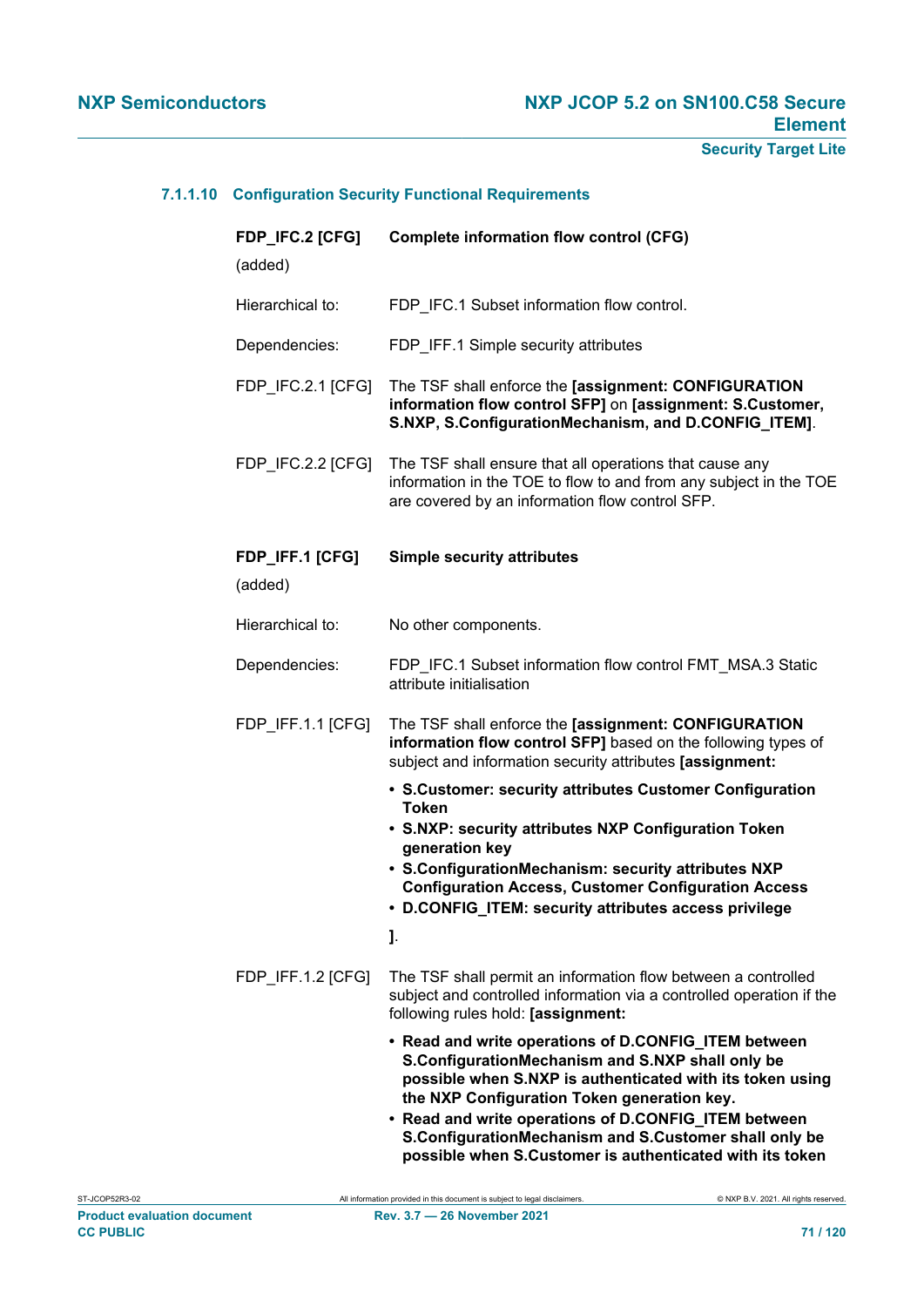# **7.1.1.10 Configuration Security Functional Requirements**

| FDP_IFC.2 [CFG]<br>(added) | <b>Complete information flow control (CFG)</b>                                                                                                                                                                                                                                                                                         |
|----------------------------|----------------------------------------------------------------------------------------------------------------------------------------------------------------------------------------------------------------------------------------------------------------------------------------------------------------------------------------|
| Hierarchical to:           | FDP_IFC.1 Subset information flow control.                                                                                                                                                                                                                                                                                             |
| Dependencies:              | FDP_IFF.1 Simple security attributes                                                                                                                                                                                                                                                                                                   |
| FDP_IFC.2.1 [CFG]          | The TSF shall enforce the [assignment: CONFIGURATION<br>information flow control SFP] on [assignment: S.Customer,<br>S.NXP, S.ConfigurationMechanism, and D.CONFIG_ITEM].                                                                                                                                                              |
| FDP_IFC.2.2 [CFG]          | The TSF shall ensure that all operations that cause any<br>information in the TOE to flow to and from any subject in the TOE<br>are covered by an information flow control SFP.                                                                                                                                                        |
| FDP_IFF.1 [CFG]<br>(added) | <b>Simple security attributes</b>                                                                                                                                                                                                                                                                                                      |
| Hierarchical to:           | No other components.                                                                                                                                                                                                                                                                                                                   |
| Dependencies:              | FDP_IFC.1 Subset information flow control FMT_MSA.3 Static<br>attribute initialisation                                                                                                                                                                                                                                                 |
| FDP_IFF.1.1 [CFG]          | The TSF shall enforce the [assignment: CONFIGURATION<br>information flow control SFP] based on the following types of<br>subject and information security attributes [assignment:                                                                                                                                                      |
|                            | • S.Customer: security attributes Customer Configuration<br><b>Token</b><br>• S.NXP: security attributes NXP Configuration Token<br>generation key<br>• S.ConfigurationMechanism: security attributes NXP<br><b>Configuration Access, Customer Configuration Access</b><br>• D.CONFIG_ITEM: security attributes access privilege<br>J. |
| FDP_IFF.1.2 [CFG]          | The TSF shall permit an information flow between a controlled<br>subject and controlled information via a controlled operation if the<br>following rules hold: [assignment:                                                                                                                                                            |
|                            | • Read and write operations of D.CONFIG_ITEM between<br>S.ConfigurationMechanism and S.NXP shall only be<br>possible when S.NXP is authenticated with its token using<br>the NXP Configuration Token generation key.<br>• Read and write operations of D.CONFIG_ITEM between<br>S.ConfigurationMechanism and S.Customer shall only be  |

**possible when S.Customer is authenticated with its token**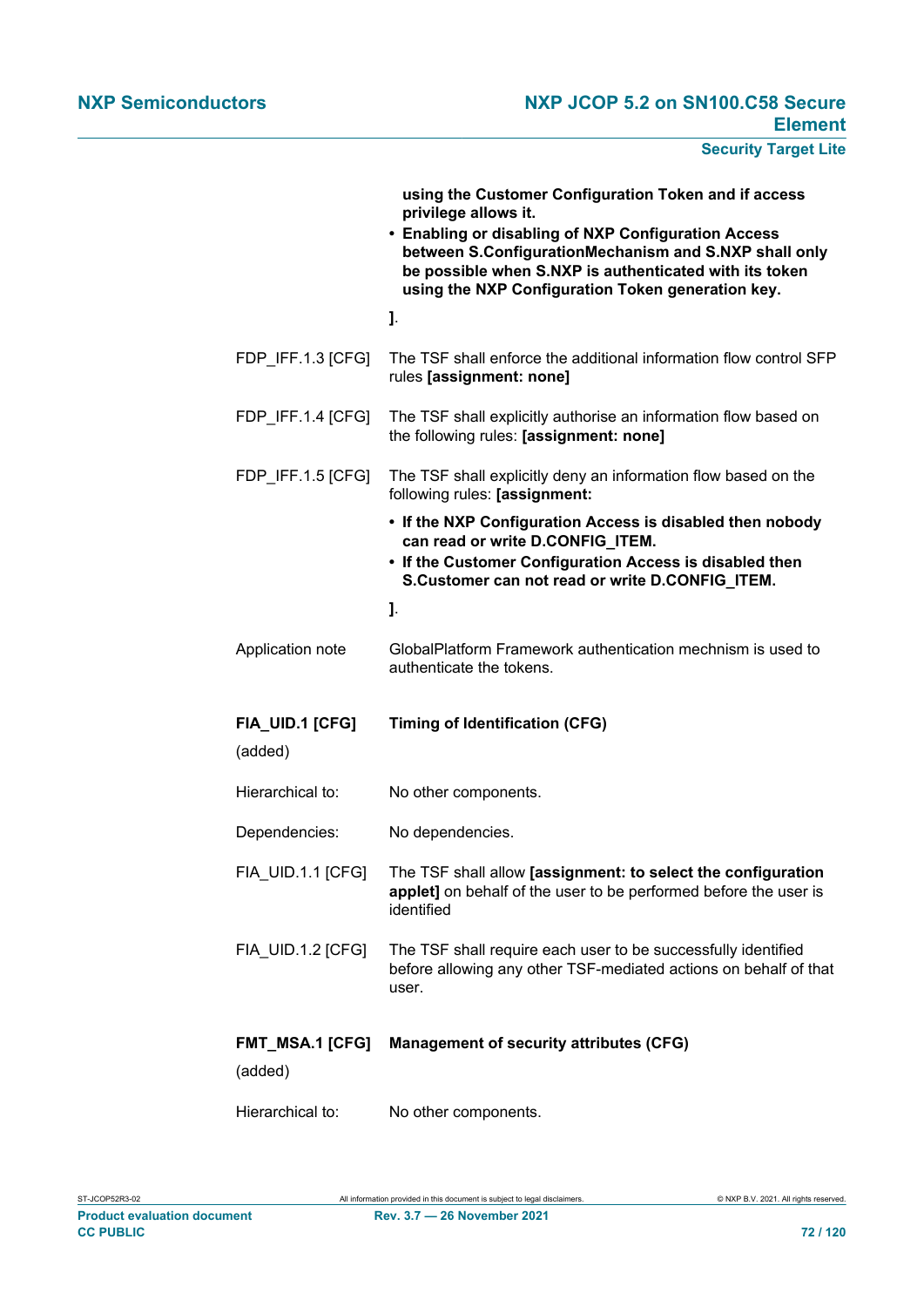|                            | using the Customer Configuration Token and if access<br>privilege allows it.<br>• Enabling or disabling of NXP Configuration Access<br>between S.ConfigurationMechanism and S.NXP shall only<br>be possible when S.NXP is authenticated with its token<br>using the NXP Configuration Token generation key. |
|----------------------------|-------------------------------------------------------------------------------------------------------------------------------------------------------------------------------------------------------------------------------------------------------------------------------------------------------------|
|                            | J.                                                                                                                                                                                                                                                                                                          |
| FDP_IFF.1.3 [CFG]          | The TSF shall enforce the additional information flow control SFP<br>rules [assignment: none]                                                                                                                                                                                                               |
| FDP_IFF.1.4 [CFG]          | The TSF shall explicitly authorise an information flow based on<br>the following rules: [assignment: none]                                                                                                                                                                                                  |
| FDP_IFF.1.5 [CFG]          | The TSF shall explicitly deny an information flow based on the<br>following rules: [assignment:                                                                                                                                                                                                             |
|                            | • If the NXP Configuration Access is disabled then nobody<br>can read or write D.CONFIG_ITEM.<br>• If the Customer Configuration Access is disabled then<br>S.Customer can not read or write D.CONFIG_ITEM.                                                                                                 |
|                            | J.                                                                                                                                                                                                                                                                                                          |
| Application note           | GlobalPlatform Framework authentication mechnism is used to<br>authenticate the tokens.                                                                                                                                                                                                                     |
| FIA_UID.1 [CFG]<br>(added) | <b>Timing of Identification (CFG)</b>                                                                                                                                                                                                                                                                       |
| Hierarchical to:           | No other components.                                                                                                                                                                                                                                                                                        |
| Dependencies:              | No dependencies.                                                                                                                                                                                                                                                                                            |
| <b>FIA_UID.1.1 [CFG]</b>   | The TSF shall allow [assignment: to select the configuration<br>applet] on behalf of the user to be performed before the user is<br>identified                                                                                                                                                              |
| FIA UID.1.2 [CFG]          | The TSF shall require each user to be successfully identified<br>before allowing any other TSF-mediated actions on behalf of that<br>user.                                                                                                                                                                  |
| FMT_MSA.1 [CFG]<br>(added) | <b>Management of security attributes (CFG)</b>                                                                                                                                                                                                                                                              |
| Hierarchical to:           | No other components.                                                                                                                                                                                                                                                                                        |

**Product evaluation document Rev. 3.7 — 26 November 2021 CC PUBLIC CC PUBLIC 72 / 120**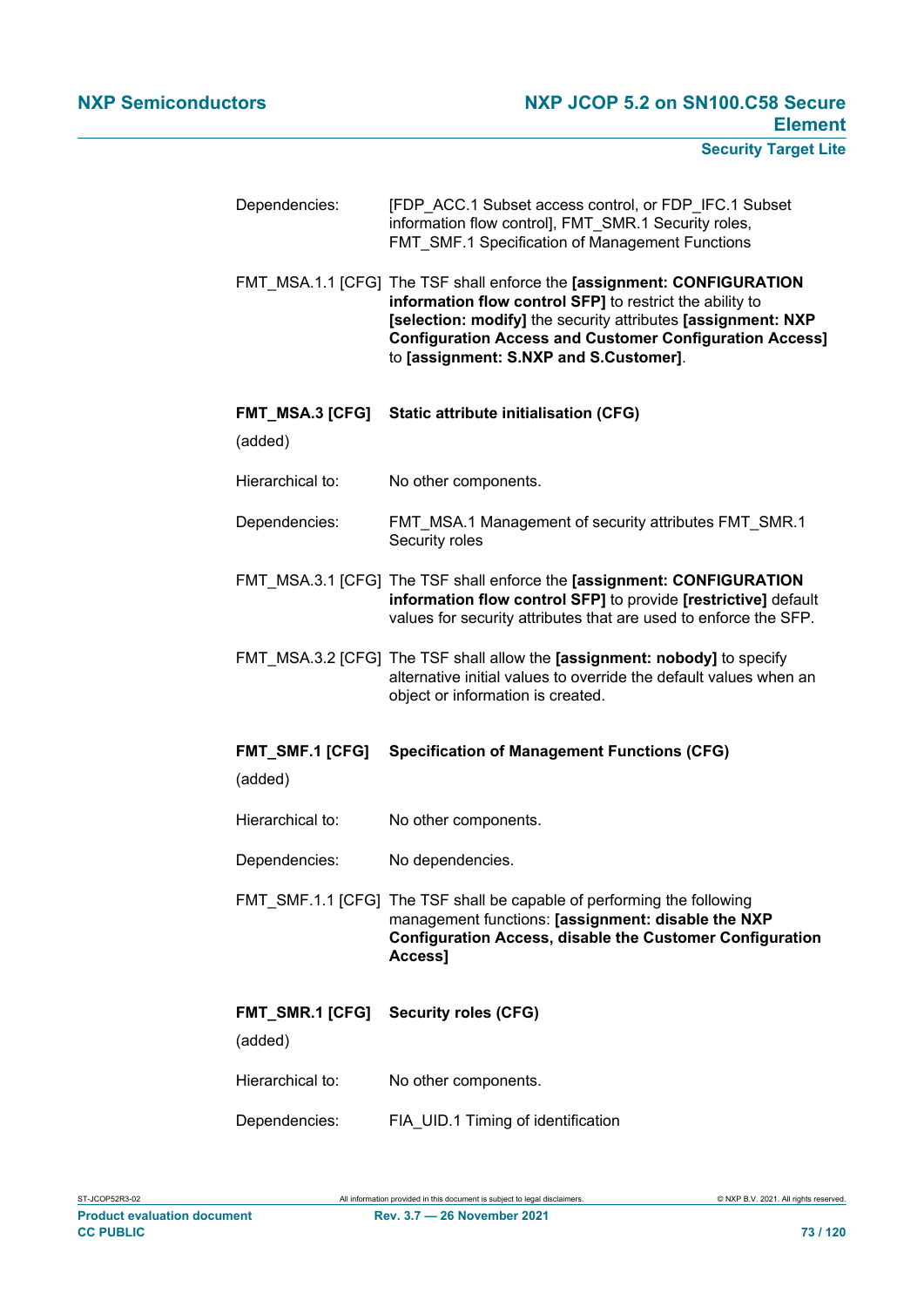| Dependencies:                     | [FDP_ACC.1 Subset access control, or FDP_IFC.1 Subset<br>information flow control], FMT_SMR.1 Security roles,<br>FMT SMF.1 Specification of Management Functions                                                                                                                                               |  |
|-----------------------------------|----------------------------------------------------------------------------------------------------------------------------------------------------------------------------------------------------------------------------------------------------------------------------------------------------------------|--|
|                                   | FMT MSA.1.1 [CFG] The TSF shall enforce the [assignment: CONFIGURATION<br>information flow control SFP] to restrict the ability to<br>[selection: modify] the security attributes [assignment: NXP<br><b>Configuration Access and Customer Configuration Access]</b><br>to [assignment: S.NXP and S.Customer]. |  |
| <b>FMT_MSA.3 [CFG]</b><br>(added) | <b>Static attribute initialisation (CFG)</b>                                                                                                                                                                                                                                                                   |  |
| Hierarchical to:                  | No other components.                                                                                                                                                                                                                                                                                           |  |
| Dependencies:                     | FMT MSA.1 Management of security attributes FMT SMR.1<br>Security roles                                                                                                                                                                                                                                        |  |
|                                   | FMT_MSA.3.1 [CFG] The TSF shall enforce the [assignment: CONFIGURATION<br>information flow control SFP] to provide [restrictive] default<br>values for security attributes that are used to enforce the SFP.                                                                                                   |  |
|                                   | FMT_MSA.3.2 [CFG] The TSF shall allow the [assignment: nobody] to specify<br>alternative initial values to override the default values when an<br>object or information is created.                                                                                                                            |  |
| <b>FMT_SMF.1 [CFG]</b><br>(added) | <b>Specification of Management Functions (CFG)</b>                                                                                                                                                                                                                                                             |  |
| Hierarchical to:                  | No other components.                                                                                                                                                                                                                                                                                           |  |
| Dependencies:                     | No dependencies.                                                                                                                                                                                                                                                                                               |  |
|                                   | FMT_SMF.1.1 [CFG] The TSF shall be capable of performing the following<br>management functions: [assignment: disable the NXP<br><b>Configuration Access, disable the Customer Configuration</b><br>Access]                                                                                                     |  |
| FMT_SMR.1 [CFG]<br>(added)        | <b>Security roles (CFG)</b>                                                                                                                                                                                                                                                                                    |  |
| Hierarchical to:                  | No other components.                                                                                                                                                                                                                                                                                           |  |
| Dependencies:                     | FIA_UID.1 Timing of identification                                                                                                                                                                                                                                                                             |  |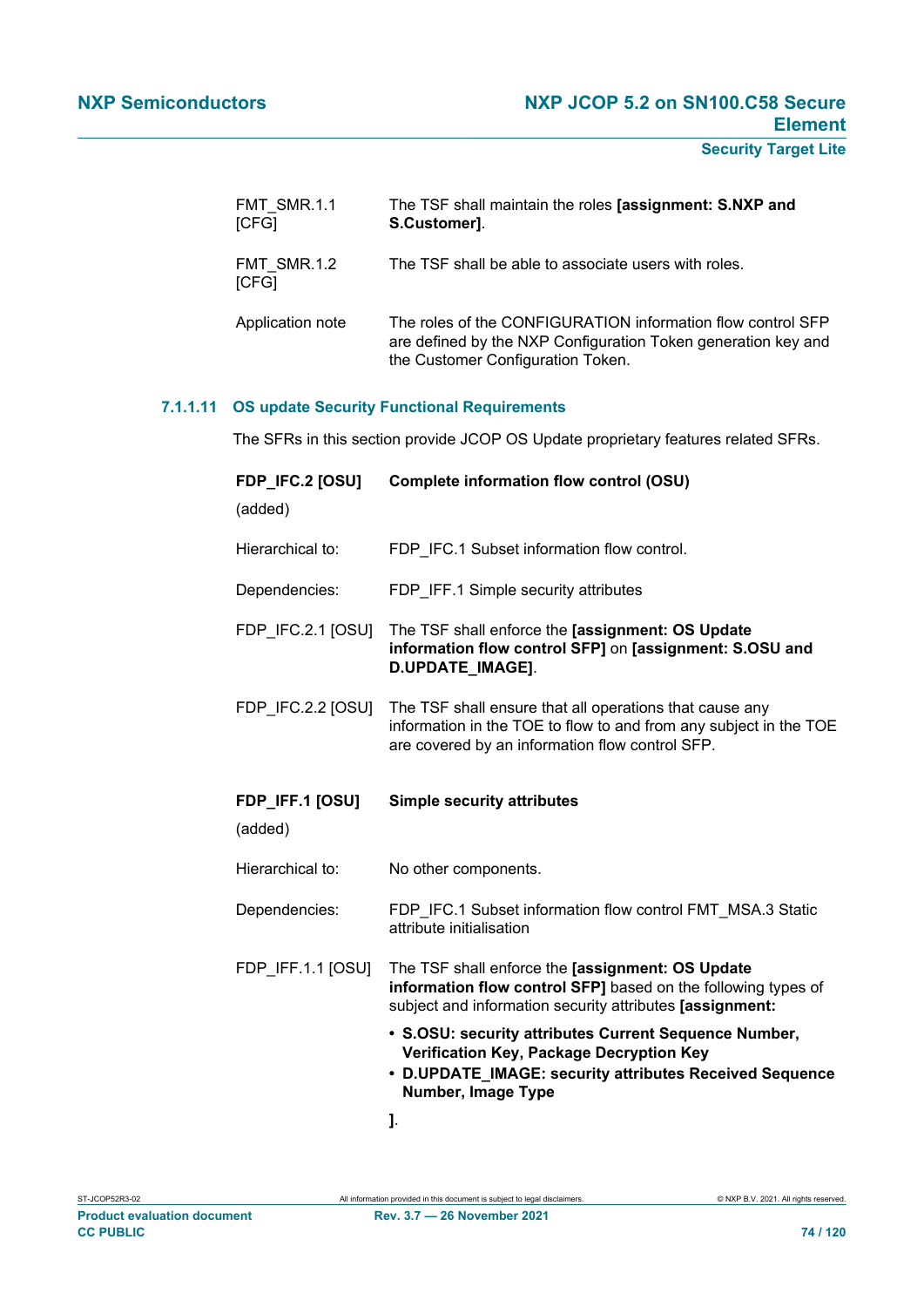| FMT_SMR.1.1<br>[CFG] | The TSF shall maintain the roles [assignment: S.NXP and<br>S.Customer].                                                                                           |  |
|----------------------|-------------------------------------------------------------------------------------------------------------------------------------------------------------------|--|
| FMT SMR.1.2<br>[CFG] | The TSF shall be able to associate users with roles.                                                                                                              |  |
| Application note     | The roles of the CONFIGURATION information flow control SFP<br>are defined by the NXP Configuration Token generation key and<br>the Customer Configuration Token. |  |

## **7.1.1.11 OS update Security Functional Requirements**

The SFRs in this section provide JCOP OS Update proprietary features related SFRs.

| FDP_IFC.2 [OSU]<br>(added) | <b>Complete information flow control (OSU)</b>                                                                                                                                     |  |
|----------------------------|------------------------------------------------------------------------------------------------------------------------------------------------------------------------------------|--|
| Hierarchical to:           | FDP IFC.1 Subset information flow control.                                                                                                                                         |  |
| Dependencies:              | FDP_IFF.1 Simple security attributes                                                                                                                                               |  |
| FDP IFC.2.1 [OSU]          | The TSF shall enforce the [assignment: OS Update<br>information flow control SFP] on [assignment: S.OSU and<br>D.UPDATE_IMAGE].                                                    |  |
| FDP IFC.2.2 [OSU]          | The TSF shall ensure that all operations that cause any<br>information in the TOE to flow to and from any subject in the TOE<br>are covered by an information flow control SFP.    |  |
| FDP_IFF.1 [OSU]<br>(added) | <b>Simple security attributes</b>                                                                                                                                                  |  |
| Hierarchical to:           | No other components.                                                                                                                                                               |  |
| Dependencies:              | FDP IFC.1 Subset information flow control FMT MSA.3 Static<br>attribute initialisation                                                                                             |  |
| FDP_IFF.1.1 [OSU]          | The TSF shall enforce the [assignment: OS Update<br>information flow control SFP] based on the following types of<br>subject and information security attributes [assignment:      |  |
|                            | • S.OSU: security attributes Current Sequence Number,<br>Verification Key, Package Decryption Key<br>• D.UPDATE_IMAGE: security attributes Received Sequence<br>Number, Image Type |  |
|                            | J.                                                                                                                                                                                 |  |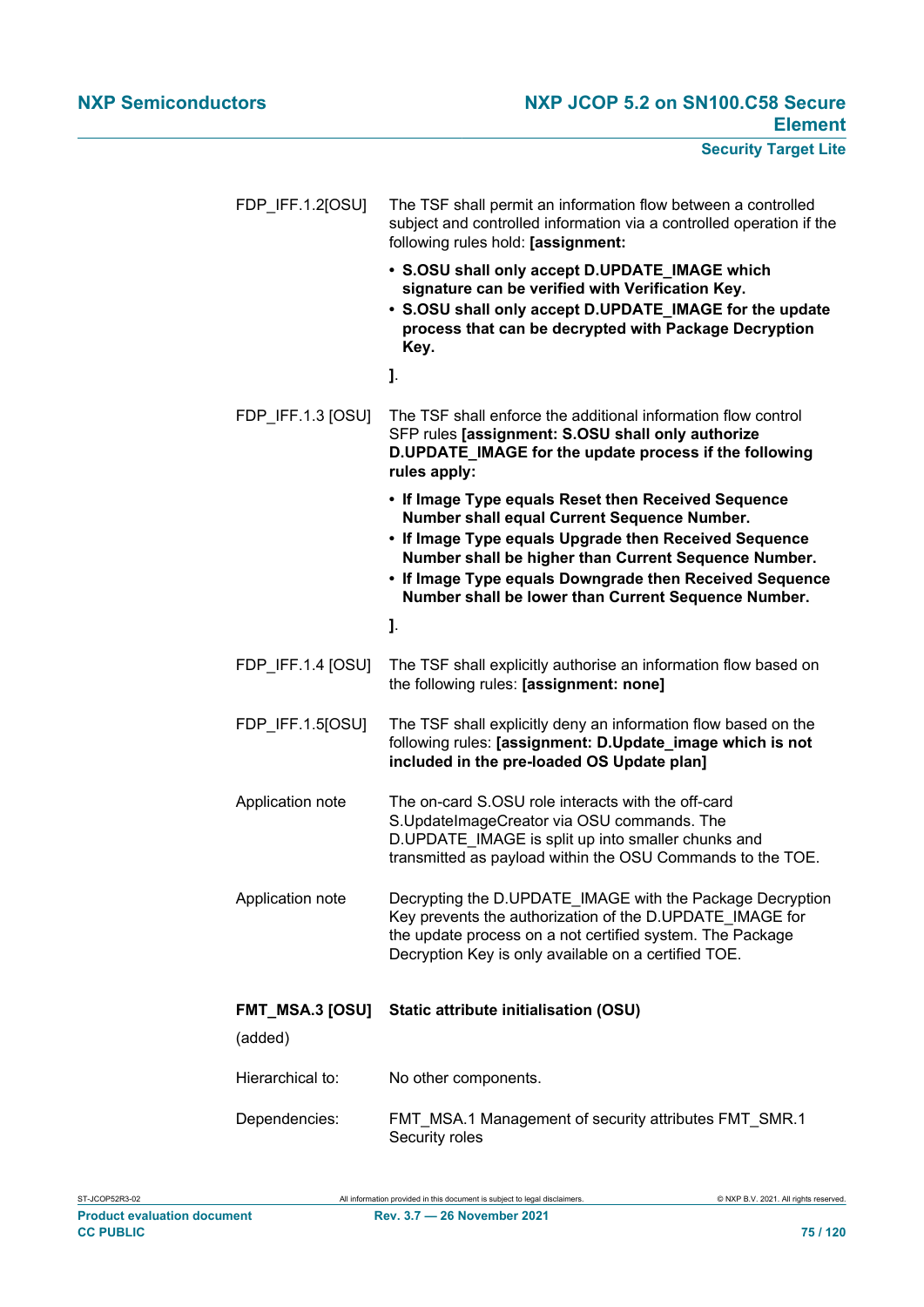| FDP_IFF.1.2[OSU]                  | The TSF shall permit an information flow between a controlled<br>subject and controlled information via a controlled operation if the<br>following rules hold: [assignment:                                                                                                                                                           |
|-----------------------------------|---------------------------------------------------------------------------------------------------------------------------------------------------------------------------------------------------------------------------------------------------------------------------------------------------------------------------------------|
|                                   | • S.OSU shall only accept D.UPDATE_IMAGE which<br>signature can be verified with Verification Key.<br>• S.OSU shall only accept D.UPDATE_IMAGE for the update<br>process that can be decrypted with Package Decryption<br>Key.                                                                                                        |
|                                   | J.                                                                                                                                                                                                                                                                                                                                    |
| FDP IFF.1.3 [OSU]                 | The TSF shall enforce the additional information flow control<br>SFP rules [assignment: S.OSU shall only authorize<br>D.UPDATE_IMAGE for the update process if the following<br>rules apply:                                                                                                                                          |
|                                   | • If Image Type equals Reset then Received Sequence<br>Number shall equal Current Sequence Number.<br>• If Image Type equals Upgrade then Received Sequence<br>Number shall be higher than Current Sequence Number.<br>• If Image Type equals Downgrade then Received Sequence<br>Number shall be lower than Current Sequence Number. |
|                                   | J.                                                                                                                                                                                                                                                                                                                                    |
| FDP_IFF.1.4 [OSU]                 | The TSF shall explicitly authorise an information flow based on<br>the following rules: [assignment: none]                                                                                                                                                                                                                            |
| FDP_IFF.1.5[OSU]                  | The TSF shall explicitly deny an information flow based on the<br>following rules: [assignment: D.Update_image which is not<br>included in the pre-loaded OS Update plan]                                                                                                                                                             |
| Application note                  | The on-card S.OSU role interacts with the off-card<br>S.UpdateImageCreator via OSU commands. The<br>D.UPDATE_IMAGE is split up into smaller chunks and<br>transmitted as payload within the OSU Commands to the TOE.                                                                                                                  |
| Application note                  | Decrypting the D.UPDATE_IMAGE with the Package Decryption<br>Key prevents the authorization of the D.UPDATE IMAGE for<br>the update process on a not certified system. The Package<br>Decryption Key is only available on a certified TOE.                                                                                            |
| <b>FMT_MSA.3 [OSU]</b><br>(added) | Static attribute initialisation (OSU)                                                                                                                                                                                                                                                                                                 |
| Hierarchical to:                  | No other components.                                                                                                                                                                                                                                                                                                                  |
|                                   |                                                                                                                                                                                                                                                                                                                                       |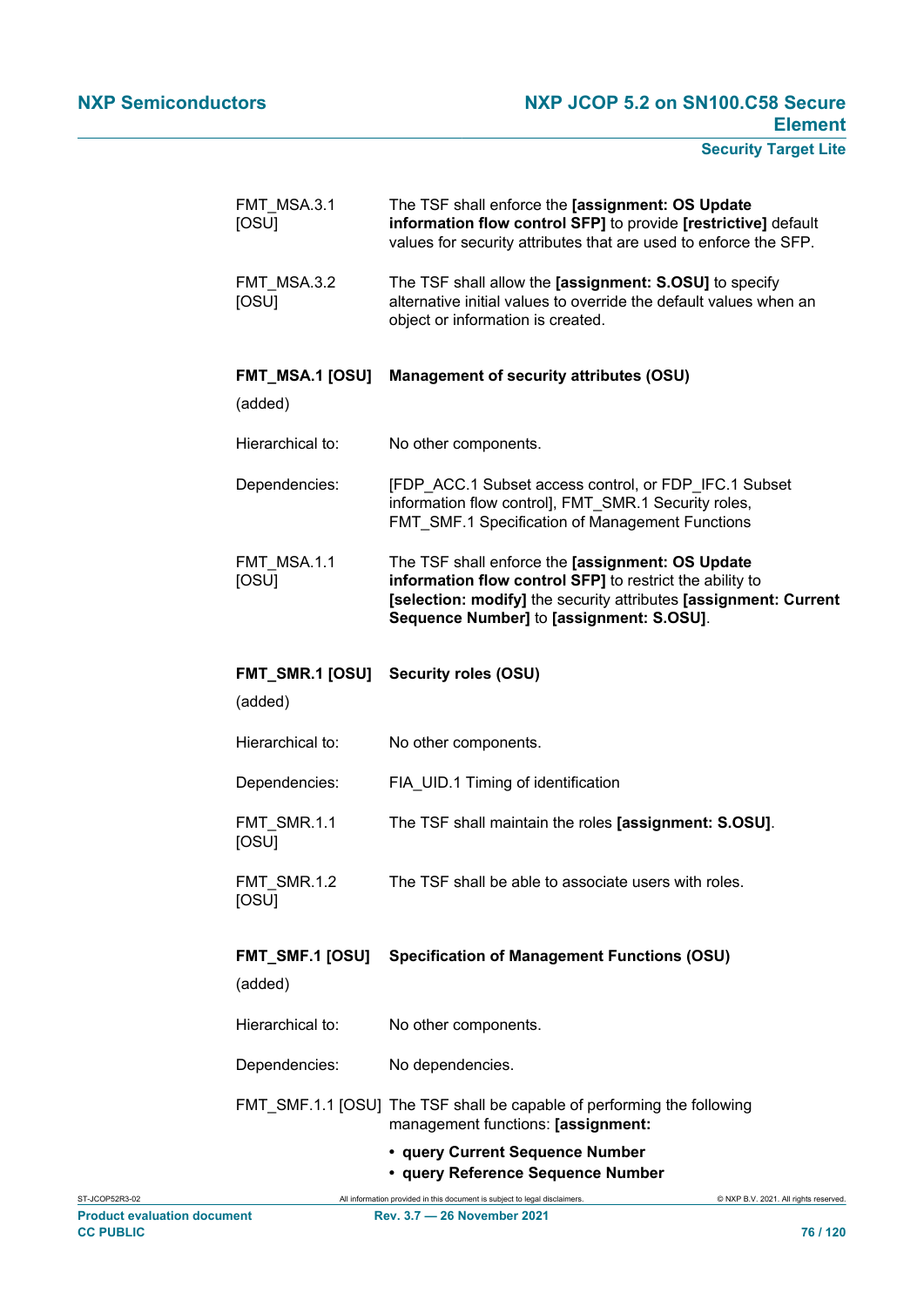| FMT MSA.3.1<br>[OSU]              | The TSF shall enforce the [assignment: OS Update<br>information flow control SFP] to provide [restrictive] default<br>values for security attributes that are used to enforce the SFP.                                       |  |
|-----------------------------------|------------------------------------------------------------------------------------------------------------------------------------------------------------------------------------------------------------------------------|--|
| FMT_MSA.3.2<br><b>[OSU]</b>       | The TSF shall allow the [assignment: S.OSU] to specify<br>alternative initial values to override the default values when an<br>object or information is created.                                                             |  |
| <b>FMT_MSA.1 [OSU]</b><br>(added) | <b>Management of security attributes (OSU)</b>                                                                                                                                                                               |  |
| Hierarchical to:                  | No other components.                                                                                                                                                                                                         |  |
| Dependencies:                     | [FDP_ACC.1 Subset access control, or FDP_IFC.1 Subset<br>information flow control], FMT_SMR.1 Security roles,<br>FMT_SMF.1 Specification of Management Functions                                                             |  |
| FMT_MSA.1.1<br><b>[OSU]</b>       | The TSF shall enforce the [assignment: OS Update<br>information flow control SFP] to restrict the ability to<br>[selection: modify] the security attributes [assignment: Current<br>Sequence Number] to [assignment: S.OSU]. |  |
| (added)                           | FMT_SMR.1 [OSU] Security roles (OSU)                                                                                                                                                                                         |  |
| Hierarchical to:                  | No other components.                                                                                                                                                                                                         |  |
| Dependencies:                     | FIA UID.1 Timing of identification                                                                                                                                                                                           |  |
| FMT SMR.1.1<br>[OSU]              | The TSF shall maintain the roles [assignment: S.OSU].                                                                                                                                                                        |  |
| FMT SMR.1.2<br><b>[OSU]</b>       | The TSF shall be able to associate users with roles.                                                                                                                                                                         |  |
| <b>FMT_SMF.1 [OSU]</b><br>(added) | <b>Specification of Management Functions (OSU)</b>                                                                                                                                                                           |  |
| Hierarchical to:                  | No other components.                                                                                                                                                                                                         |  |
| Dependencies:                     | No dependencies.                                                                                                                                                                                                             |  |
|                                   | FMT_SMF.1.1 [OSU] The TSF shall be capable of performing the following<br>management functions: [assignment:                                                                                                                 |  |
|                                   | • query Current Sequence Number<br>· query Reference Sequence Number                                                                                                                                                         |  |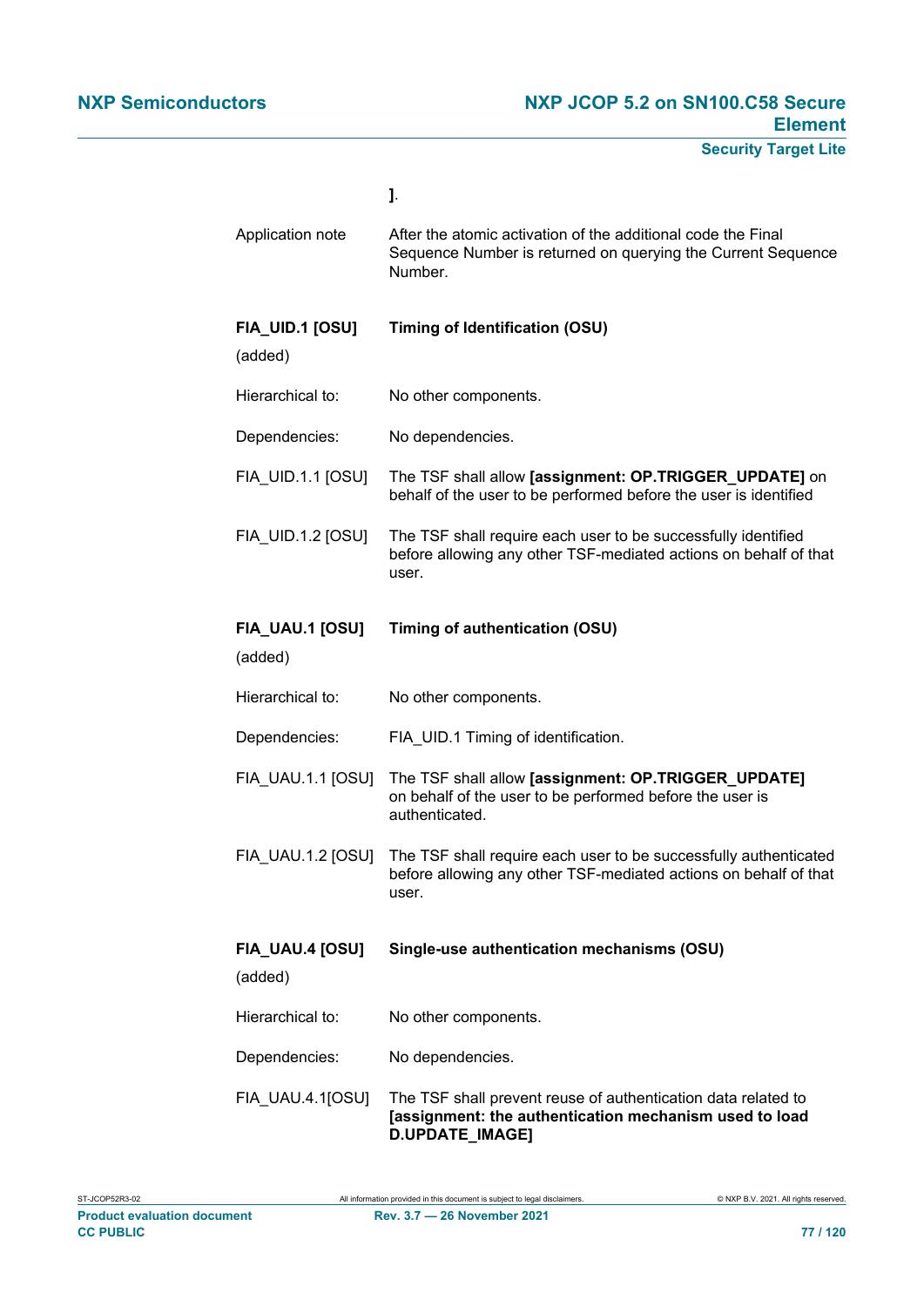|                            | J.                                                                                                                                                              |  |
|----------------------------|-----------------------------------------------------------------------------------------------------------------------------------------------------------------|--|
| Application note           | After the atomic activation of the additional code the Final<br>Sequence Number is returned on querying the Current Sequence<br>Number.                         |  |
| FIA_UID.1 [OSU]<br>(added) | <b>Timing of Identification (OSU)</b>                                                                                                                           |  |
| Hierarchical to:           | No other components.                                                                                                                                            |  |
| Dependencies:              | No dependencies.                                                                                                                                                |  |
| FIA_UID.1.1 [OSU]          | The TSF shall allow [assignment: OP.TRIGGER_UPDATE] on<br>behalf of the user to be performed before the user is identified                                      |  |
| <b>FIA UID.1.2 [OSU]</b>   | The TSF shall require each user to be successfully identified<br>before allowing any other TSF-mediated actions on behalf of that<br>user.                      |  |
| FIA_UAU.1 [OSU]<br>(added) | <b>Timing of authentication (OSU)</b>                                                                                                                           |  |
| Hierarchical to:           | No other components.                                                                                                                                            |  |
| Dependencies:              | FIA_UID.1 Timing of identification.                                                                                                                             |  |
| FIA_UAU.1.1 [OSU]          | The TSF shall allow [assignment: OP.TRIGGER_UPDATE]<br>on behalf of the user to be performed before the user is<br>authenticated.                               |  |
|                            | FIA_UAU.1.2 [OSU] The TSF shall require each user to be successfully authenticated<br>before allowing any other TSF-mediated actions on behalf of that<br>user. |  |
| FIA_UAU.4 [OSU]<br>(added) | Single-use authentication mechanisms (OSU)                                                                                                                      |  |
| Hierarchical to:           | No other components.                                                                                                                                            |  |
| Dependencies:              | No dependencies.                                                                                                                                                |  |
|                            |                                                                                                                                                                 |  |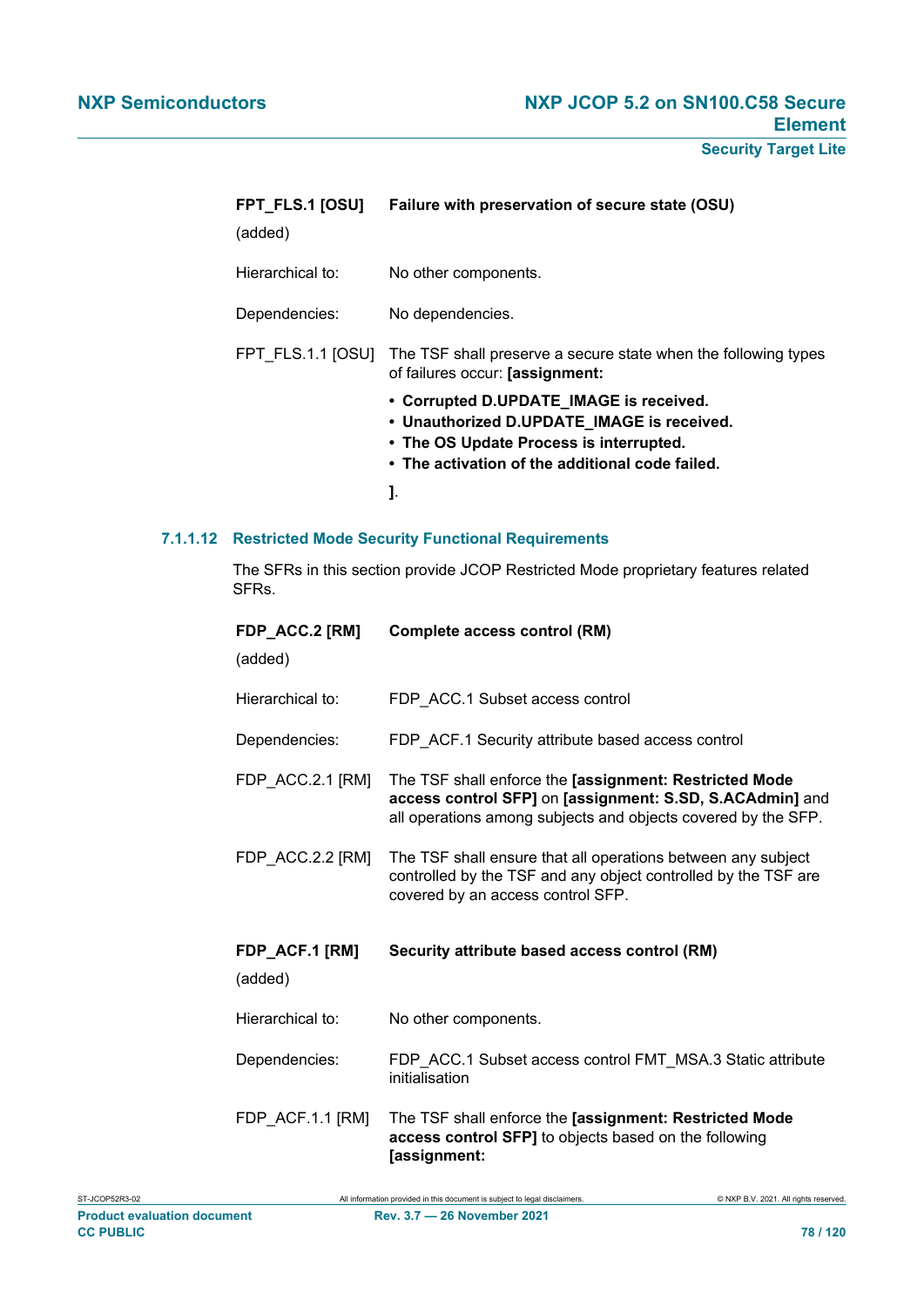| FPT FLS.1 [OSU]<br>(added) | Failure with preservation of secure state (OSU)                                                                                                                                     |  |
|----------------------------|-------------------------------------------------------------------------------------------------------------------------------------------------------------------------------------|--|
| Hierarchical to:           | No other components.                                                                                                                                                                |  |
| Dependencies:              | No dependencies.                                                                                                                                                                    |  |
| FPT FLS.1.1 [OSU]          | The TSF shall preserve a secure state when the following types<br>of failures occur: [assignment:                                                                                   |  |
|                            | • Corrupted D.UPDATE_IMAGE is received.<br>• Unauthorized D.UPDATE_IMAGE is received.<br>• The OS Update Process is interrupted.<br>• The activation of the additional code failed. |  |
|                            | J.                                                                                                                                                                                  |  |

#### **7.1.1.12 Restricted Mode Security Functional Requirements**

The SFRs in this section provide JCOP Restricted Mode proprietary features related SFRs.

| FDP_ACC.2 [RM]<br>(added) | <b>Complete access control (RM)</b>                                                                                                                                                 |  |
|---------------------------|-------------------------------------------------------------------------------------------------------------------------------------------------------------------------------------|--|
| Hierarchical to:          | FDP ACC.1 Subset access control                                                                                                                                                     |  |
| Dependencies:             | FDP_ACF.1 Security attribute based access control                                                                                                                                   |  |
| FDP_ACC.2.1 [RM]          | The TSF shall enforce the [assignment: Restricted Mode<br>access control SFP] on [assignment: S.SD, S.ACAdmin] and<br>all operations among subjects and objects covered by the SFP. |  |
| FDP_ACC.2.2 [RM]          | The TSF shall ensure that all operations between any subject<br>controlled by the TSF and any object controlled by the TSF are<br>covered by an access control SFP.                 |  |
| FDP_ACF.1 [RM]<br>(added) | Security attribute based access control (RM)                                                                                                                                        |  |
| Hierarchical to:          | No other components.                                                                                                                                                                |  |
| Dependencies:             | FDP_ACC.1 Subset access control FMT_MSA.3 Static attribute<br>initialisation                                                                                                        |  |
| FDP_ACF.1.1 [RM]          | The TSF shall enforce the [assignment: Restricted Mode<br>access control SFP] to objects based on the following<br>[assignment:                                                     |  |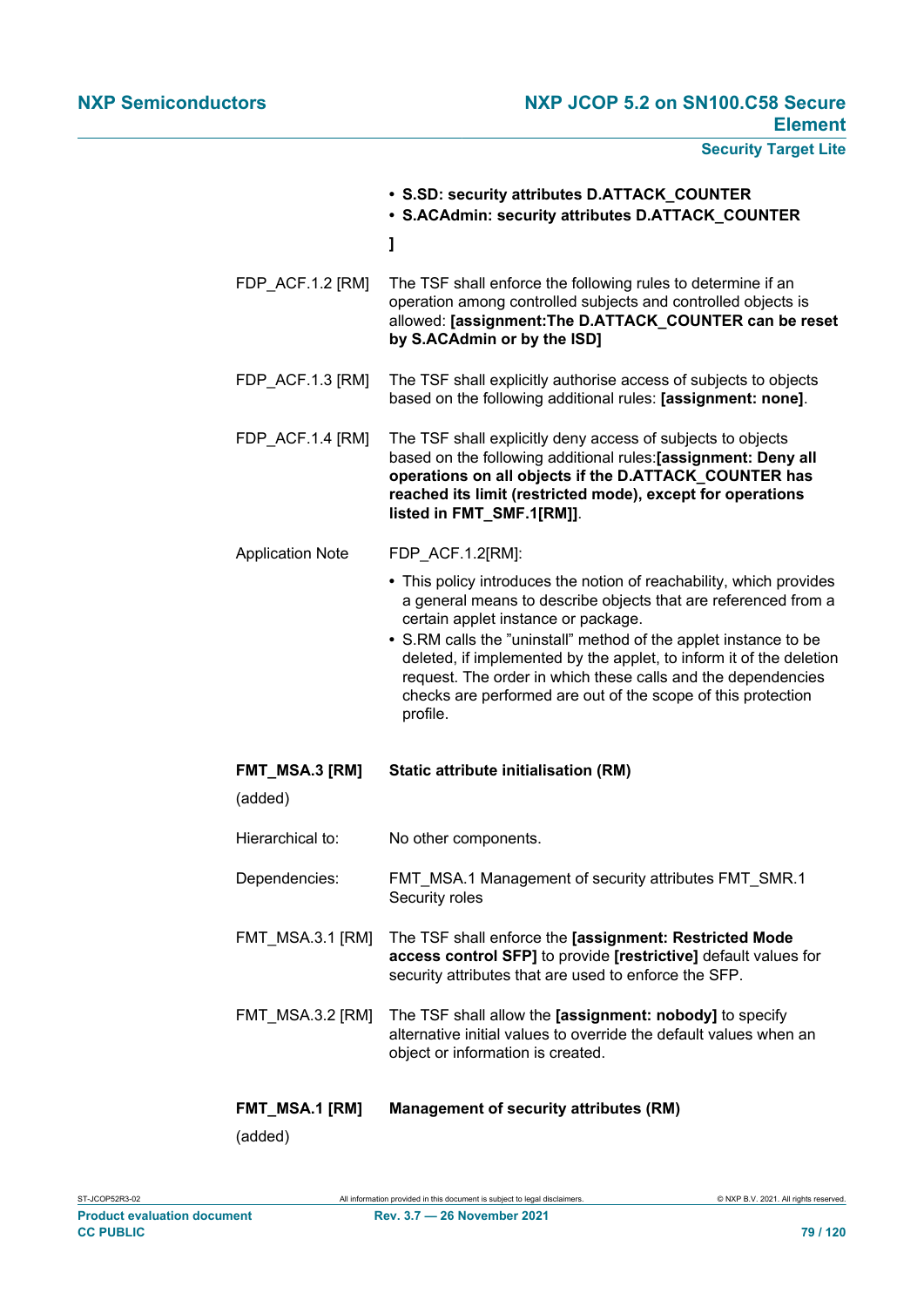|                                  | • S.SD: security attributes D.ATTACK_COUNTER<br>· S.ACAdmin: security attributes D.ATTACK_COUNTER                                                                                                                                                                                                                                                                                                                                                                   |  |
|----------------------------------|---------------------------------------------------------------------------------------------------------------------------------------------------------------------------------------------------------------------------------------------------------------------------------------------------------------------------------------------------------------------------------------------------------------------------------------------------------------------|--|
|                                  | ı                                                                                                                                                                                                                                                                                                                                                                                                                                                                   |  |
| FDP_ACF.1.2 [RM]                 | The TSF shall enforce the following rules to determine if an<br>operation among controlled subjects and controlled objects is<br>allowed: [assignment:The D.ATTACK_COUNTER can be reset<br>by S.ACAdmin or by the ISD]                                                                                                                                                                                                                                              |  |
| FDP ACF.1.3 [RM]                 | The TSF shall explicitly authorise access of subjects to objects<br>based on the following additional rules: [assignment: none].                                                                                                                                                                                                                                                                                                                                    |  |
| FDP_ACF.1.4 [RM]                 | The TSF shall explicitly deny access of subjects to objects<br>based on the following additional rules: [assignment: Deny all<br>operations on all objects if the D.ATTACK_COUNTER has<br>reached its limit (restricted mode), except for operations<br>listed in FMT_SMF.1[RM]].                                                                                                                                                                                   |  |
| <b>Application Note</b>          | FDP ACF.1.2[RM]:                                                                                                                                                                                                                                                                                                                                                                                                                                                    |  |
|                                  | • This policy introduces the notion of reachability, which provides<br>a general means to describe objects that are referenced from a<br>certain applet instance or package.<br>• S.RM calls the "uninstall" method of the applet instance to be<br>deleted, if implemented by the applet, to inform it of the deletion<br>request. The order in which these calls and the dependencies<br>checks are performed are out of the scope of this protection<br>profile. |  |
| FMT_MSA.3 [RM]                   | <b>Static attribute initialisation (RM)</b>                                                                                                                                                                                                                                                                                                                                                                                                                         |  |
| (added)                          |                                                                                                                                                                                                                                                                                                                                                                                                                                                                     |  |
| Hierarchical to:                 | No other components.                                                                                                                                                                                                                                                                                                                                                                                                                                                |  |
| Dependencies:                    | FMT_MSA.1 Management of security attributes FMT_SMR.1<br>Security roles                                                                                                                                                                                                                                                                                                                                                                                             |  |
| <b>FMT MSA.3.1 [RM]</b>          | The TSF shall enforce the [assignment: Restricted Mode<br>access control SFP] to provide [restrictive] default values for<br>security attributes that are used to enforce the SFP.                                                                                                                                                                                                                                                                                  |  |
| FMT_MSA.3.2 [RM]                 | The TSF shall allow the [assignment: nobody] to specify<br>alternative initial values to override the default values when an<br>object or information is created.                                                                                                                                                                                                                                                                                                   |  |
| <b>FMT_MSA.1 [RM]</b><br>(hahha) | <b>Management of security attributes (RM)</b>                                                                                                                                                                                                                                                                                                                                                                                                                       |  |

(added)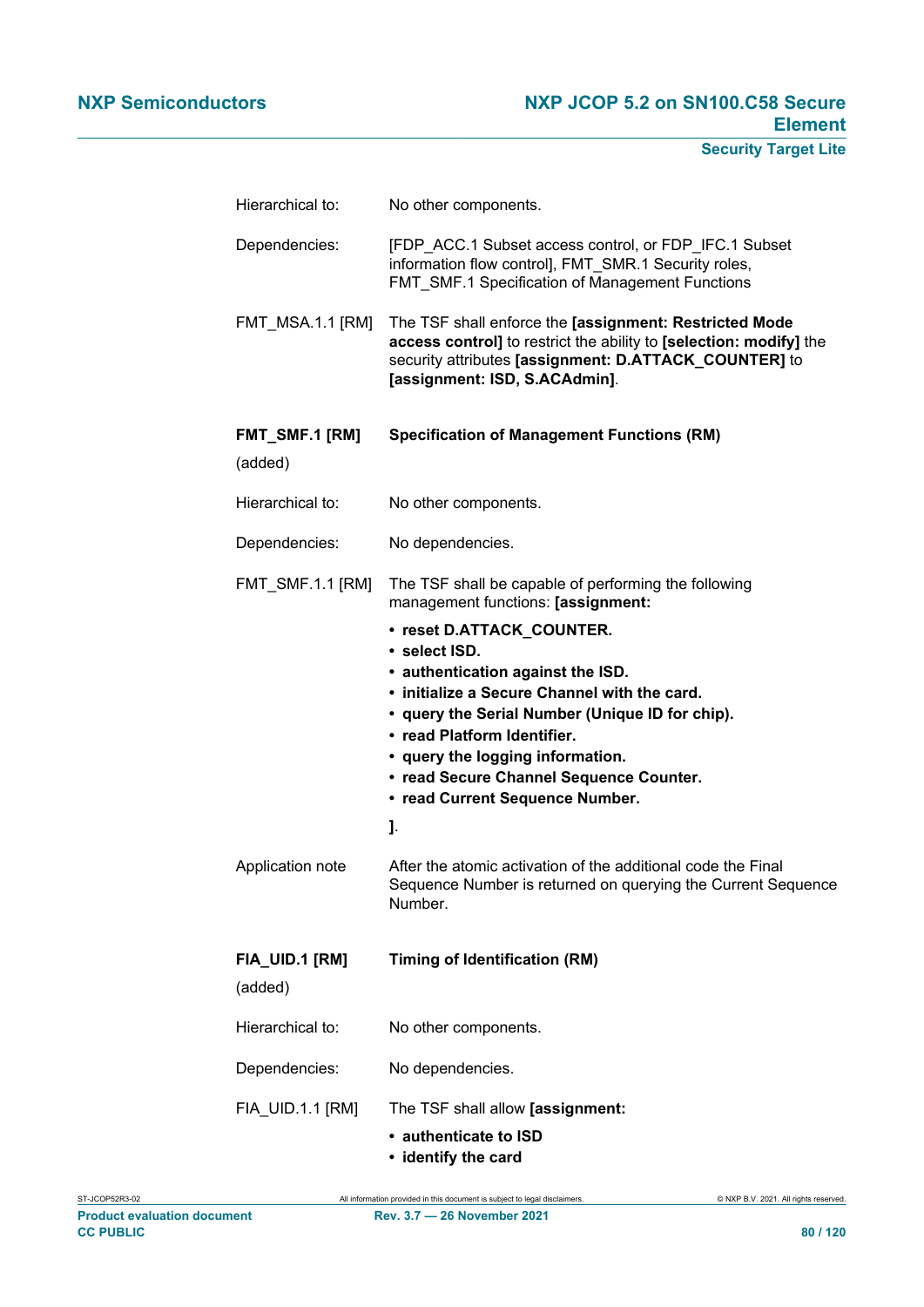| Hierarchical to:                     | No other components.                                                                                                                                                                                                                                                                                                                                                                                                                                                                                                                                                    |  |
|--------------------------------------|-------------------------------------------------------------------------------------------------------------------------------------------------------------------------------------------------------------------------------------------------------------------------------------------------------------------------------------------------------------------------------------------------------------------------------------------------------------------------------------------------------------------------------------------------------------------------|--|
| Dependencies:                        | [FDP_ACC.1 Subset access control, or FDP_IFC.1 Subset<br>information flow control], FMT_SMR.1 Security roles,<br>FMT_SMF.1 Specification of Management Functions                                                                                                                                                                                                                                                                                                                                                                                                        |  |
| <b>FMT_MSA.1.1 [RM]</b>              | The TSF shall enforce the [assignment: Restricted Mode<br>access control] to restrict the ability to [selection: modify] the<br>security attributes [assignment: D.ATTACK_COUNTER] to<br>[assignment: ISD, S.ACAdmin].                                                                                                                                                                                                                                                                                                                                                  |  |
| FMT_SMF.1 [RM]<br>(added)            | <b>Specification of Management Functions (RM)</b>                                                                                                                                                                                                                                                                                                                                                                                                                                                                                                                       |  |
| Hierarchical to:                     | No other components.                                                                                                                                                                                                                                                                                                                                                                                                                                                                                                                                                    |  |
| Dependencies:                        | No dependencies.                                                                                                                                                                                                                                                                                                                                                                                                                                                                                                                                                        |  |
| FMT_SMF.1.1 [RM]<br>Application note | The TSF shall be capable of performing the following<br>management functions: [assignment:<br>• reset D.ATTACK_COUNTER.<br>• select ISD.<br>• authentication against the ISD.<br>• initialize a Secure Channel with the card.<br>• query the Serial Number (Unique ID for chip).<br>• read Platform Identifier.<br>• query the logging information.<br>• read Secure Channel Sequence Counter.<br>• read Current Sequence Number.<br>J.<br>After the atomic activation of the additional code the Final<br>Sequence Number is returned on querying the Current Sequence |  |
| FIA_UID.1 [RM]                       | Number.<br><b>Timing of Identification (RM)</b>                                                                                                                                                                                                                                                                                                                                                                                                                                                                                                                         |  |
| (added)                              |                                                                                                                                                                                                                                                                                                                                                                                                                                                                                                                                                                         |  |
| Hierarchical to:                     | No other components.                                                                                                                                                                                                                                                                                                                                                                                                                                                                                                                                                    |  |
| Dependencies:                        | No dependencies.                                                                                                                                                                                                                                                                                                                                                                                                                                                                                                                                                        |  |
| FIA_UID.1.1 [RM]                     | The TSF shall allow [assignment:<br>• authenticate to ISD<br>المعرض والمراف بالكاف                                                                                                                                                                                                                                                                                                                                                                                                                                                                                      |  |

**• identify the card**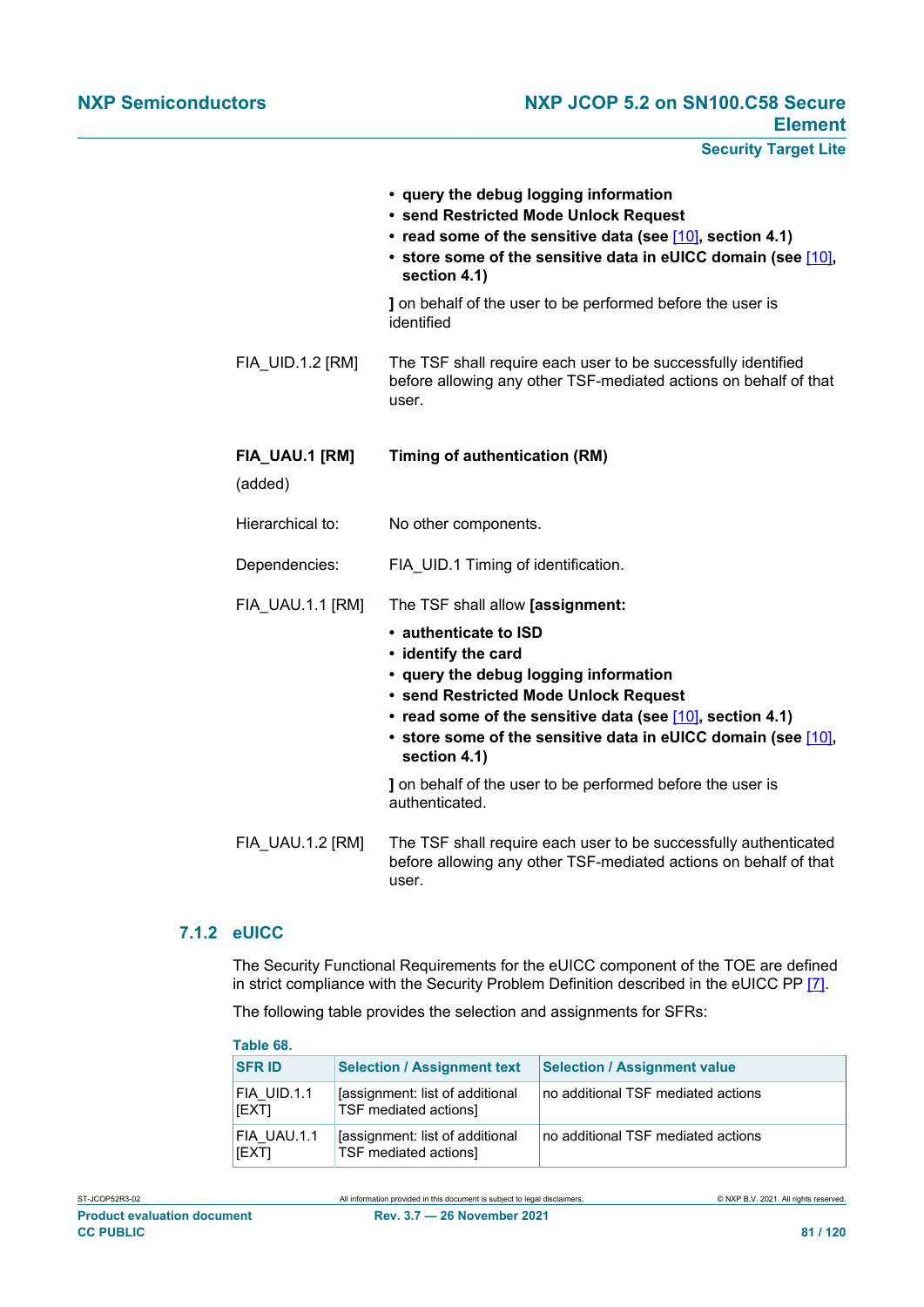**Security Target Lite**

|                           | • query the debug logging information<br>• send Restricted Mode Unlock Request<br>• read some of the sensitive data (see [10], section 4.1)<br>• store some of the sensitive data in eUICC domain (see [10],<br>section 4.1) |  |
|---------------------------|------------------------------------------------------------------------------------------------------------------------------------------------------------------------------------------------------------------------------|--|
|                           | I on behalf of the user to be performed before the user is<br>identified                                                                                                                                                     |  |
| FIA_UID.1.2 [RM]          | The TSF shall require each user to be successfully identified<br>before allowing any other TSF-mediated actions on behalf of that<br>user.                                                                                   |  |
| FIA_UAU.1 [RM]<br>(added) | <b>Timing of authentication (RM)</b>                                                                                                                                                                                         |  |
| Hierarchical to:          | No other components.                                                                                                                                                                                                         |  |
| Dependencies:             | FIA_UID.1 Timing of identification.                                                                                                                                                                                          |  |
| FIA UAU.1.1 [RM]          | The TSF shall allow [assignment:                                                                                                                                                                                             |  |
|                           | • authenticate to ISD<br>• identify the card                                                                                                                                                                                 |  |
|                           | • query the debug logging information<br>• send Restricted Mode Unlock Request                                                                                                                                               |  |
|                           | • read some of the sensitive data (see [10], section 4.1)<br>• store some of the sensitive data in eUICC domain (see [10],<br>section 4.1)                                                                                   |  |
|                           | I on behalf of the user to be performed before the user is<br>authenticated.                                                                                                                                                 |  |
| FIA_UAU.1.2 [RM]          | The TSF shall require each user to be successfully authenticated<br>before allowing any other TSF-mediated actions on behalf of that<br>user.                                                                                |  |

## **7.1.2 eUICC**

The Security Functional Requirements for the eUICC component of the TOE are defined in strict compliance with the Security Problem Definition described in the eUICC PP [\[7\].](#page-112-1)

The following table provides the selection and assignments for SFRs:

| Table 68.            |                                                          |                                     |
|----------------------|----------------------------------------------------------|-------------------------------------|
| <b>SFR ID</b>        | <b>Selection / Assignment text</b>                       | <b>Selection / Assignment value</b> |
| FIA UID.1.1<br>[EXT] | [assignment: list of additional<br>TSF mediated actions] | no additional TSF mediated actions  |
| FIA UAU.1.1<br>[EXT] | [assignment: list of additional<br>TSF mediated actions] | no additional TSF mediated actions  |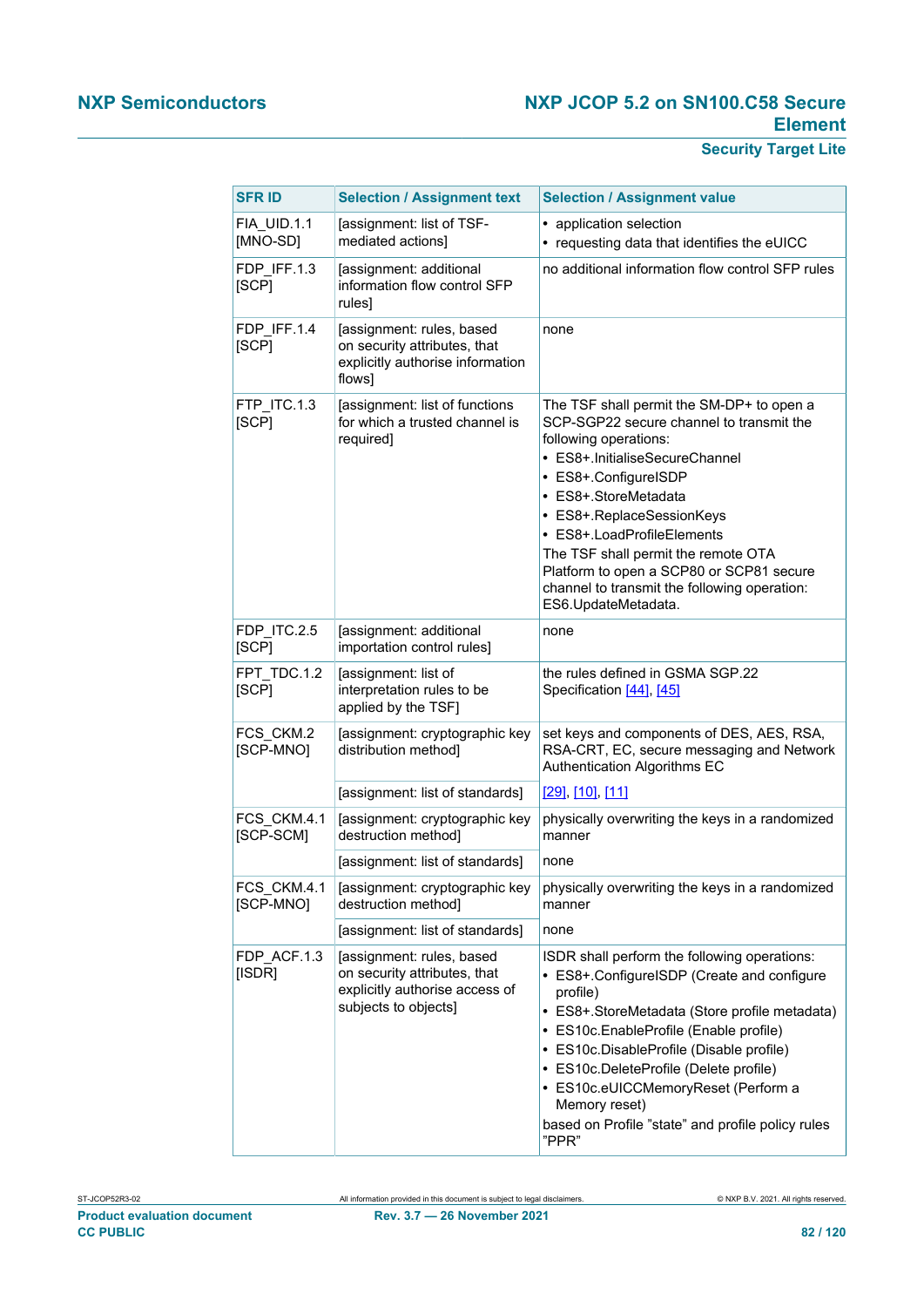| <b>SFR ID</b>            | <b>Selection / Assignment text</b>                                                                                  | <b>Selection / Assignment value</b>                                                                                                                                                                                                                                                                                                                                                                                   |
|--------------------------|---------------------------------------------------------------------------------------------------------------------|-----------------------------------------------------------------------------------------------------------------------------------------------------------------------------------------------------------------------------------------------------------------------------------------------------------------------------------------------------------------------------------------------------------------------|
| FIA UID.1.1<br>[MNO-SD]  | [assignment: list of TSF-<br>mediated actions]                                                                      | • application selection<br>• requesting data that identifies the eUICC                                                                                                                                                                                                                                                                                                                                                |
| FDP IFF.1.3<br>[SCP]     | [assignment: additional<br>information flow control SFP<br>rules]                                                   | no additional information flow control SFP rules                                                                                                                                                                                                                                                                                                                                                                      |
| FDP_IFF.1.4<br>[SCP]     | [assignment: rules, based<br>on security attributes, that<br>explicitly authorise information<br>flows]             | none                                                                                                                                                                                                                                                                                                                                                                                                                  |
| FTP ITC.1.3<br>[SCP]     | [assignment: list of functions<br>for which a trusted channel is<br>required]                                       | The TSF shall permit the SM-DP+ to open a<br>SCP-SGP22 secure channel to transmit the<br>following operations:<br>• ES8+.InitialiseSecureChannel<br>• ES8+.ConfigureISDP<br>• ES8+.StoreMetadata<br>• ES8+.ReplaceSessionKeys<br>• ES8+.LoadProfileElements<br>The TSF shall permit the remote OTA<br>Platform to open a SCP80 or SCP81 secure<br>channel to transmit the following operation:<br>ES6.UpdateMetadata. |
| FDP ITC.2.5<br>[SCP]     | [assignment: additional<br>importation control rules]                                                               | none                                                                                                                                                                                                                                                                                                                                                                                                                  |
| FPT TDC.1.2<br>[SCP]     | [assignment: list of<br>interpretation rules to be<br>applied by the TSF]                                           | the rules defined in GSMA SGP.22<br>Specification [44], [45]                                                                                                                                                                                                                                                                                                                                                          |
| FCS CKM.2<br>[SCP-MNO]   | [assignment: cryptographic key<br>distribution method]                                                              | set keys and components of DES, AES, RSA,<br>RSA-CRT, EC, secure messaging and Network<br>Authentication Algorithms EC                                                                                                                                                                                                                                                                                                |
|                          | [assignment: list of standards]                                                                                     | $[29]$ , $[10]$ , $[11]$                                                                                                                                                                                                                                                                                                                                                                                              |
| FCS CKM.4.1<br>[SCP-SCM] | [assignment: cryptographic key<br>destruction method]                                                               | physically overwriting the keys in a randomized<br>manner                                                                                                                                                                                                                                                                                                                                                             |
|                          | [assignment: list of standards]                                                                                     | none                                                                                                                                                                                                                                                                                                                                                                                                                  |
| FCS CKM.4.1<br>[SCP-MNO] | [assignment: cryptographic key<br>destruction method]                                                               | physically overwriting the keys in a randomized<br>manner                                                                                                                                                                                                                                                                                                                                                             |
|                          | [assignment: list of standards]                                                                                     | none                                                                                                                                                                                                                                                                                                                                                                                                                  |
| FDP ACF.1.3<br>[ISDR]    | [assignment: rules, based<br>on security attributes, that<br>explicitly authorise access of<br>subjects to objects] | ISDR shall perform the following operations:<br>• ES8+.ConfigureISDP (Create and configure<br>profile)<br>• ES8+.StoreMetadata (Store profile metadata)<br>• ES10c.EnableProfile (Enable profile)<br>• ES10c.DisableProfile (Disable profile)<br>• ES10c.DeleteProfile (Delete profile)<br>• ES10c.eUICCMemoryReset (Perform a<br>Memory reset)<br>based on Profile "state" and profile policy rules<br>"PPR"         |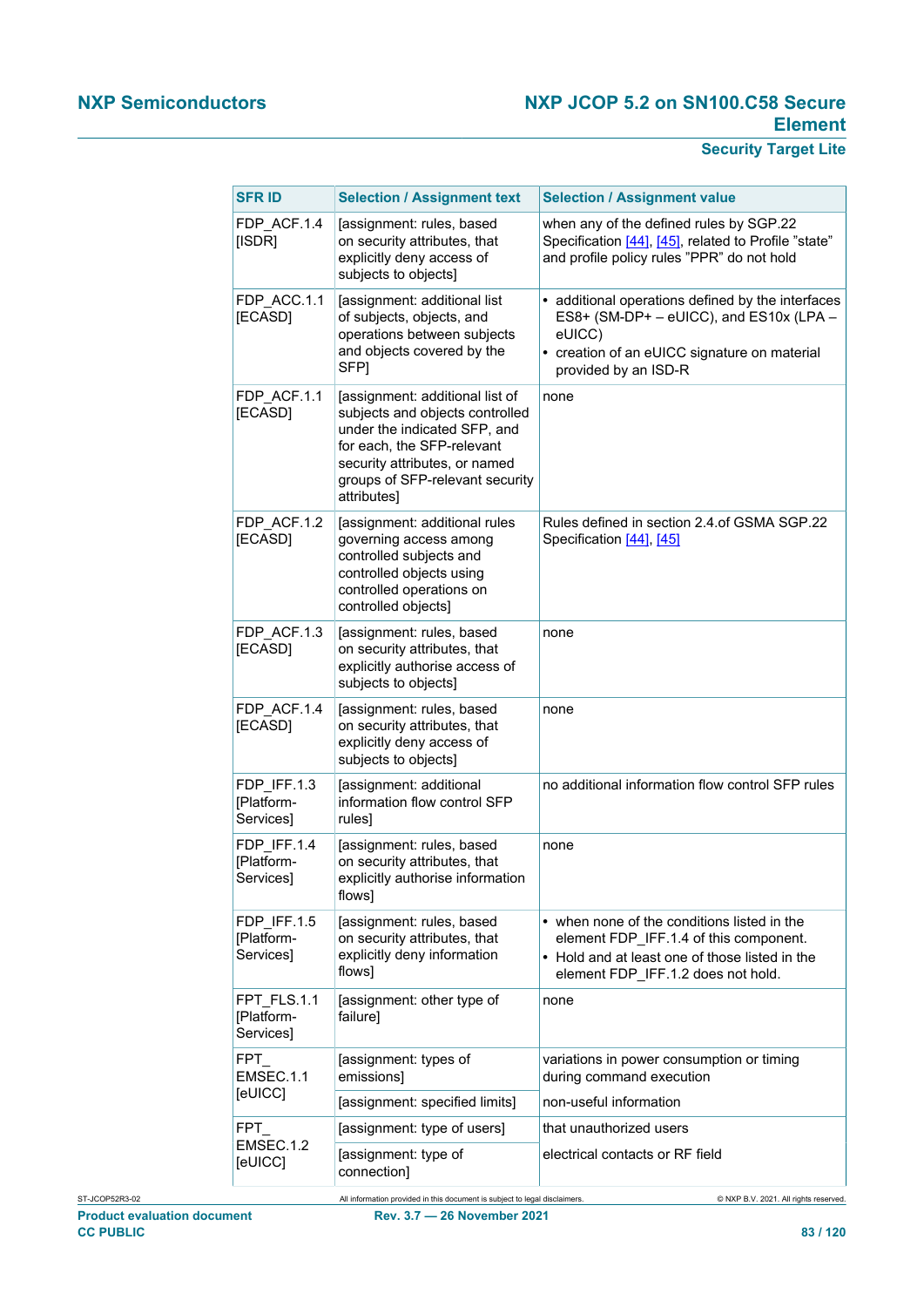| <b>SFR ID</b>                          | <b>Selection / Assignment text</b>                                                                                                                                                                                  | <b>Selection / Assignment value</b>                                                                                                                                            |
|----------------------------------------|---------------------------------------------------------------------------------------------------------------------------------------------------------------------------------------------------------------------|--------------------------------------------------------------------------------------------------------------------------------------------------------------------------------|
| FDP ACF.1.4<br>[ISDR]                  | [assignment: rules, based<br>on security attributes, that<br>explicitly deny access of<br>subjects to objects]                                                                                                      | when any of the defined rules by SGP.22<br>Specification [44], [45], related to Profile "state"<br>and profile policy rules "PPR" do not hold                                  |
| FDP_ACC.1.1<br>[ECASD]                 | [assignment: additional list<br>of subjects, objects, and<br>operations between subjects<br>and objects covered by the<br>SFP1                                                                                      | • additional operations defined by the interfaces<br>ES8+ (SM-DP+ - eUICC), and ES10x (LPA -<br>eUICC)<br>• creation of an eUICC signature on material<br>provided by an ISD-R |
| FDP ACF.1.1<br>[ECASD]                 | [assignment: additional list of<br>subjects and objects controlled<br>under the indicated SFP, and<br>for each, the SFP-relevant<br>security attributes, or named<br>groups of SFP-relevant security<br>attributes] | none                                                                                                                                                                           |
| FDP ACF.1.2<br>[ECASD]                 | [assignment: additional rules<br>governing access among<br>controlled subjects and<br>controlled objects using<br>controlled operations on<br>controlled objects]                                                   | Rules defined in section 2.4.of GSMA SGP.22<br>Specification [44], [45]                                                                                                        |
| FDP ACF.1.3<br>[ECASD]                 | [assignment: rules, based<br>on security attributes, that<br>explicitly authorise access of<br>subjects to objects]                                                                                                 | none                                                                                                                                                                           |
| FDP ACF.1.4<br>[ECASD]                 | [assignment: rules, based<br>on security attributes, that<br>explicitly deny access of<br>subjects to objects]                                                                                                      | none                                                                                                                                                                           |
| FDP_IFF.1.3<br>[Platform-<br>Services] | [assignment: additional<br>information flow control SFP<br>rules]                                                                                                                                                   | no additional information flow control SFP rules                                                                                                                               |
| FDP IFF.1.4<br>[Platform-<br>Services] | [assignment: rules, based<br>on security attributes, that<br>explicitly authorise information<br>flows]                                                                                                             | none                                                                                                                                                                           |
| FDP IFF.1.5<br>[Platform-<br>Services] | [assignment: rules, based<br>on security attributes, that<br>explicitly deny information<br>flows]                                                                                                                  | • when none of the conditions listed in the<br>element FDP_IFF.1.4 of this component.<br>• Hold and at least one of those listed in the<br>element FDP_IFF.1.2 does not hold.  |
| FPT FLS.1.1<br>[Platform-<br>Services] | [assignment: other type of<br>failure]                                                                                                                                                                              | none                                                                                                                                                                           |
| FPT<br>EMSEC.1.1<br>[eUICC]            | [assignment: types of<br>emissions]                                                                                                                                                                                 | variations in power consumption or timing<br>during command execution                                                                                                          |
|                                        | [assignment: specified limits]                                                                                                                                                                                      | non-useful information                                                                                                                                                         |
| <b>FPT</b><br>EMSEC.1.2                | [assignment: type of users]                                                                                                                                                                                         | that unauthorized users                                                                                                                                                        |
| [eUICC]                                | [assignment: type of<br>connection]                                                                                                                                                                                 | electrical contacts or RF field                                                                                                                                                |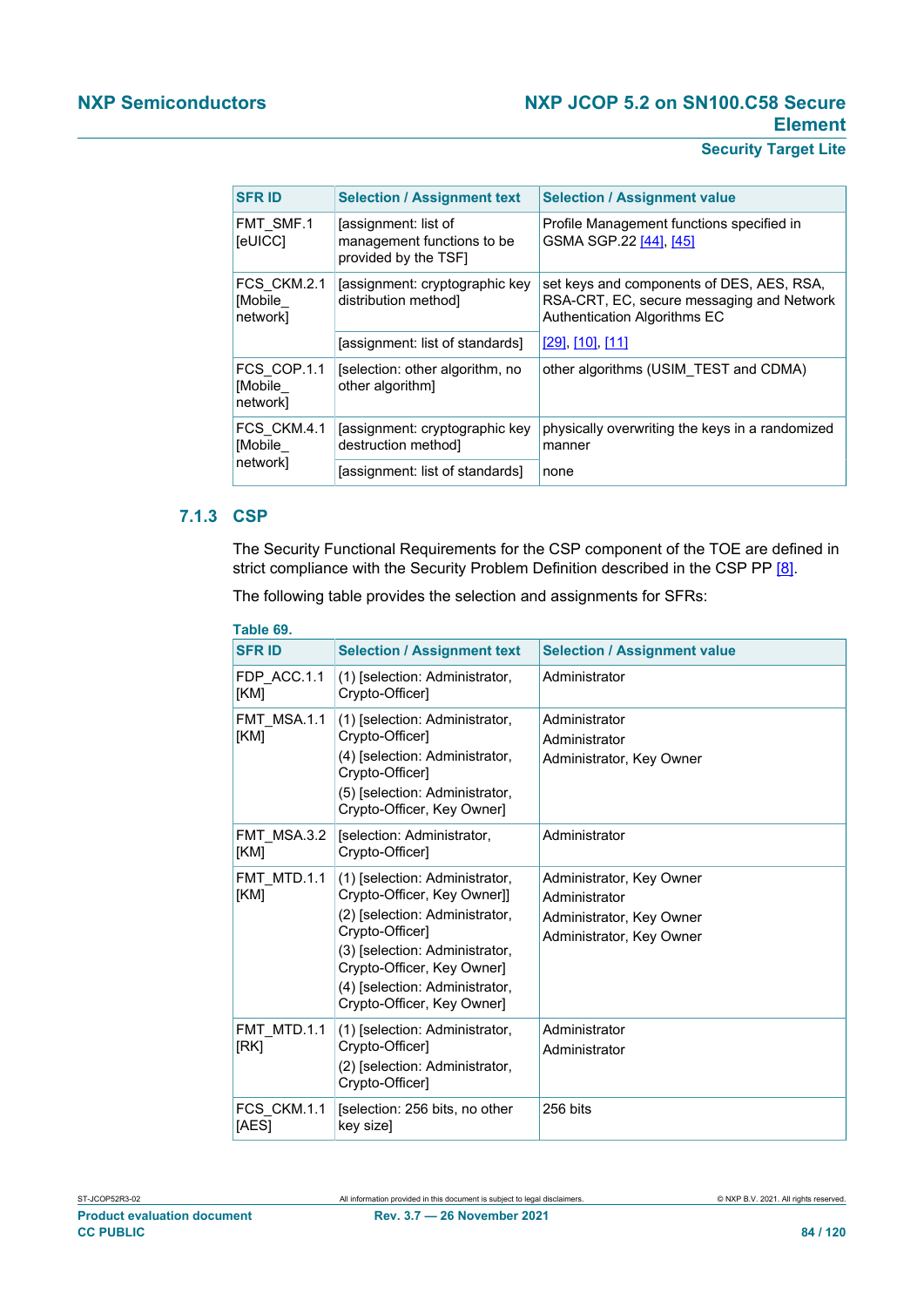## **Security Target Lite**

| <b>SFR ID</b>                      | <b>Selection / Assignment text</b>                                         | <b>Selection / Assignment value</b>                                                                                    |
|------------------------------------|----------------------------------------------------------------------------|------------------------------------------------------------------------------------------------------------------------|
| FMT SMF.1<br><b>[eUICC]</b>        | [assignment: list of<br>management functions to be<br>provided by the TSF1 | Profile Management functions specified in<br>GSMA SGP.22 [44], [45]                                                    |
| FCS CKM.2.1<br>[Mobile<br>network] | assignment: cryptographic key<br>distribution method]                      | set keys and components of DES, AES, RSA,<br>RSA-CRT, EC, secure messaging and Network<br>Authentication Algorithms EC |
|                                    | [assignment: list of standards]                                            | <u>[29], [10], [11]</u>                                                                                                |
| FCS COP.1.1<br>[Mobile<br>network] | [selection: other algorithm, no<br>other algorithm]                        | other algorithms (USIM TEST and CDMA)                                                                                  |
| FCS CKM.4.1<br>[Mobile             | [assignment: cryptographic key<br>destruction method                       | physically overwriting the keys in a randomized<br>manner                                                              |
| network]                           | [assignment: list of standards]                                            | none                                                                                                                   |

## **7.1.3 CSP**

The Security Functional Requirements for the CSP component of the TOE are defined in strict compliance with the Security Problem Definition described in the CSP PP [\[8\].](#page-112-3)

The following table provides the selection and assignments for SFRs:

| Table 69.            |                                                                                                                                                                                                                                                    |                                                                                                   |  |
|----------------------|----------------------------------------------------------------------------------------------------------------------------------------------------------------------------------------------------------------------------------------------------|---------------------------------------------------------------------------------------------------|--|
| <b>SFR ID</b>        | <b>Selection / Assignment text</b>                                                                                                                                                                                                                 | <b>Selection / Assignment value</b>                                                               |  |
| FDP ACC.1.1<br>[KM]  | (1) [selection: Administrator,<br>Crypto-Officer]                                                                                                                                                                                                  | Administrator                                                                                     |  |
| FMT MSA.1.1<br>[KM]  | (1) [selection: Administrator,<br>Crypto-Officer]<br>(4) [selection: Administrator,<br>Crypto-Officer]<br>(5) [selection: Administrator,<br>Crypto-Officer, Key Owner]                                                                             | Administrator<br>Administrator<br>Administrator, Key Owner                                        |  |
| FMT MSA.3.2<br>[KM]  | [selection: Administrator,<br>Crypto-Officer]                                                                                                                                                                                                      | Administrator                                                                                     |  |
| FMT MTD.1.1<br>[KM]  | (1) [selection: Administrator,<br>Crypto-Officer, Key Owner]]<br>(2) [selection: Administrator,<br>Crypto-Officer]<br>(3) [selection: Administrator,<br>Crypto-Officer, Key Owner]<br>(4) [selection: Administrator,<br>Crypto-Officer, Key Owner] | Administrator, Key Owner<br>Administrator<br>Administrator, Key Owner<br>Administrator, Key Owner |  |
| FMT MTD.1.1<br>[RK]  | (1) [selection: Administrator,<br>Crypto-Officer]<br>(2) [selection: Administrator,<br>Crypto-Officer]                                                                                                                                             | Administrator<br>Administrator                                                                    |  |
| FCS CKM.1.1<br>[AES] | [selection: 256 bits, no other<br>key sizel                                                                                                                                                                                                        | 256 bits                                                                                          |  |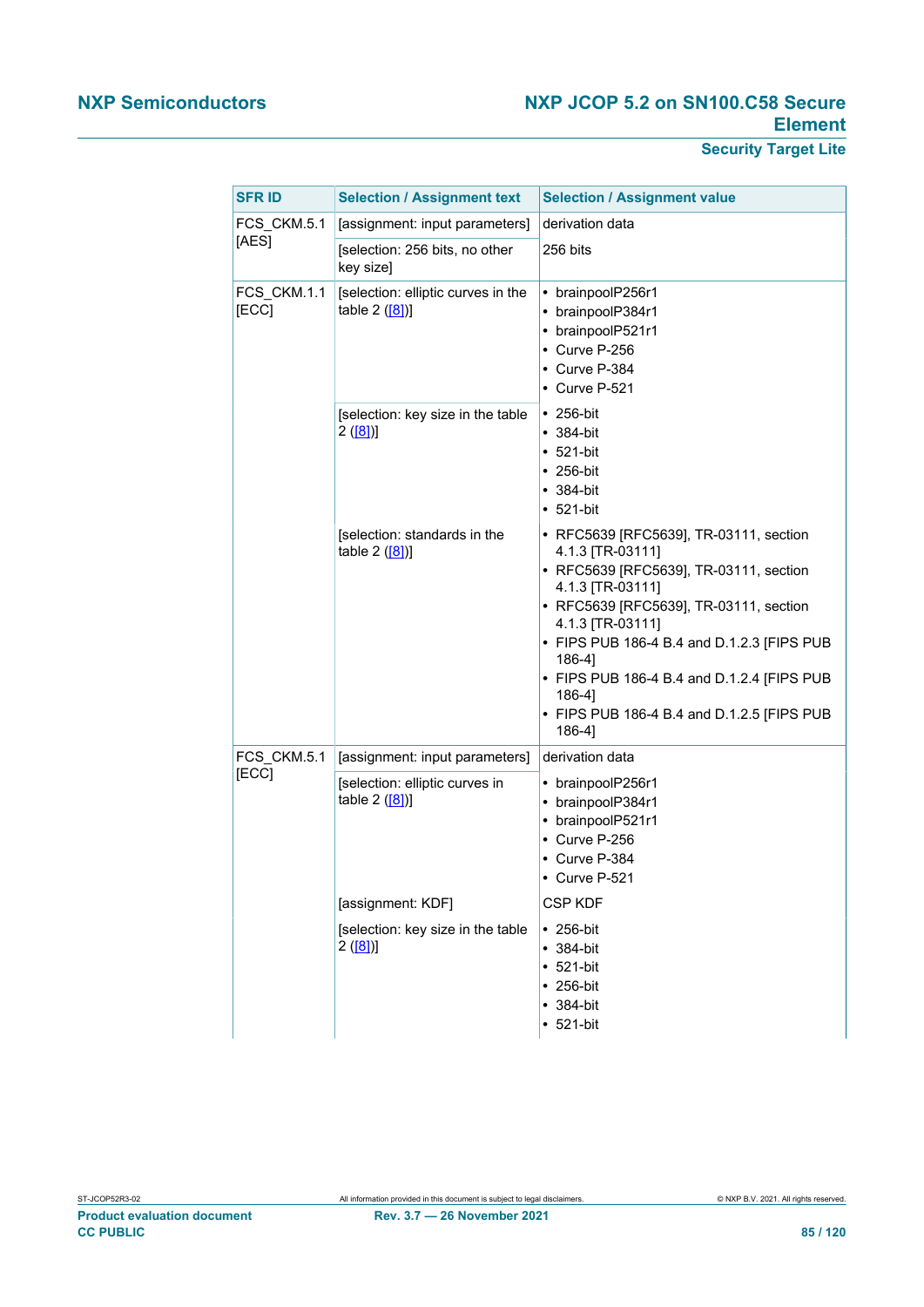| <b>SFR ID</b>        | <b>Selection / Assignment text</b>                   | <b>Selection / Assignment value</b>                                                                                                                                                                                                                                                                                                                            |
|----------------------|------------------------------------------------------|----------------------------------------------------------------------------------------------------------------------------------------------------------------------------------------------------------------------------------------------------------------------------------------------------------------------------------------------------------------|
| FCS_CKM.5.1          | [assignment: input parameters]                       | derivation data                                                                                                                                                                                                                                                                                                                                                |
| [AES]                | [selection: 256 bits, no other<br>key size]          | 256 bits                                                                                                                                                                                                                                                                                                                                                       |
| FCS CKM.1.1<br>[ECC] | [selection: elliptic curves in the<br>table $2([8])$ | • brainpoolP256r1<br>• brainpoolP384r1<br>• brainpoolP521r1<br>• Curve P-256<br>• Curve P-384<br>• Curve P-521                                                                                                                                                                                                                                                 |
|                      | [selection: key size in the table<br>2([8])          | $\cdot$ 256-bit<br>$• 384-bit$<br>$• 521-bit$<br>$\cdot$ 256-bit<br>$• 384-bit$<br>$• 521-bit$                                                                                                                                                                                                                                                                 |
|                      | [selection: standards in the<br>table $2$ ([8])]     | • RFC5639 [RFC5639], TR-03111, section<br>4.1.3 [TR-03111]<br>• RFC5639 [RFC5639], TR-03111, section<br>4.1.3 [TR-03111]<br>• RFC5639 [RFC5639], TR-03111, section<br>4.1.3 [TR-03111]<br>• FIPS PUB 186-4 B.4 and D.1.2.3 [FIPS PUB<br>186-4]<br>• FIPS PUB 186-4 B.4 and D.1.2.4 [FIPS PUB<br>186-41<br>• FIPS PUB 186-4 B.4 and D.1.2.5 [FIPS PUB<br>186-41 |
| FCS_CKM.5.1          | [assignment: input parameters]                       | derivation data                                                                                                                                                                                                                                                                                                                                                |
| [ECC]                | [selection: elliptic curves in<br>table $2([8])$     | • brainpoolP256r1<br>• brainpoolP384r1<br>• brainpoolP521r1<br>• Curve P-256<br>• Curve P-384<br>Curve P-521                                                                                                                                                                                                                                                   |
|                      | [assignment: KDF]                                    | <b>CSP KDF</b>                                                                                                                                                                                                                                                                                                                                                 |
|                      | [selection: key size in the table<br>2([8])          | $\cdot$ 256-bit<br>$• 384-bit$<br>$-521-bit$<br>$• 256-bit$<br>$• 384-bit$<br>$-521-bit$                                                                                                                                                                                                                                                                       |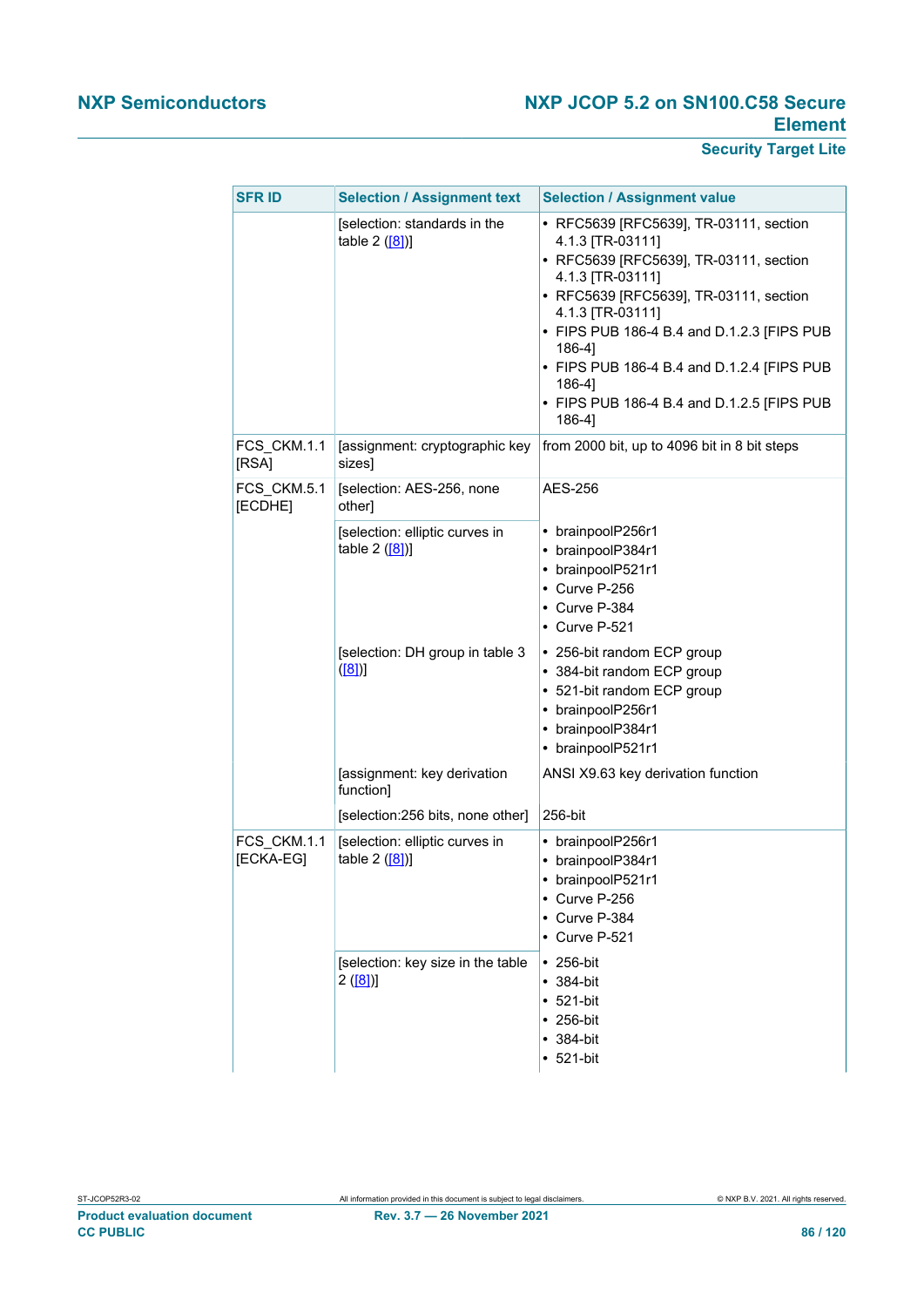| <b>SFR ID</b>            | <b>Selection / Assignment text</b>                 | <b>Selection / Assignment value</b>                                                                                                                                                                                                                                                                                                                            |
|--------------------------|----------------------------------------------------|----------------------------------------------------------------------------------------------------------------------------------------------------------------------------------------------------------------------------------------------------------------------------------------------------------------------------------------------------------------|
|                          | [selection: standards in the<br>table 2 ([8])]     | • RFC5639 [RFC5639], TR-03111, section<br>4.1.3 [TR-03111]<br>• RFC5639 [RFC5639], TR-03111, section<br>4.1.3 [TR-03111]<br>• RFC5639 [RFC5639], TR-03111, section<br>4.1.3 [TR-03111]<br>• FIPS PUB 186-4 B.4 and D.1.2.3 [FIPS PUB<br>186-41<br>• FIPS PUB 186-4 B.4 and D.1.2.4 [FIPS PUB<br>186-4]<br>• FIPS PUB 186-4 B.4 and D.1.2.5 [FIPS PUB<br>186-4] |
| FCS_CKM.1.1<br>[RSA]     | [assignment: cryptographic key<br>sizes]           | from 2000 bit, up to 4096 bit in 8 bit steps                                                                                                                                                                                                                                                                                                                   |
| FCS_CKM.5.1<br>[ECDHE]   | [selection: AES-256, none<br>other]                | AES-256                                                                                                                                                                                                                                                                                                                                                        |
|                          | [selection: elliptic curves in<br>table $2$ ([8])] | • brainpoolP256r1<br>• brainpoolP384r1<br>brainpoolP521r1<br>٠<br>• Curve P-256<br>• Curve P-384<br>$\cdot$ Curve P-521                                                                                                                                                                                                                                        |
|                          | [selection: DH group in table 3<br>([8])           | • 256-bit random ECP group<br>• 384-bit random ECP group<br>521-bit random ECP group<br>brainpoolP256r1<br>brainpoolP384r1<br>$\bullet$<br>• brainpoolP521r1                                                                                                                                                                                                   |
|                          | [assignment: key derivation<br>function]           | ANSI X9.63 key derivation function                                                                                                                                                                                                                                                                                                                             |
|                          | [selection:256 bits, none other]                   | 256-bit                                                                                                                                                                                                                                                                                                                                                        |
| FCS CKM.1.1<br>[ECKA-EG] | [selection: elliptic curves in<br>table 2 ([8])]   | • brainpoolP256r1<br>• brainpoolP384r1<br>brainpoolP521r1<br>Curve P-256<br>Curve P-384<br>$\cdot$ Curve P-521                                                                                                                                                                                                                                                 |
|                          | [selection: key size in the table<br>2([8])        | $\cdot$ 256-bit<br>$• 384-bit$<br>521-bit<br>$\bullet$<br>$\cdot$ 256-bit<br>$• 384-bit$<br>$• 521-bit$                                                                                                                                                                                                                                                        |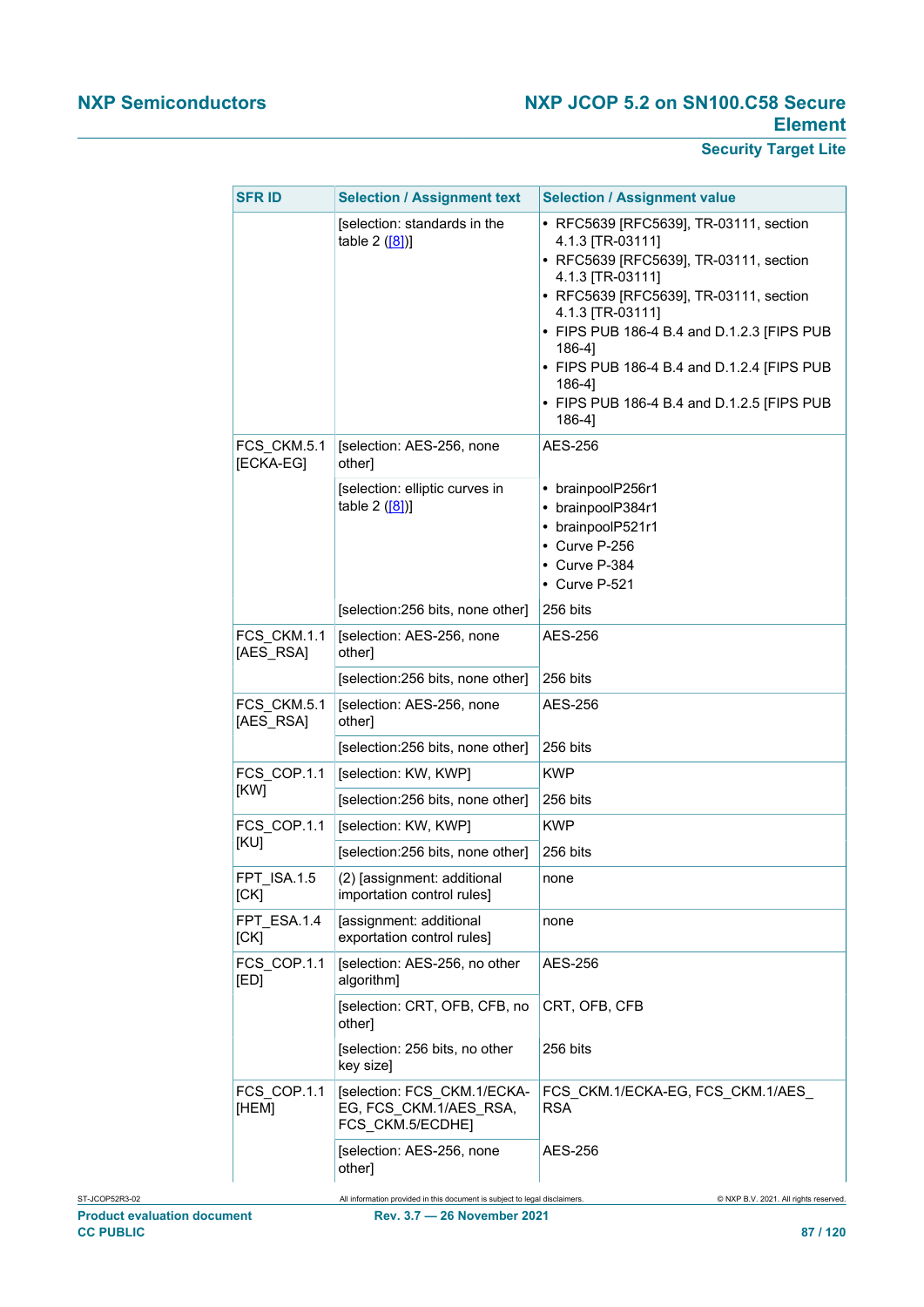|  | <b>SFRID</b>             | <b>Selection / Assignment text</b>                                         | <b>Selection / Assignment value</b>                                                                                                                                                                                                                                                                                                                                  |
|--|--------------------------|----------------------------------------------------------------------------|----------------------------------------------------------------------------------------------------------------------------------------------------------------------------------------------------------------------------------------------------------------------------------------------------------------------------------------------------------------------|
|  |                          | [selection: standards in the<br>table $2([8])$                             | • RFC5639 [RFC5639], TR-03111, section<br>4.1.3 [TR-03111]<br>• RFC5639 [RFC5639], TR-03111, section<br>4.1.3 [TR-03111]<br>• RFC5639 [RFC5639], TR-03111, section<br>4.1.3 [TR-03111]<br>• FIPS PUB 186-4 B.4 and D.1.2.3 [FIPS PUB<br>$186-4$ ]<br>• FIPS PUB 186-4 B.4 and D.1.2.4 [FIPS PUB<br>$186-4$ ]<br>• FIPS PUB 186-4 B.4 and D.1.2.5 [FIPS PUB<br>186-4] |
|  | FCS CKM.5.1<br>[ECKA-EG] | [selection: AES-256, none<br>other]                                        | AES-256                                                                                                                                                                                                                                                                                                                                                              |
|  |                          | [selection: elliptic curves in<br>table $2([8])$                           | • brainpoolP256r1<br>• brainpoolP384r1<br>• brainpoolP521r1<br>• Curve P-256<br>• Curve P-384<br>• Curve P-521                                                                                                                                                                                                                                                       |
|  |                          | [selection:256 bits, none other]                                           | 256 bits                                                                                                                                                                                                                                                                                                                                                             |
|  | FCS CKM.1.1<br>[AES_RSA] | [selection: AES-256, none<br>other]                                        | AES-256                                                                                                                                                                                                                                                                                                                                                              |
|  |                          | [selection:256 bits, none other]                                           | 256 bits                                                                                                                                                                                                                                                                                                                                                             |
|  | FCS CKM.5.1<br>[AES_RSA] | [selection: AES-256, none<br>other]                                        | AES-256                                                                                                                                                                                                                                                                                                                                                              |
|  |                          | [selection:256 bits, none other]                                           | 256 bits                                                                                                                                                                                                                                                                                                                                                             |
|  | FCS_COP.1.1<br>[KW]      | [selection: KW, KWP]                                                       | <b>KWP</b>                                                                                                                                                                                                                                                                                                                                                           |
|  |                          | [selection:256 bits, none other]                                           | 256 bits                                                                                                                                                                                                                                                                                                                                                             |
|  | FCS_COP.1.1<br>[KU]      | [selection: KW, KWP]                                                       | <b>KWP</b>                                                                                                                                                                                                                                                                                                                                                           |
|  |                          | [selection:256 bits, none other]                                           | 256 bits                                                                                                                                                                                                                                                                                                                                                             |
|  | FPT_ISA.1.5<br>[CK]      | (2) [assignment: additional<br>importation control rules]                  | none                                                                                                                                                                                                                                                                                                                                                                 |
|  | FPT ESA.1.4<br>[CK]      | [assignment: additional<br>exportation control rules]                      | none                                                                                                                                                                                                                                                                                                                                                                 |
|  | FCS_COP.1.1<br>[ED]      | [selection: AES-256, no other<br>algorithm]                                | <b>AES-256</b>                                                                                                                                                                                                                                                                                                                                                       |
|  |                          | [selection: CRT, OFB, CFB, no<br>other]                                    | CRT, OFB, CFB                                                                                                                                                                                                                                                                                                                                                        |
|  |                          | [selection: 256 bits, no other<br>key size]                                | 256 bits                                                                                                                                                                                                                                                                                                                                                             |
|  | FCS_COP.1.1<br>[HEM]     | [selection: FCS_CKM.1/ECKA-<br>EG, FCS_CKM.1/AES_RSA,<br>FCS CKM.5/ECDHE]  | FCS_CKM.1/ECKA-EG, FCS_CKM.1/AES_<br><b>RSA</b>                                                                                                                                                                                                                                                                                                                      |
|  |                          | [selection: AES-256, none<br>other]                                        | <b>AES-256</b>                                                                                                                                                                                                                                                                                                                                                       |
|  |                          | All information provided in this document is subject to legal disclaimers. | © NXP B.V. 2021. All rights reserved.                                                                                                                                                                                                                                                                                                                                |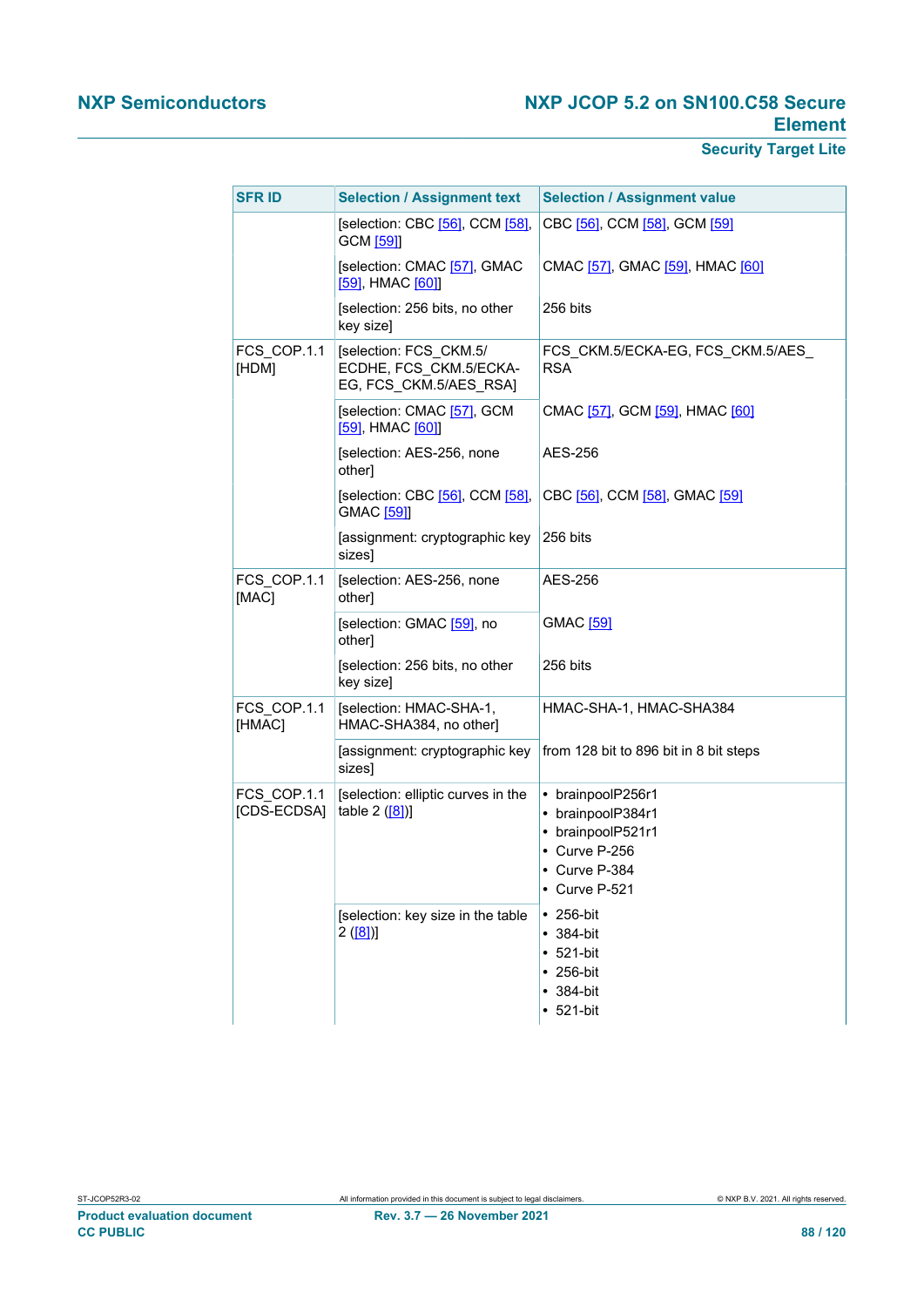| <b>SFR ID</b>              | <b>Selection / Assignment text</b>                                         | <b>Selection / Assignment value</b>                                                                            |
|----------------------------|----------------------------------------------------------------------------|----------------------------------------------------------------------------------------------------------------|
|                            | [selection: CBC [56], CCM [58],<br>GCM [59]]                               | CBC [56], CCM [58], GCM [59]                                                                                   |
|                            | [selection: CMAC [57], GMAC<br>[59], HMAC [60]]                            | CMAC [57], GMAC [59], HMAC [60]                                                                                |
|                            | [selection: 256 bits, no other<br>key size]                                | 256 bits                                                                                                       |
| FCS COP.1.1<br>[HDM]       | [selection: FCS CKM.5/<br>ECDHE, FCS CKM.5/ECKA-<br>EG, FCS CKM.5/AES RSA] | FCS_CKM.5/ECKA-EG, FCS_CKM.5/AES_<br><b>RSA</b>                                                                |
|                            | [selection: CMAC [57], GCM<br>[59], HMAC [60]]                             | CMAC [57], GCM [59], HMAC [60]                                                                                 |
|                            | [selection: AES-256, none<br>other]                                        | AES-256                                                                                                        |
|                            | [selection: CBC [56], CCM [58],<br>GMAC [59]]                              | CBC [56], CCM [58], GMAC [59]                                                                                  |
|                            | [assignment: cryptographic key<br>sizes]                                   | 256 bits                                                                                                       |
| FCS COP.1.1<br>[MAC]       | [selection: AES-256, none<br>other]                                        | AES-256                                                                                                        |
|                            | [selection: GMAC [59], no<br>other]                                        | <b>GMAC</b> [59]                                                                                               |
|                            | [selection: 256 bits, no other<br>key size]                                | 256 bits                                                                                                       |
| FCS COP.1.1<br>[HMAC]      | [selection: HMAC-SHA-1,<br>HMAC-SHA384, no other]                          | HMAC-SHA-1, HMAC-SHA384                                                                                        |
|                            | [assignment: cryptographic key<br>sizes]                                   | from 128 bit to 896 bit in 8 bit steps                                                                         |
| FCS COP.1.1<br>[CDS-ECDSA] | [selection: elliptic curves in the<br>table $2$ ([8])]                     | • brainpoolP256r1<br>• brainpoolP384r1<br>• brainpoolP521r1<br>• Curve P-256<br>• Curve P-384<br>• Curve P-521 |
|                            | [selection: key size in the table<br>2([8])                                | $\cdot$ 256-bit<br>$• 384-bit$<br>$• 521-bit$<br>$\cdot$ 256-bit<br>$• 384-bit$<br>$• 521-bit$                 |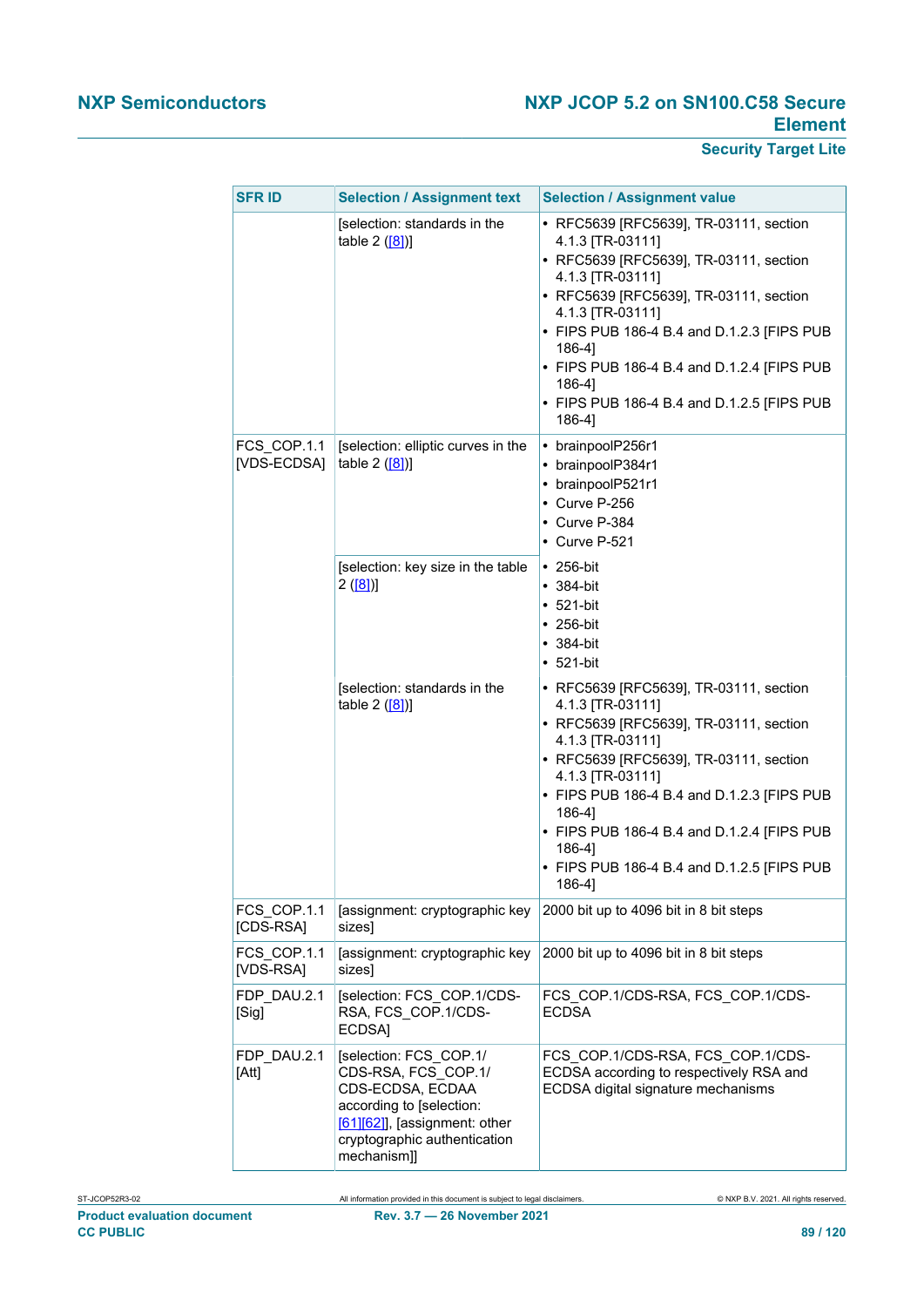| <b>SFR ID</b>              | <b>Selection / Assignment text</b>                                                                                                                                              | <b>Selection / Assignment value</b>                                                                                                                                                                                                                                                                                                                                     |  |
|----------------------------|---------------------------------------------------------------------------------------------------------------------------------------------------------------------------------|-------------------------------------------------------------------------------------------------------------------------------------------------------------------------------------------------------------------------------------------------------------------------------------------------------------------------------------------------------------------------|--|
|                            | [selection: standards in the<br>table $2([8])$                                                                                                                                  | • RFC5639 [RFC5639], TR-03111, section<br>4.1.3 [TR-03111]<br>• RFC5639 [RFC5639], TR-03111, section<br>4.1.3 [TR-03111]<br>• RFC5639 [RFC5639], TR-03111, section<br>4.1.3 [TR-03111]<br>• FIPS PUB 186-4 B.4 and D.1.2.3 [FIPS PUB<br>$186-4$ ]<br>• FIPS PUB 186-4 B.4 and D.1.2.4 [FIPS PUB<br>$186-4$ ]<br>• FIPS PUB 186-4 B.4 and D.1.2.5 [FIPS PUB<br>$186-4$ ] |  |
| FCS COP.1.1<br>[VDS-ECDSA] | [selection: elliptic curves in the<br>table $2$ ([8])]                                                                                                                          | • brainpoolP256r1<br>• brainpoolP384r1<br>• brainpoolP521r1<br>• Curve P-256<br>• Curve P-384<br>• Curve P-521                                                                                                                                                                                                                                                          |  |
|                            | [selection: key size in the table<br>2([8])                                                                                                                                     | $\cdot$ 256-bit<br>$• 384-bit$<br>$• 521-bit$<br>$\cdot$ 256-bit<br>$\cdot$ 384-bit<br>$• 521-bit$                                                                                                                                                                                                                                                                      |  |
|                            | [selection: standards in the<br>table $2$ ([8])]                                                                                                                                | • RFC5639 [RFC5639], TR-03111, section<br>4.1.3 [TR-03111]<br>• RFC5639 [RFC5639], TR-03111, section<br>4.1.3 [TR-03111]<br>• RFC5639 [RFC5639], TR-03111, section<br>4.1.3 [TR-03111]<br>• FIPS PUB 186-4 B.4 and D.1.2.3 [FIPS PUB<br>$186-4$ ]<br>• FIPS PUB 186-4 B.4 and D.1.2.4 [FIPS PUB<br>$186-4$ ]<br>• FIPS PUB 186-4 B.4 and D.1.2.5 [FIPS PUB<br>186-4]    |  |
| FCS COP.1.1<br>[CDS-RSA]   | [assignment: cryptographic key<br>sizes]                                                                                                                                        | 2000 bit up to 4096 bit in 8 bit steps                                                                                                                                                                                                                                                                                                                                  |  |
| FCS COP.1.1<br>[VDS-RSA]   | [assignment: cryptographic key<br>sizes]                                                                                                                                        | 2000 bit up to 4096 bit in 8 bit steps                                                                                                                                                                                                                                                                                                                                  |  |
| FDP DAU.2.1<br>[Sig]       | [selection: FCS COP.1/CDS-<br>RSA, FCS_COP.1/CDS-<br>ECDSA]                                                                                                                     | FCS COP.1/CDS-RSA, FCS COP.1/CDS-<br><b>ECDSA</b>                                                                                                                                                                                                                                                                                                                       |  |
| FDP_DAU.2.1<br>[Att]       | [selection: FCS_COP.1/<br>CDS-RSA, FCS COP.1/<br>CDS-ECDSA, ECDAA<br>according to [selection:<br>$[61][62]$ , [assignment: other<br>cryptographic authentication<br>mechanism]] | FCS_COP.1/CDS-RSA, FCS_COP.1/CDS-<br>ECDSA according to respectively RSA and<br>ECDSA digital signature mechanisms                                                                                                                                                                                                                                                      |  |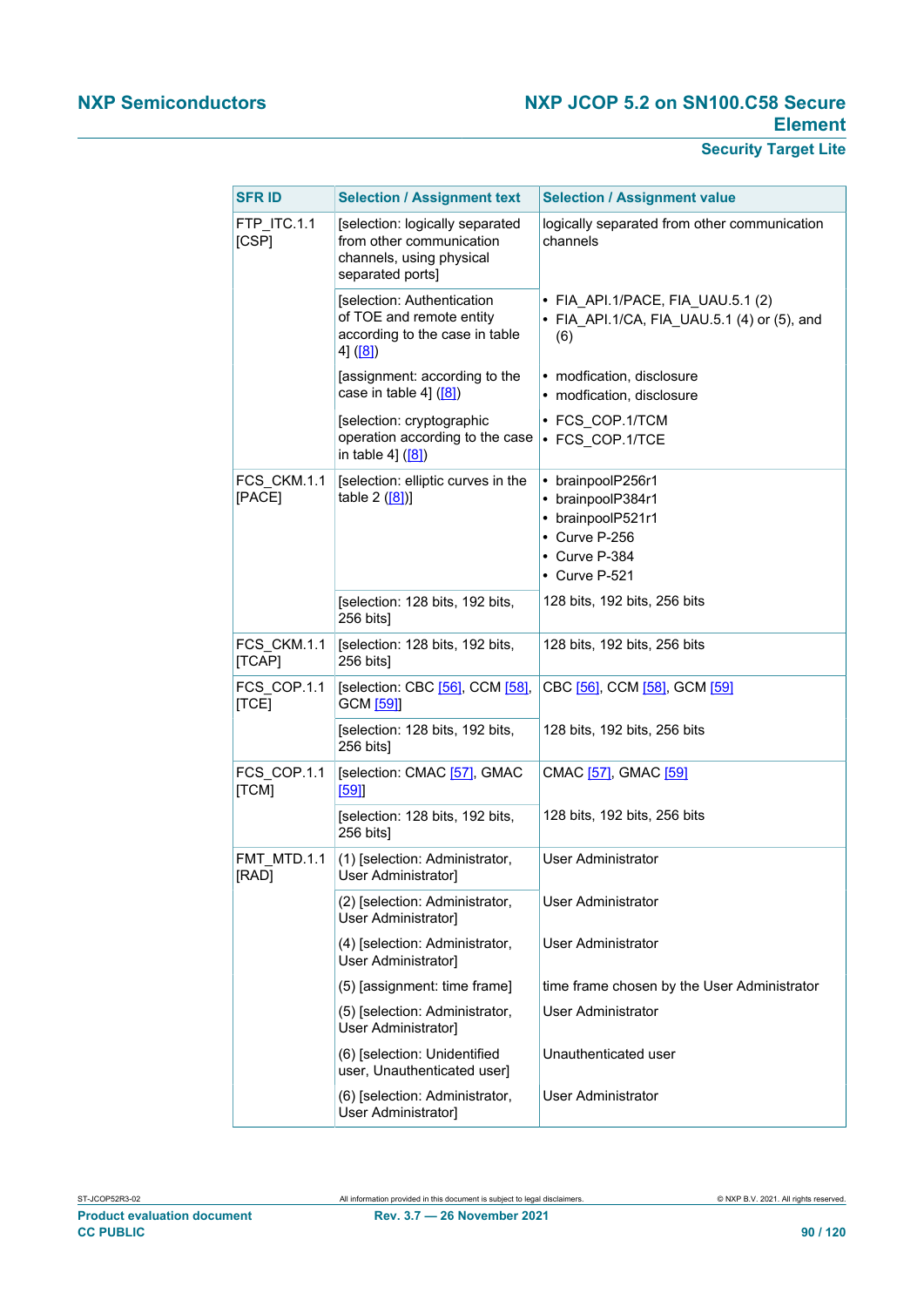| <b>SFR ID</b>         | <b>Selection / Assignment text</b>                                                                          | <b>Selection / Assignment value</b>                                                                                  |
|-----------------------|-------------------------------------------------------------------------------------------------------------|----------------------------------------------------------------------------------------------------------------------|
| FTP ITC.1.1<br>[CSP]  | [selection: logically separated<br>from other communication<br>channels, using physical<br>separated ports] | logically separated from other communication<br>channels                                                             |
|                       | [selection: Authentication<br>of TOE and remote entity<br>according to the case in table<br>4] ([8])        | • FIA_API.1/PACE, FIA_UAU.5.1 (2)<br>• FIA_API.1/CA, FIA_UAU.5.1 (4) or (5), and<br>(6)                              |
|                       | [assignment: according to the<br>case in table 4] ([8])                                                     | • modfication, disclosure<br>• modfication, disclosure                                                               |
|                       | [selection: cryptographic<br>operation according to the case<br>in table 4] ([8])                           | • FCS COP.1/TCM<br>• FCS COP.1/TCE                                                                                   |
| FCS CKM.1.1<br>[PACE] | [selection: elliptic curves in the<br>table $2([8])$ ]                                                      | • brainpoolP256r1<br>• brainpoolP384r1<br>• brainpoolP521r1<br>• Curve P-256<br>• Curve P-384<br>$\cdot$ Curve P-521 |
|                       | [selection: 128 bits, 192 bits,<br>256 bits]                                                                | 128 bits, 192 bits, 256 bits                                                                                         |
| FCS CKM.1.1<br>[TCAP] | [selection: 128 bits, 192 bits,<br>256 bits]                                                                | 128 bits, 192 bits, 256 bits                                                                                         |
| FCS_COP.1.1<br>[TCE]  | [selection: CBC [56], CCM [58],<br>GCM [59]]                                                                | CBC [56], CCM [58], GCM [59]                                                                                         |
|                       | [selection: 128 bits, 192 bits,<br>256 bits]                                                                | 128 bits, 192 bits, 256 bits                                                                                         |
| FCS COP.1.1<br>[TCM]  | [selection: CMAC [57], GMAC<br>[59]                                                                         | CMAC [57], GMAC [59]                                                                                                 |
|                       | [selection: 128 bits, 192 bits,<br>256 bits]                                                                | 128 bits, 192 bits, 256 bits                                                                                         |
| FMT_MTD.1.1<br>[RAD]  | (1) [selection: Administrator,<br>User Administrator]                                                       | <b>User Administrator</b>                                                                                            |
|                       | (2) [selection: Administrator,<br>User Administrator]                                                       | <b>User Administrator</b>                                                                                            |
|                       | (4) [selection: Administrator,<br>User Administrator]                                                       | <b>User Administrator</b>                                                                                            |
|                       | (5) [assignment: time frame]                                                                                | time frame chosen by the User Administrator                                                                          |
|                       | (5) [selection: Administrator,<br>User Administrator]                                                       | <b>User Administrator</b>                                                                                            |
|                       | (6) [selection: Unidentified<br>user, Unauthenticated user]                                                 | Unauthenticated user                                                                                                 |
|                       | (6) [selection: Administrator,<br>User Administrator]                                                       | User Administrator                                                                                                   |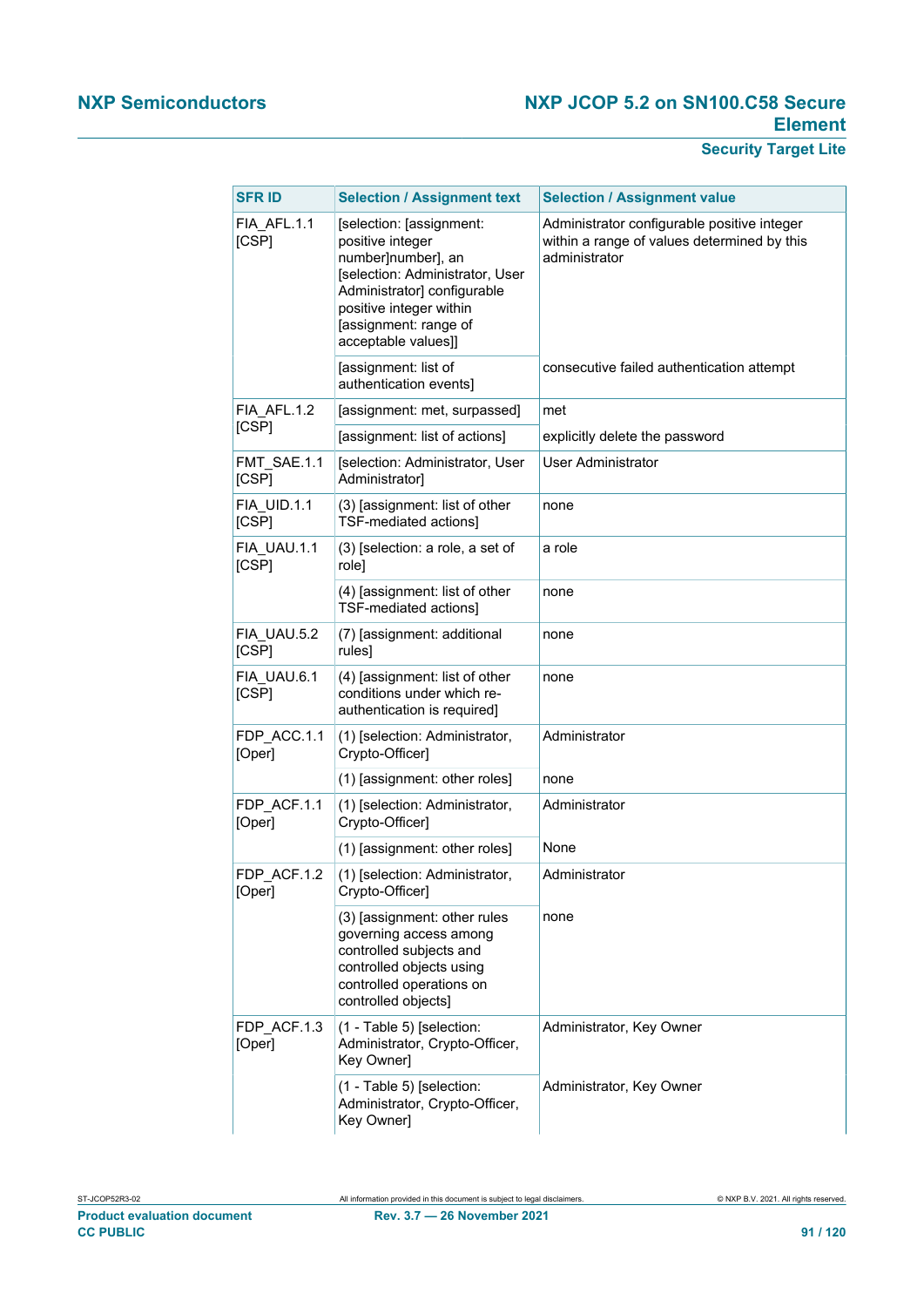| <b>SFR ID</b>         | <b>Selection / Assignment text</b>                                                                                                                                                                              | <b>Selection / Assignment value</b>                                                                         |
|-----------------------|-----------------------------------------------------------------------------------------------------------------------------------------------------------------------------------------------------------------|-------------------------------------------------------------------------------------------------------------|
| FIA AFL.1.1<br>[CSP]  | [selection: [assignment:<br>positive integer<br>number]number], an<br>[selection: Administrator, User<br>Administrator] configurable<br>positive integer within<br>[assignment: range of<br>acceptable values]] | Administrator configurable positive integer<br>within a range of values determined by this<br>administrator |
|                       | [assignment: list of<br>authentication events]                                                                                                                                                                  | consecutive failed authentication attempt                                                                   |
| FIA AFL.1.2           | [assignment: met, surpassed]                                                                                                                                                                                    | met                                                                                                         |
| [CSP]                 | [assignment: list of actions]                                                                                                                                                                                   | explicitly delete the password                                                                              |
| FMT SAE.1.1<br>[CSP]  | [selection: Administrator, User<br>Administrator]                                                                                                                                                               | User Administrator                                                                                          |
| FIA UID.1.1<br>[CSP]  | (3) [assignment: list of other<br>TSF-mediated actions]                                                                                                                                                         | none                                                                                                        |
| FIA UAU.1.1<br>[CSP]  | (3) [selection: a role, a set of<br>role]                                                                                                                                                                       | a role                                                                                                      |
|                       | (4) [assignment: list of other<br>TSF-mediated actions]                                                                                                                                                         | none                                                                                                        |
| FIA UAU.5.2<br>[CSP]  | (7) [assignment: additional<br>rules]                                                                                                                                                                           | none                                                                                                        |
| FIA UAU.6.1<br>[CSP]  | (4) [assignment: list of other<br>conditions under which re-<br>authentication is required]                                                                                                                     | none                                                                                                        |
| FDP ACC.1.1<br>[Oper] | (1) [selection: Administrator,<br>Crypto-Officer]                                                                                                                                                               | Administrator                                                                                               |
|                       | (1) [assignment: other roles]                                                                                                                                                                                   | none                                                                                                        |
| FDP ACF.1.1<br>[Oper] | (1) [selection: Administrator,<br>Crypto-Officer]                                                                                                                                                               | Administrator                                                                                               |
|                       | (1) [assignment: other roles]                                                                                                                                                                                   | None                                                                                                        |
| FDP_ACF.1.2<br>[Oper] | (1) [selection: Administrator,<br>Crypto-Officer]                                                                                                                                                               | Administrator                                                                                               |
|                       | (3) [assignment: other rules<br>governing access among<br>controlled subjects and<br>controlled objects using<br>controlled operations on<br>controlled objects]                                                | none                                                                                                        |
| FDP ACF.1.3<br>[Oper] | (1 - Table 5) [selection:<br>Administrator, Crypto-Officer,<br>Key Owner]                                                                                                                                       | Administrator, Key Owner                                                                                    |
|                       | (1 - Table 5) [selection:<br>Administrator, Crypto-Officer,<br>Key Owner]                                                                                                                                       | Administrator, Key Owner                                                                                    |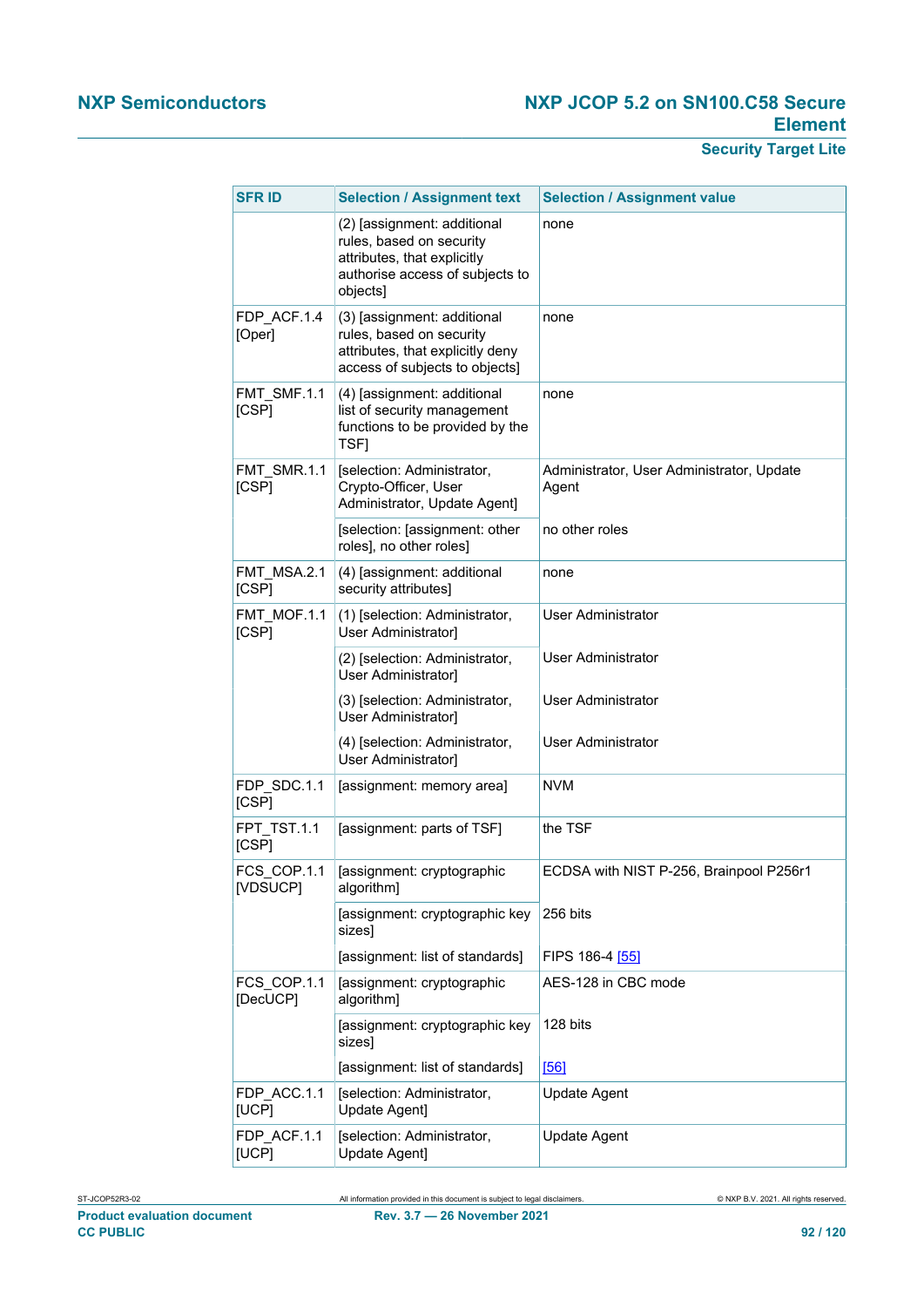| <b>SFR ID</b>           | <b>Selection / Assignment text</b>                                                                                                    | <b>Selection / Assignment value</b>                |
|-------------------------|---------------------------------------------------------------------------------------------------------------------------------------|----------------------------------------------------|
|                         | (2) [assignment: additional<br>rules, based on security<br>attributes, that explicitly<br>authorise access of subjects to<br>objects] | none                                               |
| FDP ACF.1.4<br>[Oper]   | (3) [assignment: additional<br>rules, based on security<br>attributes, that explicitly deny<br>access of subjects to objects]         | none                                               |
| FMT_SMF.1.1<br>[CSP]    | (4) [assignment: additional<br>list of security management<br>functions to be provided by the<br>TSF1                                 | none                                               |
| FMT SMR.1.1<br>[CSP]    | [selection: Administrator,<br>Crypto-Officer, User<br>Administrator, Update Agent]                                                    | Administrator, User Administrator, Update<br>Agent |
|                         | [selection: [assignment: other<br>roles], no other roles]                                                                             | no other roles                                     |
| FMT MSA.2.1<br>[CSP]    | (4) [assignment: additional<br>security attributes]                                                                                   | none                                               |
| FMT MOF.1.1<br>[CSP]    | (1) [selection: Administrator,<br>User Administrator]                                                                                 | <b>User Administrator</b>                          |
|                         | (2) [selection: Administrator,<br>User Administrator]                                                                                 | User Administrator                                 |
|                         | (3) [selection: Administrator,<br>User Administrator]                                                                                 | User Administrator                                 |
|                         | (4) [selection: Administrator,<br>User Administrator]                                                                                 | <b>User Administrator</b>                          |
| FDP SDC.1.1<br>[CSP]    | [assignment: memory area]                                                                                                             | <b>NVM</b>                                         |
| FPT TST.1.1<br>[CSP]    | [assignment: parts of TSF]                                                                                                            | the TSF                                            |
| FCS COP.1.1<br>[VDSUCP] | [assignment: cryptographic<br>algorithm]                                                                                              | ECDSA with NIST P-256, Brainpool P256r1            |
|                         | [assignment: cryptographic key<br>sizes]                                                                                              | 256 bits                                           |
|                         | [assignment: list of standards]                                                                                                       | FIPS 186-4 [55]                                    |
| FCS COP.1.1<br>[DecUCP] | [assignment: cryptographic<br>algorithm]                                                                                              | AES-128 in CBC mode                                |
|                         | [assignment: cryptographic key<br>sizes]                                                                                              | 128 bits                                           |
|                         | [assignment: list of standards]                                                                                                       | [56]                                               |
| FDP ACC.1.1<br>[UCP]    | [selection: Administrator,<br>Update Agent]                                                                                           | <b>Update Agent</b>                                |
| FDP ACF.1.1<br>[UCP]    | [selection: Administrator,<br>Update Agent]                                                                                           | <b>Update Agent</b>                                |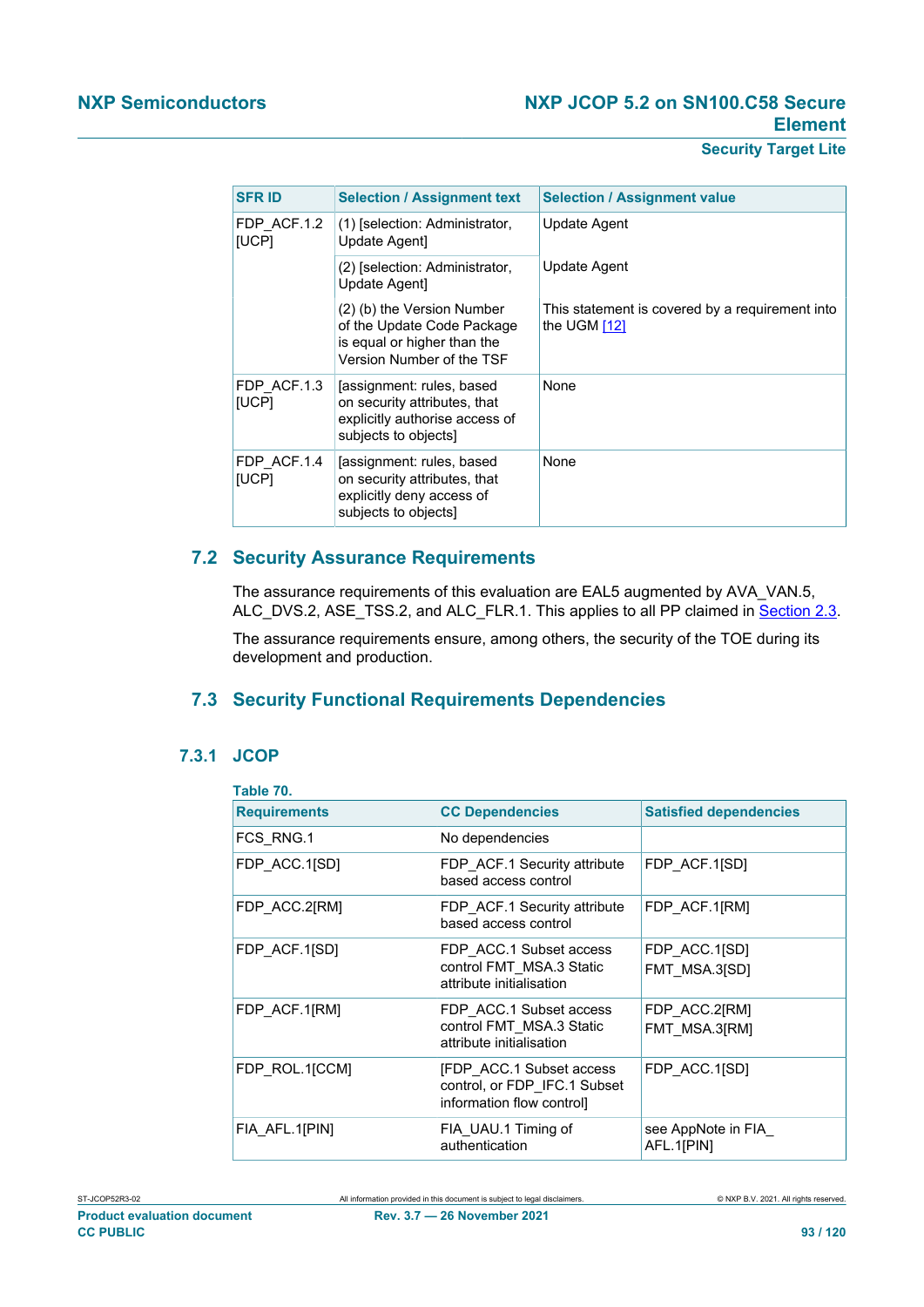| <b>SFR ID</b>        | <b>Selection / Assignment text</b>                                                                                   | <b>Selection / Assignment value</b>                             |
|----------------------|----------------------------------------------------------------------------------------------------------------------|-----------------------------------------------------------------|
| FDP ACF.1.2<br>[UCP] | (1) [selection: Administrator,<br>Update Agent]                                                                      | Update Agent                                                    |
|                      | (2) [selection: Administrator,<br>Update Agent1                                                                      | Update Agent                                                    |
|                      | (2) (b) the Version Number<br>of the Update Code Package<br>is equal or higher than the<br>Version Number of the TSF | This statement is covered by a requirement into<br>the UGM [12] |
| FDP ACF.1.3<br>[UCP] | [assignment: rules, based<br>on security attributes, that<br>explicitly authorise access of<br>subjects to objects]  | None                                                            |
| FDP ACF.1.4<br>[UCP] | [assignment: rules, based<br>on security attributes, that<br>explicitly deny access of<br>subjects to objects]       | None                                                            |

## **7.2 Security Assurance Requirements**

The assurance requirements of this evaluation are EAL5 augmented by AVA\_VAN.5, ALC\_DVS.2, ASE\_TSS.2, and ALC\_FLR.1. This applies to all PP claimed in [Section 2.3](#page-23-0).

The assurance requirements ensure, among others, the security of the TOE during its development and production.

## **7.3 Security Functional Requirements Dependencies**

## **7.3.1 JCOP**

| Table 70.           |                                                                                              |                                  |
|---------------------|----------------------------------------------------------------------------------------------|----------------------------------|
| <b>Requirements</b> | <b>CC Dependencies</b>                                                                       | <b>Satisfied dependencies</b>    |
| FCS RNG.1           | No dependencies                                                                              |                                  |
| FDP ACC.1[SD]       | FDP ACF.1 Security attribute<br>based access control                                         | FDP ACF.1[SD]                    |
| FDP_ACC.2[RM]       | FDP_ACF.1 Security attribute<br>based access control                                         | FDP ACF.1[RM]                    |
| FDP ACF.1[SD]       | FDP ACC.1 Subset access<br>control FMT MSA.3 Static<br>attribute initialisation              | FDP ACC.1[SD]<br>FMT MSA.3[SD]   |
| FDP ACF.1[RM]       | FDP ACC.1 Subset access<br>control FMT MSA.3 Static<br>attribute initialisation              | FDP ACC.2[RM]<br>FMT MSA.3[RM]   |
| FDP ROL.1[CCM]      | <b>[FDP ACC.1 Subset access</b><br>control, or FDP_IFC.1 Subset<br>information flow control] | FDP ACC.1[SD]                    |
| FIA AFL.1[PIN]      | FIA UAU.1 Timing of<br>authentication                                                        | see AppNote in FIA<br>AFL.1[PIN] |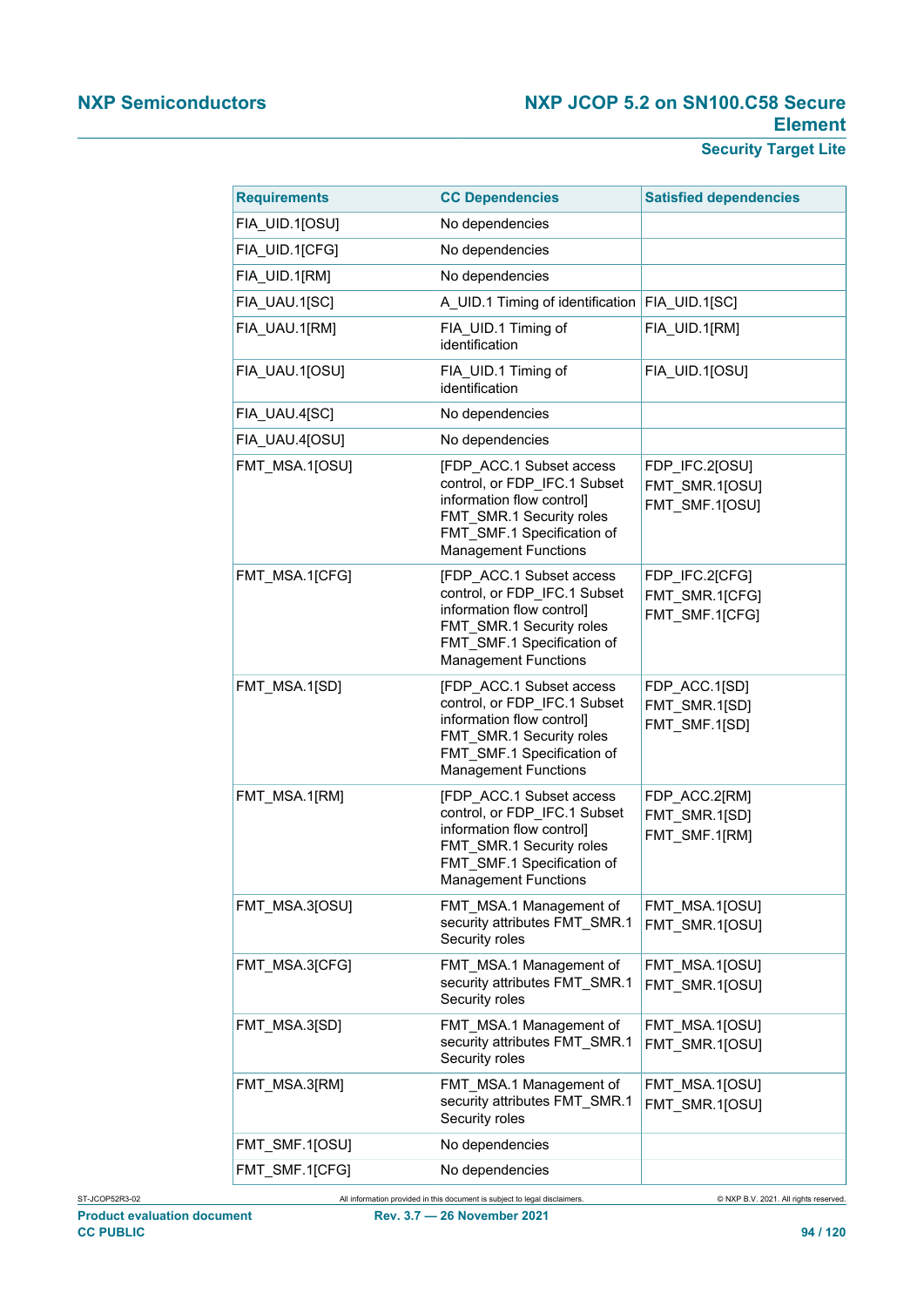| <b>Requirements</b> | <b>CC Dependencies</b>                                                                                                                                                         | <b>Satisfied dependencies</b>                      |
|---------------------|--------------------------------------------------------------------------------------------------------------------------------------------------------------------------------|----------------------------------------------------|
| FIA UID.1[OSU]      | No dependencies                                                                                                                                                                |                                                    |
| FIA_UID.1[CFG]      | No dependencies                                                                                                                                                                |                                                    |
| FIA_UID.1[RM]       | No dependencies                                                                                                                                                                |                                                    |
| FIA_UAU.1[SC]       | A UID.1 Timing of identification FIA UID.1[SC]                                                                                                                                 |                                                    |
| FIA UAU.1[RM]       | FIA UID.1 Timing of<br>identification                                                                                                                                          | FIA UID.1[RM]                                      |
| FIA UAU.1[OSU]      | FIA UID.1 Timing of<br>identification                                                                                                                                          | FIA UID.1[OSU]                                     |
| FIA_UAU.4[SC]       | No dependencies                                                                                                                                                                |                                                    |
| FIA_UAU.4[OSU]      | No dependencies                                                                                                                                                                |                                                    |
| FMT_MSA.1[OSU]      | [FDP ACC.1 Subset access<br>control, or FDP IFC.1 Subset<br>information flow control]<br>FMT SMR.1 Security roles<br>FMT_SMF.1 Specification of<br><b>Management Functions</b> | FDP_IFC.2[OSU]<br>FMT_SMR.1[OSU]<br>FMT SMF.1[OSU] |
| FMT_MSA.1[CFG]      | [FDP ACC.1 Subset access<br>control, or FDP_IFC.1 Subset<br>information flow control]<br>FMT SMR.1 Security roles<br>FMT_SMF.1 Specification of<br><b>Management Functions</b> | FDP IFC.2[CFG]<br>FMT SMR.1[CFG]<br>FMT_SMF.1[CFG] |
| FMT_MSA.1[SD]       | [FDP ACC.1 Subset access<br>control, or FDP_IFC.1 Subset<br>information flow control]<br>FMT SMR.1 Security roles<br>FMT SMF.1 Specification of<br><b>Management Functions</b> | FDP ACC.1[SD]<br>FMT SMR.1[SD]<br>FMT_SMF.1[SD]    |
| FMT_MSA.1[RM]       | [FDP_ACC.1 Subset access<br>control, or FDP IFC.1 Subset<br>information flow control]<br>FMT SMR.1 Security roles<br>FMT SMF.1 Specification of<br>Management Functions        | FDP_ACC.2[RM]<br>FMT_SMR.1[SD]<br>FMT_SMF.1[RM]    |
| FMT MSA.3[OSU]      | FMT MSA.1 Management of<br>security attributes FMT SMR.1<br>Security roles                                                                                                     | FMT_MSA.1[OSU]<br>FMT SMR.1[OSU]                   |
| FMT_MSA.3[CFG]      | FMT_MSA.1 Management of<br>security attributes FMT SMR.1<br>Security roles                                                                                                     | FMT MSA.1[OSU]<br>FMT_SMR.1[OSU]                   |
| FMT MSA.3[SD]       | FMT_MSA.1 Management of<br>security attributes FMT SMR.1<br>Security roles                                                                                                     | FMT_MSA.1[OSU]<br>FMT SMR.1[OSU]                   |
| FMT_MSA.3[RM]       | FMT MSA.1 Management of<br>security attributes FMT_SMR.1<br>Security roles                                                                                                     | FMT_MSA.1[OSU]<br>FMT SMR.1[OSU]                   |
| FMT_SMF.1[OSU]      | No dependencies                                                                                                                                                                |                                                    |
| FMT_SMF.1[CFG]      | No dependencies                                                                                                                                                                |                                                    |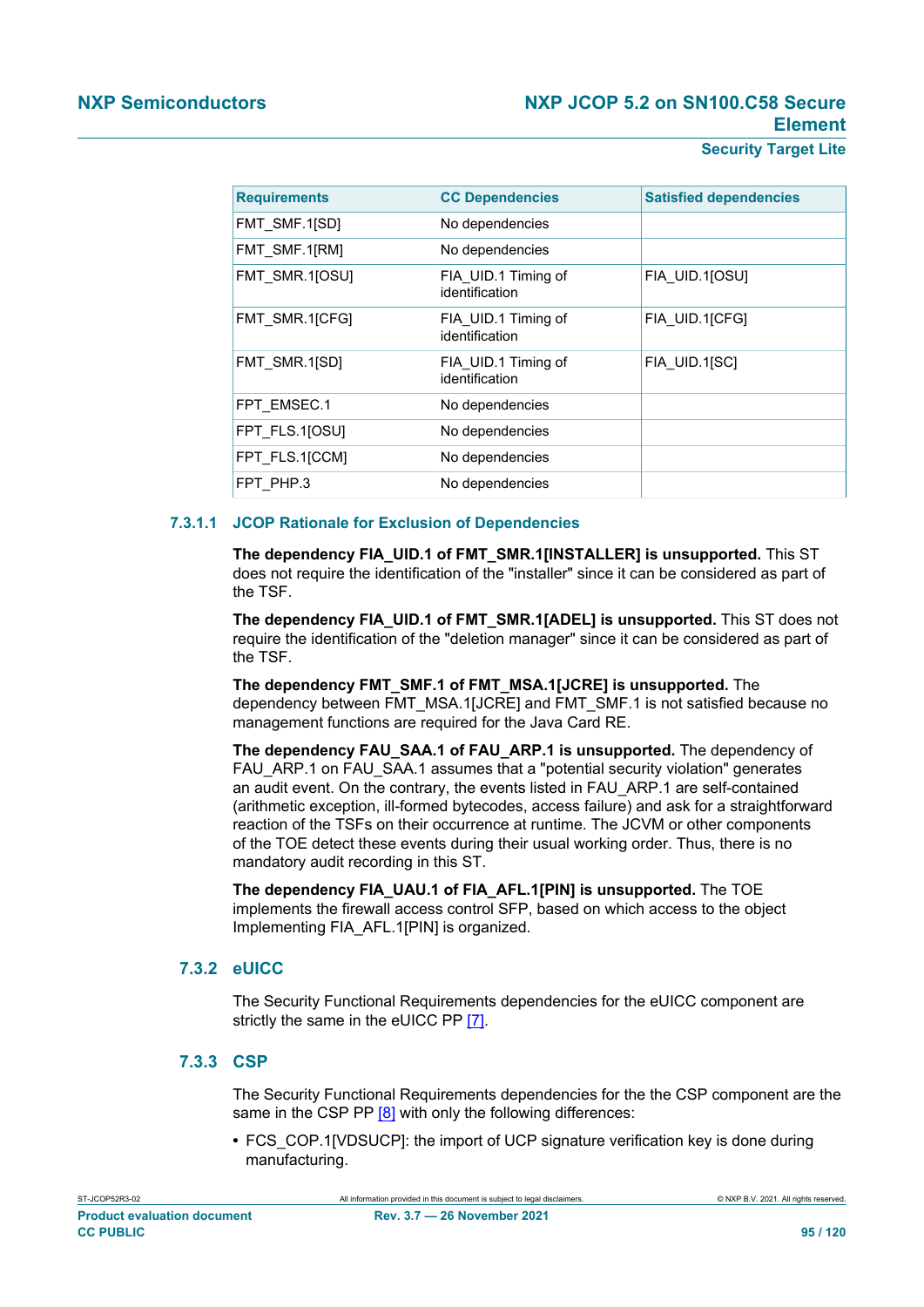| <b>Requirements</b> | <b>CC Dependencies</b>                | <b>Satisfied dependencies</b> |
|---------------------|---------------------------------------|-------------------------------|
| FMT SMF.1[SD]       | No dependencies                       |                               |
| FMT SMF.1[RM]       | No dependencies                       |                               |
| FMT SMR.1[OSU]      | FIA UID.1 Timing of<br>identification | FIA UID.1[OSU]                |
| FMT SMR.1[CFG]      | FIA UID.1 Timing of<br>identification | FIA UID.1[CFG]                |
| FMT SMR.1[SD]       | FIA UID.1 Timing of<br>identification | FIA UID.1[SC]                 |
| FPT EMSEC.1         | No dependencies                       |                               |
| FPT FLS.1[OSU]      | No dependencies                       |                               |
| FPT FLS.1[CCM]      | No dependencies                       |                               |
| FPT PHP.3           | No dependencies                       |                               |

#### **7.3.1.1 JCOP Rationale for Exclusion of Dependencies**

**The dependency FIA\_UID.1 of FMT\_SMR.1[INSTALLER] is unsupported.** This ST does not require the identification of the "installer" since it can be considered as part of the TSF.

**The dependency FIA\_UID.1 of FMT\_SMR.1[ADEL] is unsupported.** This ST does not require the identification of the "deletion manager" since it can be considered as part of the TSF.

**The dependency FMT\_SMF.1 of FMT\_MSA.1[JCRE] is unsupported.** The dependency between FMT\_MSA.1[JCRE] and FMT\_SMF.1 is not satisfied because no management functions are required for the Java Card RE.

**The dependency FAU\_SAA.1 of FAU\_ARP.1 is unsupported.** The dependency of FAU\_ARP.1 on FAU\_SAA.1 assumes that a "potential security violation" generates an audit event. On the contrary, the events listed in FAU\_ARP.1 are self-contained (arithmetic exception, ill-formed bytecodes, access failure) and ask for a straightforward reaction of the TSFs on their occurrence at runtime. The JCVM or other components of the TOE detect these events during their usual working order. Thus, there is no mandatory audit recording in this ST.

**The dependency FIA\_UAU.1 of FIA\_AFL.1[PIN] is unsupported.** The TOE implements the firewall access control SFP, based on which access to the object Implementing FIA\_AFL.1[PIN] is organized.

## **7.3.2 eUICC**

The Security Functional Requirements dependencies for the eUICC component are strictly the same in the eUICC PP [\[7\]](#page-112-1).

## **7.3.3 CSP**

The Security Functional Requirements dependencies for the the CSP component are the same in the CSP PP [\[8\]](#page-112-3) with only the following differences:

**•** FCS\_COP.1[VDSUCP]: the import of UCP signature verification key is done during manufacturing.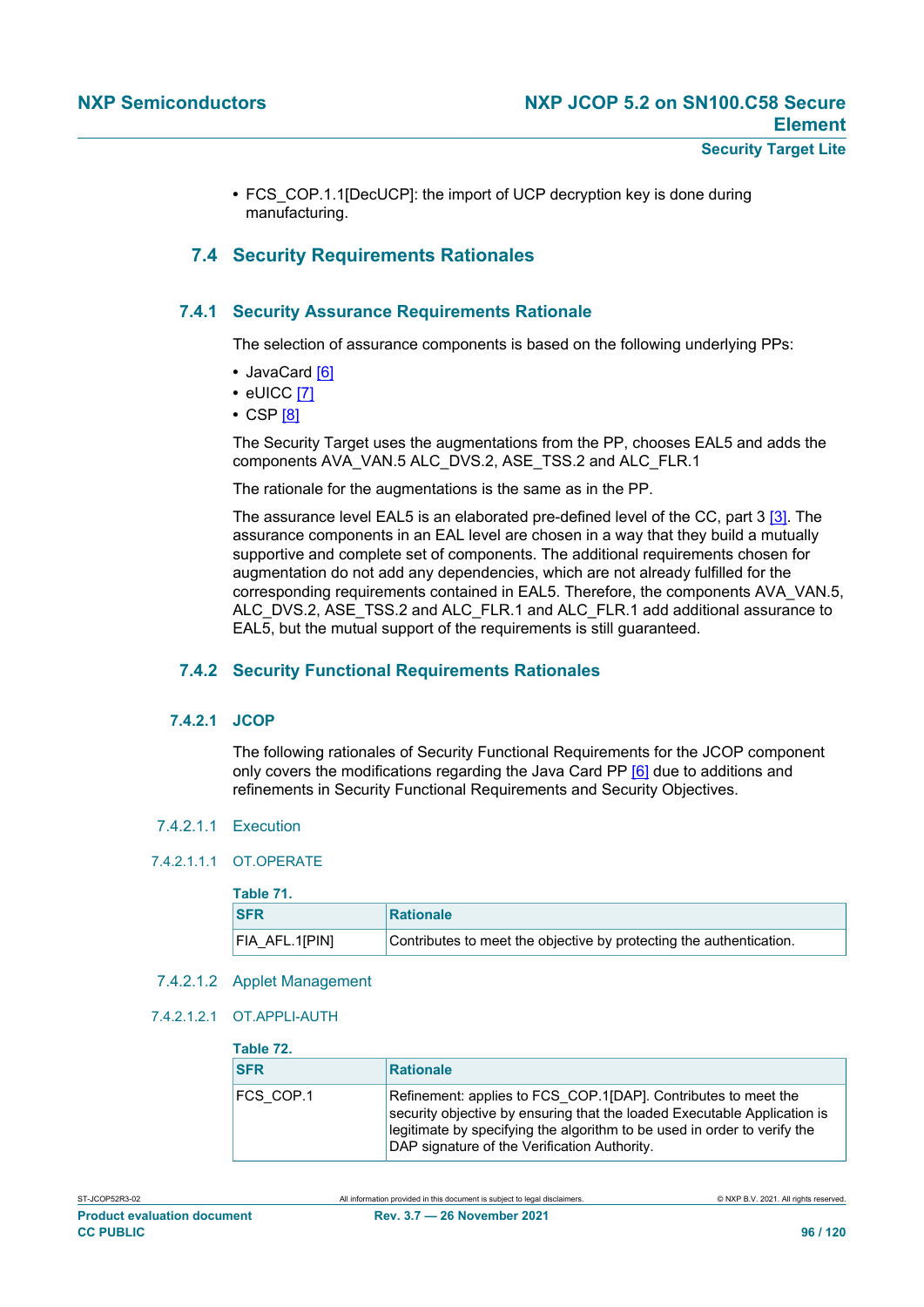**•** FCS\_COP.1.1[DecUCP]: the import of UCP decryption key is done during manufacturing.

## **7.4 Security Requirements Rationales**

## **7.4.1 Security Assurance Requirements Rationale**

The selection of assurance components is based on the following underlying PPs:

- **•** JavaCard [\[6\]](#page-112-5)
- **•** eUICC [\[7\]](#page-112-1)
- **•** CSP [\[8\]](#page-112-3)

The Security Target uses the augmentations from the PP, chooses EAL5 and adds the components AVA\_VAN.5 ALC\_DVS.2, ASE\_TSS.2 and ALC\_FLR.1

The rationale for the augmentations is the same as in the PP.

The assurance level EAL5 is an elaborated pre-defined level of the CC, part 3 [\[3\]](#page-112-6). The assurance components in an EAL level are chosen in a way that they build a mutually supportive and complete set of components. The additional requirements chosen for augmentation do not add any dependencies, which are not already fulfilled for the corresponding requirements contained in EAL5. Therefore, the components AVA\_VAN.5, ALC\_DVS.2, ASE\_TSS.2 and ALC\_FLR.1 and ALC\_FLR.1 add additional assurance to EAL5, but the mutual support of the requirements is still guaranteed.

#### **7.4.2 Security Functional Requirements Rationales**

#### **7.4.2.1 JCOP**

The following rationales of Security Functional Requirements for the JCOP component only covers the modifications regarding the Java Card PP [\[6\]](#page-112-5) due to additions and refinements in Security Functional Requirements and Security Objectives.

#### 7.4.2.1.1 Execution

#### 742111 OT OPERATE

## **Table 71.**

| <b>SFR</b>         | <b>Rationale</b>                                                    |
|--------------------|---------------------------------------------------------------------|
| $ FIA$ $AFL.1 PIN$ | Contributes to meet the objective by protecting the authentication. |

- 7.4.2.1.2 Applet Management
- 7.4.2.1.2.1 OT.APPLI-AUTH

#### **Table 72.**

| <b>SFR</b>       | Rationale                                                                                                                                                                                                                                                              |
|------------------|------------------------------------------------------------------------------------------------------------------------------------------------------------------------------------------------------------------------------------------------------------------------|
| <b>FCS COP.1</b> | Refinement: applies to FCS COP.1[DAP]. Contributes to meet the<br>security objective by ensuring that the loaded Executable Application is<br>legitimate by specifying the algorithm to be used in order to verify the<br>DAP signature of the Verification Authority. |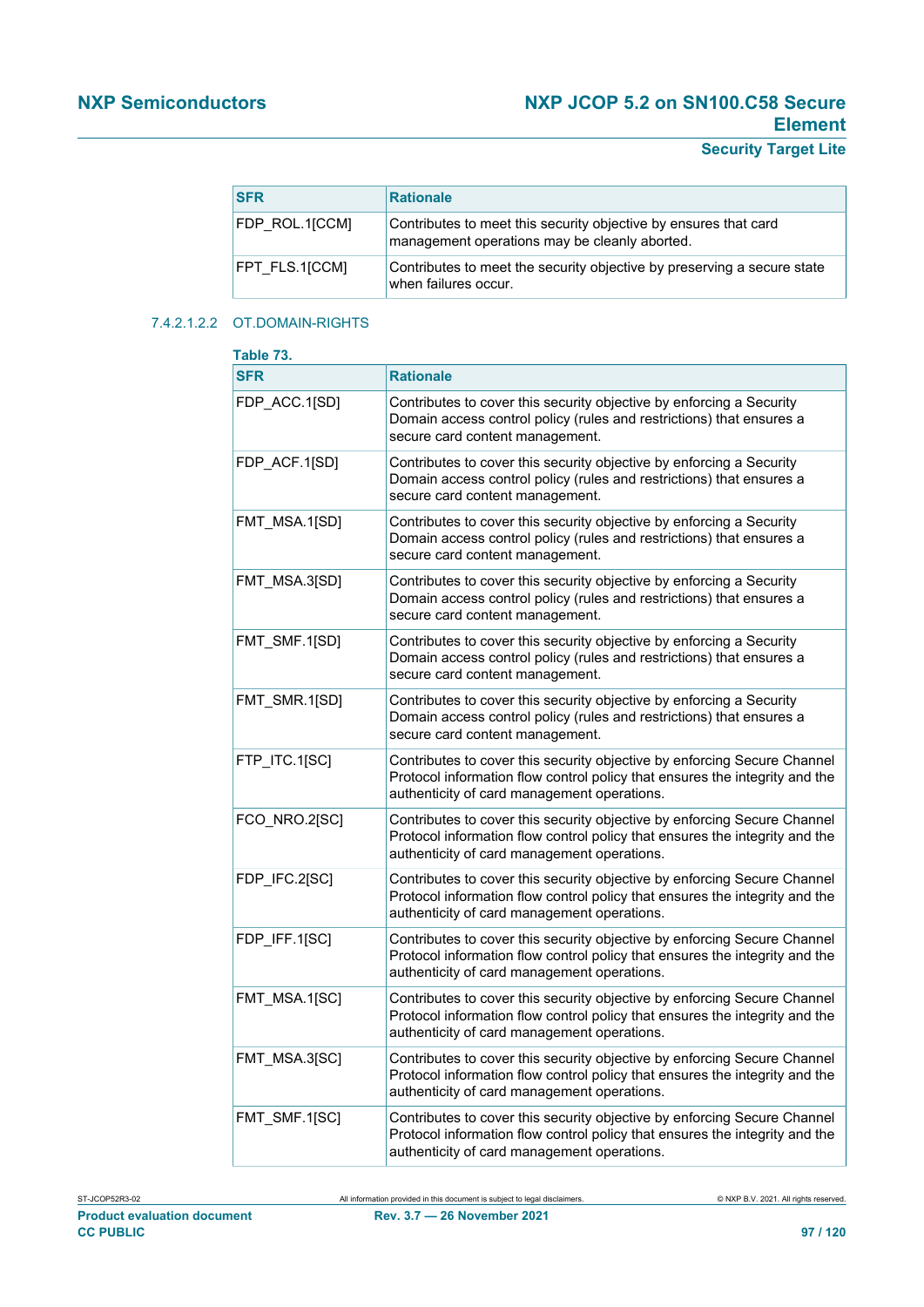## **Security Target Lite**

| <b>SFR</b>     | <b>Rationale</b>                                                                                                  |
|----------------|-------------------------------------------------------------------------------------------------------------------|
| FDP ROL.1[CCM] | Contributes to meet this security objective by ensures that card<br>management operations may be cleanly aborted. |
| FPT FLS.1[CCM] | Contributes to meet the security objective by preserving a secure state<br>when failures occur.                   |

#### 7.4.2.1.2.2 OT.DOMAIN-RIGHTS

| Table 73.     |                                                                                                                                                                                                        |
|---------------|--------------------------------------------------------------------------------------------------------------------------------------------------------------------------------------------------------|
| <b>SFR</b>    | <b>Rationale</b>                                                                                                                                                                                       |
| FDP_ACC.1[SD] | Contributes to cover this security objective by enforcing a Security<br>Domain access control policy (rules and restrictions) that ensures a<br>secure card content management.                        |
| FDP ACF.1[SD] | Contributes to cover this security objective by enforcing a Security<br>Domain access control policy (rules and restrictions) that ensures a<br>secure card content management.                        |
| FMT_MSA.1[SD] | Contributes to cover this security objective by enforcing a Security<br>Domain access control policy (rules and restrictions) that ensures a<br>secure card content management.                        |
| FMT_MSA.3[SD] | Contributes to cover this security objective by enforcing a Security<br>Domain access control policy (rules and restrictions) that ensures a<br>secure card content management.                        |
| FMT_SMF.1[SD] | Contributes to cover this security objective by enforcing a Security<br>Domain access control policy (rules and restrictions) that ensures a<br>secure card content management.                        |
| FMT_SMR.1[SD] | Contributes to cover this security objective by enforcing a Security<br>Domain access control policy (rules and restrictions) that ensures a<br>secure card content management.                        |
| FTP_ITC.1[SC] | Contributes to cover this security objective by enforcing Secure Channel<br>Protocol information flow control policy that ensures the integrity and the<br>authenticity of card management operations. |
| FCO_NRO.2[SC] | Contributes to cover this security objective by enforcing Secure Channel<br>Protocol information flow control policy that ensures the integrity and the<br>authenticity of card management operations. |
| FDP_IFC.2[SC] | Contributes to cover this security objective by enforcing Secure Channel<br>Protocol information flow control policy that ensures the integrity and the<br>authenticity of card management operations. |
| FDP_IFF.1[SC] | Contributes to cover this security objective by enforcing Secure Channel<br>Protocol information flow control policy that ensures the integrity and the<br>authenticity of card management operations. |
| FMT MSA.1[SC] | Contributes to cover this security objective by enforcing Secure Channel<br>Protocol information flow control policy that ensures the integrity and the<br>authenticity of card management operations. |
| FMT_MSA.3[SC] | Contributes to cover this security objective by enforcing Secure Channel<br>Protocol information flow control policy that ensures the integrity and the<br>authenticity of card management operations. |
| FMT_SMF.1[SC] | Contributes to cover this security objective by enforcing Secure Channel<br>Protocol information flow control policy that ensures the integrity and the<br>authenticity of card management operations. |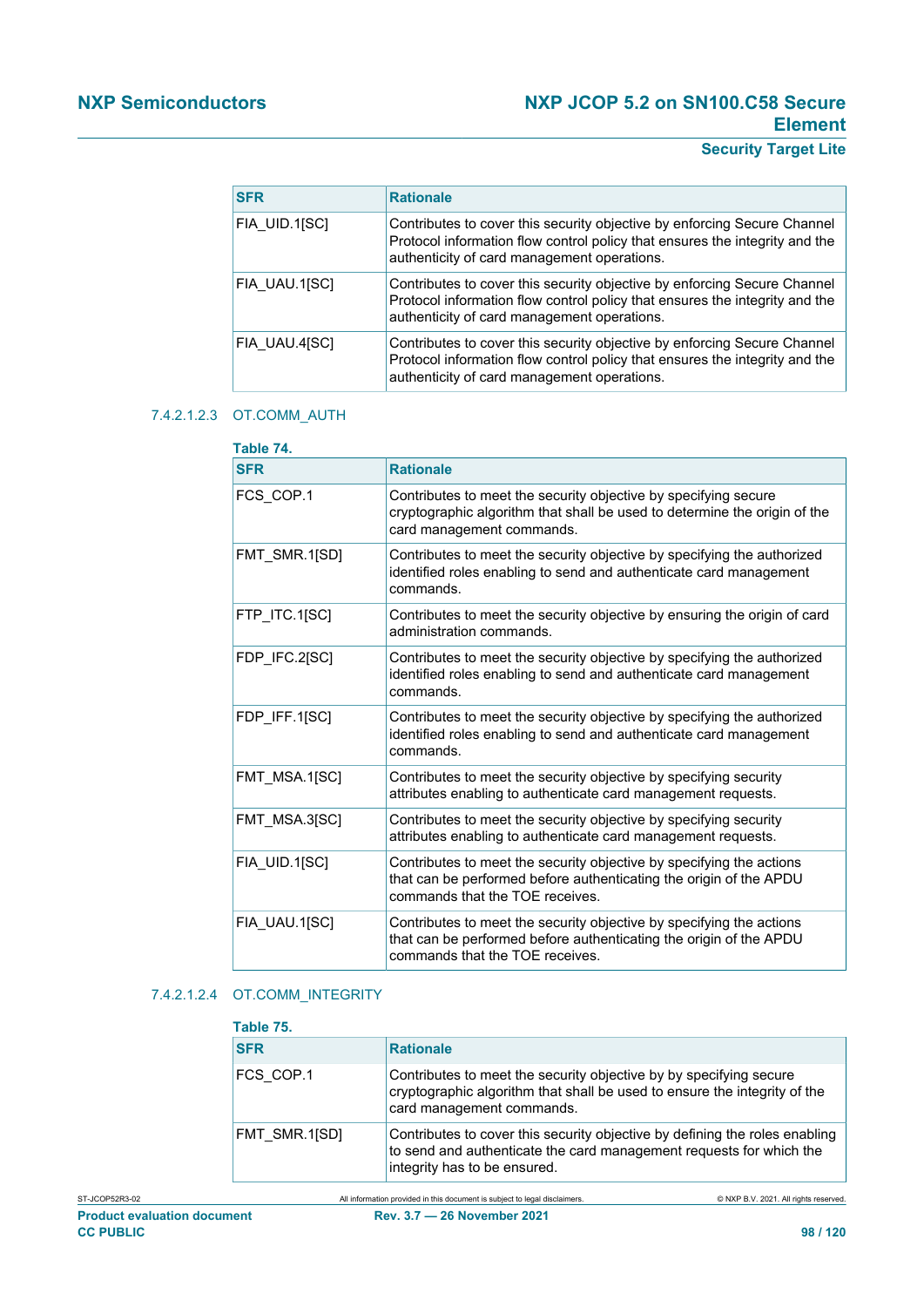# **Security Target Lite**

| <b>SFR</b>    | <b>Rationale</b>                                                                                                                                                                                       |
|---------------|--------------------------------------------------------------------------------------------------------------------------------------------------------------------------------------------------------|
| FIA UID.1[SC] | Contributes to cover this security objective by enforcing Secure Channel<br>Protocol information flow control policy that ensures the integrity and the<br>authenticity of card management operations. |
| FIA UAU.1[SC] | Contributes to cover this security objective by enforcing Secure Channel<br>Protocol information flow control policy that ensures the integrity and the<br>authenticity of card management operations. |
| FIA UAU.4[SC] | Contributes to cover this security objective by enforcing Secure Channel<br>Protocol information flow control policy that ensures the integrity and the<br>authenticity of card management operations. |

#### 7.4.2.1.2.3 OT.COMM\_AUTH

| Table 74.     |                                                                                                                                                                               |
|---------------|-------------------------------------------------------------------------------------------------------------------------------------------------------------------------------|
| <b>SFR</b>    | <b>Rationale</b>                                                                                                                                                              |
| FCS_COP.1     | Contributes to meet the security objective by specifying secure<br>cryptographic algorithm that shall be used to determine the origin of the<br>card management commands.     |
| FMT SMR.1[SD] | Contributes to meet the security objective by specifying the authorized<br>identified roles enabling to send and authenticate card management<br>commands.                    |
| FTP ITC.1[SC] | Contributes to meet the security objective by ensuring the origin of card<br>administration commands.                                                                         |
| FDP IFC.2[SC] | Contributes to meet the security objective by specifying the authorized<br>identified roles enabling to send and authenticate card management<br>commands.                    |
| FDP IFF.1[SC] | Contributes to meet the security objective by specifying the authorized<br>identified roles enabling to send and authenticate card management<br>commands.                    |
| FMT MSA.1[SC] | Contributes to meet the security objective by specifying security<br>attributes enabling to authenticate card management requests.                                            |
| FMT MSA.3[SC] | Contributes to meet the security objective by specifying security<br>attributes enabling to authenticate card management requests.                                            |
| FIA UID.1[SC] | Contributes to meet the security objective by specifying the actions<br>that can be performed before authenticating the origin of the APDU<br>commands that the TOF receives. |
| FIA UAU.1[SC] | Contributes to meet the security objective by specifying the actions<br>that can be performed before authenticating the origin of the APDU<br>commands that the TOE receives. |

## 7.4.2.1.2.4 OT.COMM\_INTEGRITY

| Table 75.     |                                                                                                                                                                                    |
|---------------|------------------------------------------------------------------------------------------------------------------------------------------------------------------------------------|
| <b>SFR</b>    | <b>Rationale</b>                                                                                                                                                                   |
| FCS COP.1     | Contributes to meet the security objective by by specifying secure<br>cryptographic algorithm that shall be used to ensure the integrity of the<br>card management commands.       |
| FMT SMR.1[SD] | Contributes to cover this security objective by defining the roles enabling<br>to send and authenticate the card management requests for which the<br>integrity has to be ensured. |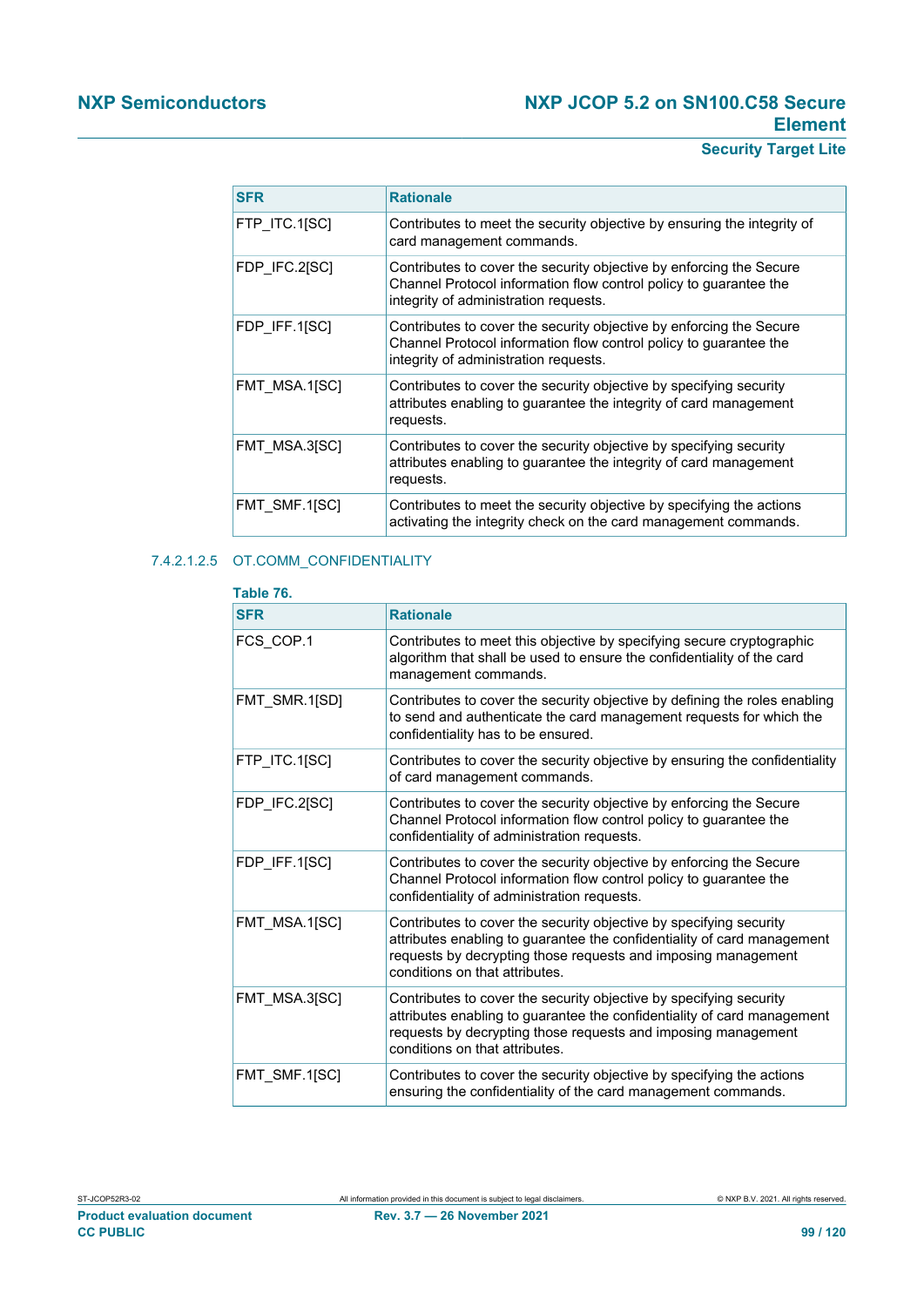# **Security Target Lite**

| <b>SFR</b>    | <b>Rationale</b>                                                                                                                                                                  |
|---------------|-----------------------------------------------------------------------------------------------------------------------------------------------------------------------------------|
| FTP ITC.1[SC] | Contributes to meet the security objective by ensuring the integrity of<br>card management commands.                                                                              |
| FDP_IFC.2[SC] | Contributes to cover the security objective by enforcing the Secure<br>Channel Protocol information flow control policy to guarantee the<br>integrity of administration requests. |
| FDP IFF.1[SC] | Contributes to cover the security objective by enforcing the Secure<br>Channel Protocol information flow control policy to guarantee the<br>integrity of administration requests. |
| FMT MSA.1[SC] | Contributes to cover the security objective by specifying security<br>attributes enabling to quarantee the integrity of card management<br>requests.                              |
| FMT MSA.3[SC] | Contributes to cover the security objective by specifying security<br>attributes enabling to guarantee the integrity of card management<br>requests.                              |
| FMT SMF.1[SC] | Contributes to meet the security objective by specifying the actions<br>activating the integrity check on the card management commands.                                           |

## 7.4.2.1.2.5 OT.COMM\_CONFIDENTIALITY

| Table 76.     |                                                                                                                                                                                                                                                  |
|---------------|--------------------------------------------------------------------------------------------------------------------------------------------------------------------------------------------------------------------------------------------------|
| <b>SFR</b>    | <b>Rationale</b>                                                                                                                                                                                                                                 |
| FCS_COP.1     | Contributes to meet this objective by specifying secure cryptographic<br>algorithm that shall be used to ensure the confidentiality of the card<br>management commands.                                                                          |
| FMT SMR.1[SD] | Contributes to cover the security objective by defining the roles enabling<br>to send and authenticate the card management requests for which the<br>confidentiality has to be ensured.                                                          |
| FTP ITC.1[SC] | Contributes to cover the security objective by ensuring the confidentiality<br>of card management commands.                                                                                                                                      |
| FDP IFC.2[SC] | Contributes to cover the security objective by enforcing the Secure<br>Channel Protocol information flow control policy to guarantee the<br>confidentiality of administration requests.                                                          |
| FDP IFF.1[SC] | Contributes to cover the security objective by enforcing the Secure<br>Channel Protocol information flow control policy to guarantee the<br>confidentiality of administration requests.                                                          |
| FMT MSA.1[SC] | Contributes to cover the security objective by specifying security<br>attributes enabling to guarantee the confidentiality of card management<br>requests by decrypting those requests and imposing management<br>conditions on that attributes. |
| FMT_MSA.3[SC] | Contributes to cover the security objective by specifying security<br>attributes enabling to guarantee the confidentiality of card management<br>requests by decrypting those requests and imposing management<br>conditions on that attributes. |
| FMT SMF.1[SC] | Contributes to cover the security objective by specifying the actions<br>ensuring the confidentiality of the card management commands.                                                                                                           |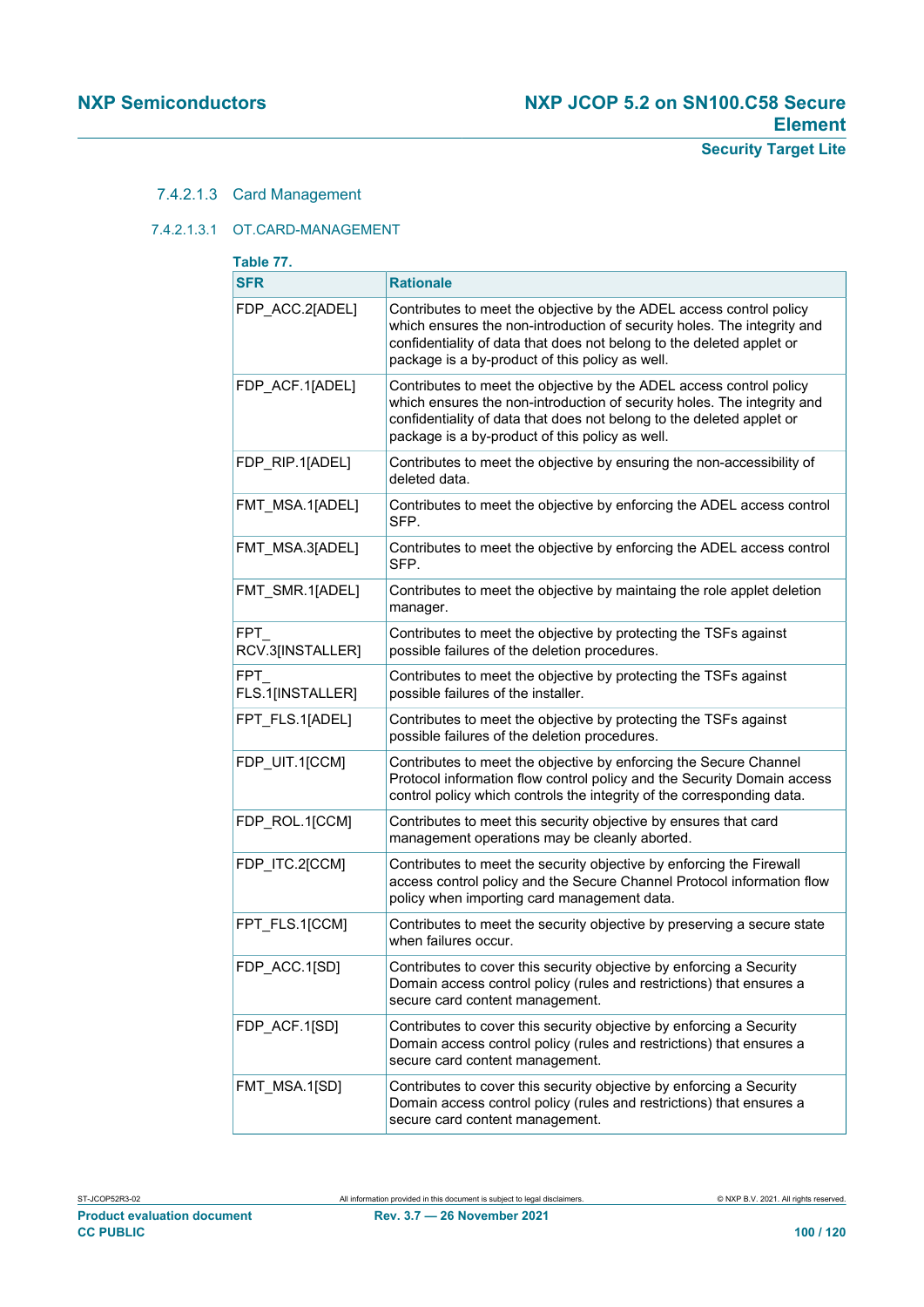### 7.4.2.1.3 Card Management

#### 7.4.2.1.3.1 OT.CARD-MANAGEMENT

| Table 77.                      |                                                                                                                                                                                                                                                                            |  |
|--------------------------------|----------------------------------------------------------------------------------------------------------------------------------------------------------------------------------------------------------------------------------------------------------------------------|--|
| <b>SFR</b>                     | <b>Rationale</b>                                                                                                                                                                                                                                                           |  |
| FDP ACC.2[ADEL]                | Contributes to meet the objective by the ADEL access control policy<br>which ensures the non-introduction of security holes. The integrity and<br>confidentiality of data that does not belong to the deleted applet or<br>package is a by-product of this policy as well. |  |
| FDP_ACF.1[ADEL]                | Contributes to meet the objective by the ADEL access control policy<br>which ensures the non-introduction of security holes. The integrity and<br>confidentiality of data that does not belong to the deleted applet or<br>package is a by-product of this policy as well. |  |
| FDP_RIP.1[ADEL]                | Contributes to meet the objective by ensuring the non-accessibility of<br>deleted data.                                                                                                                                                                                    |  |
| FMT_MSA.1[ADEL]                | Contributes to meet the objective by enforcing the ADEL access control<br>SFP.                                                                                                                                                                                             |  |
| FMT_MSA.3[ADEL]                | Contributes to meet the objective by enforcing the ADEL access control<br>SFP.                                                                                                                                                                                             |  |
| FMT_SMR.1[ADEL]                | Contributes to meet the objective by maintaing the role applet deletion<br>manager.                                                                                                                                                                                        |  |
| FPT.<br>RCV.3[INSTALLER]       | Contributes to meet the objective by protecting the TSFs against<br>possible failures of the deletion procedures.                                                                                                                                                          |  |
| <b>FPT</b><br>FLS.1[INSTALLER] | Contributes to meet the objective by protecting the TSFs against<br>possible failures of the installer.                                                                                                                                                                    |  |
| FPT_FLS.1[ADEL]                | Contributes to meet the objective by protecting the TSFs against<br>possible failures of the deletion procedures.                                                                                                                                                          |  |
| FDP_UIT.1[CCM]                 | Contributes to meet the objective by enforcing the Secure Channel<br>Protocol information flow control policy and the Security Domain access<br>control policy which controls the integrity of the corresponding data.                                                     |  |
| FDP_ROL.1[CCM]                 | Contributes to meet this security objective by ensures that card<br>management operations may be cleanly aborted.                                                                                                                                                          |  |
| FDP_ITC.2[CCM]                 | Contributes to meet the security objective by enforcing the Firewall<br>access control policy and the Secure Channel Protocol information flow<br>policy when importing card management data.                                                                              |  |
| FPT_FLS.1[CCM]                 | Contributes to meet the security objective by preserving a secure state<br>when failures occur.                                                                                                                                                                            |  |
| FDP ACC.1[SD]                  | Contributes to cover this security objective by enforcing a Security<br>Domain access control policy (rules and restrictions) that ensures a<br>secure card content management.                                                                                            |  |
| FDP_ACF.1[SD]                  | Contributes to cover this security objective by enforcing a Security<br>Domain access control policy (rules and restrictions) that ensures a<br>secure card content management.                                                                                            |  |
| FMT_MSA.1[SD]                  | Contributes to cover this security objective by enforcing a Security<br>Domain access control policy (rules and restrictions) that ensures a<br>secure card content management.                                                                                            |  |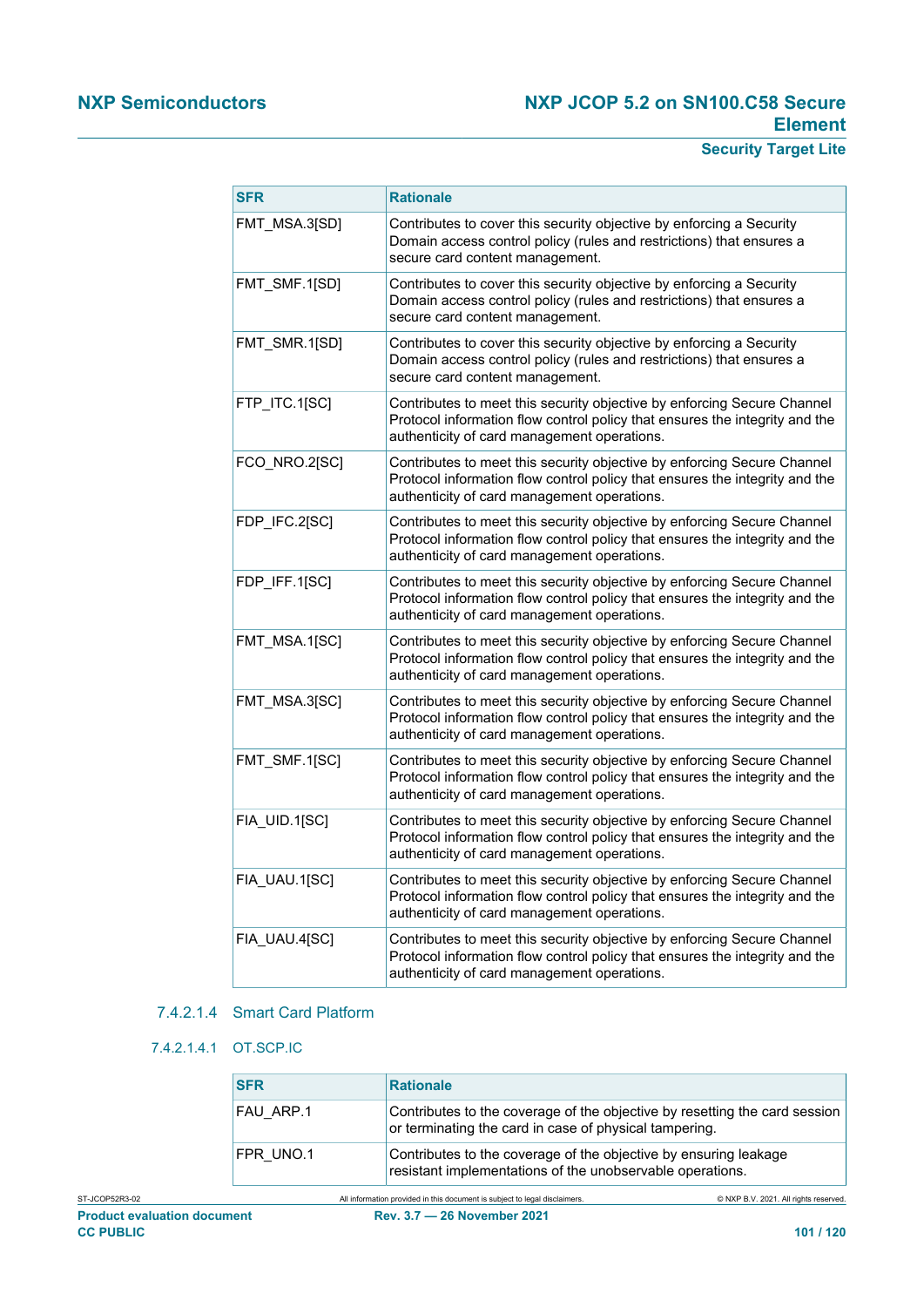# **Security Target Lite**

| <b>SFR</b>    | <b>Rationale</b>                                                                                                                                                                                      |
|---------------|-------------------------------------------------------------------------------------------------------------------------------------------------------------------------------------------------------|
| FMT_MSA.3[SD] | Contributes to cover this security objective by enforcing a Security<br>Domain access control policy (rules and restrictions) that ensures a<br>secure card content management.                       |
| FMT_SMF.1[SD] | Contributes to cover this security objective by enforcing a Security<br>Domain access control policy (rules and restrictions) that ensures a<br>secure card content management.                       |
| FMT_SMR.1[SD] | Contributes to cover this security objective by enforcing a Security<br>Domain access control policy (rules and restrictions) that ensures a<br>secure card content management.                       |
| FTP_ITC.1[SC] | Contributes to meet this security objective by enforcing Secure Channel<br>Protocol information flow control policy that ensures the integrity and the<br>authenticity of card management operations. |
| FCO_NRO.2[SC] | Contributes to meet this security objective by enforcing Secure Channel<br>Protocol information flow control policy that ensures the integrity and the<br>authenticity of card management operations. |
| FDP_IFC.2[SC] | Contributes to meet this security objective by enforcing Secure Channel<br>Protocol information flow control policy that ensures the integrity and the<br>authenticity of card management operations. |
| FDP_IFF.1[SC] | Contributes to meet this security objective by enforcing Secure Channel<br>Protocol information flow control policy that ensures the integrity and the<br>authenticity of card management operations. |
| FMT_MSA.1[SC] | Contributes to meet this security objective by enforcing Secure Channel<br>Protocol information flow control policy that ensures the integrity and the<br>authenticity of card management operations. |
| FMT_MSA.3[SC] | Contributes to meet this security objective by enforcing Secure Channel<br>Protocol information flow control policy that ensures the integrity and the<br>authenticity of card management operations. |
| FMT_SMF.1[SC] | Contributes to meet this security objective by enforcing Secure Channel<br>Protocol information flow control policy that ensures the integrity and the<br>authenticity of card management operations. |
| FIA_UID.1[SC] | Contributes to meet this security objective by enforcing Secure Channel<br>Protocol information flow control policy that ensures the integrity and the<br>authenticity of card management operations. |
| FIA_UAU.1[SC] | Contributes to meet this security objective by enforcing Secure Channel<br>Protocol information flow control policy that ensures the integrity and the<br>authenticity of card management operations. |
| FIA UAU.4[SC] | Contributes to meet this security objective by enforcing Secure Channel<br>Protocol information flow control policy that ensures the integrity and the<br>authenticity of card management operations. |
|               |                                                                                                                                                                                                       |

## 7.4.2.1.4 Smart Card Platform

#### 7.4.2.1.4.1 OT.SCP.IC

| <b>SFR</b> | <b>Rationale</b>                                                                                                                     |
|------------|--------------------------------------------------------------------------------------------------------------------------------------|
| FAU ARP.1  | Contributes to the coverage of the objective by resetting the card session<br>or terminating the card in case of physical tampering. |
| FPR UNO.1  | Contributes to the coverage of the objective by ensuring leakage<br>resistant implementations of the unobservable operations.        |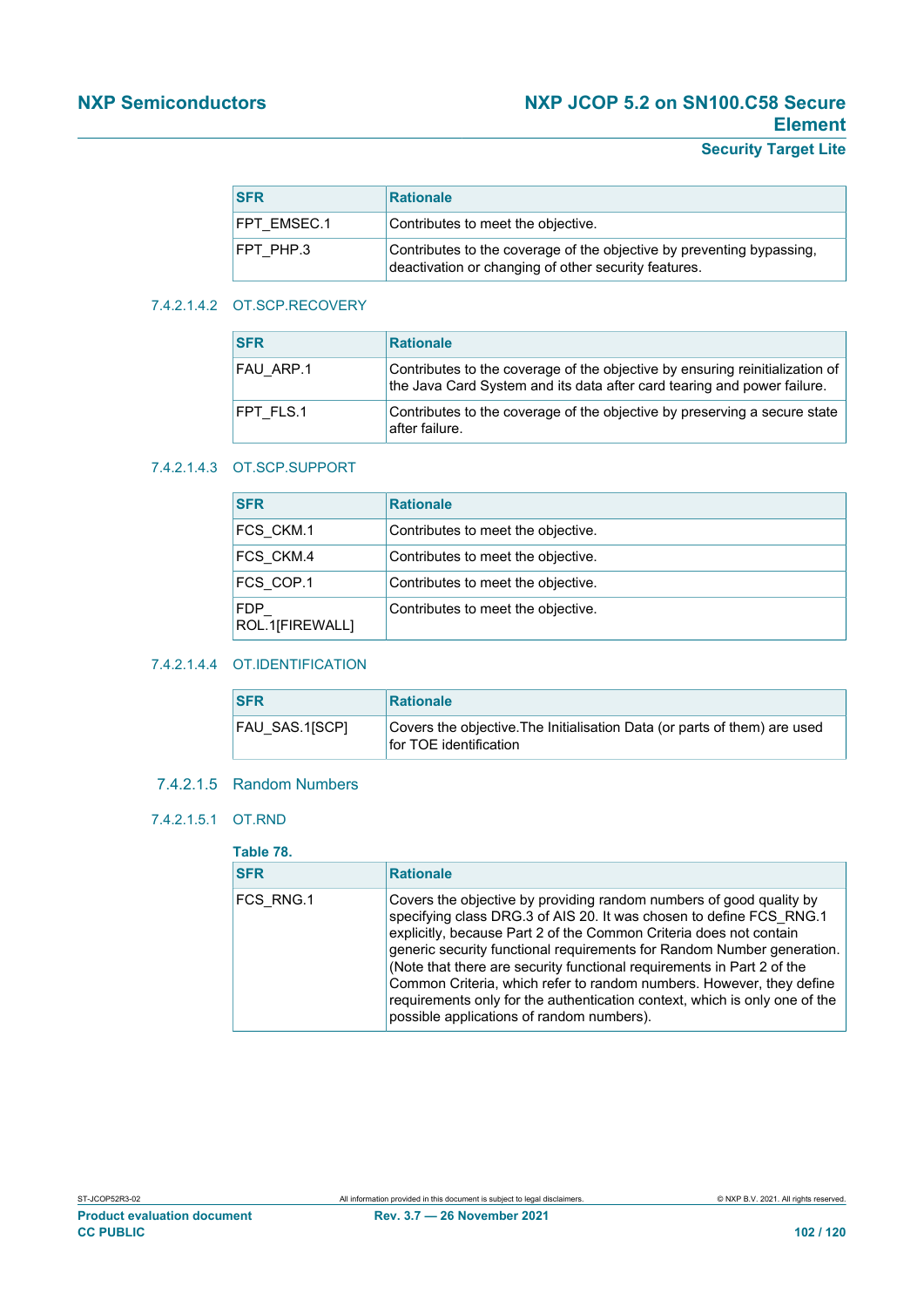## **Security Target Lite**

| <b>SFR</b>  | <b>Rationale</b>                                                                                                              |
|-------------|-------------------------------------------------------------------------------------------------------------------------------|
| FPT EMSEC.1 | Contributes to meet the objective.                                                                                            |
| FPT PHP.3   | Contributes to the coverage of the objective by preventing bypassing,<br>deactivation or changing of other security features. |

#### 7.4.2.1.4.2 OT.SCP.RECOVERY

| <b>SFR</b>       | <b>Rationale</b>                                                                                                                                        |
|------------------|---------------------------------------------------------------------------------------------------------------------------------------------------------|
| FAU ARP.1        | Contributes to the coverage of the objective by ensuring reinitialization of<br>the Java Card System and its data after card tearing and power failure. |
| <b>FPT FLS.1</b> | Contributes to the coverage of the objective by preserving a secure state<br>after failure.                                                             |

#### 7.4.2.1.4.3 OT.SCP.SUPPORT

| <b>SFR</b>                    | <b>Rationale</b>                   |
|-------------------------------|------------------------------------|
| FCS CKM.1                     | Contributes to meet the objective. |
| FCS CKM.4                     | Contributes to meet the objective. |
| FCS COP.1                     | Contributes to meet the objective. |
| <b>FDP</b><br>ROL.1[FIREWALL] | Contributes to meet the objective. |

#### 7.4.2.1.4.4 OT.IDENTIFICATION

| <b>SFR</b>     | <b>Rationale</b>                                                                                    |
|----------------|-----------------------------------------------------------------------------------------------------|
| FAU SAS.1[SCP] | Covers the objective. The Initialisation Data (or parts of them) are used<br>for TOE identification |

## 7.4.2.1.5 Random Numbers

#### 7.4.2.1.5.1 OT.RND

# **Table 78.**

| $1$ apic $10.$ |                                                                                                                                                                                                                                                                                                                                                                                                                                                                                                                                                                         |
|----------------|-------------------------------------------------------------------------------------------------------------------------------------------------------------------------------------------------------------------------------------------------------------------------------------------------------------------------------------------------------------------------------------------------------------------------------------------------------------------------------------------------------------------------------------------------------------------------|
| <b>SFR</b>     | <b>Rationale</b>                                                                                                                                                                                                                                                                                                                                                                                                                                                                                                                                                        |
| FCS RNG.1      | Covers the objective by providing random numbers of good quality by<br>specifying class DRG.3 of AIS 20. It was chosen to define FCS RNG.1<br>explicitly, because Part 2 of the Common Criteria does not contain<br>generic security functional requirements for Random Number generation.<br>(Note that there are security functional requirements in Part 2 of the<br>Common Criteria, which refer to random numbers. However, they define<br>requirements only for the authentication context, which is only one of the<br>possible applications of random numbers). |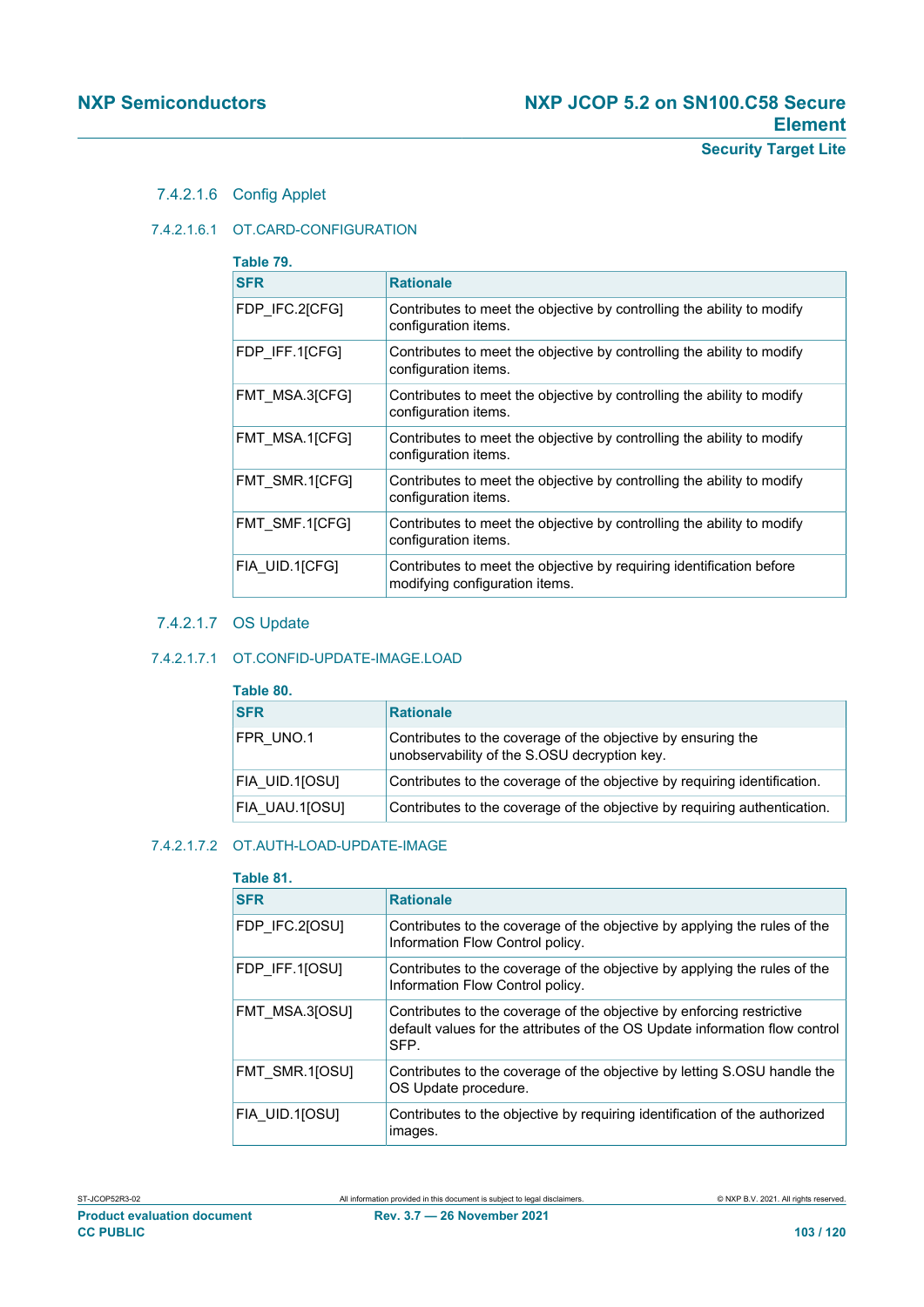7.4.2.1.6 Config Applet

#### 7.4.2.1.6.1 OT.CARD-CONFIGURATION

| Table 79.      |                                                                                                        |  |
|----------------|--------------------------------------------------------------------------------------------------------|--|
| <b>SFR</b>     | <b>Rationale</b>                                                                                       |  |
| FDP_IFC.2[CFG] | Contributes to meet the objective by controlling the ability to modify<br>configuration items.         |  |
| FDP IFF.1[CFG] | Contributes to meet the objective by controlling the ability to modify<br>configuration items.         |  |
| FMT MSA.3[CFG] | Contributes to meet the objective by controlling the ability to modify<br>configuration items.         |  |
| FMT MSA.1[CFG] | Contributes to meet the objective by controlling the ability to modify<br>configuration items.         |  |
| FMT SMR.1[CFG] | Contributes to meet the objective by controlling the ability to modify<br>configuration items.         |  |
| FMT SMF.1[CFG] | Contributes to meet the objective by controlling the ability to modify<br>configuration items.         |  |
| FIA UID.1[CFG] | Contributes to meet the objective by requiring identification before<br>modifying configuration items. |  |

## 7.4.2.1.7 OS Update

#### 7.4.2.1.7.1 OT.CONFID-UPDATE-IMAGE.LOAD

| Table 80.      |                                                                                                              |
|----------------|--------------------------------------------------------------------------------------------------------------|
| <b>SFR</b>     | <b>Rationale</b>                                                                                             |
| FPR UNO.1      | Contributes to the coverage of the objective by ensuring the<br>unobservability of the S.OSU decryption key. |
| FIA UID.1[OSU] | Contributes to the coverage of the objective by requiring identification.                                    |
| FIA UAU.1[OSU] | Contributes to the coverage of the objective by requiring authentication.                                    |

### 7.4.2.1.7.2 OT.AUTH-LOAD-UPDATE-IMAGE

#### **Table 81.**

| .              |                                                                                                                                                              |
|----------------|--------------------------------------------------------------------------------------------------------------------------------------------------------------|
| <b>SFR</b>     | <b>Rationale</b>                                                                                                                                             |
| FDP IFC.2[OSU] | Contributes to the coverage of the objective by applying the rules of the<br>Information Flow Control policy.                                                |
| FDP IFF.1[OSU] | Contributes to the coverage of the objective by applying the rules of the<br>Information Flow Control policy.                                                |
| FMT MSA.3[OSU] | Contributes to the coverage of the objective by enforcing restrictive<br>default values for the attributes of the OS Update information flow control<br>SFP. |
| FMT SMR.1[OSU] | Contributes to the coverage of the objective by letting S.OSU handle the<br>OS Update procedure.                                                             |
| FIA UID.1[OSU] | Contributes to the objective by requiring identification of the authorized<br>images.                                                                        |

**Product evaluation document Rev. 3.7 — 26 November 2021 CC PUBLIC CC PUBLIC 103 / 120**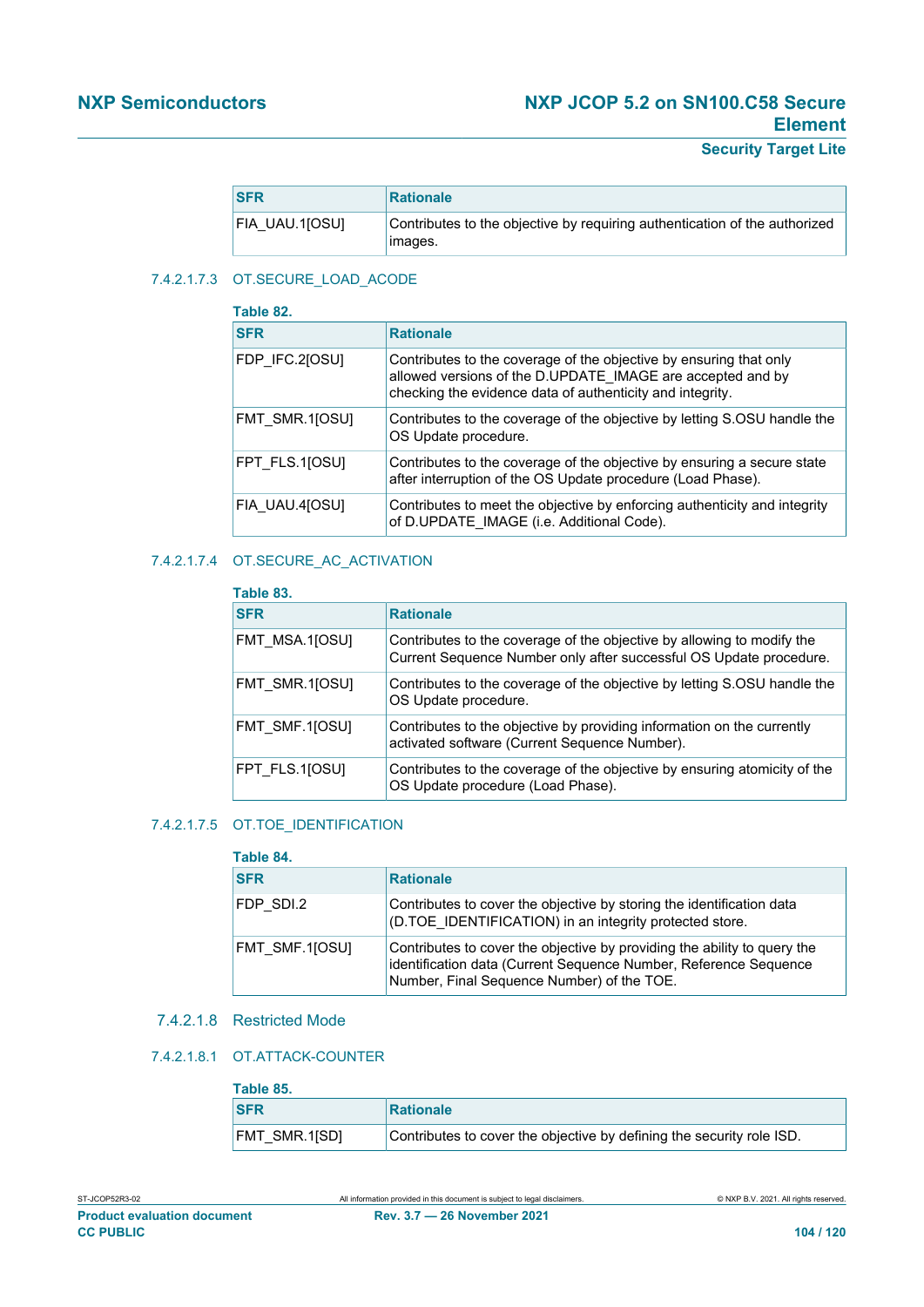**Security Target Lite**

| <b>SFR</b>     | <b>Rationale</b>                                                                      |
|----------------|---------------------------------------------------------------------------------------|
| FIA UAU.1[OSU] | Contributes to the objective by requiring authentication of the authorized<br>images. |

### 7.4.2.1.7.3 OT.SECURE\_LOAD\_ACODE

| Table 82.      |                                                                                                                                                                                               |
|----------------|-----------------------------------------------------------------------------------------------------------------------------------------------------------------------------------------------|
| <b>SFR</b>     | <b>Rationale</b>                                                                                                                                                                              |
| FDP IFC.2[OSU] | Contributes to the coverage of the objective by ensuring that only<br>allowed versions of the D.UPDATE IMAGE are accepted and by<br>checking the evidence data of authenticity and integrity. |
| FMT SMR.1[OSU] | Contributes to the coverage of the objective by letting S.OSU handle the<br>OS Update procedure.                                                                                              |
| FPT FLS.1[OSU] | Contributes to the coverage of the objective by ensuring a secure state<br>after interruption of the OS Update procedure (Load Phase).                                                        |
| FIA UAU.4[OSU] | Contributes to meet the objective by enforcing authenticity and integrity<br>of D.UPDATE IMAGE (i.e. Additional Code).                                                                        |

## 7.4.2.1.7.4 OT.SECURE\_AC\_ACTIVATION

| Table 83.      |                                                                                                                                              |
|----------------|----------------------------------------------------------------------------------------------------------------------------------------------|
| <b>SFR</b>     | <b>Rationale</b>                                                                                                                             |
| FMT MSA.1[OSU] | Contributes to the coverage of the objective by allowing to modify the<br>Current Sequence Number only after successful OS Update procedure. |
| FMT SMR.110SUI | Contributes to the coverage of the objective by letting S.OSU handle the<br>OS Update procedure.                                             |
| FMT SMF.1[OSU] | Contributes to the objective by providing information on the currently<br>activated software (Current Sequence Number).                      |
| FPT FLS.1[OSU] | Contributes to the coverage of the objective by ensuring atomicity of the<br>OS Update procedure (Load Phase).                               |

#### 7.4.2.1.7.5 OT.TOE\_IDENTIFICATION

## **Table 84.**

| <b>SFR</b>     | <b>Rationale</b>                                                                                                                                                                           |
|----------------|--------------------------------------------------------------------------------------------------------------------------------------------------------------------------------------------|
| FDP SDI.2      | Contributes to cover the objective by storing the identification data<br>(D.TOE IDENTIFICATION) in an integrity protected store.                                                           |
| FMT SMF.1[OSU] | Contributes to cover the objective by providing the ability to query the<br>identification data (Current Sequence Number, Reference Sequence<br>Number, Final Sequence Number) of the TOE. |

#### 7.4.2.1.8 Restricted Mode

#### 7.4.2.1.8.1 OT.ATTACK-COUNTER

# **Table 85.**

| ι αυισ υυ.    |                                                                       |
|---------------|-----------------------------------------------------------------------|
| <b>SFR</b>    | Rationale                                                             |
| FMT SMR.1[SD] | Contributes to cover the objective by defining the security role ISD. |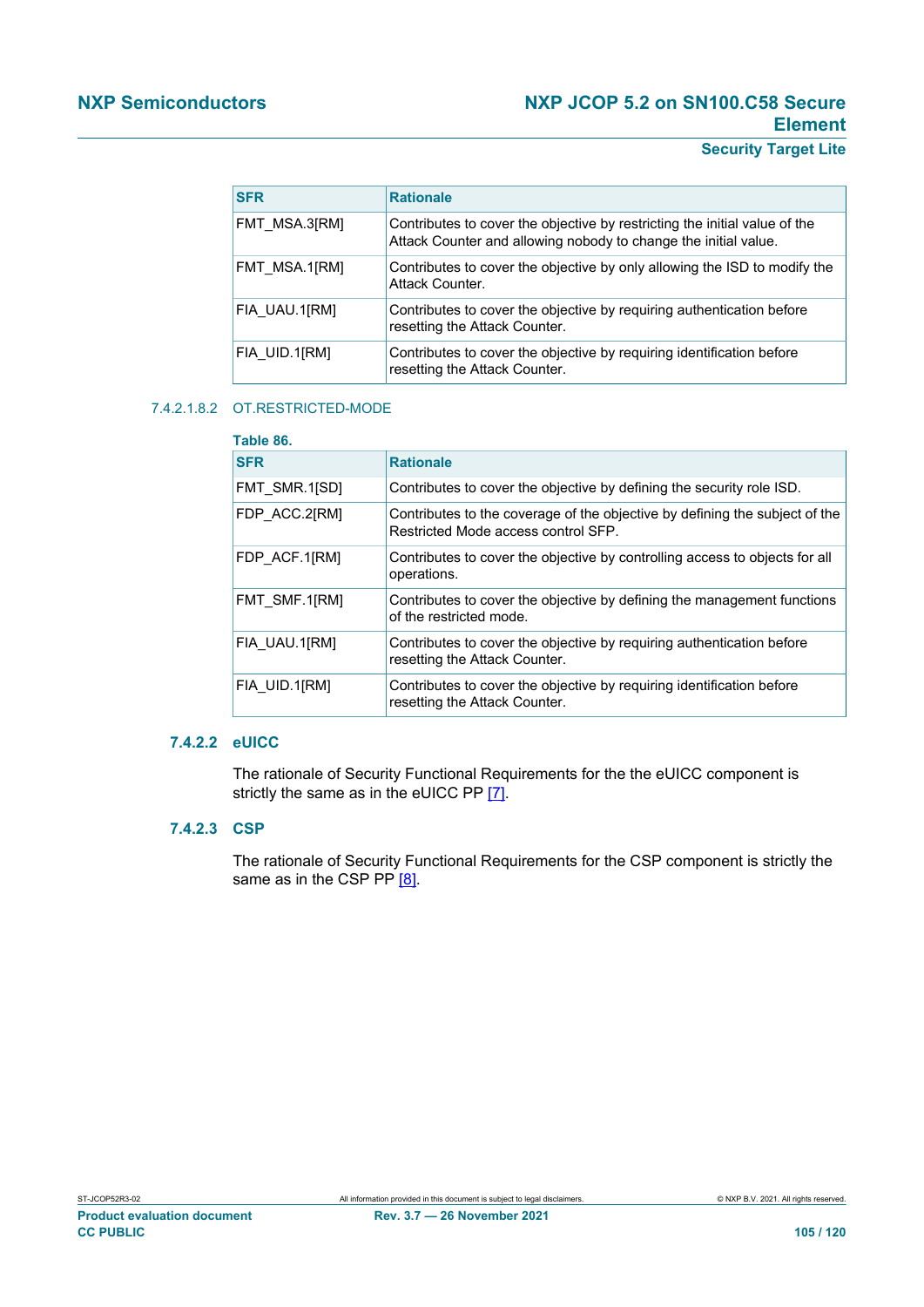## **Security Target Lite**

| <b>SFR</b>    | <b>Rationale</b>                                                                                                                              |
|---------------|-----------------------------------------------------------------------------------------------------------------------------------------------|
| FMT MSA.3[RM] | Contributes to cover the objective by restricting the initial value of the<br>Attack Counter and allowing nobody to change the initial value. |
| FMT MSA.1[RM] | Contributes to cover the objective by only allowing the ISD to modify the<br>Attack Counter.                                                  |
| FIA UAU.1[RM] | Contributes to cover the objective by requiring authentication before<br>resetting the Attack Counter.                                        |
| FIA UID.1[RM] | Contributes to cover the objective by requiring identification before<br>resetting the Attack Counter.                                        |

#### 7.4.2.1.8.2 OT.RESTRICTED-MODE

## **Table 86.  SFR Rationale** FMT\_SMR.1[SD] Contributes to cover the objective by defining the security role ISD. FDP\_ACC.2[RM] Contributes to the coverage of the objective by defining the subject of the Restricted Mode access control SFP. FDP\_ACF.1[RM] Contributes to cover the objective by controlling access to objects for all operations. FMT\_SMF.1[RM] Contributes to cover the objective by defining the management functions of the restricted mode. FIA\_UAU.1[RM] Contributes to cover the objective by requiring authentication before resetting the Attack Counter. FIA UID.1[RM] Contributes to cover the objective by requiring identification before resetting the Attack Counter.

#### **7.4.2.2 eUICC**

The rationale of Security Functional Requirements for the the eUICC component is strictly the same as in the eUICC PP [\[7\]](#page-112-1).

#### **7.4.2.3 CSP**

The rationale of Security Functional Requirements for the CSP component is strictly the same as in the CSP PP [\[8\]](#page-112-3).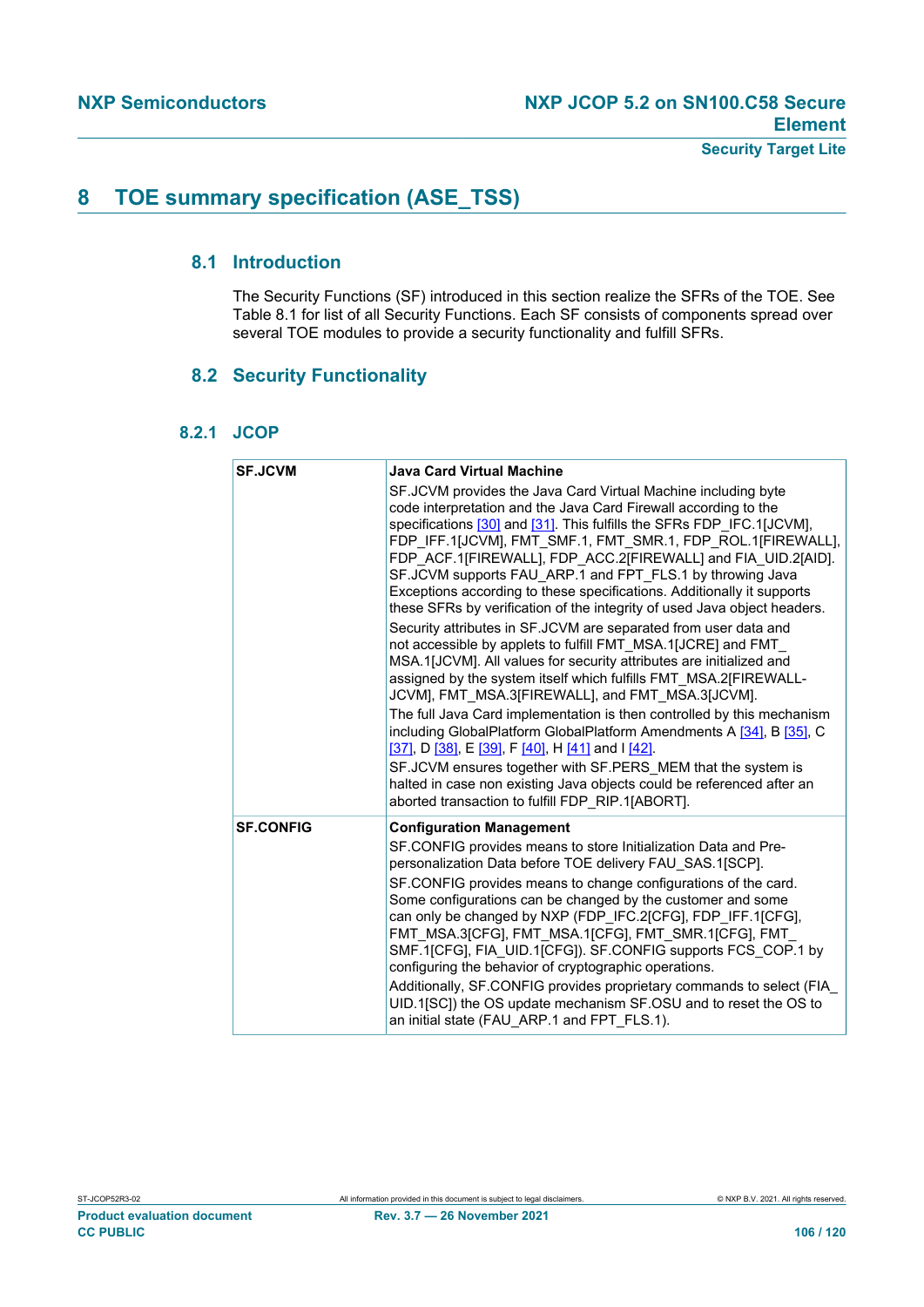# **8 TOE summary specification (ASE\_TSS)**

## **8.1 Introduction**

The Security Functions (SF) introduced in this section realize the SFRs of the TOE. See Table 8.1 for list of all Security Functions. Each SF consists of components spread over several TOE modules to provide a security functionality and fulfill SFRs.

## **8.2 Security Functionality**

## **8.2.1 JCOP**

| <b>SF.JCVM</b>   | <b>Java Card Virtual Machine</b>                                                                                                                                                                                                                                                                                                                                                                                                                                                                                                                            |
|------------------|-------------------------------------------------------------------------------------------------------------------------------------------------------------------------------------------------------------------------------------------------------------------------------------------------------------------------------------------------------------------------------------------------------------------------------------------------------------------------------------------------------------------------------------------------------------|
|                  | SF.JCVM provides the Java Card Virtual Machine including byte<br>code interpretation and the Java Card Firewall according to the<br>specifications [30] and [31]. This fulfills the SFRs FDP IFC.1[JCVM],<br>FDP IFF.1[JCVM], FMT SMF.1, FMT SMR.1, FDP ROL.1[FIREWALL],<br>FDP ACF.1[FIREWALL], FDP ACC.2[FIREWALL] and FIA UID.2[AID].<br>SF.JCVM supports FAU ARP.1 and FPT FLS.1 by throwing Java<br>Exceptions according to these specifications. Additionally it supports<br>these SFRs by verification of the integrity of used Java object headers. |
|                  | Security attributes in SF.JCVM are separated from user data and<br>not accessible by applets to fulfill FMT MSA.1[JCRE] and FMT<br>MSA.1[JCVM]. All values for security attributes are initialized and<br>assigned by the system itself which fulfills FMT MSA.2[FIREWALL-<br>JCVM], FMT MSA.3[FIREWALL], and FMT MSA.3[JCVM].                                                                                                                                                                                                                              |
|                  | The full Java Card implementation is then controlled by this mechanism<br>including GlobalPlatform GlobalPlatform Amendments A [34], B [35], C<br>[37], D [38], E [39], F [40], H [41] and I [42].                                                                                                                                                                                                                                                                                                                                                          |
|                  | SF.JCVM ensures together with SF.PERS MEM that the system is<br>halted in case non existing Java objects could be referenced after an<br>aborted transaction to fulfill FDP_RIP.1[ABORT].                                                                                                                                                                                                                                                                                                                                                                   |
| <b>SF.CONFIG</b> | <b>Configuration Management</b>                                                                                                                                                                                                                                                                                                                                                                                                                                                                                                                             |
|                  | SF.CONFIG provides means to store Initialization Data and Pre-<br>personalization Data before TOE delivery FAU SAS.1[SCP].                                                                                                                                                                                                                                                                                                                                                                                                                                  |
|                  | SF.CONFIG provides means to change configurations of the card.<br>Some configurations can be changed by the customer and some<br>can only be changed by NXP (FDP IFC.2[CFG], FDP IFF.1[CFG],<br>FMT MSA.3[CFG], FMT MSA.1[CFG], FMT SMR.1[CFG], FMT<br>SMF.1[CFG], FIA UID.1[CFG]). SF.CONFIG supports FCS COP.1 by<br>configuring the behavior of cryptographic operations.                                                                                                                                                                                |
|                  | Additionally, SF.CONFIG provides proprietary commands to select (FIA<br>UID.1[SC]) the OS update mechanism SF.OSU and to reset the OS to<br>an initial state (FAU ARP.1 and FPT FLS.1).                                                                                                                                                                                                                                                                                                                                                                     |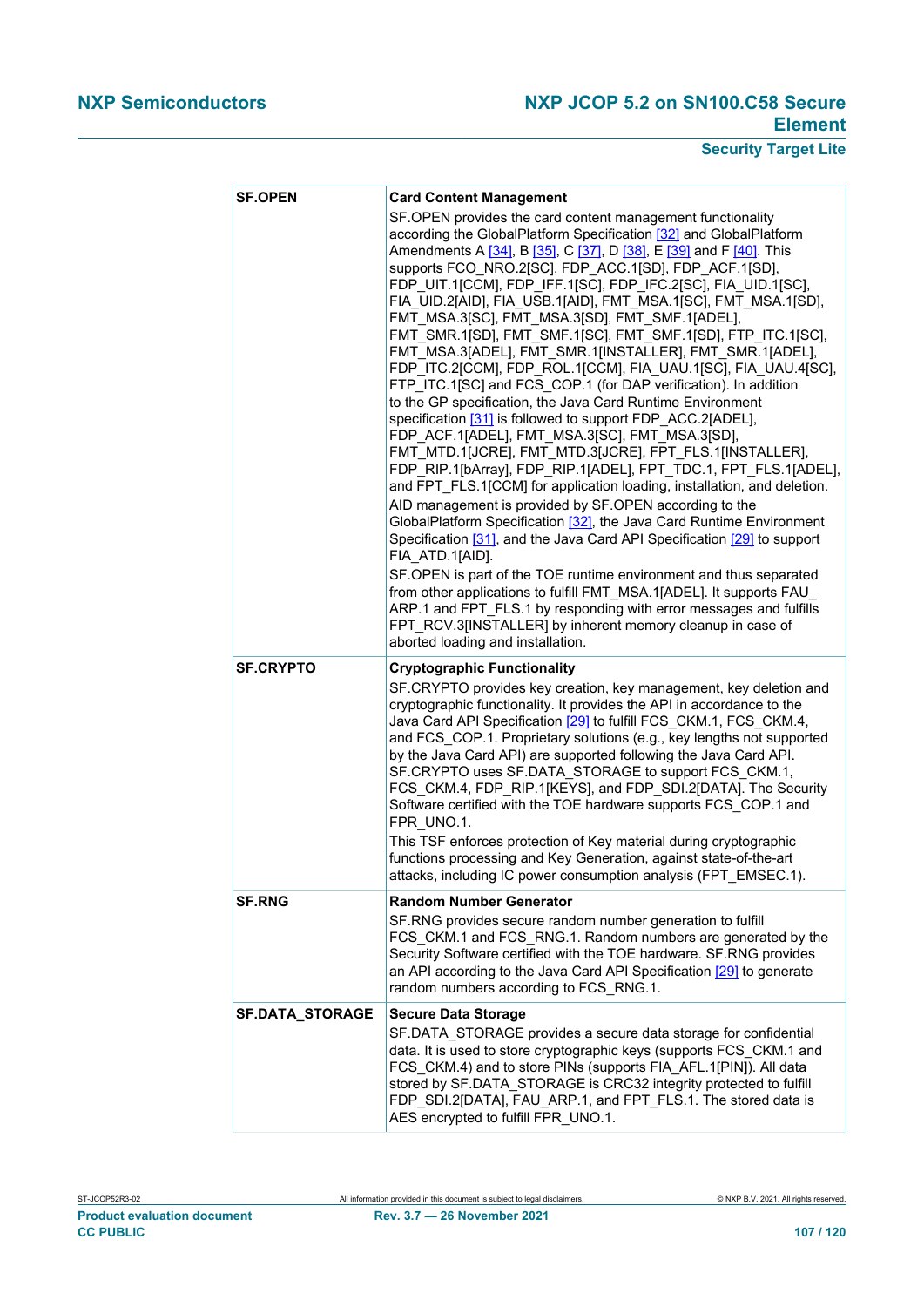| <b>SF.OPEN</b>         | <b>Card Content Management</b><br>SF.OPEN provides the card content management functionality<br>according the GlobalPlatform Specification [32] and GlobalPlatform<br>Amendments A [34], B [35], C [37], D [38], E [39] and F [40]. This<br>supports FCO_NRO.2[SC], FDP_ACC.1[SD], FDP_ACF.1[SD],<br>FDP_UIT.1[CCM], FDP_IFF.1[SC], FDP_IFC.2[SC], FIA_UID.1[SC],<br>FIA_UID.2[AID], FIA_USB.1[AID], FMT_MSA.1[SC], FMT_MSA.1[SD],<br>FMT_MSA.3[SC], FMT_MSA.3[SD], FMT_SMF.1[ADEL],<br>FMT SMR.1[SD], FMT_SMF.1[SC], FMT_SMF.1[SD], FTP_ITC.1[SC],<br>FMT MSA.3[ADEL], FMT SMR.1[INSTALLER], FMT SMR.1[ADEL],<br>FDP ITC.2[CCM], FDP ROL.1[CCM], FIA UAU.1[SC], FIA UAU.4[SC],<br>FTP ITC.1[SC] and FCS COP.1 (for DAP verification). In addition<br>to the GP specification, the Java Card Runtime Environment<br>specification [31] is followed to support FDP ACC.2[ADEL],<br>FDP_ACF.1[ADEL], FMT_MSA.3[SC], FMT_MSA.3[SD],<br>FMT_MTD.1[JCRE], FMT_MTD.3[JCRE], FPT_FLS.1[INSTALLER],<br>FDP_RIP.1[bArray], FDP_RIP.1[ADEL], FPT_TDC.1, FPT_FLS.1[ADEL],<br>and FPT_FLS.1[CCM] for application loading, installation, and deletion.<br>AID management is provided by SF.OPEN according to the<br>GlobalPlatform Specification [32], the Java Card Runtime Environment<br>Specification [31], and the Java Card API Specification [29] to support<br>FIA ATD.1[AID].<br>SF.OPEN is part of the TOE runtime environment and thus separated<br>from other applications to fulfill FMT MSA.1[ADEL]. It supports FAU<br>ARP.1 and FPT_FLS.1 by responding with error messages and fulfills<br>FPT_RCV.3[INSTALLER] by inherent memory cleanup in case of<br>aborted loading and installation. |
|------------------------|------------------------------------------------------------------------------------------------------------------------------------------------------------------------------------------------------------------------------------------------------------------------------------------------------------------------------------------------------------------------------------------------------------------------------------------------------------------------------------------------------------------------------------------------------------------------------------------------------------------------------------------------------------------------------------------------------------------------------------------------------------------------------------------------------------------------------------------------------------------------------------------------------------------------------------------------------------------------------------------------------------------------------------------------------------------------------------------------------------------------------------------------------------------------------------------------------------------------------------------------------------------------------------------------------------------------------------------------------------------------------------------------------------------------------------------------------------------------------------------------------------------------------------------------------------------------------------------------------------------------------------------------------------------------------------------------|
| <b>SF.CRYPTO</b>       | <b>Cryptographic Functionality</b><br>SF.CRYPTO provides key creation, key management, key deletion and<br>cryptographic functionality. It provides the API in accordance to the<br>Java Card API Specification [29] to fulfill FCS_CKM.1, FCS_CKM.4,<br>and FCS_COP.1. Proprietary solutions (e.g., key lengths not supported<br>by the Java Card API) are supported following the Java Card API.<br>SF.CRYPTO uses SF.DATA STORAGE to support FCS CKM.1,<br>FCS CKM.4, FDP RIP.1[KEYS], and FDP SDI.2[DATA]. The Security<br>Software certified with the TOE hardware supports FCS_COP.1 and<br>FPR UNO.1.<br>This TSF enforces protection of Key material during cryptographic<br>functions processing and Key Generation, against state-of-the-art<br>attacks, including IC power consumption analysis (FPT_EMSEC.1).                                                                                                                                                                                                                                                                                                                                                                                                                                                                                                                                                                                                                                                                                                                                                                                                                                                                      |
| <b>SF.RNG</b>          | <b>Random Number Generator</b><br>SF.RNG provides secure random number generation to fulfill<br>FCS CKM.1 and FCS_RNG.1. Random numbers are generated by the<br>Security Software certified with the TOE hardware. SF.RNG provides<br>an API according to the Java Card API Specification [29] to generate<br>random numbers according to FCS_RNG.1.                                                                                                                                                                                                                                                                                                                                                                                                                                                                                                                                                                                                                                                                                                                                                                                                                                                                                                                                                                                                                                                                                                                                                                                                                                                                                                                                           |
| <b>SF.DATA_STORAGE</b> | <b>Secure Data Storage</b><br>SF.DATA STORAGE provides a secure data storage for confidential<br>data. It is used to store cryptographic keys (supports FCS_CKM.1 and<br>FCS_CKM.4) and to store PINs (supports FIA_AFL.1[PIN]). All data<br>stored by SF.DATA_STORAGE is CRC32 integrity protected to fulfill<br>FDP_SDI.2[DATA], FAU_ARP.1, and FPT_FLS.1. The stored data is<br>AES encrypted to fulfill FPR UNO.1.                                                                                                                                                                                                                                                                                                                                                                                                                                                                                                                                                                                                                                                                                                                                                                                                                                                                                                                                                                                                                                                                                                                                                                                                                                                                         |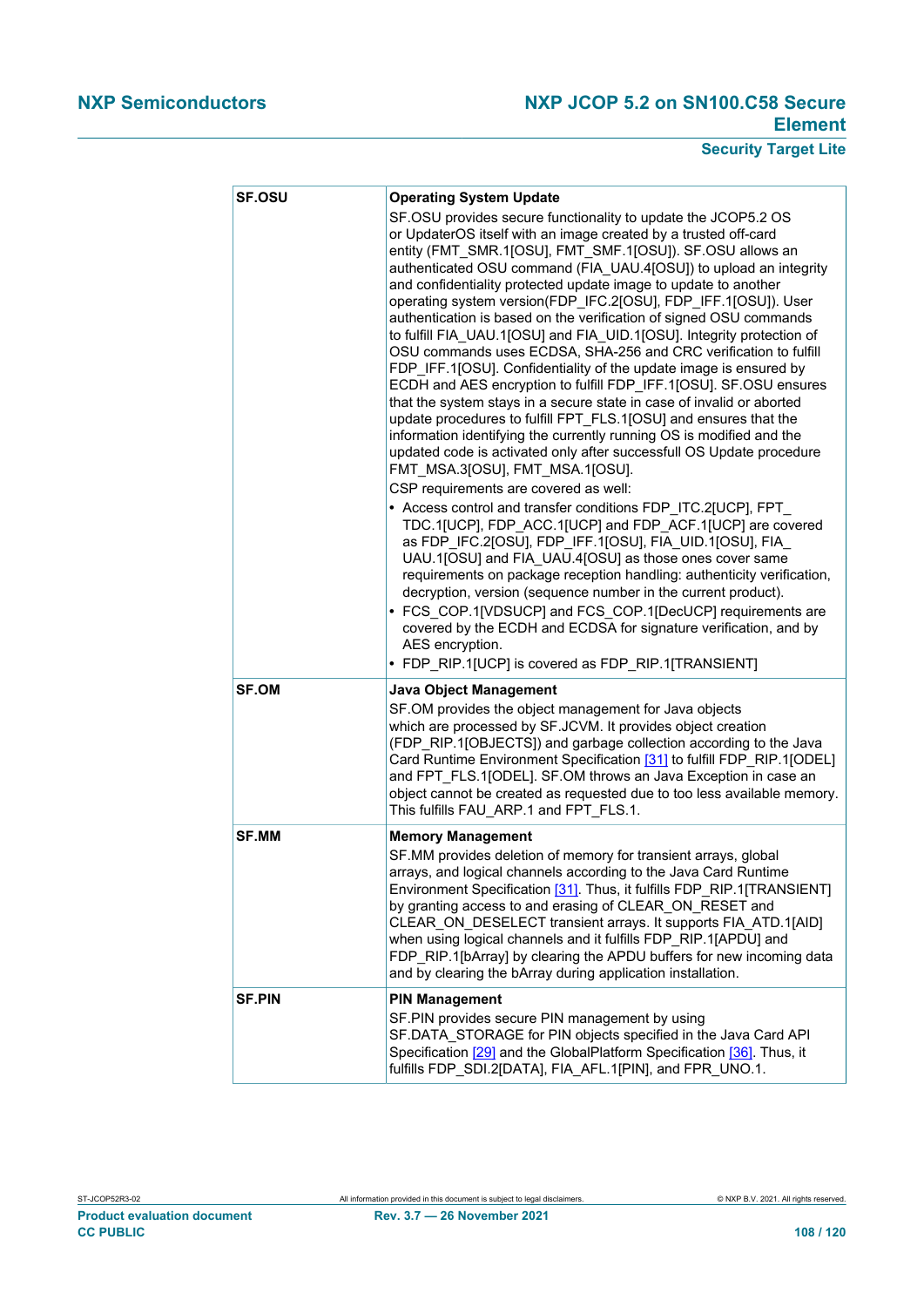| <b>SF.OSU</b> | <b>Operating System Update</b><br>SF.OSU provides secure functionality to update the JCOP5.2 OS<br>or UpdaterOS itself with an image created by a trusted off-card<br>entity (FMT SMR.1[OSU], FMT SMF.1[OSU]). SF.OSU allows an<br>authenticated OSU command (FIA UAU.4[OSU]) to upload an integrity<br>and confidentiality protected update image to update to another<br>operating system version(FDP_IFC.2[OSU], FDP_IFF.1[OSU]). User<br>authentication is based on the verification of signed OSU commands<br>to fulfill FIA_UAU.1[OSU] and FIA_UID.1[OSU]. Integrity protection of<br>OSU commands uses ECDSA, SHA-256 and CRC verification to fulfill<br>FDP IFF.1[OSU]. Confidentiality of the update image is ensured by<br>ECDH and AES encryption to fulfill FDP_IFF.1[OSU]. SF.OSU ensures<br>that the system stays in a secure state in case of invalid or aborted<br>update procedures to fulfill FPT_FLS.1[OSU] and ensures that the<br>information identifying the currently running OS is modified and the<br>updated code is activated only after successfull OS Update procedure<br>FMT_MSA.3[OSU], FMT_MSA.1[OSU].<br>CSP requirements are covered as well:<br>• Access control and transfer conditions FDP_ITC.2[UCP], FPT_<br>TDC.1[UCP], FDP_ACC.1[UCP] and FDP_ACF.1[UCP] are covered<br>as FDP_IFC.2[OSU], FDP_IFF.1[OSU], FIA_UID.1[OSU], FIA_<br>UAU.1[OSU] and FIA_UAU.4[OSU] as those ones cover same<br>requirements on package reception handling: authenticity verification,<br>decryption, version (sequence number in the current product).<br>• FCS_COP.1[VDSUCP] and FCS_COP.1[DecUCP] requirements are<br>covered by the ECDH and ECDSA for signature verification, and by<br>AES encryption.<br>• FDP RIP.1[UCP] is covered as FDP_RIP.1[TRANSIENT] |
|---------------|-------------------------------------------------------------------------------------------------------------------------------------------------------------------------------------------------------------------------------------------------------------------------------------------------------------------------------------------------------------------------------------------------------------------------------------------------------------------------------------------------------------------------------------------------------------------------------------------------------------------------------------------------------------------------------------------------------------------------------------------------------------------------------------------------------------------------------------------------------------------------------------------------------------------------------------------------------------------------------------------------------------------------------------------------------------------------------------------------------------------------------------------------------------------------------------------------------------------------------------------------------------------------------------------------------------------------------------------------------------------------------------------------------------------------------------------------------------------------------------------------------------------------------------------------------------------------------------------------------------------------------------------------------------------------------------------------------------------------------------------------------------------------------------------|
| <b>SF.OM</b>  | <b>Java Object Management</b><br>SF.OM provides the object management for Java objects<br>which are processed by SF.JCVM. It provides object creation<br>(FDP_RIP.1[OBJECTS]) and garbage collection according to the Java<br>Card Runtime Environment Specification [31] to fulfill FDP_RIP.1[ODEL]<br>and FPT FLS.1[ODEL]. SF.OM throws an Java Exception in case an<br>object cannot be created as requested due to too less available memory.<br>This fulfills FAU_ARP.1 and FPT_FLS.1.                                                                                                                                                                                                                                                                                                                                                                                                                                                                                                                                                                                                                                                                                                                                                                                                                                                                                                                                                                                                                                                                                                                                                                                                                                                                                               |
| <b>SF.MM</b>  | <b>Memory Management</b><br>SF.MM provides deletion of memory for transient arrays, global<br>arrays, and logical channels according to the Java Card Runtime<br>Environment Specification [31]. Thus, it fulfills FDP_RIP.1[TRANSIENT]<br>by granting access to and erasing of CLEAR_ON_RESET and<br>CLEAR_ON_DESELECT transient arrays. It supports FIA_ATD.1[AID]<br>when using logical channels and it fulfills FDP RIP.1[APDU] and<br>FDP RIP.1[bArray] by clearing the APDU buffers for new incoming data<br>and by clearing the bArray during application installation.                                                                                                                                                                                                                                                                                                                                                                                                                                                                                                                                                                                                                                                                                                                                                                                                                                                                                                                                                                                                                                                                                                                                                                                                            |
| <b>SF.PIN</b> | <b>PIN Management</b><br>SF.PIN provides secure PIN management by using<br>SF.DATA STORAGE for PIN objects specified in the Java Card API<br>Specification [29] and the GlobalPlatform Specification [36]. Thus, it<br>fulfills FDP SDI.2[DATA], FIA AFL.1[PIN], and FPR UNO.1.                                                                                                                                                                                                                                                                                                                                                                                                                                                                                                                                                                                                                                                                                                                                                                                                                                                                                                                                                                                                                                                                                                                                                                                                                                                                                                                                                                                                                                                                                                           |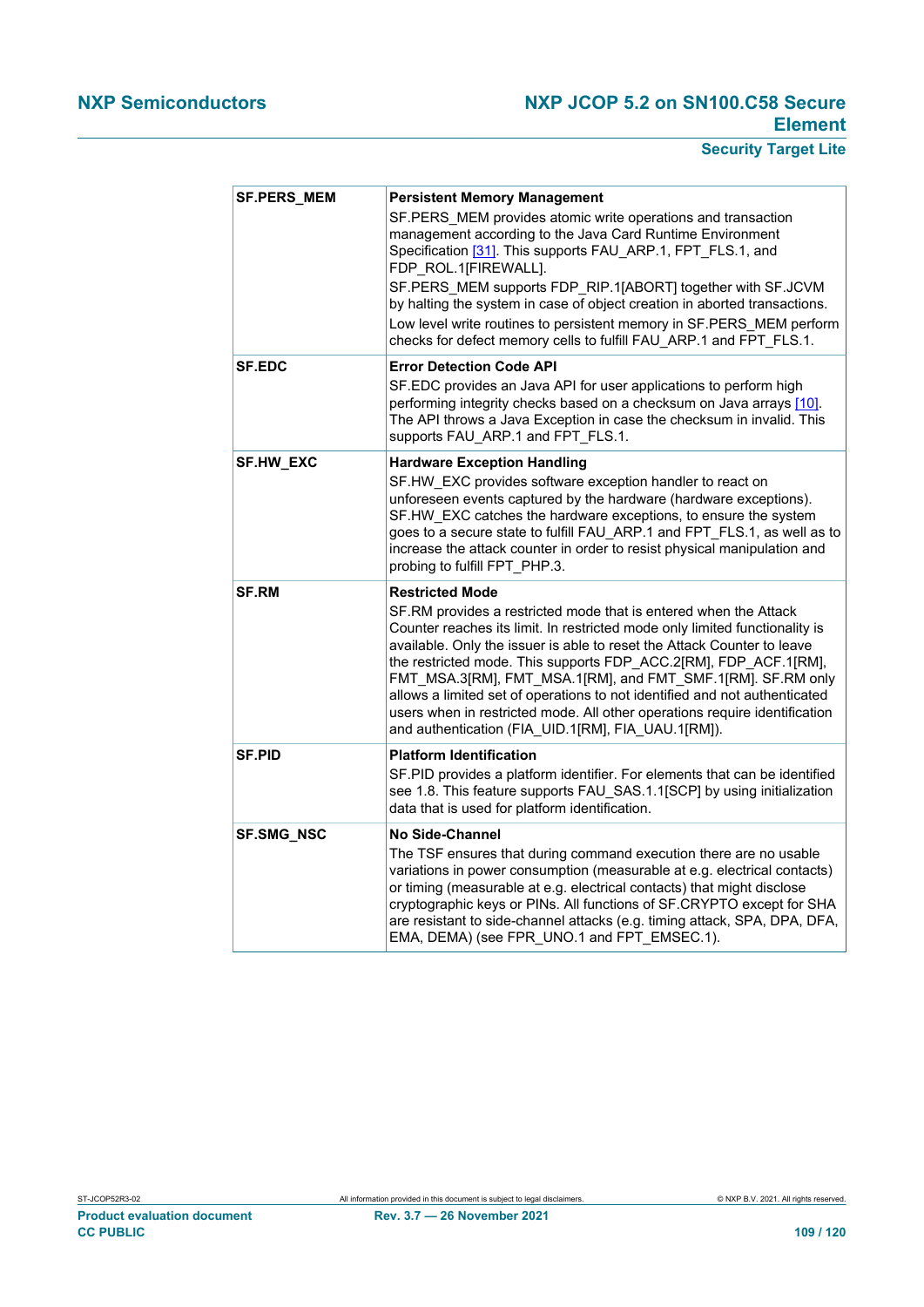# **NXP Semiconductors NXP JCOP 5.2 on SN100.C58 Secure Element**

# **Security Target Lite**

| <b>SF.PERS_MEM</b> | <b>Persistent Memory Management</b><br>SF.PERS MEM provides atomic write operations and transaction<br>management according to the Java Card Runtime Environment<br>Specification [31]. This supports FAU ARP.1, FPT FLS.1, and<br>FDP ROL.1[FIREWALL].<br>SF.PERS_MEM supports FDP_RIP.1[ABORT] together with SF.JCVM<br>by halting the system in case of object creation in aborted transactions.<br>Low level write routines to persistent memory in SF.PERS MEM perform<br>checks for defect memory cells to fulfill FAU ARP.1 and FPT FLS.1.                                                         |
|--------------------|-----------------------------------------------------------------------------------------------------------------------------------------------------------------------------------------------------------------------------------------------------------------------------------------------------------------------------------------------------------------------------------------------------------------------------------------------------------------------------------------------------------------------------------------------------------------------------------------------------------|
| <b>SF.EDC</b>      | <b>Error Detection Code API</b><br>SF.EDC provides an Java API for user applications to perform high<br>performing integrity checks based on a checksum on Java arrays [10].<br>The API throws a Java Exception in case the checksum in invalid. This<br>supports FAU ARP.1 and FPT FLS.1.                                                                                                                                                                                                                                                                                                                |
| SF.HW_EXC          | <b>Hardware Exception Handling</b><br>SF.HW_EXC provides software exception handler to react on<br>unforeseen events captured by the hardware (hardware exceptions).<br>SF.HW EXC catches the hardware exceptions, to ensure the system<br>goes to a secure state to fulfill FAU_ARP.1 and FPT_FLS.1, as well as to<br>increase the attack counter in order to resist physical manipulation and<br>probing to fulfill FPT_PHP.3.                                                                                                                                                                          |
| <b>SF.RM</b>       | <b>Restricted Mode</b><br>SF.RM provides a restricted mode that is entered when the Attack<br>Counter reaches its limit. In restricted mode only limited functionality is<br>available. Only the issuer is able to reset the Attack Counter to leave<br>the restricted mode. This supports FDP ACC.2[RM], FDP ACF.1[RM],<br>FMT MSA.3[RM], FMT MSA.1[RM], and FMT SMF.1[RM]. SF.RM only<br>allows a limited set of operations to not identified and not authenticated<br>users when in restricted mode. All other operations require identification<br>and authentication (FIA_UID.1[RM], FIA_UAU.1[RM]). |
| <b>SF.PID</b>      | <b>Platform Identification</b><br>SF.PID provides a platform identifier. For elements that can be identified<br>see 1.8. This feature supports FAU_SAS.1.1[SCP] by using initialization<br>data that is used for platform identification.                                                                                                                                                                                                                                                                                                                                                                 |
| <b>SF.SMG_NSC</b>  | <b>No Side-Channel</b><br>The TSF ensures that during command execution there are no usable<br>variations in power consumption (measurable at e.g. electrical contacts)<br>or timing (measurable at e.g. electrical contacts) that might disclose<br>cryptographic keys or PINs. All functions of SF.CRYPTO except for SHA<br>are resistant to side-channel attacks (e.g. timing attack, SPA, DPA, DFA,<br>EMA, DEMA) (see FPR UNO.1 and FPT EMSEC.1).                                                                                                                                                    |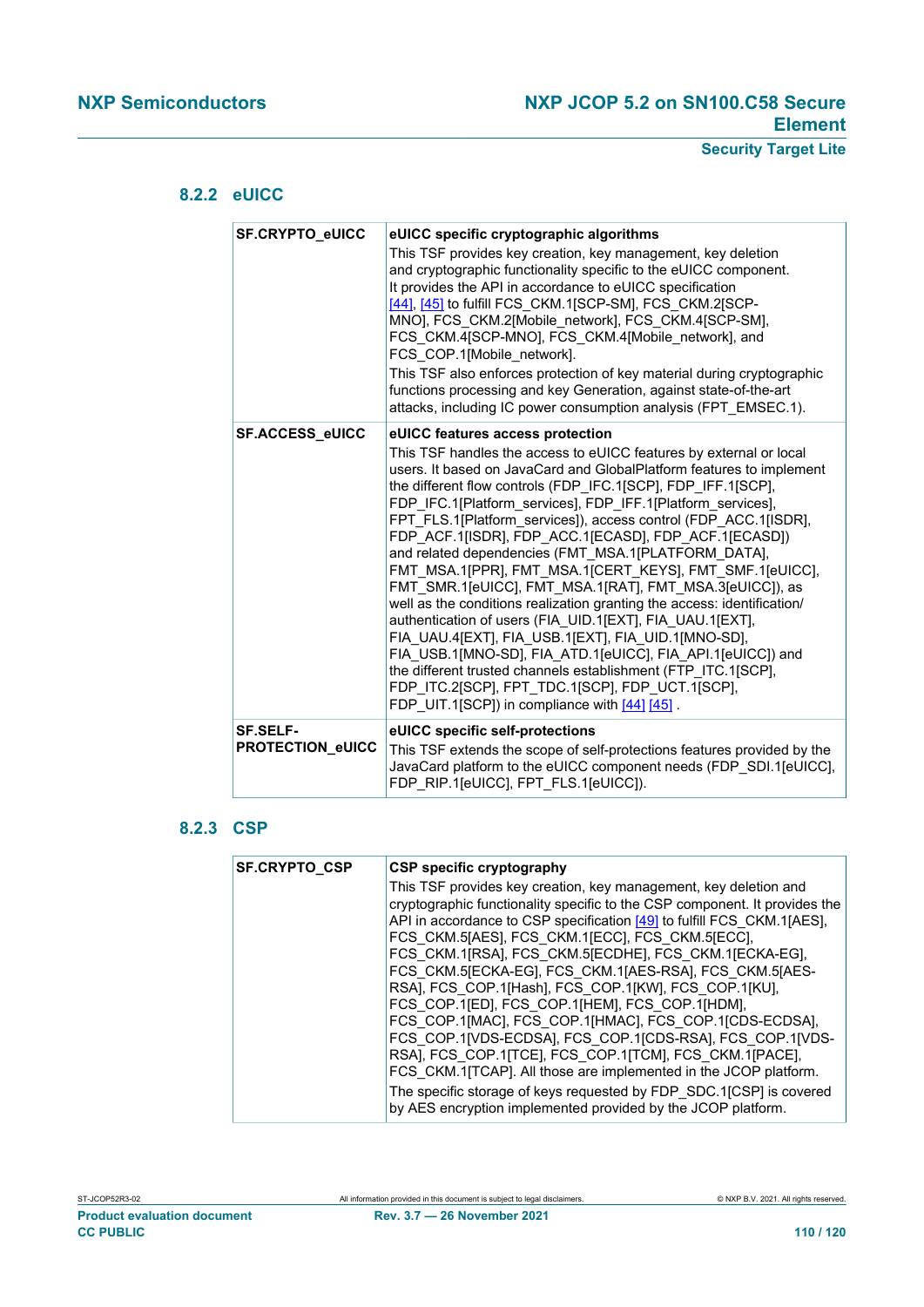## **8.2.2 eUICC**

<span id="page-109-0"></span>

| <b>SF.CRYPTO eUICC</b>                     | eUICC specific cryptographic algorithms<br>This TSF provides key creation, key management, key deletion<br>and cryptographic functionality specific to the eUICC component.<br>It provides the API in accordance to eUICC specification<br>[44], [45] to fulfill FCS CKM.1[SCP-SM], FCS CKM.2[SCP-<br>MNO], FCS_CKM.2[Mobile_network], FCS_CKM.4[SCP-SM],<br>FCS CKM.4[SCP-MNO], FCS CKM.4[Mobile network], and<br>FCS COP.1[Mobile network].<br>This TSF also enforces protection of key material during cryptographic<br>functions processing and key Generation, against state-of-the-art<br>attacks, including IC power consumption analysis (FPT EMSEC.1).                                                                                                                                                                                                                                                                                                                                                                                       |
|--------------------------------------------|-------------------------------------------------------------------------------------------------------------------------------------------------------------------------------------------------------------------------------------------------------------------------------------------------------------------------------------------------------------------------------------------------------------------------------------------------------------------------------------------------------------------------------------------------------------------------------------------------------------------------------------------------------------------------------------------------------------------------------------------------------------------------------------------------------------------------------------------------------------------------------------------------------------------------------------------------------------------------------------------------------------------------------------------------------|
| SF.ACCESS_eUICC                            | eUICC features access protection<br>This TSF handles the access to eUICC features by external or local<br>users. It based on JavaCard and GlobalPlatform features to implement<br>the different flow controls (FDP IFC.1[SCP], FDP IFF.1[SCP],<br>FDP IFC.1[Platform services], FDP IFF.1[Platform services],<br>FPT_FLS.1[Platform_services]), access control (FDP_ACC.1[ISDR],<br>FDP ACF.1[ISDR], FDP ACC.1[ECASD], FDP ACF.1[ECASD])<br>and related dependencies (FMT MSA.1[PLATFORM DATA],<br>FMT MSA.1[PPR], FMT MSA.1[CERT KEYS], FMT SMF.1[eUICC],<br>FMT SMR.1[eUICC], FMT MSA.1[RAT], FMT MSA.3[eUICC]), as<br>well as the conditions realization granting the access: identification/<br>authentication of users (FIA UID.1[EXT], FIA UAU.1[EXT],<br>FIA UAU.4[EXT], FIA USB.1[EXT], FIA UID.1[MNO-SD],<br>FIA USB.1[MNO-SD], FIA ATD.1[eUICC], FIA API.1[eUICC]) and<br>the different trusted channels establishment (FTP ITC.1[SCP],<br>FDP ITC.2[SCP], FPT TDC.1[SCP], FDP UCT.1[SCP],<br>FDP UIT.1[SCP]) in compliance with [44] [45]. |
| <b>SF.SELF-</b><br><b>PROTECTION_eUICC</b> | eUICC specific self-protections<br>This TSF extends the scope of self-protections features provided by the<br>JavaCard platform to the eUICC component needs (FDP SDI.1[eUICC],<br>FDP RIP.1[eUICC], FPT FLS.1[eUICC]).                                                                                                                                                                                                                                                                                                                                                                                                                                                                                                                                                                                                                                                                                                                                                                                                                               |

# **8.2.3 CSP**

<span id="page-109-1"></span>

| This TSF provides key creation, key management, key deletion and<br>cryptographic functionality specific to the CSP component. It provides the<br>API in accordance to CSP specification [49] to fulfill FCS CKM.1[AES],<br>FCS CKM.5[AES], FCS CKM.1[ECC], FCS CKM.5[ECC],<br>FCS CKM.1[RSA], FCS CKM.5[ECDHE], FCS CKM.1[ECKA-EG],<br>FCS CKM.5[ECKA-EG], FCS CKM.1[AES-RSA], FCS CKM.5[AES-<br>RSA], FCS COP.1[Hash], FCS COP.1[KW], FCS COP.1[KU],<br>FCS COP.1[ED], FCS COP.1[HEM], FCS COP.1[HDM],<br>FCS COP.1[MAC], FCS COP.1[HMAC], FCS COP.1[CDS-ECDSA],<br>FCS COP.1[VDS-ECDSA], FCS COP.1[CDS-RSA], FCS COP.1[VDS-<br>RSA], FCS COP.1[TCE], FCS COP.1[TCM], FCS CKM.1[PACE],<br>FCS CKM.1[TCAP]. All those are implemented in the JCOP platform.<br>The specific storage of keys requested by FDP SDC.1[CSP] is covered<br>by AES encryption implemented provided by the JCOP platform. |
|-----------------------------------------------------------------------------------------------------------------------------------------------------------------------------------------------------------------------------------------------------------------------------------------------------------------------------------------------------------------------------------------------------------------------------------------------------------------------------------------------------------------------------------------------------------------------------------------------------------------------------------------------------------------------------------------------------------------------------------------------------------------------------------------------------------------------------------------------------------------------------------------------------|
|                                                                                                                                                                                                                                                                                                                                                                                                                                                                                                                                                                                                                                                                                                                                                                                                                                                                                                     |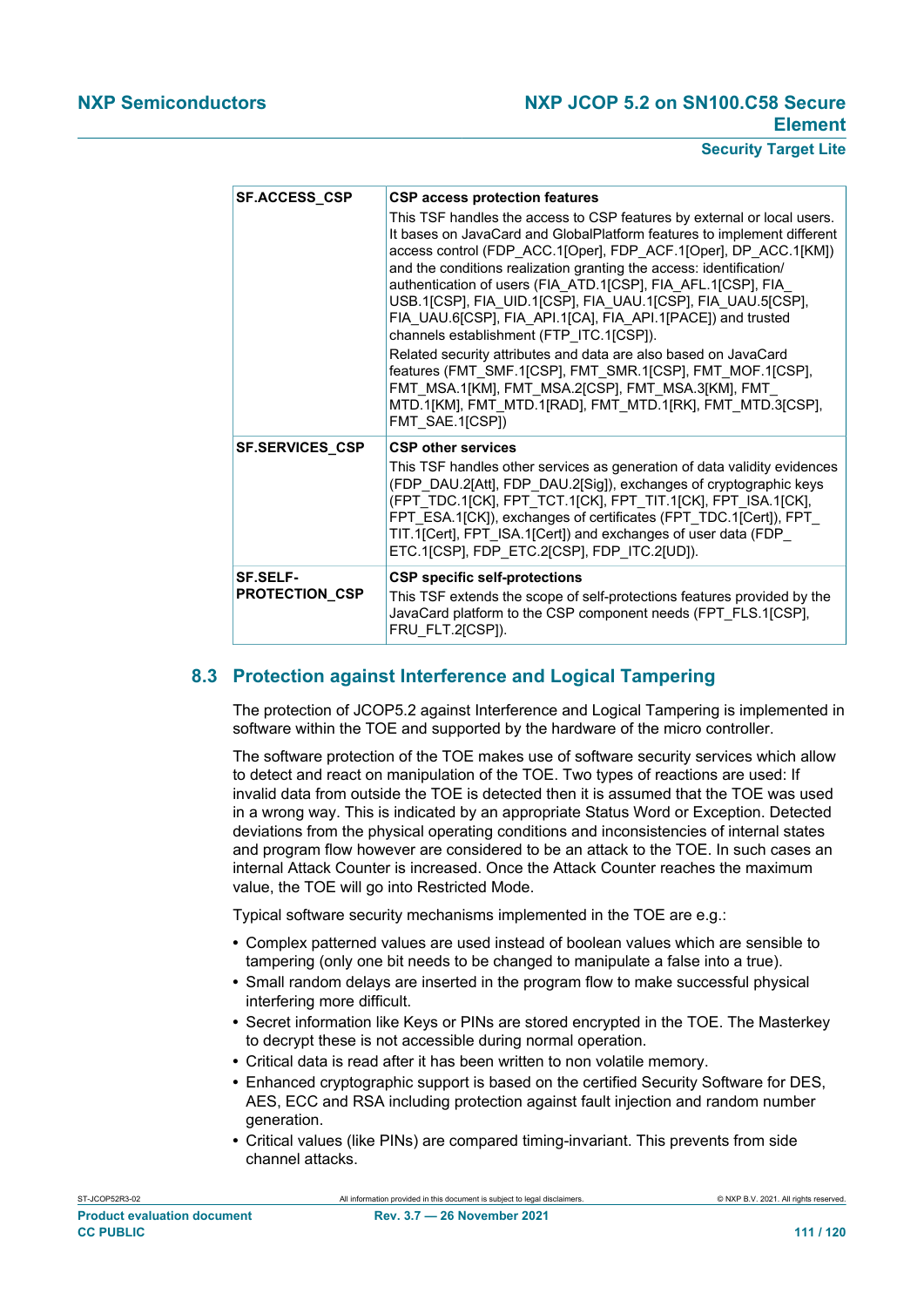## **NXP Semiconductors NXP JCOP 5.2 on SN100.C58 Secure Element**

### **Security Target Lite**

| <b>SF.ACCESS_CSP</b>                     | <b>CSP access protection features</b><br>This TSF handles the access to CSP features by external or local users.<br>It bases on JavaCard and GlobalPlatform features to implement different<br>access control (FDP_ACC.1[Oper], FDP_ACF.1[Oper], DP_ACC.1[KM])<br>and the conditions realization granting the access: identification/<br>authentication of users (FIA ATD.1[CSP], FIA AFL.1[CSP], FIA<br>USB.1[CSP], FIA_UID.1[CSP], FIA_UAU.1[CSP], FIA_UAU.5[CSP],<br>FIA UAU.6[CSP], FIA API.1[CA], FIA API.1[PACE]) and trusted<br>channels establishment (FTP ITC.1[CSP]).<br>Related security attributes and data are also based on JavaCard<br>features (FMT SMF.1[CSP], FMT SMR.1[CSP], FMT MOF.1[CSP],<br>FMT MSA.1[KM], FMT MSA.2[CSP], FMT MSA.3[KM], FMT<br>MTD.1[KM], FMT MTD.1[RAD], FMT MTD.1[RK], FMT MTD.3[CSP],<br>FMT_SAE.1[CSP]) |
|------------------------------------------|------------------------------------------------------------------------------------------------------------------------------------------------------------------------------------------------------------------------------------------------------------------------------------------------------------------------------------------------------------------------------------------------------------------------------------------------------------------------------------------------------------------------------------------------------------------------------------------------------------------------------------------------------------------------------------------------------------------------------------------------------------------------------------------------------------------------------------------------------|
| <b>SF.SERVICES CSP</b>                   | <b>CSP other services</b><br>This TSF handles other services as generation of data validity evidences<br>(FDP DAU.2[Att], FDP DAU.2[Sig]), exchanges of cryptographic keys<br>(FPT TDC.1[CK], FPT TCT.1[CK], FPT TIT.1[CK], FPT ISA.1[CK],<br>FPT ESA.1[CK]), exchanges of certificates (FPT TDC.1[Cert]), FPT<br>TIT.1[Cert], FPT ISA.1[Cert]) and exchanges of user data (FDP<br>ETC.1[CSP], FDP ETC.2[CSP], FDP ITC.2[UD]).                                                                                                                                                                                                                                                                                                                                                                                                                       |
| <b>SF.SELF-</b><br><b>PROTECTION_CSP</b> | <b>CSP specific self-protections</b><br>This TSF extends the scope of self-protections features provided by the<br>JavaCard platform to the CSP component needs (FPT FLS.1[CSP],<br>FRU FLT.2[CSP]).                                                                                                                                                                                                                                                                                                                                                                                                                                                                                                                                                                                                                                                 |

## **8.3 Protection against Interference and Logical Tampering**

<span id="page-110-0"></span>The protection of JCOP5.2 against Interference and Logical Tampering is implemented in software within the TOE and supported by the hardware of the micro controller.

The software protection of the TOE makes use of software security services which allow to detect and react on manipulation of the TOE. Two types of reactions are used: If invalid data from outside the TOE is detected then it is assumed that the TOE was used in a wrong way. This is indicated by an appropriate Status Word or Exception. Detected deviations from the physical operating conditions and inconsistencies of internal states and program flow however are considered to be an attack to the TOE. In such cases an internal Attack Counter is increased. Once the Attack Counter reaches the maximum value, the TOE will go into Restricted Mode.

Typical software security mechanisms implemented in the TOE are e.g.:

- **•** Complex patterned values are used instead of boolean values which are sensible to tampering (only one bit needs to be changed to manipulate a false into a true).
- **•** Small random delays are inserted in the program flow to make successful physical interfering more difficult.
- **•** Secret information like Keys or PINs are stored encrypted in the TOE. The Masterkey to decrypt these is not accessible during normal operation.
- **•** Critical data is read after it has been written to non volatile memory.
- **•** Enhanced cryptographic support is based on the certified Security Software for DES, AES, ECC and RSA including protection against fault injection and random number generation.
- **•** Critical values (like PINs) are compared timing-invariant. This prevents from side channel attacks.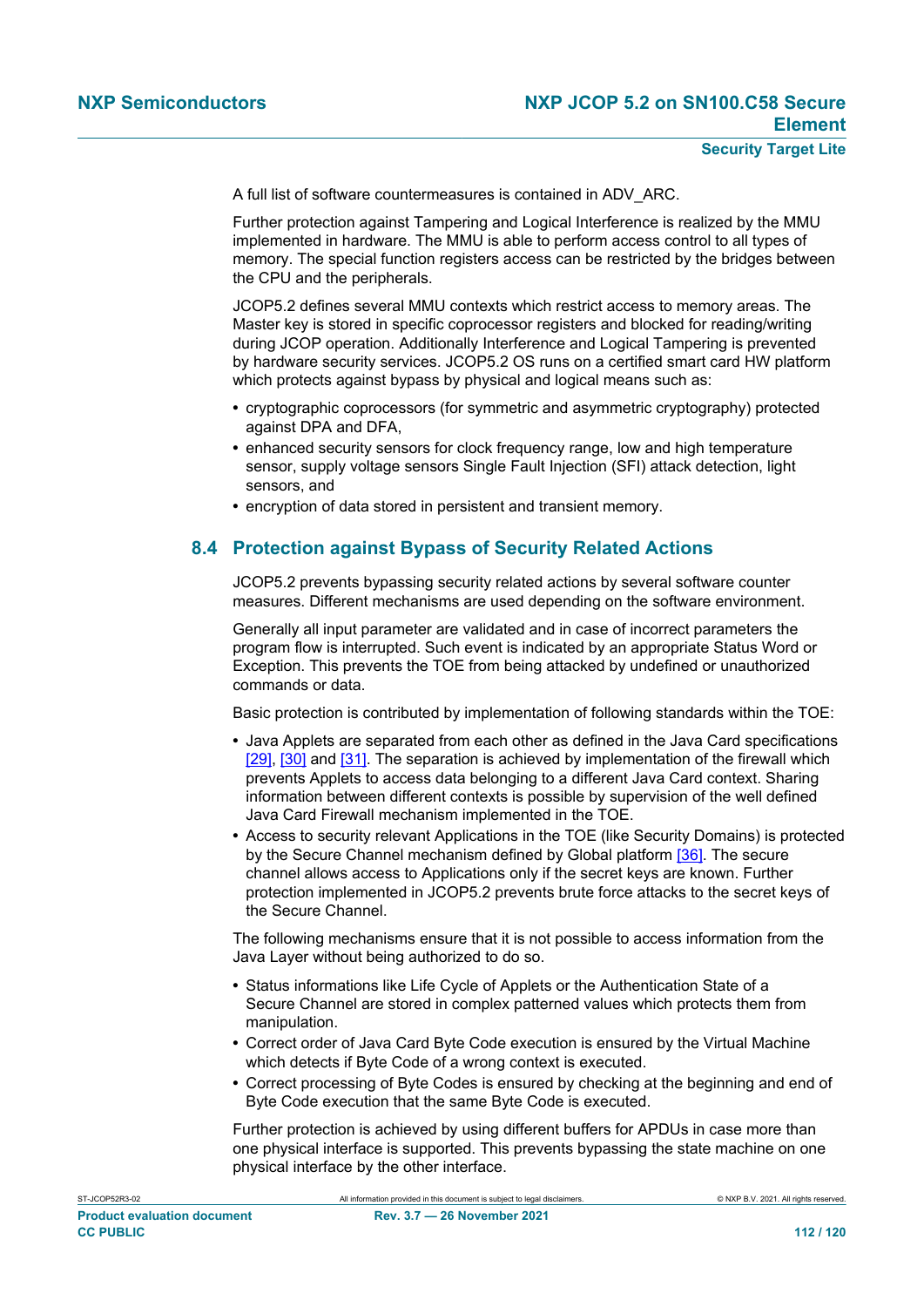A full list of software countermeasures is contained in ADV\_ARC.

Further protection against Tampering and Logical Interference is realized by the MMU implemented in hardware. The MMU is able to perform access control to all types of memory. The special function registers access can be restricted by the bridges between the CPU and the peripherals.

JCOP5.2 defines several MMU contexts which restrict access to memory areas. The Master key is stored in specific coprocessor registers and blocked for reading/writing during JCOP operation. Additionally Interference and Logical Tampering is prevented by hardware security services. JCOP5.2 OS runs on a certified smart card HW platform which protects against bypass by physical and logical means such as:

- **•** cryptographic coprocessors (for symmetric and asymmetric cryptography) protected against DPA and DFA,
- **•** enhanced security sensors for clock frequency range, low and high temperature sensor, supply voltage sensors Single Fault Injection (SFI) attack detection, light sensors, and
- <span id="page-111-0"></span>**•** encryption of data stored in persistent and transient memory.

# **8.4 Protection against Bypass of Security Related Actions**

JCOP5.2 prevents bypassing security related actions by several software counter measures. Different mechanisms are used depending on the software environment.

Generally all input parameter are validated and in case of incorrect parameters the program flow is interrupted. Such event is indicated by an appropriate Status Word or Exception. This prevents the TOE from being attacked by undefined or unauthorized commands or data.

Basic protection is contributed by implementation of following standards within the TOE:

- **•** Java Applets are separated from each other as defined in the Java Card specifications [\[29\]](#page-113-3), [\[30\]](#page-113-4) and [\[31\]](#page-113-0). The separation is achieved by implementation of the firewall which prevents Applets to access data belonging to a different Java Card context. Sharing information between different contexts is possible by supervision of the well defined Java Card Firewall mechanism implemented in the TOE.
- **•** Access to security relevant Applications in the TOE (like Security Domains) is protected by the Secure Channel mechanism defined by Global platform [\[36\].](#page-113-5) The secure channel allows access to Applications only if the secret keys are known. Further protection implemented in JCOP5.2 prevents brute force attacks to the secret keys of the Secure Channel.

The following mechanisms ensure that it is not possible to access information from the Java Layer without being authorized to do so.

- **•** Status informations like Life Cycle of Applets or the Authentication State of a Secure Channel are stored in complex patterned values which protects them from manipulation.
- **•** Correct order of Java Card Byte Code execution is ensured by the Virtual Machine which detects if Byte Code of a wrong context is executed.
- **•** Correct processing of Byte Codes is ensured by checking at the beginning and end of Byte Code execution that the same Byte Code is executed.

Further protection is achieved by using different buffers for APDUs in case more than one physical interface is supported. This prevents bypassing the state machine on one physical interface by the other interface.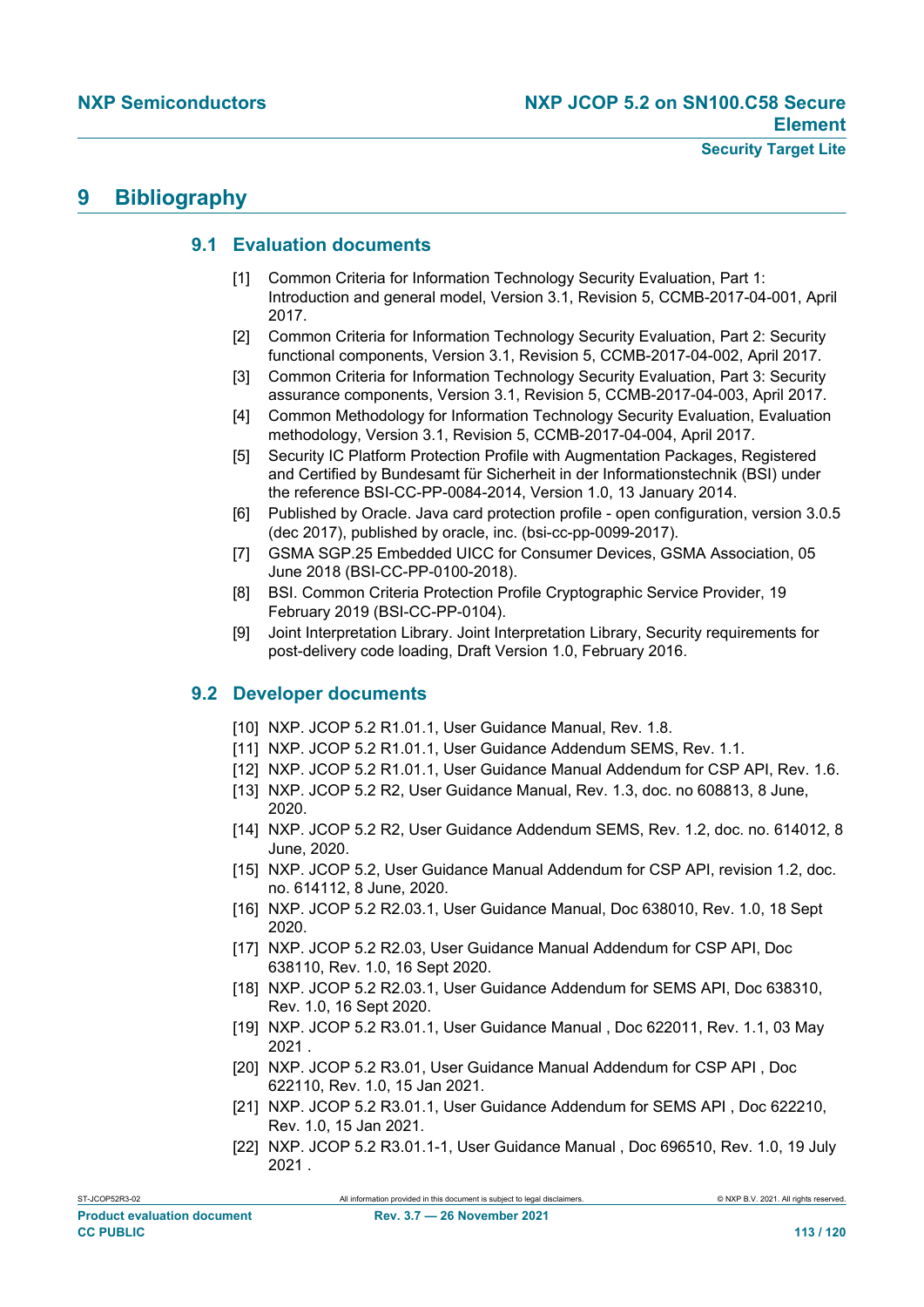# <span id="page-112-1"></span>**9 Bibliography**

## <span id="page-112-2"></span>**9.1 Evaluation documents**

- [1] Common Criteria for Information Technology Security Evaluation, Part 1: Introduction and general model, Version 3.1, Revision 5, CCMB-2017-04-001, April 2017.
- [2] Common Criteria for Information Technology Security Evaluation, Part 2: Security functional components, Version 3.1, Revision 5, CCMB-2017-04-002, April 2017.
- [3] Common Criteria for Information Technology Security Evaluation, Part 3: Security assurance components, Version 3.1, Revision 5, CCMB-2017-04-003, April 2017.
- [4] Common Methodology for Information Technology Security Evaluation, Evaluation methodology, Version 3.1, Revision 5, CCMB-2017-04-004, April 2017.
- [5] Security IC Platform Protection Profile with Augmentation Packages, Registered and Certified by Bundesamt für Sicherheit in der Informationstechnik (BSI) under the reference BSI-CC-PP-0084-2014, Version 1.0, 13 January 2014.
- [6] Published by Oracle. Java card protection profile open configuration, version 3.0.5 (dec 2017), published by oracle, inc. (bsi-cc-pp-0099-2017).
- [7] GSMA SGP.25 Embedded UICC for Consumer Devices, GSMA Association, 05 June 2018 (BSI-CC-PP-0100-2018).
- [8] BSI. Common Criteria Protection Profile Cryptographic Service Provider, 19 February 2019 (BSI-CC-PP-0104).
- <span id="page-112-3"></span>[9] Joint Interpretation Library. Joint Interpretation Library, Security requirements for post-delivery code loading, Draft Version 1.0, February 2016.

## **9.2 Developer documents**

- <span id="page-112-0"></span>[10] NXP. JCOP 5.2 R1.01.1, User Guidance Manual, Rev. 1.8.
- [11] NXP. JCOP 5.2 R1.01.1, User Guidance Addendum SEMS, Rev. 1.1.
- [12] NXP. JCOP 5.2 R1.01.1, User Guidance Manual Addendum for CSP API, Rev. 1.6.
- [13] NXP. JCOP 5.2 R2, User Guidance Manual, Rev. 1.3, doc. no 608813, 8 June, 2020.
- [14] NXP. JCOP 5.2 R2, User Guidance Addendum SEMS, Rev. 1.2, doc. no. 614012, 8 June, 2020.
- [15] NXP. JCOP 5.2, User Guidance Manual Addendum for CSP API, revision 1.2, doc. no. 614112, 8 June, 2020.
- [16] NXP. JCOP 5.2 R2.03.1, User Guidance Manual, Doc 638010, Rev. 1.0, 18 Sept 2020.
- [17] NXP. JCOP 5.2 R2.03, User Guidance Manual Addendum for CSP API, Doc 638110, Rev. 1.0, 16 Sept 2020.
- [18] NXP. JCOP 5.2 R2.03.1, User Guidance Addendum for SEMS API, Doc 638310, Rev. 1.0, 16 Sept 2020.
- [19] NXP. JCOP 5.2 R3.01.1, User Guidance Manual , Doc 622011, Rev. 1.1, 03 May 2021 .
- [20] NXP. JCOP 5.2 R3.01, User Guidance Manual Addendum for CSP API , Doc 622110, Rev. 1.0, 15 Jan 2021.
- [21] NXP. JCOP 5.2 R3.01.1, User Guidance Addendum for SEMS API , Doc 622210, Rev. 1.0, 15 Jan 2021.
- [22] NXP. JCOP 5.2 R3.01.1-1, User Guidance Manual , Doc 696510, Rev. 1.0, 19 July 2021 .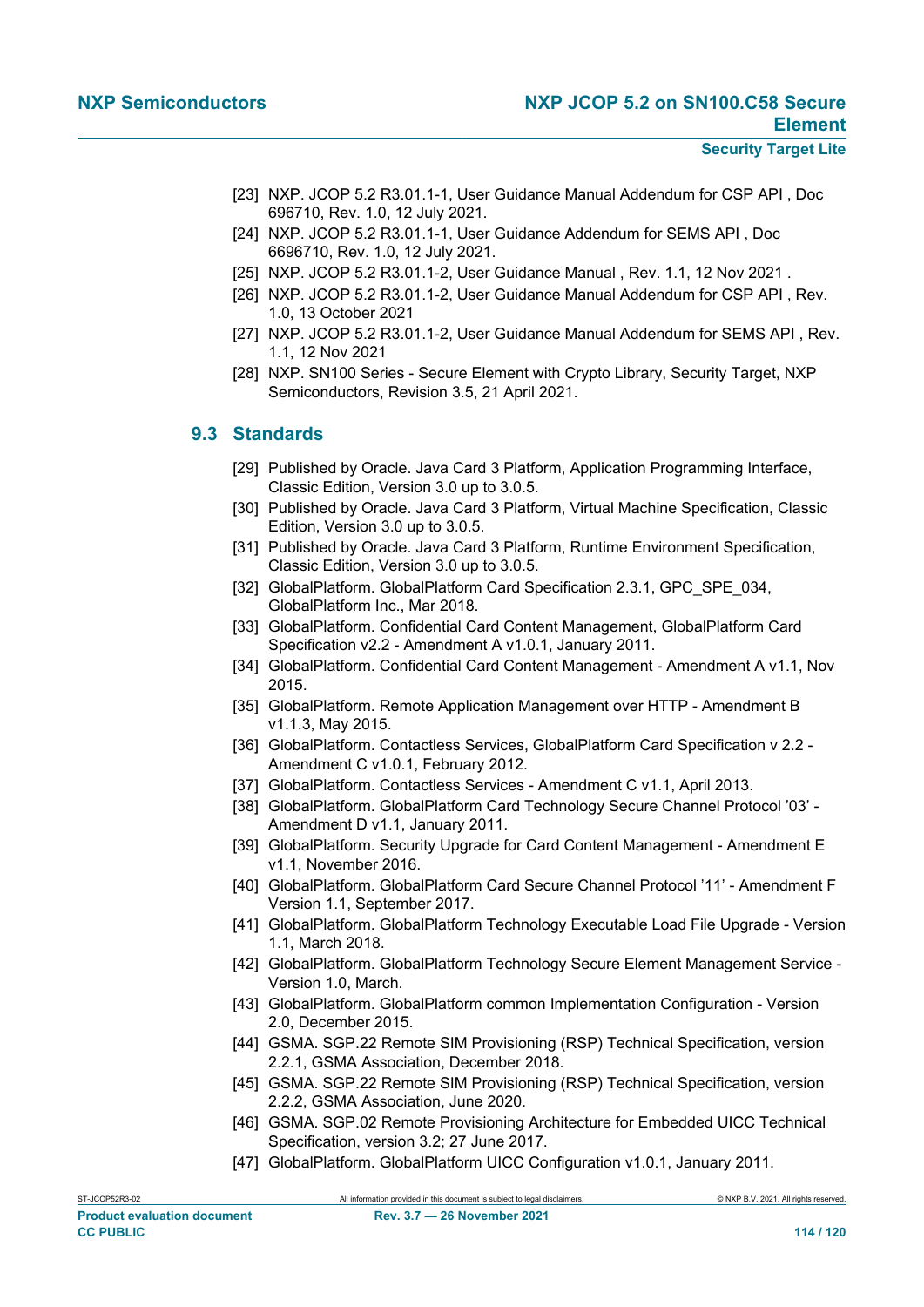- [23] NXP. JCOP 5.2 R3.01.1-1, User Guidance Manual Addendum for CSP API , Doc 696710, Rev. 1.0, 12 July 2021.
- [24] NXP. JCOP 5.2 R3.01.1-1, User Guidance Addendum for SEMS API , Doc 6696710, Rev. 1.0, 12 July 2021.
- [25] NXP. JCOP 5.2 R3.01.1-2, User Guidance Manual , Rev. 1.1, 12 Nov 2021 .
- [26] NXP. JCOP 5.2 R3.01.1-2, User Guidance Manual Addendum for CSP API , Rev. 1.0, 13 October 2021
- [27] NXP. JCOP 5.2 R3.01.1-2, User Guidance Manual Addendum for SEMS API , Rev. 1.1, 12 Nov 2021
- <span id="page-113-6"></span>[28] NXP. SN100 Series - Secure Element with Crypto Library, Security Target, NXP Semiconductors, Revision 3.5, 21 April 2021.

## **9.3 Standards**

- <span id="page-113-3"></span>[29] Published by Oracle. Java Card 3 Platform, Application Programming Interface, Classic Edition, Version 3.0 up to 3.0.5.
- <span id="page-113-4"></span>[30] Published by Oracle. Java Card 3 Platform, Virtual Machine Specification, Classic Edition, Version 3.0 up to 3.0.5.
- <span id="page-113-0"></span>[31] Published by Oracle. Java Card 3 Platform, Runtime Environment Specification, Classic Edition, Version 3.0 up to 3.0.5.
- [32] GlobalPlatform. GlobalPlatform Card Specification 2.3.1, GPC SPE 034, GlobalPlatform Inc., Mar 2018.
- [33] GlobalPlatform. Confidential Card Content Management, GlobalPlatform Card Specification v2.2 - Amendment A v1.0.1, January 2011.
- [34] GlobalPlatform. Confidential Card Content Management Amendment A v1.1, Nov 2015.
- [35] GlobalPlatform. Remote Application Management over HTTP Amendment B v1.1.3, May 2015.
- <span id="page-113-5"></span>[36] GlobalPlatform. Contactless Services, GlobalPlatform Card Specification v 2.2 - Amendment C v1.0.1, February 2012.
- [37] GlobalPlatform. Contactless Services Amendment C v1.1, April 2013.
- [38] GlobalPlatform. GlobalPlatform Card Technology Secure Channel Protocol '03' Amendment D v1.1, January 2011.
- [39] GlobalPlatform. Security Upgrade for Card Content Management Amendment E v1.1, November 2016.
- [40] GlobalPlatform. GlobalPlatform Card Secure Channel Protocol '11' Amendment F Version 1.1, September 2017.
- [41] GlobalPlatform. GlobalPlatform Technology Executable Load File Upgrade Version 1.1, March 2018.
- [42] GlobalPlatform. GlobalPlatform Technology Secure Element Management Service Version 1.0, March.
- [43] GlobalPlatform. GlobalPlatform common Implementation Configuration Version 2.0, December 2015.
- <span id="page-113-1"></span>[44] GSMA. SGP.22 Remote SIM Provisioning (RSP) Technical Specification, version 2.2.1, GSMA Association, December 2018.
- <span id="page-113-2"></span>[45] GSMA. SGP.22 Remote SIM Provisioning (RSP) Technical Specification, version 2.2.2, GSMA Association, June 2020.
- [46] GSMA. SGP.02 Remote Provisioning Architecture for Embedded UICC Technical Specification, version 3.2; 27 June 2017.
- [47] GlobalPlatform. GlobalPlatform UICC Configuration v1.0.1, January 2011.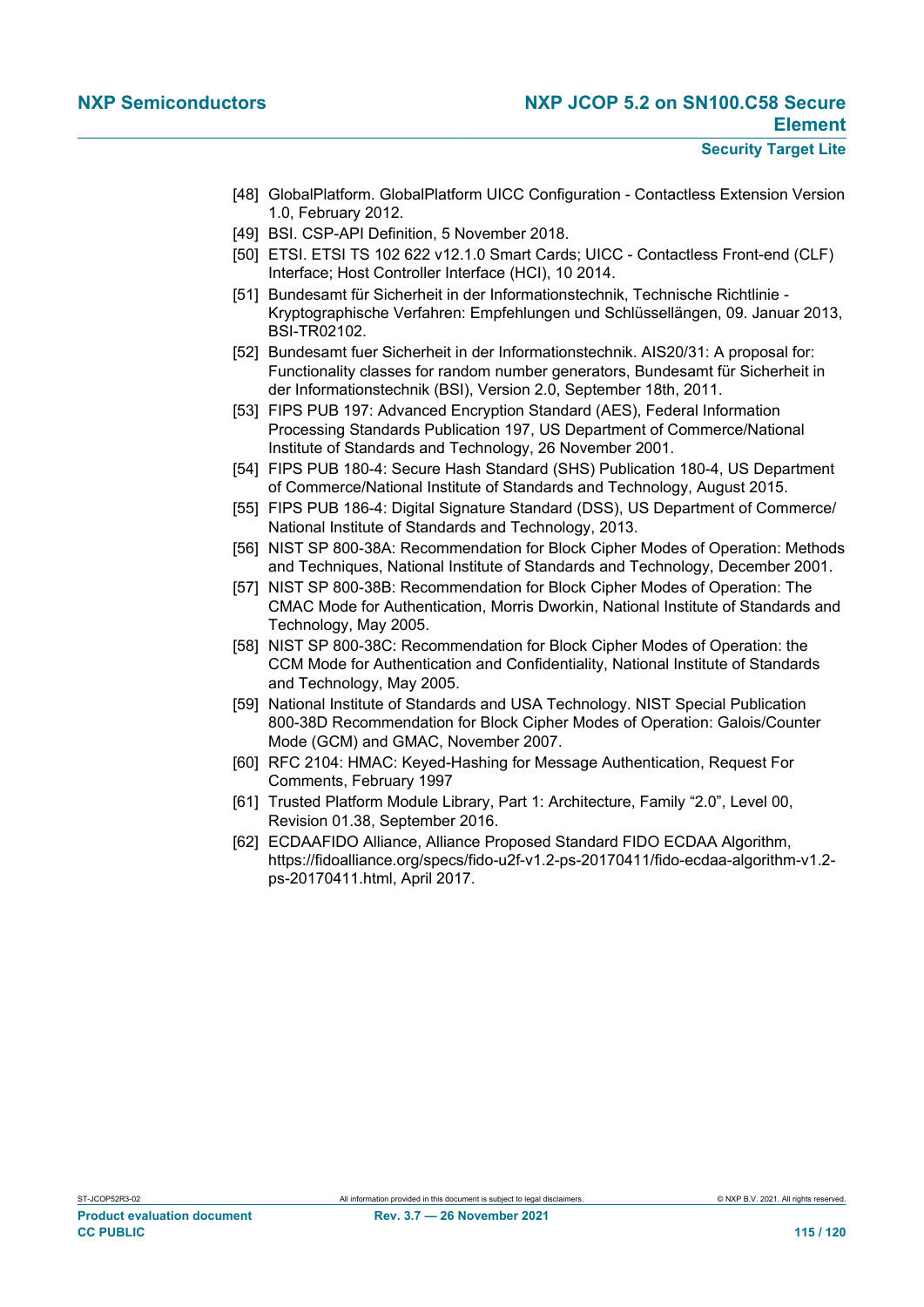- [48] GlobalPlatform. GlobalPlatform UICC Configuration Contactless Extension Version 1.0, February 2012.
- <span id="page-114-0"></span>[49] BSI. CSP-API Definition, 5 November 2018.
- [50] ETSI. ETSI TS 102 622 v12.1.0 Smart Cards; UICC Contactless Front-end (CLF) Interface; Host Controller Interface (HCI), 10 2014.
- [51] Bundesamt für Sicherheit in der Informationstechnik, Technische Richtlinie Kryptographische Verfahren: Empfehlungen und Schlüssellängen, 09. Januar 2013, BSI-TR02102.
- [52] Bundesamt fuer Sicherheit in der Informationstechnik. AIS20/31: A proposal for: Functionality classes for random number generators, Bundesamt für Sicherheit in der Informationstechnik (BSI), Version 2.0, September 18th, 2011.
- [53] FIPS PUB 197: Advanced Encryption Standard (AES), Federal Information Processing Standards Publication 197, US Department of Commerce/National Institute of Standards and Technology, 26 November 2001.
- [54] FIPS PUB 180-4: Secure Hash Standard (SHS) Publication 180-4, US Department of Commerce/National Institute of Standards and Technology, August 2015.
- [55] FIPS PUB 186-4: Digital Signature Standard (DSS), US Department of Commerce/ National Institute of Standards and Technology, 2013.
- [56] NIST SP 800-38A: Recommendation for Block Cipher Modes of Operation: Methods and Techniques, National Institute of Standards and Technology, December 2001.
- [57] NIST SP 800-38B: Recommendation for Block Cipher Modes of Operation: The CMAC Mode for Authentication, Morris Dworkin, National Institute of Standards and Technology, May 2005.
- [58] NIST SP 800-38C: Recommendation for Block Cipher Modes of Operation: the CCM Mode for Authentication and Confidentiality, National Institute of Standards and Technology, May 2005.
- [59] National Institute of Standards and USA Technology. NIST Special Publication 800-38D Recommendation for Block Cipher Modes of Operation: Galois/Counter Mode (GCM) and GMAC, November 2007.
- [60] RFC 2104: HMAC: Keyed-Hashing for Message Authentication, Request For Comments, February 1997
- [61] Trusted Platform Module Library, Part 1: Architecture, Family "2.0", Level 00, Revision 01.38, September 2016.
- [62] ECDAAFIDO Alliance, Alliance Proposed Standard FIDO ECDAA Algorithm, https://fidoalliance.org/specs/fido-u2f-v1.2-ps-20170411/fido-ecdaa-algorithm-v1.2 ps-20170411.html, April 2017.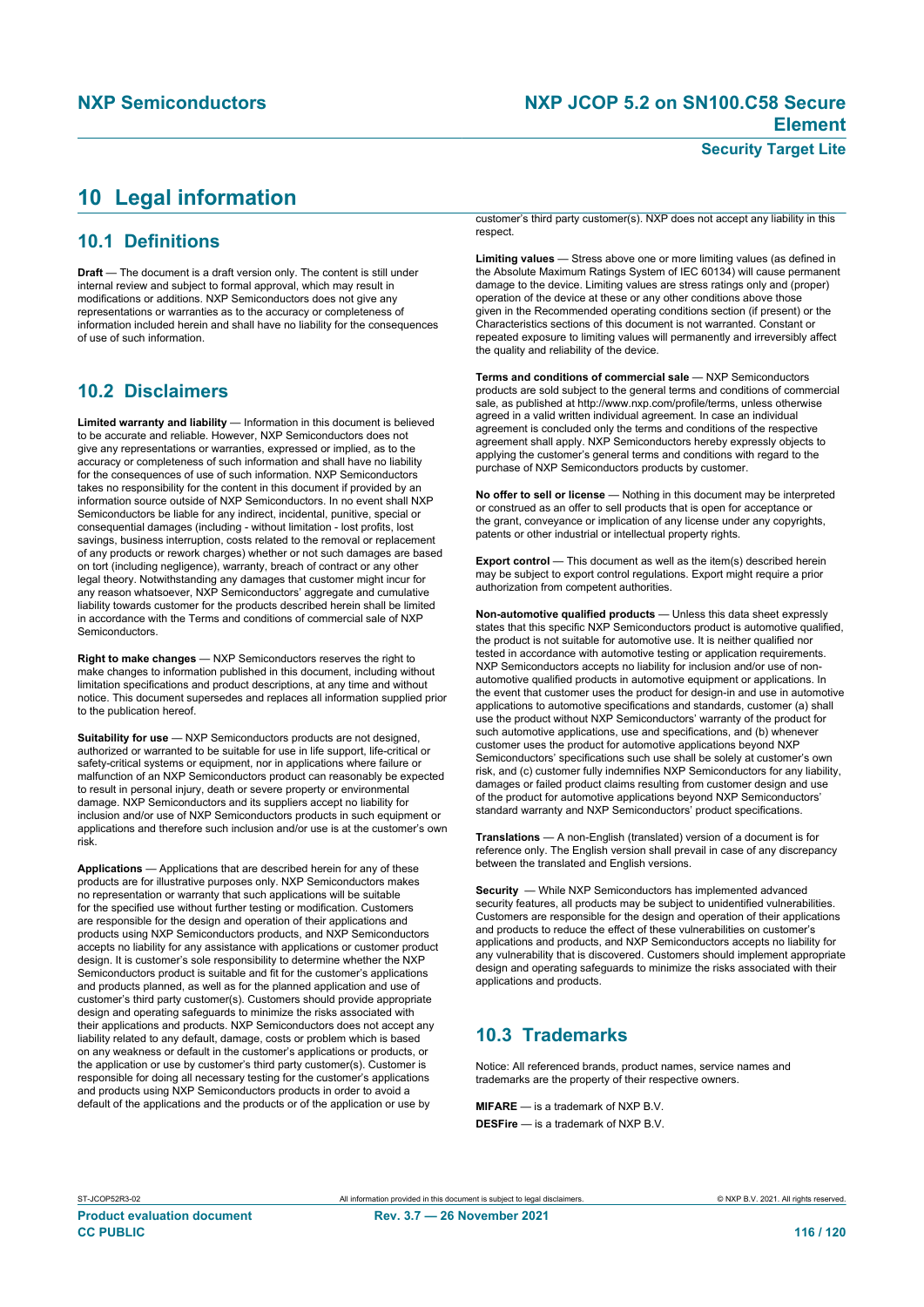# <span id="page-115-0"></span>**10 Legal information**

# **10.1 Definitions**

**Draft** — The document is a draft version only. The content is still under internal review and subject to formal approval, which may result in modifications or additions. NXP Semiconductors does not give any representations or warranties as to the accuracy or completeness of information included herein and shall have no liability for the consequences of use of such information.

## **10.2 Disclaimers**

**Limited warranty and liability** — Information in this document is believed to be accurate and reliable. However, NXP Semiconductors does not give any representations or warranties, expressed or implied, as to the accuracy or completeness of such information and shall have no liability for the consequences of use of such information. NXP Semiconductors takes no responsibility for the content in this document if provided by an information source outside of NXP Semiconductors. In no event shall NXP Semiconductors be liable for any indirect, incidental, punitive, special or consequential damages (including - without limitation - lost profits, lost savings, business interruption, costs related to the removal or replacement of any products or rework charges) whether or not such damages are based on tort (including negligence), warranty, breach of contract or any other legal theory. Notwithstanding any damages that customer might incur for any reason whatsoever, NXP Semiconductors' aggregate and cumulative liability towards customer for the products described herein shall be limited in accordance with the Terms and conditions of commercial sale of NXP Semiconductors.

**Right to make changes** — NXP Semiconductors reserves the right to make changes to information published in this document, including without limitation specifications and product descriptions, at any time and without notice. This document supersedes and replaces all information supplied prior to the publication hereof.

**Suitability for use** — NXP Semiconductors products are not designed, authorized or warranted to be suitable for use in life support, life-critical or safety-critical systems or equipment, nor in applications where failure or malfunction of an NXP Semiconductors product can reasonably be expected to result in personal injury, death or severe property or environmental damage. NXP Semiconductors and its suppliers accept no liability for inclusion and/or use of NXP Semiconductors products in such equipment or applications and therefore such inclusion and/or use is at the customer's own risk.

**Applications** — Applications that are described herein for any of these products are for illustrative purposes only. NXP Semiconductors makes no representation or warranty that such applications will be suitable for the specified use without further testing or modification. Customers are responsible for the design and operation of their applications and products using NXP Semiconductors products, and NXP Semiconductors accepts no liability for any assistance with applications or customer product design. It is customer's sole responsibility to determine whether the NXP Semiconductors product is suitable and fit for the customer's applications and products planned, as well as for the planned application and use of customer's third party customer(s). Customers should provide appropriate design and operating safeguards to minimize the risks associated with their applications and products. NXP Semiconductors does not accept any liability related to any default, damage, costs or problem which is based on any veakness or default in the customer's applications or products, or the application or use by customer's third party customer(s). Customer is responsible for doing all necessary testing for the customer's applications and products using NXP Semiconductors products in order to avoid a default of the applications and the products or of the application or use by

customer's third party customer(s). NXP does not accept any liability in this respect

**Limiting values** — Stress above one or more limiting values (as defined in the Absolute Maximum Ratings System of IEC 60134) will cause permanent damage to the device. Limiting values are stress ratings only and (proper) operation of the device at these or any other conditions above those given in the Recommended operating conditions section (if present) or the Characteristics sections of this document is not warranted. Constant or repeated exposure to limiting values will permanently and irreversibly affect the quality and reliability of the device.

**Terms and conditions of commercial sale** — NXP Semiconductors products are sold subject to the general terms and conditions of commercial sale, as published at http://www.nxp.com/profile/terms, unless otherwise agreed in a valid written individual agreement. In case an individual agreement is concluded only the terms and conditions of the respective agreement shall apply. NXP Semiconductors hereby expressly objects to applying the customer's general terms and conditions with regard to the purchase of NXP Semiconductors products by customer.

**No offer to sell or license** — Nothing in this document may be interpreted or construed as an offer to sell products that is open for acceptance or the grant, conveyance or implication of any license under any copyrights, patents or other industrial or intellectual property rights.

**Export control** — This document as well as the item(s) described herein may be subject to export control regulations. Export might require a prior authorization from competent authorities.

**Non-automotive qualified products** — Unless this data sheet expressly states that this specific NXP Semiconductors product is automotive qualified, the product is not suitable for automotive use. It is neither qualified nor tested in accordance with automotive testing or application requirements. NXP Semiconductors accepts no liability for inclusion and/or use of nonautomotive qualified products in automotive equipment or applications. In the event that customer uses the product for design-in and use in automotive applications to automotive specifications and standards, customer (a) shall use the product without NXP Semiconductors' warranty of the product for such automotive applications, use and specifications, and (b) whenever customer uses the product for automotive applications beyond NXP Semiconductors' specifications such use shall be solely at customer's own risk, and (c) customer fully indemnifies NXP Semiconductors for any liability, damages or failed product claims resulting from customer design and use of the product for automotive applications beyond NXP Semiconductors' standard warranty and NXP Semiconductors' product specifications.

**Translations** — A non-English (translated) version of a document is for reference only. The English version shall prevail in case of any discrepancy between the translated and English versions.

**Security** — While NXP Semiconductors has implemented advanced security features, all products may be subject to unidentified vulnerabilities. Customers are responsible for the design and operation of their applications and products to reduce the effect of these vulnerabilities on customer's applications and products, and NXP Semiconductors accepts no liability for any vulnerability that is discovered. Customers should implement appropriate design and operating safeguards to minimize the risks associated with their applications and products.

# **10.3 Trademarks**

Notice: All referenced brands, product names, service names and trademarks are the property of their respective owners.

**MIFARE** — is a trademark of NXP B.V. **DESFire** — is a trademark of NXP B.V.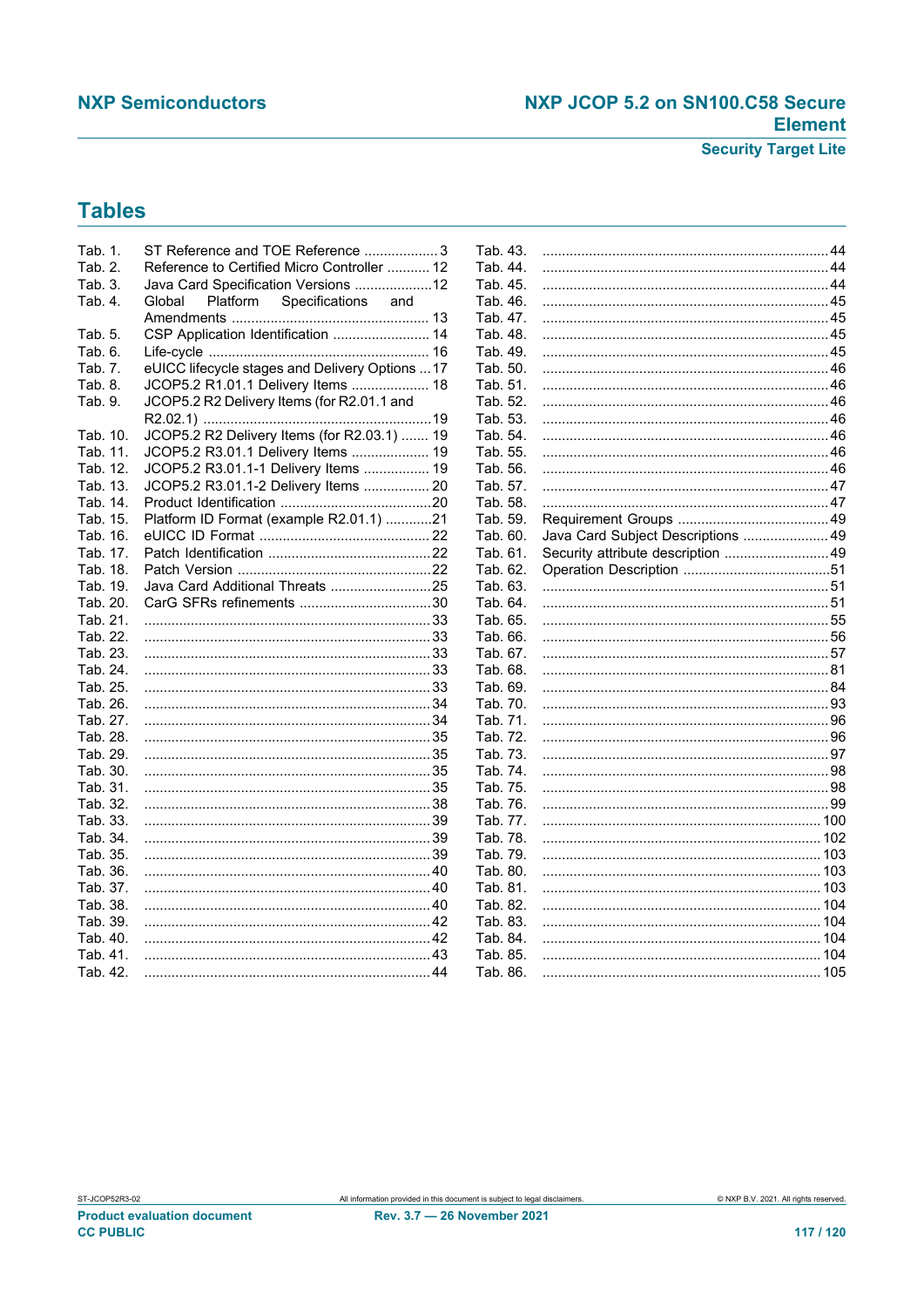## **NXP Semiconductors**

# NXP JCOP 5.2 on SN100.C58 Secure **Element**

**Security Target Lite** 

# **Tables**

| Tab. 1.  | ST Reference and TOE Reference  3               | Tab. 43. |                                    |  |
|----------|-------------------------------------------------|----------|------------------------------------|--|
| Tab. 2.  | Reference to Certified Micro Controller  12     | Tab. 44. |                                    |  |
| Tab. 3.  | Java Card Specification Versions 12             | Tab. 45. |                                    |  |
| Tab. 4.  | Global<br>Platform<br>Specifications<br>and     | Tab. 46. |                                    |  |
|          |                                                 | Tab. 47. |                                    |  |
| Tab. 5.  | CSP Application Identification  14              | Tab. 48. |                                    |  |
| Tab. 6.  |                                                 | Tab. 49. |                                    |  |
| Tab. 7.  | eUICC lifecycle stages and Delivery Options  17 | Tab. 50. |                                    |  |
| Tab. 8.  | JCOP5.2 R1.01.1 Delivery Items  18              | Tab. 51. |                                    |  |
| Tab. 9.  | JCOP5.2 R2 Delivery Items (for R2.01.1 and      | Tab. 52. |                                    |  |
|          |                                                 | Tab. 53. |                                    |  |
| Tab. 10. | JCOP5.2 R2 Delivery Items (for R2.03.1)  19     | Tab. 54. |                                    |  |
| Tab. 11. | JCOP5.2 R3.01.1 Delivery Items  19              | Tab. 55. |                                    |  |
| Tab. 12. | JCOP5.2 R3.01.1-1 Delivery Items  19            | Tab. 56. |                                    |  |
| Tab. 13. | JCOP5.2 R3.01.1-2 Delivery Items  20            | Tab. 57. |                                    |  |
| Tab. 14. |                                                 | Tab. 58. |                                    |  |
| Tab. 15. | Platform ID Format (example R2.01.1) 21         | Tab. 59. |                                    |  |
| Tab. 16. |                                                 | Tab. 60. | Java Card Subject Descriptions  49 |  |
| Tab. 17. |                                                 | Tab. 61. | Security attribute description  49 |  |
| Tab. 18. |                                                 | Tab. 62. |                                    |  |
| Tab. 19. | Java Card Additional Threats 25                 | Tab. 63. |                                    |  |
| Tab. 20. |                                                 | Tab. 64. |                                    |  |
| Tab. 21. |                                                 | Tab. 65. |                                    |  |
| Tab. 22. |                                                 | Tab. 66. |                                    |  |
|          |                                                 | Tab. 67. |                                    |  |
|          |                                                 | Tab. 68. |                                    |  |
|          |                                                 | Tab. 69. |                                    |  |
| Tab. 26. |                                                 | Tab. 70. |                                    |  |
|          |                                                 | Tab. 71. |                                    |  |
|          |                                                 | Tab. 72. |                                    |  |
| Tab. 29. |                                                 | Tab. 73. |                                    |  |
| Tab. 30. |                                                 | Tab. 74. |                                    |  |
| Tab. 31. |                                                 | Tab. 75. |                                    |  |
| Tab. 32. |                                                 | Tab. 76. |                                    |  |
| Tab. 33. |                                                 | Tab. 77. |                                    |  |
| Tab. 34. |                                                 | Tab. 78. |                                    |  |
| Tab. 35. |                                                 | Tab. 79. |                                    |  |
| Tab. 36. |                                                 | Tab. 80. |                                    |  |
| Tab. 37. |                                                 | Tab. 81. |                                    |  |
| Tab. 38. |                                                 | Tab. 82. |                                    |  |
| Tab. 39. |                                                 | Tab. 83. |                                    |  |
| Tab. 40. |                                                 | Tab. 84. |                                    |  |
| Tab. 41. |                                                 | Tab. 85. |                                    |  |
| Tab. 42. |                                                 | Tab. 86. |                                    |  |
|          |                                                 |          |                                    |  |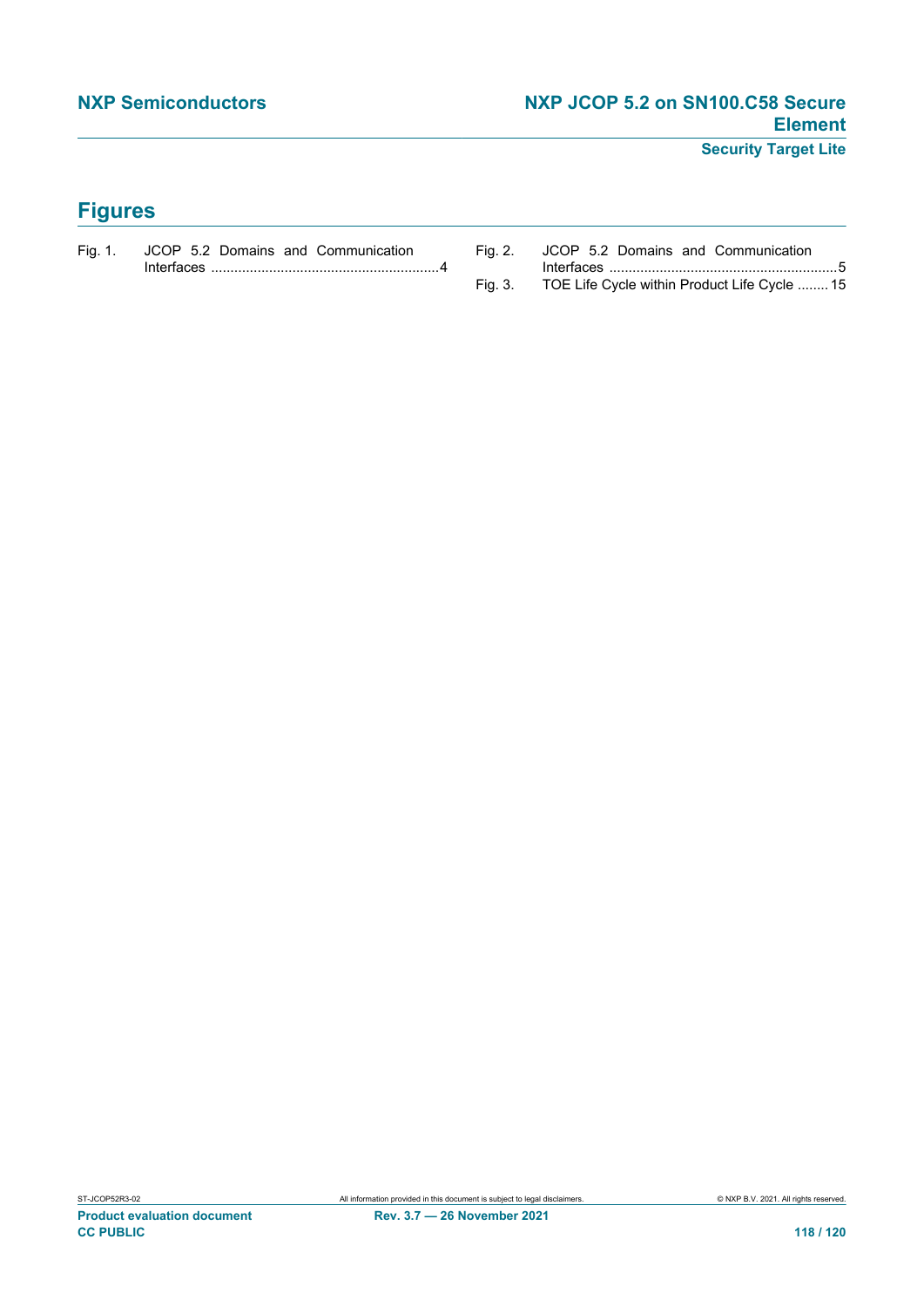**Security Target Lite**

# **Figures**

| Fig. 1. JCOP 5.2 Domains and Communication |         | Fig. 2. JCOP 5.2 Domains and Communication   |
|--------------------------------------------|---------|----------------------------------------------|
| Interfaces $\sim$                          |         |                                              |
|                                            | Fig. 3. | TOE Life Cycle within Product Life Cycle  15 |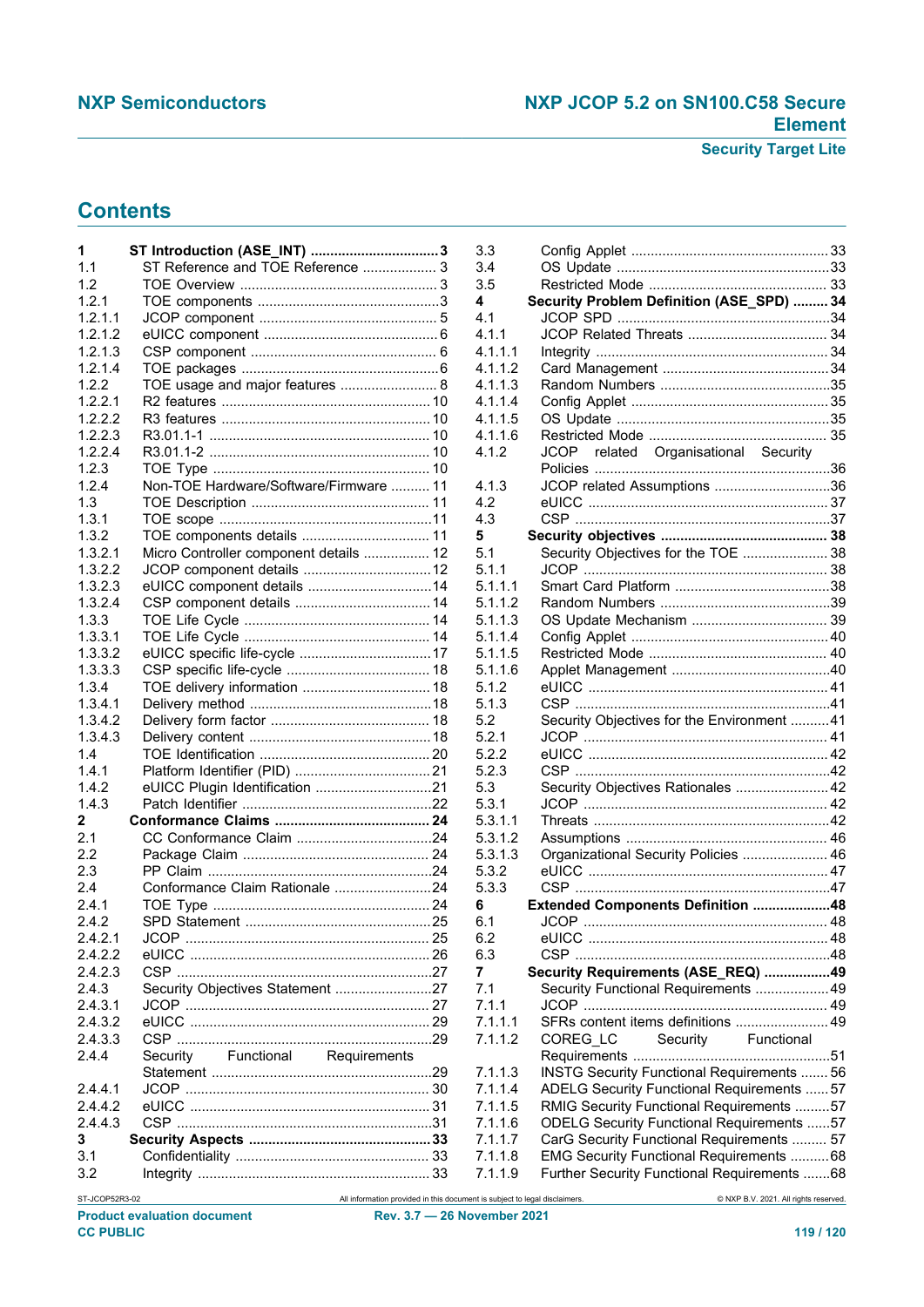# **Contents**

| 1              | ST Introduction (ASE_INT) 3             |  |  |
|----------------|-----------------------------------------|--|--|
| 1.1            | ST Reference and TOE Reference  3       |  |  |
| 1.2            |                                         |  |  |
| 1.2.1          |                                         |  |  |
| 1.2.1.1        |                                         |  |  |
|                |                                         |  |  |
| 1.2.1.2        |                                         |  |  |
| 1.2.1.3        |                                         |  |  |
| 1.2.1.4        |                                         |  |  |
| 1.2.2          | TOE usage and major features  8         |  |  |
| 1.2.2.1        |                                         |  |  |
| 1.2.2.2        |                                         |  |  |
| 1.2.2.3        |                                         |  |  |
|                |                                         |  |  |
| 1.2.2.4        |                                         |  |  |
| 1.2.3          |                                         |  |  |
| 1.2.4          | Non-TOE Hardware/Software/Firmware  11  |  |  |
| 1.3            |                                         |  |  |
| 1.3.1          |                                         |  |  |
| 1.3.2          | TOE components details  11              |  |  |
| 1.3.2.1        | Micro Controller component details  12  |  |  |
| 1.3.2.2        |                                         |  |  |
|                |                                         |  |  |
| 1.3.2.3        | eUICC component details  14             |  |  |
| 1.3.2.4        |                                         |  |  |
| 1.3.3          |                                         |  |  |
| 1.3.3.1        |                                         |  |  |
| 1.3.3.2        |                                         |  |  |
| 1.3.3.3        |                                         |  |  |
| 1.3.4          |                                         |  |  |
|                |                                         |  |  |
| 1.3.4.1        |                                         |  |  |
| 1.3.4.2        |                                         |  |  |
| 1.3.4.3        |                                         |  |  |
| 1.4            |                                         |  |  |
| 1.4.1          |                                         |  |  |
| 1.4.2          |                                         |  |  |
| 1.4.3          |                                         |  |  |
| 2              |                                         |  |  |
| 2.1            |                                         |  |  |
| 2.2            |                                         |  |  |
|                |                                         |  |  |
| 2.3            |                                         |  |  |
| 2.4            | Conformance Claim Rationale 24          |  |  |
| 2.4.1          |                                         |  |  |
| 2.4.2          |                                         |  |  |
| 2.4.2.1        |                                         |  |  |
| 2.4.2.2        |                                         |  |  |
| 2.4.2.3        |                                         |  |  |
| 2.4.3          | Security Objectives Statement 27        |  |  |
| 2.4.3.1        |                                         |  |  |
|                |                                         |  |  |
| 2.4.3.2        |                                         |  |  |
| 2.4.3.3        |                                         |  |  |
| 2.4.4          | Functional Requirements<br>Security     |  |  |
|                |                                         |  |  |
| 2.4.4.1        |                                         |  |  |
| 2.4.4.2        |                                         |  |  |
| 2.4.4.3        |                                         |  |  |
|                |                                         |  |  |
| 3              |                                         |  |  |
| 3.1            |                                         |  |  |
| 3.2            |                                         |  |  |
| ST-JCOP52R3-02 | All information provided in this docume |  |  |

| 3.3     |                                                   |  |
|---------|---------------------------------------------------|--|
| 3.4     |                                                   |  |
| 3.5     |                                                   |  |
| 4       | Security Problem Definition (ASE_SPD)  34         |  |
| 4.1     |                                                   |  |
| 4.1.1   |                                                   |  |
| 4.1.1.1 |                                                   |  |
| 4.1.1.2 |                                                   |  |
| 4.1.1.3 |                                                   |  |
| 4.1.1.4 |                                                   |  |
| 4.1.1.5 |                                                   |  |
| 4.1.1.6 |                                                   |  |
| 4.1.2   | JCOP related Organisational Security              |  |
|         |                                                   |  |
|         |                                                   |  |
| 4.1.3   | JCOP related Assumptions 36                       |  |
| 4.2     |                                                   |  |
| 4.3     |                                                   |  |
| 5       |                                                   |  |
| 5.1     | Security Objectives for the TOE  38               |  |
| 5.1.1   |                                                   |  |
| 5.1.1.1 |                                                   |  |
| 5.1.1.2 |                                                   |  |
| 5.1.1.3 |                                                   |  |
| 5.1.1.4 |                                                   |  |
| 5.1.1.5 |                                                   |  |
| 5.1.1.6 |                                                   |  |
| 5.1.2   |                                                   |  |
| 5.1.3   |                                                   |  |
| 5.2     | Security Objectives for the Environment 41        |  |
| 5.2.1   |                                                   |  |
| 5.2.2   |                                                   |  |
| 5.2.3   |                                                   |  |
| 5.3     | Security Objectives Rationales  42                |  |
|         |                                                   |  |
| 5.3.1   |                                                   |  |
| 5.3.1.1 |                                                   |  |
| 5.3.1.2 |                                                   |  |
| 5.3.1.3 | Organizational Security Policies  46              |  |
| 5.3.2   |                                                   |  |
| 5.3.3   |                                                   |  |
| 6       | Extended Components Definition 48                 |  |
| 6.1     | JCOP.                                             |  |
| 6.2     |                                                   |  |
| 6.3     |                                                   |  |
| 7       | Security Requirements (ASE_REQ) 49                |  |
| 7.1     | Security Functional Requirements  49              |  |
| 7.1.1   |                                                   |  |
| 7.1.1.1 | SFRs content items definitions  49                |  |
| 7.1.1.2 | Functional<br>Security<br>COREG_LC                |  |
|         |                                                   |  |
| 7.1.1.3 | <b>INSTG Security Functional Requirements  56</b> |  |
| 7.1.1.4 | ADELG Security Functional Requirements  57        |  |
| 7.1.1.5 | RMIG Security Functional Requirements 57          |  |
|         |                                                   |  |
| 7.1.1.6 | <b>ODELG Security Functional Requirements 57</b>  |  |
| 7.1.1.7 | CarG Security Functional Requirements  57         |  |
| 7.1.1.8 | EMG Security Functional Requirements  68          |  |
| 7.1.1.9 | Further Security Functional Requirements 68       |  |